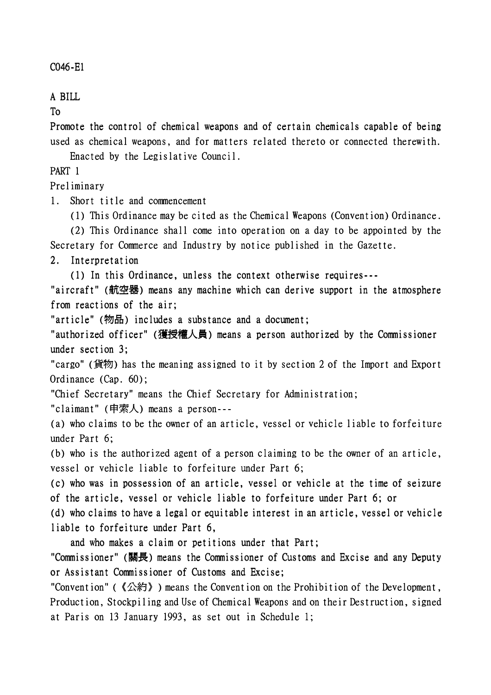#### A BILL

To

Promote the control of chemical weapons and of certain chemicals capable of being used as chemical weapons, and for matters related thereto or connected therewith.

Enacted by the Legislative Council.

PART 1

Preliminary

1. Short title and commencement

(1) This Ordinance may be cited as the Chemical Weapons (Convention) Ordinance.

(2) This Ordinance shall come into operation on a day to be appointed by the Secretary for Commerce and Industry by notice published in the Gazette.

2. Interpretation

(1) In this Ordinance, unless the context otherwise requires---

"aircraft" (航空器) means any machine which can derive support in the atmosphere from reactions of the air;

"article" (物品) includes a substance and a document;

"authorized officer" (獲授權㆟員) means a person authorized by the Commissioner under section 3;

"cargo" (貨物) has the meaning assigned to it by section 2 of the Import and Export Ordinance (Cap. 60);

"Chief Secretary" means the Chief Secretary for Administration;

"claimant" (申索㆟) means a person---

(a) who claims to be the owner of an article, vessel or vehicle liable to forfeiture under Part 6;

(b) who is the authorized agent of a person claiming to be the owner of an article, vessel or vehicle liable to forfeiture under Part 6;

(c) who was in possession of an article, vessel or vehicle at the time of seizure of the article, vessel or vehicle liable to forfeiture under Part 6; or

(d) who claims to have a legal or equitable interest in an article, vessel or vehicle liable to forfeiture under Part 6,

and who makes a claim or petitions under that Part;

"Commissioner" (關長) means the Commissioner of Customs and Excise and any Deputy or Assistant Commissioner of Customs and Excise;

"Convention" (《公約》) means the Convention on the Prohibition of the Development, Production, Stockpiling and Use of Chemical Weapons and on their Destruction, signed at Paris on 13 January 1993, as set out in Schedule 1;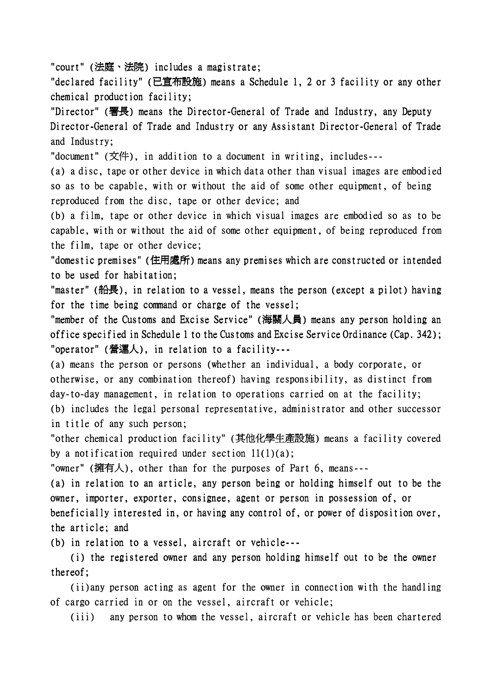"court" (法庭、法院) includes a magistrate;

"declared facility" (已宣布設施) means a Schedule 1, 2 or 3 facility or any other chemical production facility;

"Director" (署長) means the Director-General of Trade and Industry, any Deputy Director-General of Trade and Industry or any Assistant Director-General of Trade and Industry;

"document" (文件), in addition to a document in writing, includes---

(a) a disc, tape or other device in which data other than visual images are embodied so as to be capable, with or without the aid of some other equipment, of being reproduced from the disc, tape or other device; and

(b) a film, tape or other device in which visual images are embodied so as to be capable, with or without the aid of some other equipment, of being reproduced from the film, tape or other device;

"domestic premises" (住用處所) means any premises which are constructed or intended to be used for habitation;

"master" (船長), in relation to a vessel, means the person (except a pilot) having for the time being command or charge of the vessel;

"member of the Customs and Excise Service" (海關㆟員) means any person holding an office specified in Schedule 1 to the Customs and Excise Service Ordinance (Cap. 342); "operator" (營運㆟), in relation to a facility---

(a) means the person or persons (whether an individual, a body corporate, or otherwise, or any combination thereof) having responsibility, as distinct from day-to-day management, in relation to operations carried on at the facility; (b) includes the legal personal representative, administrator and other successor (b) includes the legal personal representative, administrator and in title of any such person;

"other chemical production facility" (其他化學生產設施) means a facility covered by a notification required under section  $11(1)(a)$ ;

"owner" (擁有㆟), other than for the purposes of Part 6, means---

(a) in relation to an article, any person being or holding himself out to be the owner, importer, exporter, consignee, agent or person in possession of, or beneficially interested in, or having any control of, or power of disposition over, the article; and

(b) in relation to a vessel, aircraft or vehicle---

(i) the registered owner and any person holding himself out to be the owner thereof;

 $(i)$  any person acting as agent for the owner in connection with the handling of cargo carried in or on the vessel, aircraft or vehicle;

(iii) any person to whom the vessel, aircraft or vehicle has been chartered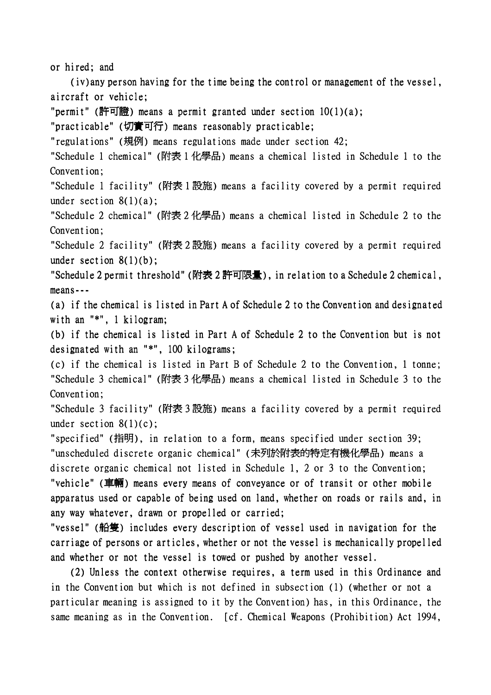or hired; and

 $(iv)$ any person having for the time being the control or management of the vessel, aircraft or vehicle;

"permit" (許可證) means a permit granted under section 10(1)(a);

"practicable" (切實可行) means reasonably practicable;

"regulations" (規例) means regulations made under section 42;

"Schedule 1 chemical" (附表 1 化學品) means a chemical listed in Schedule 1 to the Convention;

"Schedule 1 facility" (附表 1 設施) means a facility covered by a permit required under section  $8(1)(a)$ ;

"Schedule 2 chemical" (附表 2 化學品) means a chemical listed in Schedule 2 to the Convention;

"Schedule 2 facility" (附表 2 設施) means a facility covered by a permit required under section  $8(1)(b)$ ;

"Schedule 2 permit threshold" (附表 2 許可限量), in relation to a Schedule 2 chemical, means---

(a) if the chemical is listed in Part A of Schedule 2 to the Convention and designated with an "\*", 1 kilogram;

(b) if the chemical is listed in Part A of Schedule 2 to the Convention but is not designated with an "\*", 100 kilograms;

(c) if the chemical is listed in Part B of Schedule 2 to the Convention,  $1$  tonne; "Schedule 3 chemical" (附表 3 化學品) means a chemical listed in Schedule 3 to the Convention;

"Schedule 3 facility" (附表 3 設施) means a facility covered by a permit required under section 8(1)(c);

"specified" (指明), in relation to a form, means specified under section 39; "unscheduled discrete organic chemical" (未列於附表的特定有機化學品) means a discrete organic chemical not listed in Schedule 1, 2 or 3 to the Convention; "vehicle" (車輛) means every means of conveyance or of transit or other mobile apparatus used or capable of being used on land, whether on roads or rails and, in any way whatever, drawn or propelled or carried;

"vessel" (船隻) includes every description of vessel used in navigation for the carriage of persons or articles, whether or not the vessel is mechanically propelled and whether or not the vessel is towed or pushed by another vessel.

(2) Unless the context otherwise requires, a term used in this Ordinance and in the Convention but which is not defined in subsection (1) (whether or not a particular meaning is assigned to it by the Convention) has, in this Ordinance, the same meaning as in the Convention. [cf. Chemical Weapons (Prohibition) Act 1994,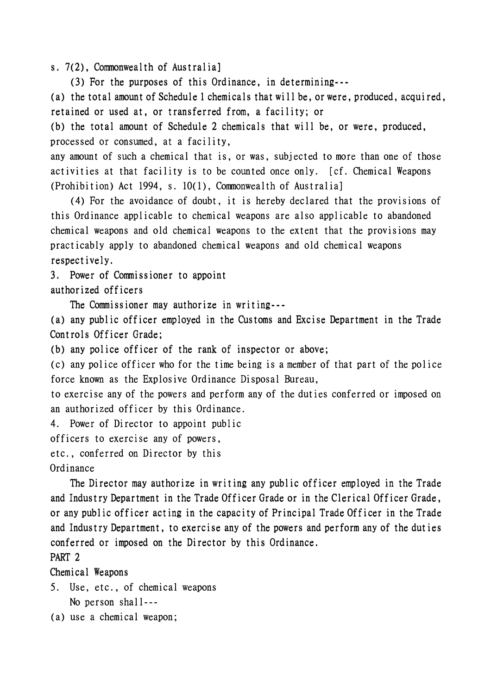s. 7(2), Commonwealth of Australia]

 $(3)$  For the purposes of this Ordinance, in determining---

(a) the total amount of Schedule 1 chemicals that will be, or were, produced, acquired, retained or used at, or transferred from, a facility; or

(b) the total amount of Schedule 2 chemicals that will be, or were, produced, processed or consumed, at a facility,

any amount of such a chemical that is, or was, subjected to more than one of those activities at that facility is to be counted once only. [cf. Chemical Weapons (Prohibition) Act 1994, s. 10(1), Commonwealth of Australia]

(4) For the avoidance of doubt, it is hereby declared that the provisions of this Ordinance applicable to chemical weapons are also applicable to abandoned chemical weapons and old chemical weapons to the extent that the provisions may practicably apply to abandoned chemical weapons and old chemical weapons respectively.

3. Power of Commissioner to appoint

authorized officers

The Commissioner may authorize in writing---

(a) any public officer employed in the Customs and Excise Department in the Trade Controls Officer Grade;

(b) any police officer of the rank of inspector or above:

(c) any police officer who for the time being is a member of that part of the police force known as the Explosive Ordinance Disposal Bureau,

to exercise any of the powers and perform any of the duties conferred or imposed on an authorized officer by this Ordinance.

4. Power of Director to appoint public

officers to exercise any of powers,

etc., conferred on Director by this

**Ordinance** 

The Director may authorize in writing any public officer employed in the Trade and Industry Department in the Trade Officer Grade or in the Clerical Officer Grade, or any public officer acting in the capacity of Principal Trade Officer in the Trade and Industry Department, to exercise any of the powers and perform any of the duties conferred or imposed on the Director by this Ordinance.

PART 2

Chemical Weapons

- 5. Use, etc., of chemical weapons No person shall---
- (a) use a chemical weapon;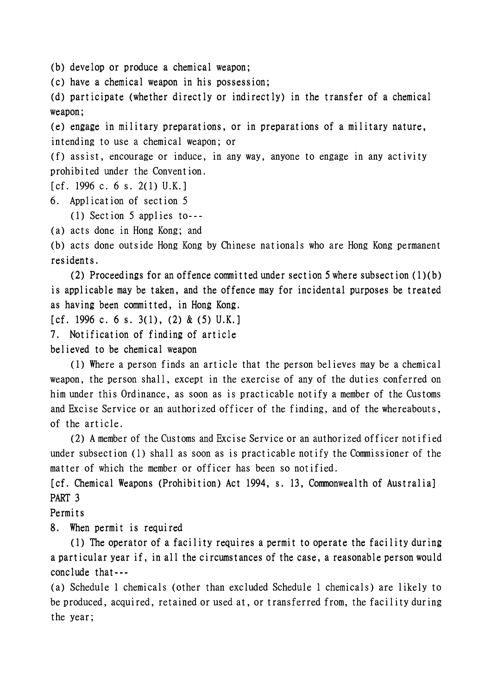(b) develop or produce a chemical weapon;

 $(c)$  have a chemical weapon in his possession;

(d) participate (whether directly or indirectly) in the transfer of a chemical weapon;

(e) engage in military preparations, or in preparations of a military nature, intending to use a chemical weapon; or

(f) assist, encourage or induce, in any way, anyone to engage in any activity prohibited under the Convention.

[cf. 1996 c. 6 s. 2(1) U.K.]

6. Application of section 5

(1) Section 5 applies to---

 $(a)$  acts done in Hong Kong; and

(b) acts done outside Hong Kong by Chinese nationals who are Hong Kong permanent residents.

(2) Proceedings for an offence committed under section 5 where subsection  $(1)(b)$ is applicable may be taken, and the offence may for incidental purposes be treated as having been committed, in Hong Kong.

[cf. 1996 c. 6 s. 3(1), (2) & (5) U.K.]

7. Notification of finding of article

believed to be chemical weapon

(1) Where a person finds an article that the person believes may be a chemical weapon, the person shall, except in the exercise of any of the duties conferred on him under this Ordinance, as soon as is practicable notify a member of the Customs and Excise Service or an authorized officer of the finding, and of the whereabouts, of the article.

(2) A member of the Customs and Excise Service or an authorized officer notified under subsection (1) shall as soon as is practicable notify the Commissioner of the matter of which the member or officer has been so notified.

[cf. Chemical Weapons (Prohibition) Act 1994, s. 13, Commonwealth of Australia] PART 3

Permits

8. When permit is required

(1) The operator of a facility requires a permit to operate the facility during a particular year if, in all the circumstances of the case, a reasonable person would conclude that---

(a) Schedule 1 chemicals (other than excluded Schedule 1 chemicals) are likely to be produced, acquired, retained or used at, or transferred from, the facility during the year;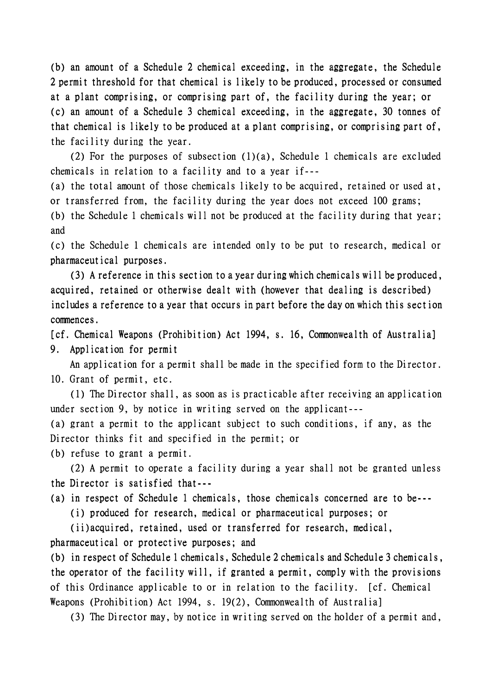(b) an amount of a Schedule 2 chemical exceeding, in the aggregate, the Schedule 2 permit threshold for that chemical is likely to be produced, processed or consumed at a plant comprising, or comprising part of, the facility during the year; or (c) an amount of a Schedule 3 chemical exceeding, in the aggregate, 30 tonnes of that chemical is likely to be produced at a plant comprising, or comprising part of, the facility during the year.

(2) For the purposes of subsection  $(1)(a)$ , Schedule 1 chemicals are excluded chemicals in relation to a facility and to a year if---

(a) the total amount of those chemicals likely to be acquired, retained or used at, or transferred from, the facility during the year does not exceed 100 grams;

(b) the Schedule 1 chemicals will not be produced at the facility during that year; and

(c) the Schedule 1 chemicals are intended only to be put to research, medical or pharmaceutical purposes.

(3) A reference in this section to a year during which chemicals will be produced, acquired, retained or otherwise dealt with (however that dealing is described) includes a reference to a year that occurs in part before the day on which this section commences.

[cf. Chemical Weapons (Prohibition) Act 1994, s. 16, Commonwealth of Australia] 9. Application for permit

An application for a permit shall be made in the specified form to the Director. 10. Grant of permit, etc.

(1) The Director shall, as soon as is practicable after receiving an application under section 9, by notice in writing served on the applicant---

(a) grant a permit to the applicant subject to such conditions, if any, as the Director thinks fit and specified in the permit; or

(b) refuse to grant a permit.

(2) A permit to operate a facility during a year shall not be granted unless the Director is satisfied that---

(a) in respect of Schedule 1 chemicals, those chemicals concerned are to be---

(i) produced for research, medical or pharmaceutical purposes; or

(ii)acquired, retained, used or transferred for research, medical, pharmaceutical or protective purposes; and

(b) in respect of Schedule 1 chemicals, Schedule 2 chemicals and Schedule 3 chemicals, the operator of the facility will, if granted a permit, comply with the provisions of this Ordinance applicable to or in relation to the facility. [cf. Chemical Weapons (Prohibition) Act 1994, s. 19(2), Commonwealth of Australia]

(3) The Director may, by notice in writing served on the holder of a permit and,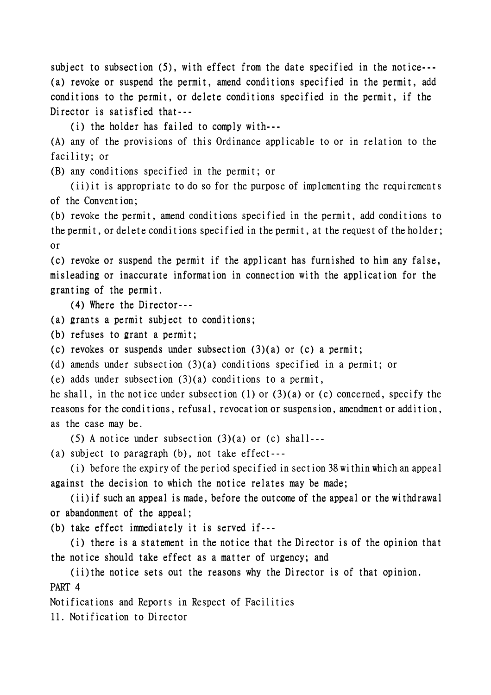subject to subsection (5), with effect from the date specified in the notice--- (a) revoke or suspend the permit, amend conditions specified in the permit, add conditions to the permit, or delete conditions specified in the permit, if the Director is satisfied that---

(i) the holder has failed to comply with---

(A) any of the provisions of this Ordinance applicable to or in relation to the facility; or

(B) any conditions specified in the permit; or

 $(i)$  it is appropriate to do so for the purpose of implementing the requirements of the Convention;

(b) revoke the permit, amend conditions specified in the permit, add conditions to the permit, or delete conditions specified in the permit, at the request of the holder; or

(c) revoke or suspend the permit if the applicant has furnished to him any false, misleading or inaccurate information in connection with the application for the granting of the permit.

 $(4)$  Where the Director---

(a) grants a permit subject to conditions;

(b) refuses to grant a permit;

(c) revokes or suspends under subsection  $(3)(a)$  or (c) a permit;

(d) amends under subsection (3)(a) conditions specified in a permit; or

(e) adds under subsection  $(3)(a)$  conditions to a permit,

he shall, in the notice under subsection (1) or (3)(a) or (c) concerned, specify the reasons for the conditions, refusal, revocation or suspension, amendment or addition, as the case may be.

(5) A notice under subsection  $(3)(a)$  or (c) shall---

(a) subject to paragraph (b), not take effect---

(i) before the expiry of the period specified in section 38 within which an appeal against the decision to which the notice relates may be made;

 $(i)$  if such an appeal is made, before the outcome of the appeal or the withdrawal or abandonment of the appeal;

(b) take effect immediately it is served if---

(i) there is a statement in the notice that the Director is of the opinion that the notice should take effect as a matter of urgency; and

(ii) the notice sets out the reasons why the Director is of that opinion. PART 4

Notifications and Reports in Respect of Facilities

11. Notification to Director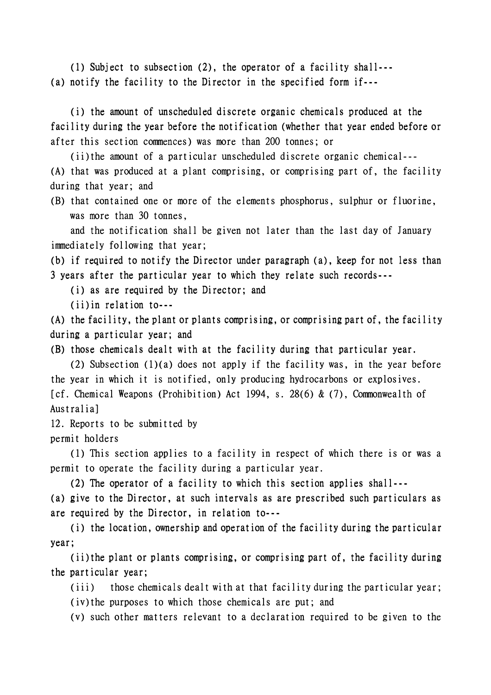(1) Subject to subsection (2), the operator of a facility shall---(a) notify the facility to the Director in the specified form if---

(i) the amount of unscheduled discrete organic chemicals produced at the facility during the year before the notification (whether that year ended before or after this section commences) was more than 200 tonnes; or

 $(i)$  the amount of a particular unscheduled discrete organic chemical---(A) that was produced at a plant comprising, or comprising part of, the facility during that year; and

(B) that contained one or more of the elements phosphorus, sulphur or fluorine, was more than 30 tonnes,

and the notification shall be given not later than the last day of January immediately following that year;

(b) if required to notify the Director under paragraph (a), keep for not less than 3 years after the particular year to which they relate such records---

 $(i)$  as are required by the Director; and

(ii)in relation to---

(A) the facility, the plant or plants comprising, or comprising part of, the facility during a particular year; and

(B) those chemicals dealt with at the facility during that particular year.

(2) Subsection (1)(a) does not apply if the facility was, in the year before the year in which it is notified, only producing hydrocarbons or explosives. [cf. Chemical Weapons (Prohibition) Act 1994, s. 28(6) & (7), Commonwealth of Australia]

12. Reports to be submitted by permit holders

(1) This section applies to a facility in respect of which there is or was a permit to operate the facility during a particular year.

(2) The operator of a facility to which this section applies shall---

(a) give to the Director, at such intervals as are prescribed such particulars as are required by the Director, in relation to---

(i) the location, ownership and operation of the facility during the particular year;

 $(i)$ ; the plant or plants comprising, or comprising part of, the facility during the particular year;

(iii) those chemicals dealt with at that facility during the particular year;  $(iv)$  the purposes to which those chemicals are put; and

(v) such other matters relevant to a declaration required to be given to the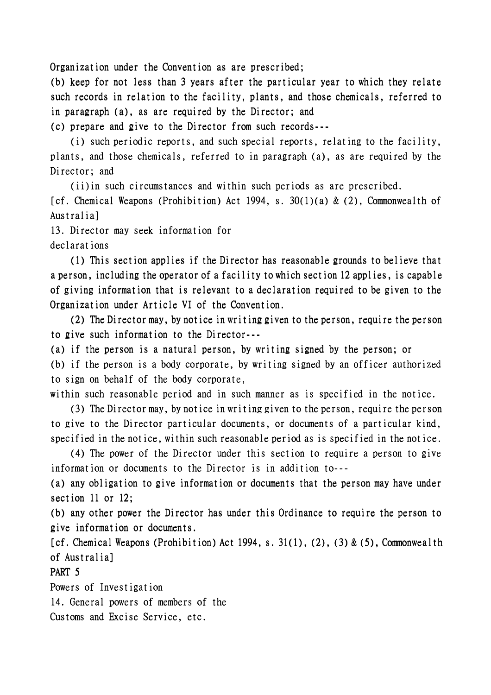Organization under the Convention as are prescribed;

(b) keep for not less than 3 years after the particular year to which they relate such records in relation to the facility, plants, and those chemicals, referred to in paragraph (a), as are required by the Director; and

 $(c)$  prepare and give to the Director from such records---

(i) such periodic reports, and such special reports, relating to the facility, plants, and those chemicals, referred to in paragraph (a), as are required by the Director; and

 $(i)$  in such circumstances and within such periods as are prescribed. [cf. Chemical Weapons (Prohibition) Act 1994, s.  $30(1)(a)$  & (2), Commonwealth of Australia]

13. Director may seek information for

declarations

(1) This section applies if the Director has reasonable grounds to believe that a person, including the operator of a facility to which section 12 applies, is capable of giving information that is relevant to a declaration required to be given to the Organization under Article VI of the Convention.

(2) The Director may, by notice in writing given to the person, require the person to give such information to the Director---

(a) if the person is a natural person, by writing signed by the person; or

(b) if the person is a body corporate, by writing signed by an officer authorized to sign on behalf of the body corporate,

within such reasonable period and in such manner as is specified in the notice.

(3) The Director may, by notice in writing given to the person, require the person to give to the Director particular documents, or documents of a particular kind, specified in the notice, within such reasonable period as is specified in the notice.

 $(4)$  The power of the Director under this section to require a person to give information or documents to the Director is in addition to---

(a) any obligation to give information or documents that the person may have under section 11 or 12;

(b) any other power the Director has under this Ordinance to require the person to give information or documents.

[cf. Chemical Weapons (Prohibition) Act 1994, s.  $31(1)$ ,  $(2)$ ,  $(3)$  &  $(5)$ , Commonwealth of Australia]

PART 5

Powers of Investigation

14. General powers of members of the

Customs and Excise Service, etc.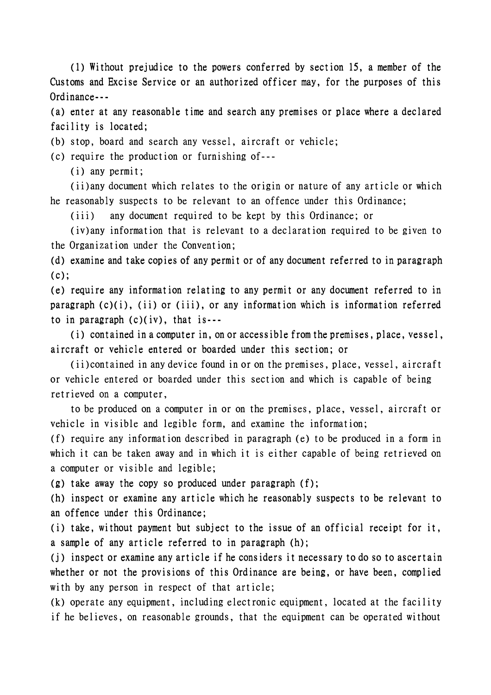(1) Without prejudice to the powers conferred by section 15, a member of the Customs and Excise Service or an authorized officer may, for the purposes of this Ordinance---

(a) enter at any reasonable time and search any premises or place where a declared facility is located;

(b) stop, board and search any vessel, aircraft or vehicle;

(c) require the production or furnishing of- $-$ -

 $(i)$  any permit;

(ii)any document which relates to the origin or nature of any article or which he reasonably suspects to be relevant to an offence under this Ordinance;

 $(iii)$  any document required to be kept by this Ordinance; or

 $(iv)$ any information that is relevant to a declaration required to be given to the Organization under the Convention;

(d) examine and take copies of any permit or of any document referred to in paragraph (c);

(e) require any information relating to any permit or any document referred to in paragraph  $(c)(i)$ ,  $(ii)$  or  $(iii)$ , or any information which is information referred to in paragraph  $(c)(iv)$ , that is---

(i) contained in a computer in, on or accessible from the premises, place, vessel, aircraft or vehicle entered or boarded under this section; or

 $(i)$  contained in any device found in or on the premises, place, vessel, aircraft or vehicle entered or boarded under this section and which is capable of being retrieved on a computer,

to be produced on a computer in or on the premises, place, vessel, aircraft or vehicle in visible and legible form, and examine the information;

(f) require any information described in paragraph (e) to be produced in a form in which it can be taken away and in which it is either capable of being retrieved on a computer or visible and legible;

(g) take away the copy so produced under paragraph  $(f)$ ;

(h) inspect or examine any article which he reasonably suspects to be relevant to an offence under this Ordinance;

(i) take, without payment but subject to the issue of an official receipt for it, a sample of any article referred to in paragraph (h);

(i) inspect or examine any article if he considers it necessary to do so to ascertain whether or not the provisions of this Ordinance are being, or have been, complied with by any person in respect of that article;

 $(k)$  operate any equipment, including electronic equipment, located at the facility if he believes, on reasonable grounds, that the equipment can be operated without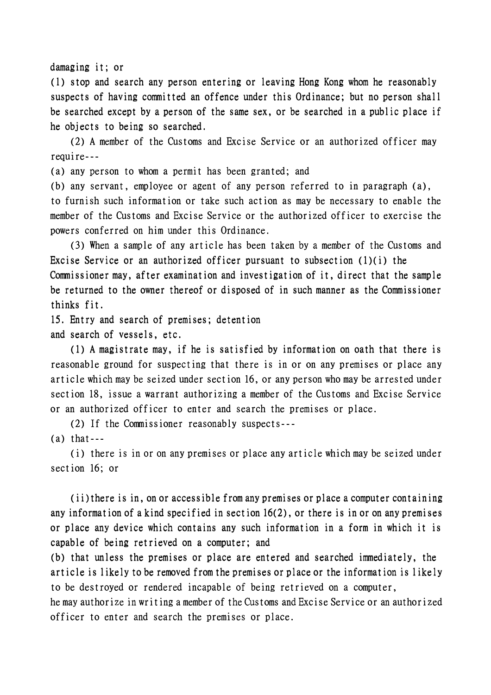damaging it; or

(1) stop and search any person entering or leaving Hong Kong whom he reasonably suspects of having committed an offence under this Ordinance; but no person shall be searched except by a person of the same sex, or be searched in a public place if he objects to being so searched.

 $(2)$  A member of the Customs and Excise Service or an authorized officer may require---

(a) any person to whom a permit has been granted; and

(b) any servant, employee or agent of any person referred to in paragraph  $(a)$ ,

to furnish such information or take such action as may be necessary to enable the member of the Customs and Excise Service or the authorized officer to exercise the powers conferred on him under this Ordinance.

(3) When a sample of any article has been taken by a member of the Customs and Excise Service or an authorized officer pursuant to subsection (1)(i) the Commissioner may, after examination and investigation of it, direct that the sample be returned to the owner thereof or disposed of in such manner as the Commissioner thinks fit.

15. Entry and search of premises; detention

and search of vessels, etc.

(1) A magistrate may, if he is satisfied by information on oath that there is reasonable ground for suspecting that there is in or on any premises or place any article which may be seized under section 16, or any person who may be arrested under section 18, issue a warrant authorizing a member of the Customs and Excise Service or an authorized officer to enter and search the premises or place.

(2) If the Commissioner reasonably suspects--- $(a)$  that---

(i) there is in or on any premises or place any article which may be seized under section 16; or

 $(i)$  there is in, on or accessible from any premises or place a computer containing any information of a kind specified in section 16(2), or there is in or on any premises or place any device which contains any such information in a form in which it is capable of being retrieved on a computer; and

(b) that unless the premises or place are entered and searched immediately, the article is likely to be removed from the premises or place or the information is likely to be destroyed or rendered incapable of being retrieved on a computer,

he may authorize in writing a member of the Customs and Excise Service or an authorized officer to enter and search the premises or place.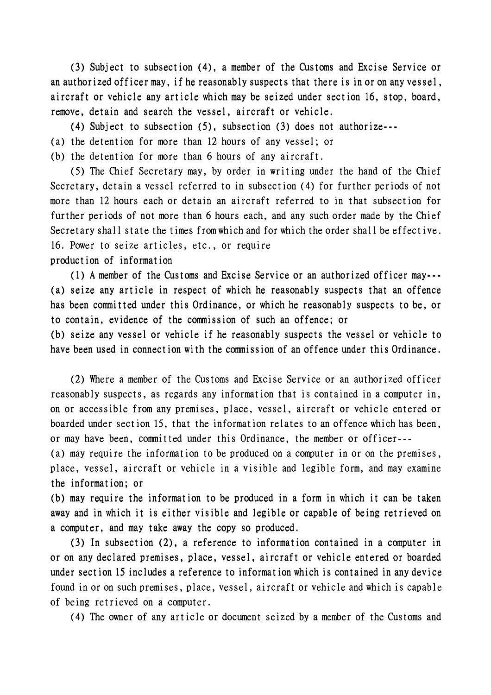(3) Subject to subsection  $(4)$ , a member of the Customs and Excise Service or an authorized officer may, if he reasonably suspects that there is in or on any vessel, aircraft or vehicle any article which may be seized under section 16, stop, board, remove, detain and search the vessel, aircraft or vehicle.

(4) Subject to subsection  $(5)$ , subsection  $(3)$  does not authorize---

- (a) the detention for more than 12 hours of any vessel; or
- (b) the detention for more than  $6$  hours of any aircraft.

(5) The Chief Secretary may, by order in writing under the hand of the Chief Secretary, detain a vessel referred to in subsection (4) for further periods of not more than 12 hours each or detain an aircraft referred to in that subsection for further periods of not more than 6 hours each, and any such order made by the Chief Secretary shall state the times from which and for which the order shall be effective. 16. Power to seize articles, etc., or require

production of information

(1) A member of the Customs and Excise Service or an authorized officer may---(a) seize any article in respect of which he reasonably suspects that an offence has been committed under this Ordinance, or which he reasonably suspects to be, or to contain, evidence of the commission of such an offence; or

(b) seize any vessel or vehicle if he reasonably suspects the vessel or vehicle to have been used in connection with the commission of an offence under this Ordinance.

(2) Where a member of the Customs and Excise Service or an authorized officer reasonably suspects, as regards any information that is contained in a computer in, on or accessible from any premises, place, vessel, aircraft or vehicle entered or boarded under section 15, that the information relates to an offence which has been, or may have been, committed under this Ordinance, the member or officer---

(a) may require the information to be produced on a computer in or on the premises, place, vessel, aircraft or vehicle in a visible and legible form, and may examine the information; or

(b) may require the information to be produced in a form in which it can be taken away and in which it is either visible and legible or capable of being retrieved on a computer, and may take away the copy so produced.

(3) In subsection (2), a reference to information contained in a computer in or on any declared premises, place, vessel, aircraft or vehicle entered or boarded under section 15 includes a reference to information which is contained in any device found in or on such premises, place, vessel, aircraft or vehicle and which is capable of being retrieved on a computer.

(4) The owner of any article or document seized by a member of the Customs and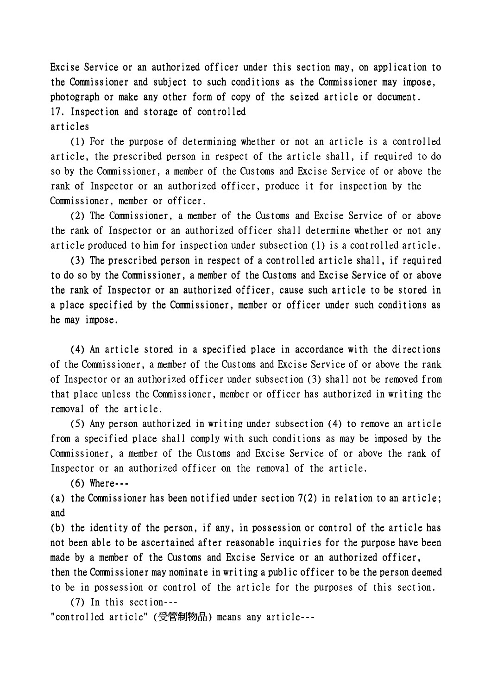Excise Service or an authorized officer under this section may, on application to the Commissioner and subject to such conditions as the Commissioner may impose, photograph or make any other form of copy of the seized article or document. 17. Inspection and storage of controlled articles

 $(1)$  For the purpose of determining whether or not an article is a controlled article, the prescribed person in respect of the article shall, if required to do so by the Commissioner, a member of the Customs and Excise Service of or above the rank of Inspector or an authorized officer, produce it for inspection by the Commissioner, member or officer.

(2) The Commissioner, a member of the Customs and Excise Service of or above the rank of Inspector or an authorized officer shall determine whether or not any article produced to him for inspection under subsection (1) is a controlled article.

(3) The prescribed person in respect of a controlled article shall, if required to do so by the Commissioner, a member of the Customs and Excise Service of or above the rank of Inspector or an authorized officer, cause such article to be stored in a place specified by the Commissioner, member or officer under such conditions as he may impose.

(4) An article stored in a specified place in accordance with the directions of the Commissioner, a member of the Customs and Excise Service of or above the rank of Inspector or an authorized officer under subsection (3) shall not be removed from that place unless the Commissioner, member or officer has authorized in writing the removal of the article.

(5) Any person authorized in writing under subsection  $(4)$  to remove an article from a specified place shall comply with such conditions as may be imposed by the Commissioner, a member of the Customs and Excise Service of or above the rank of Inspector or an authorized officer on the removal of the article.

 $(6)$  Where---

(a) the Commissioner has been notified under section  $7(2)$  in relation to an article; and

(b) the identity of the person, if any, in possession or control of the article has not been able to be ascertained after reasonable inquiries for the purpose have been made by a member of the Customs and Excise Service or an authorized officer, then the Commissioner may nominate in writing a public officer to be the person deemed

to be in possession or control of the article for the purposes of this section.

 $(7)$  In this section---

"controlled article" (受管制物品) means any article---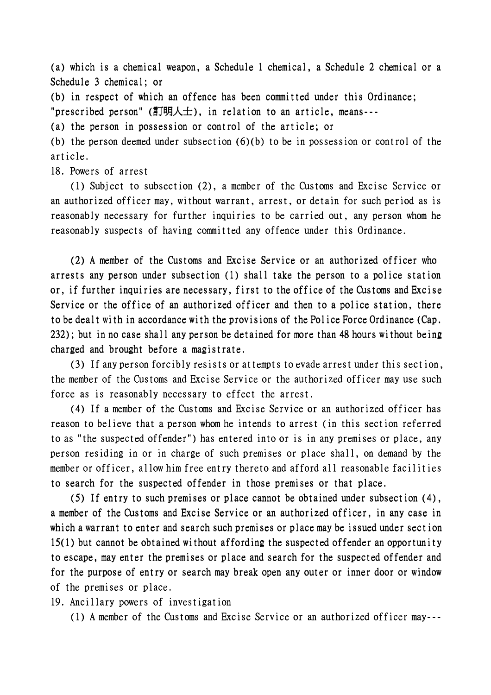(a) which is a chemical weapon, a Schedule 1 chemical, a Schedule 2 chemical or a Schedule 3 chemical; or

(b) in respect of which an offence has been committed under this Ordinance; "prescribed person" (訂明㆟士), in relation to an article, means---

(a) the person in possession or control of the article; or

(b) the person deemed under subsection (6)(b) to be in possession or control of the article.

18. Powers of arrest

(1) Subject to subsection (2), a member of the Customs and Excise Service or an authorized officer may, without warrant, arrest, or detain for such period as is reasonably necessary for further inquiries to be carried out, any person whom he reasonably suspects of having committed any offence under this Ordinance.

(2) A member of the Customs and Excise Service or an authorized officer who arrests any person under subsection (1) shall take the person to a police station or, if further inquiries are necessary, first to the office of the Customs and Excise Service or the office of an authorized officer and then to a police station, there to be dealt with in accordance with the provisions of the Police Force Ordinance (Cap. 232); but in no case shall any person be detained for more than 48 hours without being charged and brought before a magistrate.

(3) If any person forcibly resists or attempts to evade arrest under this section, the member of the Customs and Excise Service or the authorized officer may use such force as is reasonably necessary to effect the arrest.

(4) If a member of the Customs and Excise Service or an authorized officer has reason to believe that a person whom he intends to arrest (in this section referred to as "the suspected offender") has entered into or is in any premises or place, any person residing in or in charge of such premises or place shall, on demand by the member or officer, allow him free entry thereto and afford all reasonable facilities to search for the suspected offender in those premises or that place.

(5) If entry to such premises or place cannot be obtained under subsection  $(4)$ , a member of the Customs and Excise Service or an authorized officer, in any case in which a warrant to enter and search such premises or place may be issued under section 15(1) but cannot be obtained without affording the suspected offender an opportunity to escape, may enter the premises or place and search for the suspected offender and for the purpose of entry or search may break open any outer or inner door or window of the premises or place.

19. Ancillary powers of investigation 19. Ancillary of investigation

(1) A member of the Customs and Excise Service or an authorized officer may---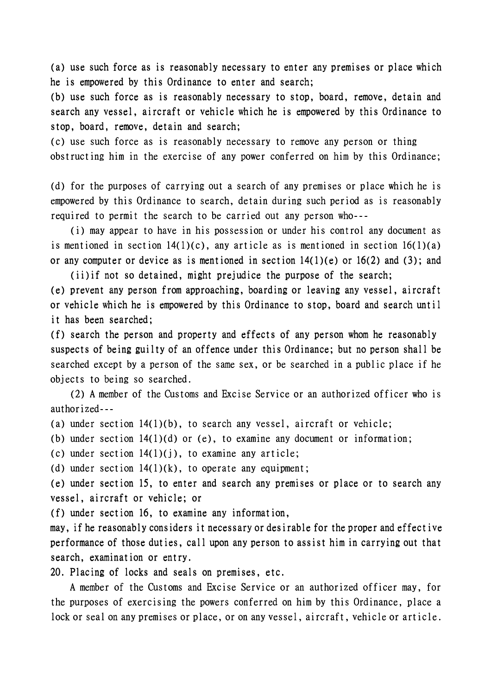(a) use such force as is reasonably necessary to enter any premises or place which he is empowered by this Ordinance to enter and search;

(b) use such force as is reasonably necessary to stop, board, remove, detain and search any vessel, aircraft or vehicle which he is empowered by this Ordinance to stop, board, remove, detain and search;

(c) use such force as is reasonably necessary to remove any person or thing obstructing him in the exercise of any power conferred on him by this Ordinance;

(d) for the purposes of carrying out a search of any premises or place which he is empowered by this Ordinance to search, detain during such period as is reasonably required to permit the search to be carried out any person who---

 $(i)$  may appear to have in his possession or under his control any document as is mentioned in section  $14(1)(c)$ , any article as is mentioned in section  $16(1)(a)$ or any computer or device as is mentioned in section  $14(1)(e)$  or  $16(2)$  and  $(3)$ ; and

 $(i)$  if not so detained, might prejudice the purpose of the search; (e) prevent any person from approaching, boarding or leaving any vessel, aircraft or vehicle which he is empowered by this Ordinance to stop, board and search until it has been searched;

(f) search the person and property and effects of any person whom he reasonably suspects of being guilty of an offence under this Ordinance; but no person shall be searched except by a person of the same sex, or be searched in a public place if he objects to being so searched.

 $(2)$  A member of the Customs and Excise Service or an authorized officer who is authorized---

(a) under section  $14(1)(b)$ , to search any vessel, aircraft or vehicle;

(b) under section  $14(1)(d)$  or (e), to examine any document or information;

(c) under section  $14(1)(j)$ , to examine any article;

(d) under section  $14(1)(k)$ , to operate any equipment;

(e) under section 15, to enter and search any premises or place or to search any vessel, aircraft or vehicle; or

(f) under section 16, to examine any information,

may, if he reasonably considers it necessary or desirable for the proper and effective performance of those duties, call upon any person to assist him in carrying out that search, examination or entry.

20. Placing of locks and seals on premises, etc.

A member of the Customs and Excise Service or an authorized officer may, for the purposes of exercising the powers conferred on him by this Ordinance, place a lock or seal on any premises or place, or on any vessel, aircraft, vehicle or article.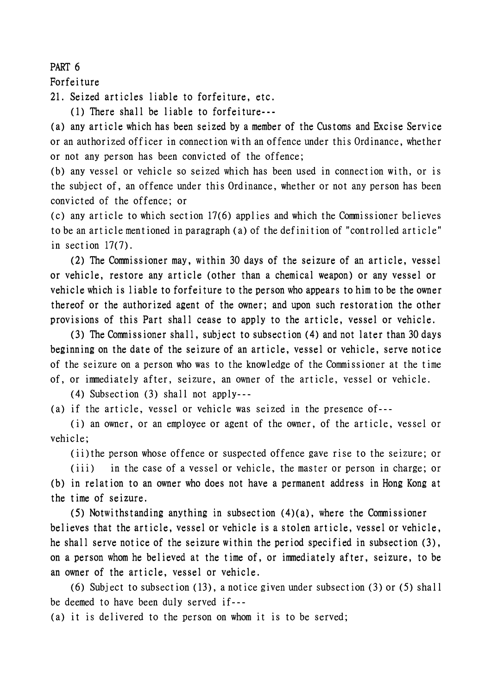#### PART 6

Forfeiture

21. Seized articles liable to forfeiture, etc.

 $(1)$  There shall be liable to forfeiture---

(a) any article which has been seized by a member of the Customs and Excise Service or an authorized officer in connection with an offence under this Ordinance, whether or not any person has been convicted of the offence;

(b) any vessel or vehicle so seized which has been used in connection with, or is the subject of, an offence under this Ordinance, whether or not any person has been convicted of the offence; or

(c) any article to which section  $17(6)$  applies and which the Commissioner believes to be an article mentioned in paragraph (a) of the definition of "controlled article" in section 17(7).

(2) The Commissioner may, within 30 days of the seizure of an article, vessel or vehicle, restore any article (other than a chemical weapon) or any vessel or vehicle which is liable to forfeiture to the person who appears to him to be the owner thereof or the authorized agent of the owner; and upon such restoration the other provisions of this Part shall cease to apply to the article, vessel or vehicle.

(3) The Commissioner shall, subject to subsection  $(4)$  and not later than 30 days beginning on the date of the seizure of an article, vessel or vehicle, serve notice of the seizure on a person who was to the knowledge of the Commissioner at the time of, or immediately after, seizure, an owner of the article, vessel or vehicle.

 $(4)$  Subsection  $(3)$  shall not apply---

(a) if the article, vessel or vehicle was seized in the presence of---

(i) an owner, or an employee or agent of the owner, of the article, vessel or vehicle;

 $(i)$  the person whose offence or suspected offence gave rise to the seizure; or

(iii) in the case of a vessel or vehicle, the master or person in charge; or (b) in relation to an owner who does not have a permanent address in Hong Kong at the time of seizure.

(5) Notwithstanding anything in subsection  $(4)(a)$ , where the Commissioner believes that the article, vessel or vehicle is a stolen article, vessel or vehicle, he shall serve notice of the seizure within the period specified in subsection (3), on a person whom he believed at the time of, or immediately after, seizure, to be an owner of the article, vessel or vehicle.

(6) Subject to subsection (13), a notice given under subsection (3) or (5) shall be deemed to have been duly served if---

(a) it is delivered to the person on whom it is to be served;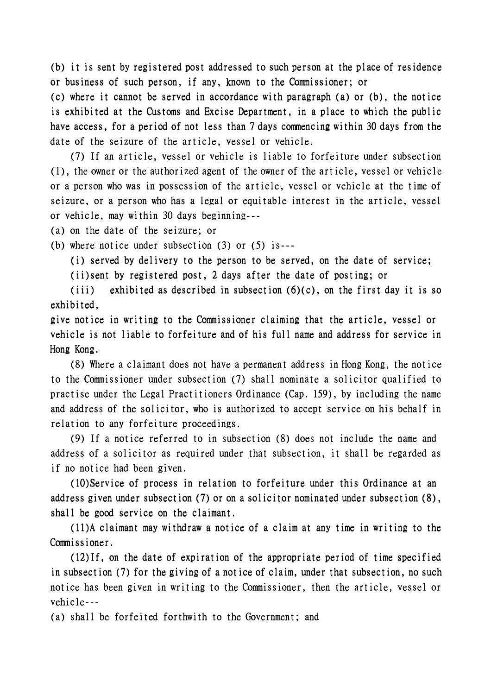(b) it is sent by registered post addressed to such person at the place of residence or business of such person, if any, known to the Commissioner; or

(c) where it cannot be served in accordance with paragraph (a) or (b), the notice is exhibited at the Customs and Excise Department, in a place to which the public have access, for a period of not less than 7 days commencing within 30 days from the date of the seizure of the article, vessel or vehicle.

(7) If an article, vessel or vehicle is liable to forfeiture under subsection (1), the owner or the authorized agent of the owner of the article, vessel or vehicle or a person who was in possession of the article, vessel or vehicle at the time of seizure, or a person who has a legal or equitable interest in the article, vessel or vehicle, may within 30 days beginning---

(a) on the date of the seizure; or

(b) where notice under subsection  $(3)$  or  $(5)$  is---

(i) served by delivery to the person to be served, on the date of service;

 $(i)$  sent by registered post, 2 days after the date of posting; or

(iii) exhibited as described in subsection  $(6)(c)$ , on the first day it is so exhibited,

give notice in writing to the Commissioner claiming that the article, vessel or vehicle is not liable to forfeiture and of his full name and address for service in Hong Kong.

(8) Where a claimant does not have a permanent address in Hong Kong, the notice to the Commissioner under subsection (7) shall nominate a solicitor qualified to practise under the Legal Practitioners Ordinance (Cap. 159), by including the name and address of the solicitor, who is authorized to accept service on his behalf in relation to any forfeiture proceedings.

(9) If a notice referred to in subsection  $(8)$  does not include the name and address of a solicitor as required under that subsection, it shall be regarded as if no notice had been given.

 $(10)$ Service of process in relation to forfeiture under this Ordinance at an address given under subsection (7) or on a solicitor nominated under subsection (8), shall be good service on the claimant.

 $(11)$ A claimant may withdraw a notice of a claim at any time in writing to the Commissioner.

 $(12)$ If, on the date of expiration of the appropriate period of time specified in subsection (7) for the giving of a notice of claim, under that subsection, no such notice has been given in writing to the Commissioner, then the article, vessel or vehicle---

(a) shall be forfeited forthwith to the Government; and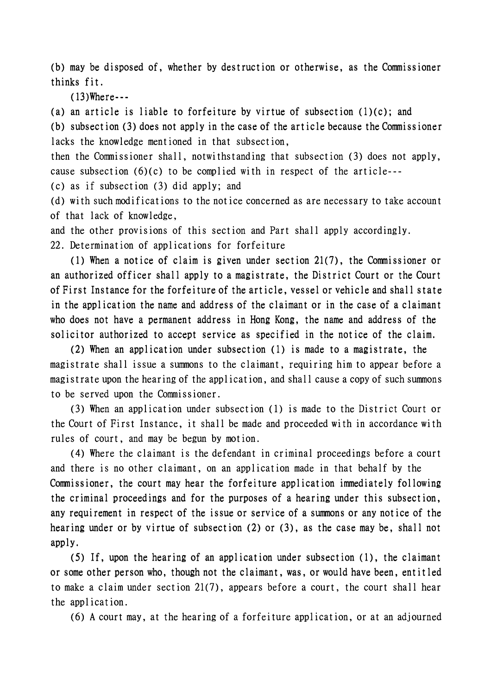(b) may be disposed of, whether by destruction or otherwise, as the Commissioner thinks fit.

 $(13)$ Where---

(a) an article is liable to forfeiture by virtue of subsection (1)(c); and

(b) subsection (3) does not apply in the case of the article because the Commissioner lacks the knowledge mentioned in that subsection,

then the Commissioner shall, notwithstanding that subsection (3) does not apply, cause subsection  $(6)(c)$  to be complied with in respect of the article---

(c) as if subsection  $(3)$  did apply; and

(d) with such modifications to the notice concerned as are necessary to take account of that lack of knowledge,

and the other provisions of this section and Part shall apply accordingly.

22. Determination of applications for forfeiture

(1) When a notice of claim is given under section  $21(7)$ , the Commissioner or an authorized officer shall apply to a magistrate, the District Court or the Court of First Instance for the forfeiture of the article, vessel or vehicle and shall state in the application the name and address of the claimant or in the case of a claimant who does not have a permanent address in Hong Kong, the name and address of the solicitor authorized to accept service as specified in the notice of the claim.

(2) When an application under subsection (1) is made to a magistrate, the magistrate shall issue a summons to the claimant, requiring him to appear before a magistrate upon the hearing of the application, and shall cause a copy of such summons to be served upon the Commissioner.

(3) When an application under subsection (1) is made to the District Court or the Court of First Instance, it shall be made and proceeded with in accordance with rules of court, and may be begun by motion.

 $(4)$  Where the claimant is the defendant in criminal proceedings before a court and there is no other claimant, on an application made in that behalf by the Commissioner, the court may hear the forfeiture application immediately following the criminal proceedings and for the purposes of a hearing under this subsection, any requirement in respect of the issue or service of a summons or any notice of the hearing under or by virtue of subsection (2) or (3), as the case may be, shall not apply.

(5) If, upon the hearing of an application under subsection  $(1)$ , the claimant or some other person who, though not the claimant, was, or would have been, entitled to make a claim under section 21(7), appears before a court, the court shall hear the application.

(6) A court may, at the hearing of a forfeiture application, or at an adjourned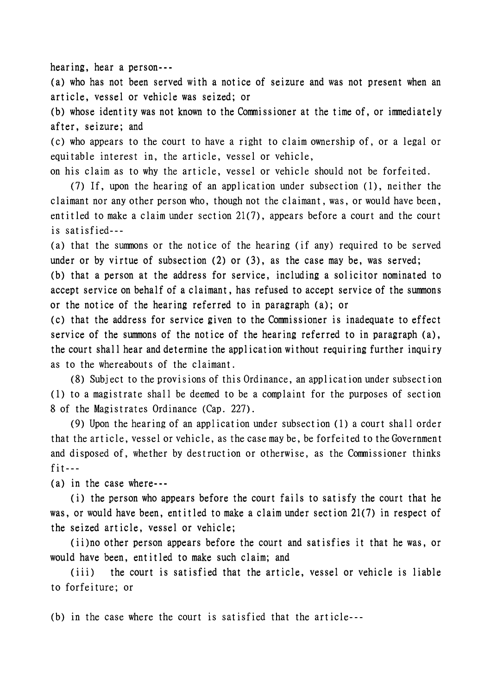hearing, hear a person---

(a) who has not been served with a notice of seizure and was not present when an article, vessel or vehicle was seized; or

(b) whose identity was not known to the Commissioner at the time of, or immediately after, seizure; and

(c) who appears to the court to have a right to claim ownership of, or a legal or equitable interest in, the article, vessel or vehicle,

on his claim as to why the article, vessel or vehicle should not be forfeited.

(7) If, upon the hearing of an application under subsection (1), neither the claimant nor any other person who, though not the claimant, was, or would have been, entitled to make a claim under section 21(7), appears before a court and the court is satisfied---

(a) that the summons or the notice of the hearing (if any) required to be served under or by virtue of subsection (2) or (3), as the case may be, was served;

(b) that a person at the address for service, including a solicitor nominated to accept service on behalf of a claimant, has refused to accept service of the summons or the notice of the hearing referred to in paragraph (a); or

(c) that the address for service given to the Commissioner is inadequate to effect service of the summons of the notice of the hearing referred to in paragraph (a), the court shall hear and determine the application without requiring further inquiry as to the whereabouts of the claimant.

(8) Subject to the provisions of this Ordinance, an application under subsection (1) to a magistrate shall be deemed to be a complaint for the purposes of section 8 of the Magistrates Ordinance (Cap. 227).

(9) Upon the hearing of an application under subsection (1) a court shall order that the article, vessel or vehicle, as the case may be, be forfeited to the Government and disposed of, whether by destruction or otherwise, as the Commissioner thinks  $fit--$ 

 $(a)$  in the case where---

 $(i)$  the person who appears before the court fails to satisfy the court that he was, or would have been, entitled to make a claim under section 21(7) in respect of the seized article, vessel or vehicle;

 $(i)$  no other person appears before the court and satisfies it that he was, or would have been, entitled to make such claim; and

(iii) the court is satisfied that the article, vessel or vehicle is liable to forfeiture; or

(b) in the case where the court is satisfied that the article---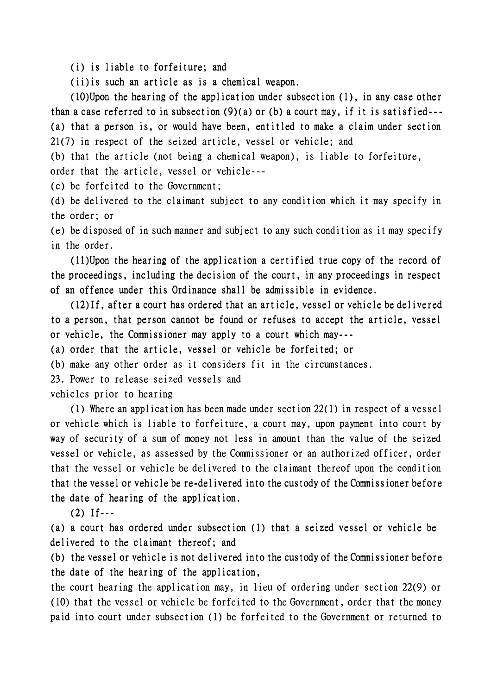$(i)$  is liable to forfeiture; and

 $(i)$  is such an article as is a chemical weapon.

(10)Upon the hearing of the application under subsection  $(1)$ , in any case other than a case referred to in subsection (9)(a) or (b) a court may, if it is satisfied--- (a) that a person is, or would have been, entitled to make a claim under section 21(7) in respect of the seized article, vessel or vehicle; and

(b) that the article (not being a chemical weapon), is liable to forfeiture, order that the article, vessel or vehicle---

 $(c)$  be forfeited to the Government;

(d) be delivered to the claimant subject to any condition which it may specify in the order; or

(e) be disposed of in such manner and subject to any such condition as it may specify in the order.

 $(11)$ Upon the hearing of the application a certified true copy of the record of the proceedings, including the decision of the court, in any proceedings in respect of an offence under this Ordinance shall be admissible in evidence.

 $(12)$ If, after a court has ordered that an article, vessel or vehicle be delivered to a person, that person cannot be found or refuses to accept the article, vessel or vehicle, the Commissioner may apply to a court which may---

(a) order that the article, vessel or vehicle be forfeited; or

(b) make any other order as it considers fit in the circumstances.

23. Power to release seized vessels and

vehicles prior to hearing

(1) Where an application has been made under section  $22(1)$  in respect of a vessel or vehicle which is liable to forfeiture, a court may, upon payment into court by way of security of a sum of money not less in amount than the value of the seized vessel or vehicle, as assessed by the Commissioner or an authorized officer, order that the vessel or vehicle be delivered to the claimant thereof upon the condition that the vessel or vehicle be re-delivered into the custody of the Commissioner before the date of hearing of the application.

 $(2)$  If---

(a) a court has ordered under subsection (1) that a seized vessel or vehicle be delivered to the claimant thereof; and

(b) the vessel or vehicle is not delivered into the custody of the Commissioner before the date of the hearing of the application,

the court hearing the application may, in lieu of ordering under section 22(9) or (10) that the vessel or vehicle be forfeited to the Government, order that the money paid into court under subsection (1) be forfeited to the Government or returned to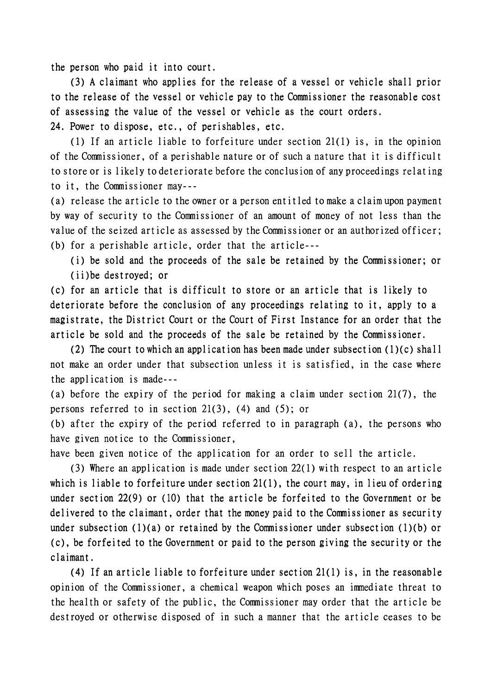the person who paid it into court.

(3) A claimant who applies for the release of a vessel or vehicle shall prior to the release of the vessel or vehicle pay to the Commissioner the reasonable cost of assessing the value of the vessel or vehicle as the court orders.

24. Power to dispose, etc., of perishables, etc.

(1) If an article liable to forfeiture under section  $21(1)$  is, in the opinion of the Commissioner, of a perishable nature or of such a nature that it is difficult to store or is likely to deteriorate before the conclusion of any proceedings relating to it, the Commissioner may---

(a) release the article to the owner or a person entitled to make a claim upon payment by way of security to the Commissioner of an amount of money of not less than the value of the seized article as assessed by the Commissioner or an authorized officer; (b) for a perishable article, order that the article- $-$ -

(i) be sold and the proceeds of the sale be retained by the Commissioner; or (ii)be destroyed; or

(c) for an article that is difficult to store or an article that is likely to deteriorate before the conclusion of any proceedings relating to it, apply to a magistrate, the District Court or the Court of First Instance for an order that the article be sold and the proceeds of the sale be retained by the Commissioner.

(2) The court to which an application has been made under subsection (1)(c) shall not make an order under that subsection unless it is satisfied, in the case where the application is made---

(a) before the expiry of the period for making a claim under section 21(7), the persons referred to in section 21(3), (4) and (5); or

(b) after the expiry of the period referred to in paragraph (a), the persons who have given notice to the Commissioner,

have been given notice of the application for an order to sell the article.

(3) Where an application is made under section 22(1) with respect to an article which is liable to forfeiture under section 21(1), the court may, in lieu of ordering under section 22(9) or (10) that the article be forfeited to the Government or be delivered to the claimant, order that the money paid to the Commissioner as security under subsection (1)(a) or retained by the Commissioner under subsection (1)(b) or (c), be forfeited to the Government or paid to the person giving the security or the claimant.

(4) If an article liable to forfeiture under section  $21(1)$  is, in the reasonable opinion of the Commissioner, a chemical weapon which poses an immediate threat to the health or safety of the public, the Commissioner may order that the article be destroyed or otherwise disposed of in such a manner that the article ceases to be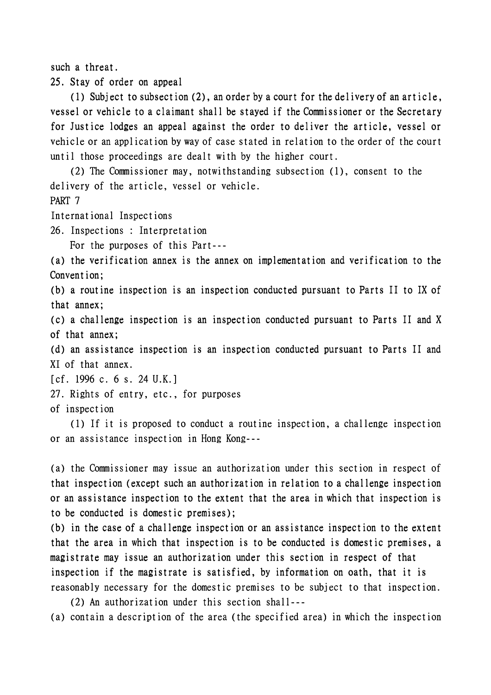such a threat.

25. Stay of order on appeal

(1) Subject to subsection (2), an order by a court for the delivery of an article, vessel or vehicle to a claimant shall be stayed if the Commissioner or the Secretary for Justice lodges an appeal against the order to deliver the article, vessel or vehicle or an application by way of case stated in relation to the order of the court until those proceedings are dealt with by the higher court.

(2) The Commissioner may, notwithstanding subsection  $(1)$ , consent to the delivery of the article, vessel or vehicle.

PART 7

International Inspections

26. Inspections : Interpretation 26.

For the purposes of this Part---

(a) the verification annex is the annex on implementation and verification to the Convention;

(b) a routine inspection is an inspection conducted pursuant to Parts II to IX of that annex;

(c) a challenge inspection is an inspection conducted pursuant to Parts II and X of that annex;

(d) an assistance inspection is an inspection conducted pursuant to Parts II and XI of that annex.

[cf. 1996 c. 6 s. 24 U.K.]

27. Rights of entry, etc., for purposes

of inspection

(1) If it is proposed to conduct a routine inspection, a challenge inspection or an assistance inspection in Hong Kong---

(a) the Commissioner may issue an authorization under this section in respect of that inspection (except such an authorization in relation to a challenge inspection or an assistance inspection to the extent that the area in which that inspection is to be conducted is domestic premises);

(b) in the case of a challenge inspection or an assistance inspection to the extent that the area in which that inspection is to be conducted is domestic premises, a magistrate may issue an authorization under this section in respect of that inspection if the magistrate is satisfied, by information on oath, that it is reasonably necessary for the domestic premises to be subject to that inspection.

(2) An authorization under this section shall---

(a) contain a description of the area (the specified area) in which the inspection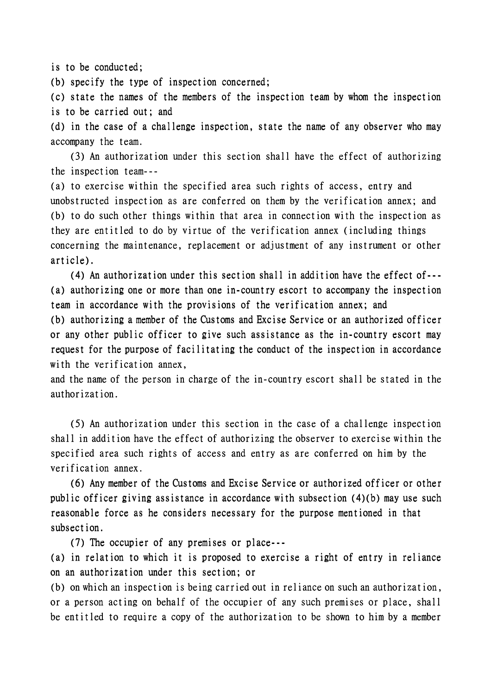is to be conducted;

(b) specify the type of inspection concerned;

 $(c)$  state the names of the members of the inspection team by whom the inspection is to be carried out; and

(d) in the case of a challenge inspection, state the name of any observer who may accompany the team.

 $(3)$  An authorization under this section shall have the effect of authorizing the inspection team---

(a) to exercise within the specified area such rights of access, entry and unobstructed inspection as are conferred on them by the verification annex; and (b) to do such other things within that area in connection with the inspection as they are entitled to do by virtue of the verification annex (including things concerning the maintenance, replacement or adjustment of any instrument or other article).

(4) An authorization under this section shall in addition have the effect of---(a) authorizing one or more than one in-country escort to accompany the inspection team in accordance with the provisions of the verification annex; and

(b) authorizing a member of the Customs and Excise Service or an authorized officer or any other public officer to give such assistance as the in-country escort may request for the purpose of facilitating the conduct of the inspection in accordance with the verification annex,

and the name of the person in charge of the in-country escort shall be stated in the authorization.

 $(5)$  An authorization under this section in the case of a challenge inspection shall in addition have the effect of authorizing the observer to exercise within the specified area such rights of access and entry as are conferred on him by the verification annex.

 $(6)$  Any member of the Customs and Excise Service or authorized officer or other public officer giving assistance in accordance with subsection (4)(b) may use such reasonable force as he considers necessary for the purpose mentioned in that subsection.

(7) The occupier of any premises or place---

(a) in relation to which it is proposed to exercise a right of entry in reliance on an authorization under this section; or

(b) on which an inspection is being carried out in reliance on such an authorization, or a person acting on behalf of the occupier of any such premises or place, shall be entitled to require a copy of the authorization to be shown to him by a member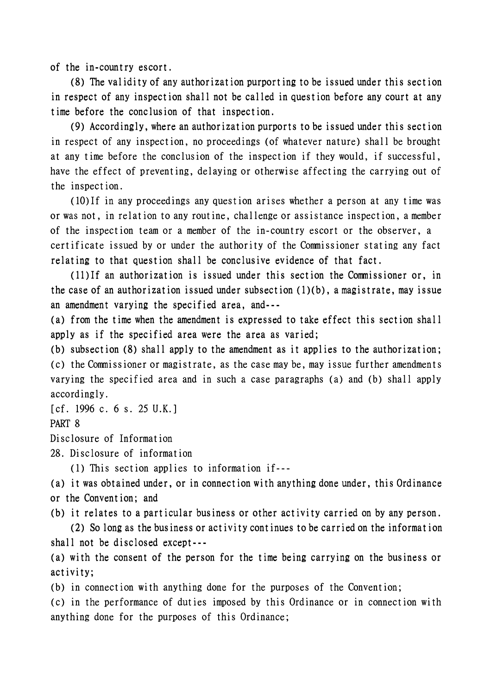of the in-country escort.

(8) The validity of any authorization purporting to be issued under this section in respect of any inspection shall not be called in question before any court at any time before the conclusion of that inspection.

(9) Accordingly, where an authorization purports to be issued under this section in respect of any inspection, no proceedings (of whatever nature) shall be brought at any time before the conclusion of the inspection if they would, if successful, have the effect of preventing, delaying or otherwise affecting the carrying out of the inspection.

 $(10)$ If in any proceedings any question arises whether a person at any time was or was not, in relation to any routine, challenge or assistance inspection, a member of the inspection team or a member of the in-country escort or the observer, a certificate issued by or under the authority of the Commissioner stating any fact relating to that question shall be conclusive evidence of that fact.

 $(11)$ If an authorization is issued under this section the Commissioner or, in the case of an authorization issued under subsection (1)(b), a magistrate, may issue an amendment varying the specified area, and---

(a) from the time when the amendment is expressed to take effect this section shall apply as if the specified area were the area as varied;

(b) subsection (8) shall apply to the amendment as it applies to the authorization; (c) the Commissioner or magistrate, as the case may be, may issue further amendments varying the specified area and in such a case paragraphs (a) and (b) shall apply accordingly.

[cf. 1996 c. 6 s. 25 U.K.]

PART 8

Disclosure of Information

28. Disclosure of information 28.

(1) This section applies to information  $if--$ 

(a) it was obtained under, or in connection with anything done under, this Ordinance or the Convention; and

(b) it relates to a particular business or other activity carried on by any person.

(2) So long as the business or activity continues to be carried on the information shall not be disclosed except---

(a) with the consent of the person for the time being carrying on the business or activity;

(b) in connection with anything done for the purposes of the Convention;

(c) in the performance of duties imposed by this Ordinance or in connection with anything done for the purposes of this Ordinance;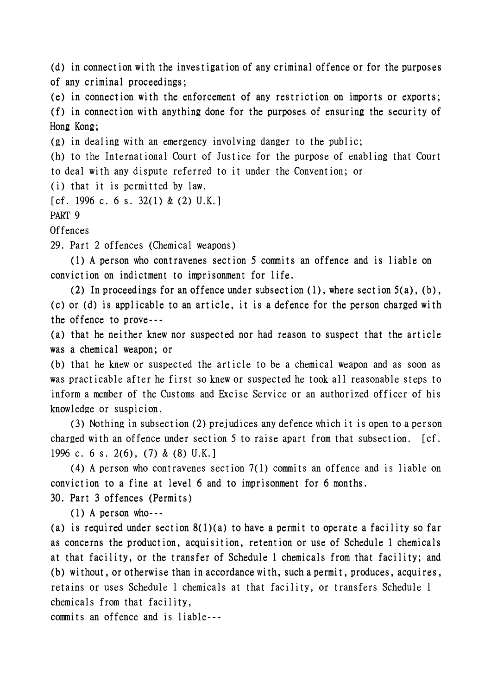(d) in connection with the investigation of any criminal offence or for the purposes of any criminal proceedings;

(e) in connection with the enforcement of any restriction on imports or exports; (f) in connection with anything done for the purposes of ensuring the security of Hong Kong;

 $(g)$  in dealing with an emergency involving danger to the public;

(h) to the International Court of Justice for the purpose of enabling that Court to deal with any dispute referred to it under the Convention; or

 $(i)$  that it is permitted by law.

[cf. 1996 c. 6 s. 32(1) & (2) U.K.]

PART 9

**Offences** 

29. Part 2 offences (Chemical weapons)

(1) A person who contravenes section 5 commits an offence and is liable on conviction on indictment to imprisonment for life.

(2) In proceedings for an offence under subsection (1), where section  $5(a)$ , (b), (c) or (d) is applicable to an article, it is a defence for the person charged with the offence to prove---

(a) that he neither knew nor suspected nor had reason to suspect that the article was a chemical weapon; or

(b) that he knew or suspected the article to be a chemical weapon and as soon as was practicable after he first so knew or suspected he took all reasonable steps to inform a member of the Customs and Excise Service or an authorized officer of his knowledge or suspicion.

(3) Nothing in subsection (2) prejudices any defence which it is open to a person charged with an offence under section 5 to raise apart from that subsection. [cf. 1996 c. 6 s. 2(6), (7) & (8) U.K.]

(4) A person who contravenes section 7(1) commits an offence and is liable on conviction to a fine at level 6 and to imprisonment for 6 months. 30. Part 3 offences (Permits)

 $(1)$  A person who---

(a) is required under section  $8(1)(a)$  to have a permit to operate a facility so far as concerns the production, acquisition, retention or use of Schedule 1 chemicals at that facility, or the transfer of Schedule 1 chemicals from that facility; and (b) without, or otherwise than in accordance with, such a permit, produces, acquires, retains or uses Schedule 1 chemicals at that facility, or transfers Schedule 1 chemicals from that facility,

commits an offence and is liable---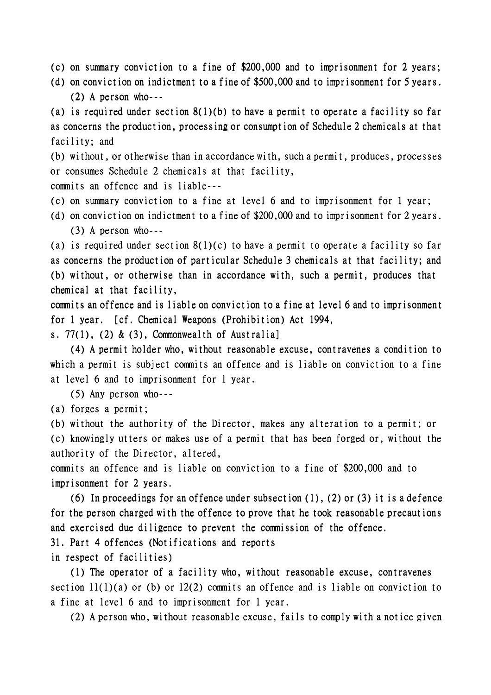(c) on summary conviction to a fine of  $$200,000$  and to imprisonment for 2 years;

(d) on conviction on indictment to a fine of \$500,000 and to imprisonment for 5 years.  $(2)$  A person who---

(a) is required under section  $8(1)(b)$  to have a permit to operate a facility so far as concerns the production, processing or consumption of Schedule 2 chemicals at that facility; and

(b) without, or otherwise than in accordance with, such a permit, produces, processes or consumes Schedule 2 chemicals at that facility,

commits an offence and is liable---

- (c) on summary conviction to a fine at level 6 and to imprisonment for 1 year;
- (d) on conviction on indictment to a fine of \$200,000 and to imprisonment for 2 years.  $(3)$  A person who---

(a) is required under section  $8(1)(c)$  to have a permit to operate a facility so far as concerns the production of particular Schedule 3 chemicals at that facility; and (b) without, or otherwise than in accordance with, such a permit, produces that chemical at that facility,

commits an offence and is liable on conviction to a fine at level 6 and to imprisonment for 1 year. [cf. Chemical Weapons (Prohibition) Act 1994,

s.  $77(1)$ ,  $(2)$  &  $(3)$ , Commonwealth of Australia]

(4) A permit holder who, without reasonable excuse, contravenes a condition to which a permit is subject commits an offence and is liable on conviction to a fine at level 6 and to imprisonment for 1 year.

 $(5)$  Any person who---

(a) forges a permit;

(b) without the authority of the Director, makes any alteration to a permit; or (c) knowingly utters or makes use of a permit that has been forged or, without the authority of the Director, altered,

commits an offence and is liable on conviction to a fine of \$200,000 and to imprisonment for 2 years.

(6) In proceedings for an offence under subsection (1), (2) or (3) it is a defence for the person charged with the offence to prove that he took reasonable precautions and exercised due diligence to prevent the commission of the offence.

31. Part 4 offences (Notifications and reports

in respect of facilities)

(1) The operator of a facility who, without reasonable excuse, contravenes section 11(1)(a) or (b) or 12(2) commits an offence and is liable on conviction to a fine at level 6 and to imprisonment for 1 year.

(2) A person who, without reasonable excuse, fails to comply with a notice given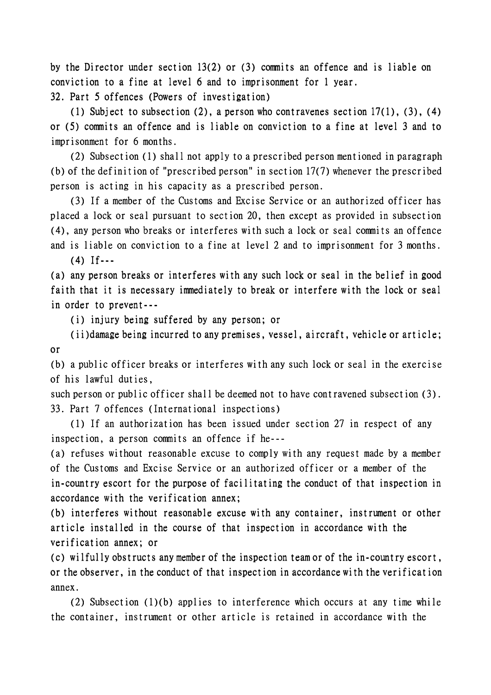by the Director under section 13(2) or (3) commits an offence and is liable on conviction to a fine at level 6 and to imprisonment for 1 year. 32. Part 5 offences (Powers of investigation)

(1) Subject to subsection (2), a person who contravenes section  $17(1)$ , (3), (4) or (5) commits an offence and is liable on conviction to a fine at level 3 and to imprisonment for 6 months.

(2) Subsection (1) shall not apply to a prescribed person mentioned in paragraph (2) shall not to (b) of the definition of "prescribed person" in section 17(7) whenever the prescribed person is acting in his capacity as a prescribed person.

(3) If a member of the Customs and Excise Service or an authorized officer has placed a lock or seal pursuant to section 20, then except as provided in subsection (4), any person who breaks or interferes with such a lock or seal commits an offence and is liable on conviction to a fine at level 2 and to imprisonment for 3 months.  $(4)$  If---

(a) any person breaks or interferes with any such lock or seal in the belief in good faith that it is necessary immediately to break or interfere with the lock or seal in order to prevent---

 $(i)$  injury being suffered by any person; or

 $(i)$  damage being incurred to any premises, vessel, aircraft, vehicle or article; or

(b) a public officer breaks or interferes with any such lock or seal in the exercise of his lawful duties,

such person or public officer shall be deemed not to have contravened subsection (3). 33. Part 7 offences (International inspections)

(1) If an authorization has been issued under section 27 in respect of any inspection, a person commits an offence if he---

(a) refuses without reasonable excuse to comply with any request made by a member of the Customs and Excise Service or an authorized officer or a member of the in-country escort for the purpose of facilitating the conduct of that inspection in accordance with the verification annex;

(b) interferes without reasonable excuse with any container, instrument or other article installed in the course of that inspection in accordance with the verification annex; or

(c) wilfully obstructs any member of the inspection team or of the in-country escort, or the observer, in the conduct of that inspection in accordance with the verification annex.

(2) Subsection (1)(b) applies to interference which occurs at any time while the container, instrument or other article is retained in accordance with the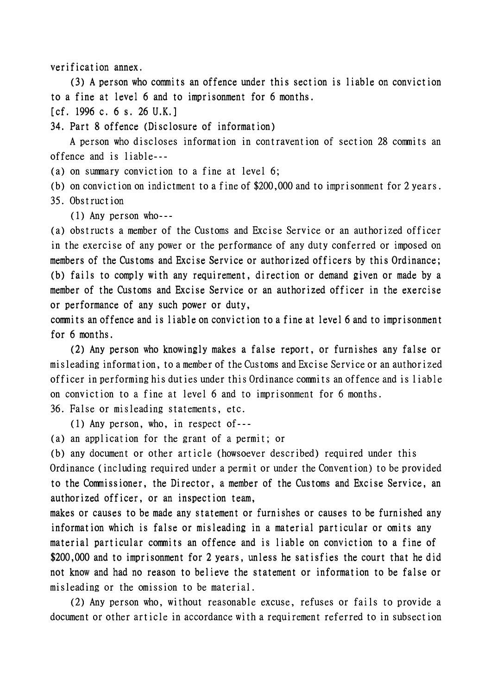verification annex.

 $(3)$  A person who commits an offence under this section is liable on conviction to a fine at level 6 and to imprisonment for 6 months.

[cf. 1996 c. 6 s. 26 U.K.]

34. Part 8 offence (Disclosure of information)

A person who discloses information in contravention of section 28 commits an offence and is liable---

(a) on summary conviction to a fine at level  $6$ ;

(b) on conviction on indictment to a fine of  $$200,000$  and to imprisonment for 2 years.

35. Obstruction 35.

 $(1)$  Any person who---

(a) obstructs a member of the Customs and Excise Service or an authorized officer in the exercise of any power or the performance of any duty conferred or imposed on members of the Customs and Excise Service or authorized officers by this Ordinance; (b) fails to comply with any requirement, direction or demand given or made by a member of the Customs and Excise Service or an authorized officer in the exercise or performance of any such power or duty,

commits an offence and is liable on conviction to a fine at level 6 and to imprisonment for 6 months.

(2) Any person who knowingly makes a false report, or furnishes any false or misleading information, to a member of the Customs and Excise Service or an authorized officer in performing his duties under this Ordinance commits an offence and is liable on conviction to a fine at level 6 and to imprisonment for 6 months.

36. False or misleading statements, etc.

 $(1)$  Any person, who, in respect of---

(a) an application for the grant of a permit; or

(b) any document or other article (howsoever described) required under this Ordinance (including required under a permit or under the Convention) to be provided to the Commissioner, the Director, a member of the Customs and Excise Service, an authorized officer, or an inspection team,

makes or causes to be made any statement or furnishes or causes to be furnished any information which is false or misleading in a material particular or omits any material particular commits an offence and is liable on conviction to a fine of \$200,000 and to imprisonment for 2 years, unless he satisfies the court that he did not know and had no reason to believe the statement or information to be false or misleading or the omission to be material.

 $(2)$  Any person who, without reasonable excuse, refuses or fails to provide a document or other article in accordance with a requirement referred to in subsection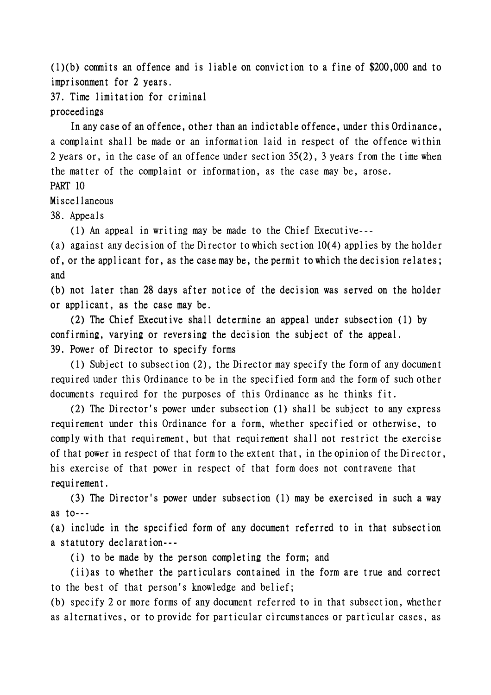(1)(b) commits an offence and is liable on conviction to a fine of \$200,000 and to imprisonment for 2 years.

37. Time limitation for criminal

# proceedings

In any case of an offence, other than an indictable offence, under this Ordinance, a complaint shall be made or an information laid in respect of the offence within 2 years or, in the case of an offence under section 35(2), 3 years from the time when the matter of the complaint or information, as the case may be, arose. PART 10

Miscellaneous

38. Appeals 38.

(1) An appeal in writing may be made to the Chief Executive---

(a) against any decision of the Director to which section  $10(4)$  applies by the holder of, or the applicant for, as the case may be, the permit to which the decision relates; and

(b) not later than 28 days after notice of the decision was served on the holder or applicant, as the case may be.

(2) The Chief Executive shall determine an appeal under subsection (1) by confirming, varying or reversing the decision the subject of the appeal. 39. Power of Director to specify forms

(1) Subject to subsection (2), the Director may specify the form of any document required under this Ordinance to be in the specified form and the form of such other documents required for the purposes of this Ordinance as he thinks fit.

(2) The Director's power under subsection (1) shall be subject to any express requirement under this Ordinance for a form, whether specified or otherwise, to comply with that requirement, but that requirement shall not restrict the exercise of that power in respect of that form to the extent that, in the opinion of the Director, his exercise of that power in respect of that form does not contravene that requirement.

(3) The Director's power under subsection (1) may be exercised in such a way as to---

(a) include in the specified form of any document referred to in that subsection a statutory declaration---

 $(i)$  to be made by the person completing the form; and

(ii)as to whether the particulars contained in the form are true and correct to the best of that person's knowledge and belief;

(b) specify 2 or more forms of any document referred to in that subsection, whether as alternatives, or to provide for particular circumstances or particular cases, as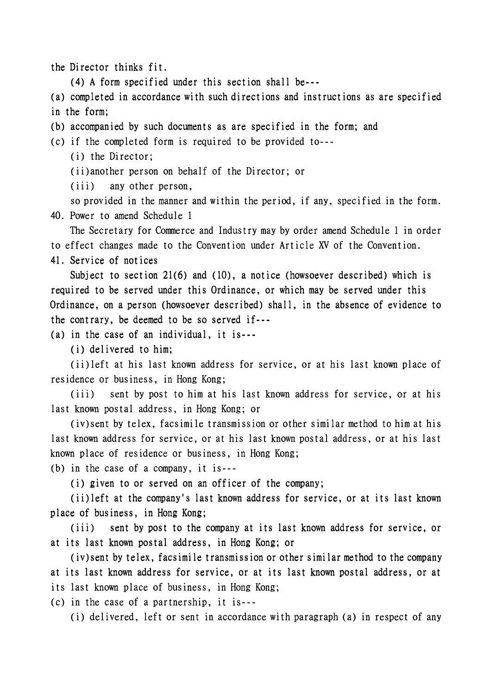the Director thinks fit.

(4) A form specified under this section shall be---

(a) completed in accordance with such directions and instructions as are specified in the form;

(b) accompanied by such documents as are specified in the form; and

(c) if the completed form is required to be provided to---

(i) the Director;

 $(i)$  another person on behalf of the Director; or

 $(iii)$  any other person,

so provided in the manner and within the period, if any, specified in the form. 40. Power to amend Schedule 1

The Secretary for Commerce and Industry may by order amend Schedule 1 in order to effect changes made to the Convention under Article XV of the Convention.

41. Service of notices 41. Service of

Subject to section 21(6) and (10), a notice (howsoever described) which is required to be served under this Ordinance, or which may be served under this Ordinance, on a person (howsoever described) shall, in the absence of evidence to the contrary, be deemed to be so served if---

(a) in the case of an individual, it is- $-$ -

(i) delivered to him:

(ii)left at his last known address for service, or at his last known place of residence or business, in Hong Kong;

 $(iii)$  sent by post to him at his last known address for service, or at his last known postal address, in Hong Kong; or

 $(iy)$  sent by telex, facsimile transmission or other similar method to him at his last known address for service, or at his last known postal address, or at his last known place of residence or business, in Hong Kong;

(b) in the case of a company, it is---

(i) given to or served on an officer of the company:

 $(i)$ left at the company's last known address for service, or at its last known place of business, in Hong Kong;

(iii) sent by post to the company at its last known address for service, or at its last known postal address, in Hong Kong; or

(iv)sent by telex, facsimile transmission or other similar method to the company by facsimile method to the at its last known address for service, or at its last known postal address, or at its last known place of business, in Hong Kong;

(c) in the case of a partnership, it is- $-$ 

(i) delivered, left or sent in accordance with paragraph (a) in respect of any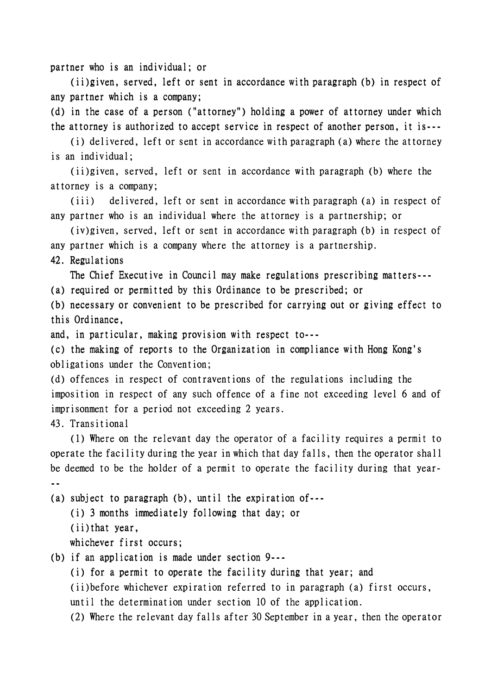partner who is an individual; or

 $(i)$  given, served, left or sent in accordance with paragraph (b) in respect of any partner which is a company;

(d) in the case of a person ("attorney") holding a power of attorney under which the attorney is authorized to accept service in respect of another person, it is---

(i) delivered, left or sent in accordance with paragraph (a) where the attorney is an individual;

 $(i)$  given, served, left or sent in accordance with paragraph (b) where the attorney is a company;

(iii) delivered, left or sent in accordance with paragraph (a) in respect of any partner who is an individual where the attorney is a partnership; or

(iv)given, served, left or sent in accordance with paragraph (b) in respect of any partner which is a company where the attorney is a partnership.

42. Regulations 42.

The Chief Executive in Council may make regulations prescribing matters---

(a) required or permitted by this Ordinance to be prescribed; or

(b) necessary or convenient to be prescribed for carrying out or giving effect to this Ordinance,

and, in particular, making provision with respect to---

(c) the making of reports to the Organization in compliance with Hong Kong's obligations under the Convention;

(d) offences in respect of contraventions of the regulations including the imposition in respect of any such offence of a fine not exceeding level 6 and of imprisonment for a period not exceeding 2 years.

43. Transitional 43.

(1) Where on the relevant day the operator of a facility requires a permit to operate the facility during the year in which that day falls, then the operator shall be deemed to be the holder of a permit to operate the facility during that year- --

(a) subject to paragraph (b), until the expiration of---

 $(i)$  3 months immediately following that day; or

 $(i)$  that year,

whichever first occurs;

(b) if an application is made under section  $9--$ 

(i) for a permit to operate the facility during that year; and

 $(i)$ before whichever expiration referred to in paragraph (a) first occurs,

until the determination under section 10 of the application.

(2) Where the relevant day falls after 30 September in a year, then the operator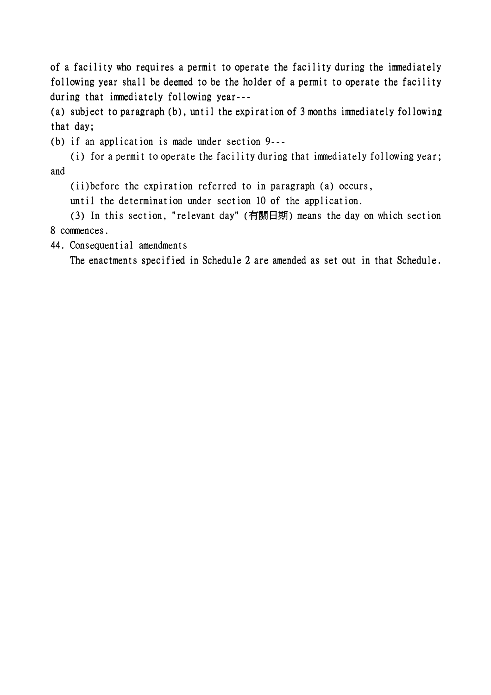of a facility who requires a permit to operate the facility during the immediately following year shall be deemed to be the holder of a permit to operate the facility during that immediately following year---

(a) subject to paragraph (b), until the expiration of 3 months immediately following that day;

(b) if an application is made under section  $9--$ 

(i) for a permit to operate the facility during that immediately following year; and

 $(i)$  before the expiration referred to in paragraph (a) occurs,

until the determination under section 10 of the application.

(3) In this section, "relevant day" (有關日期) means the day on which section 8 commences.

44. Consequential amendments 44.

The enactments specified in Schedule 2 are amended as set out in that Schedule.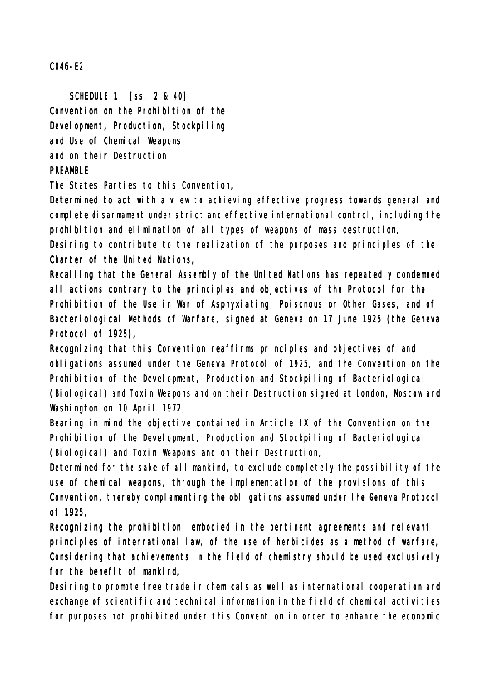C046-E2

SCHEDULE 1 [ss. 2 & 40] Convention on the Prohibition of the Development, Production, Stockpiling and Use of Chemical Weapons and on their Destruction PREAMBLE

The States Parties to this Convention,

Determined to act with a view to achieving effective progress towards general and complete disarmament under strict and effective international control, including the prohibition and elimination of all types of weapons of mass destruction, Desiring to contribute to the realization of the purposes and principles of the Charter of the United Nations.

Recalling that the General Assembly of the United Nations has repeatedly condemned all actions contrary to the principles and objectives of the Protocol for the Prohibition of the Use in War of Asphyxiating, Poisonous or Other Gases, and of Bacteriological Methods of Warfare, signed at Geneva on 17 June 1925 (the Geneva Protocol of 1925),

Recognizing that this Convention reaffirms principles and objectives of and obligations assumed under the Geneva Protocol of 1925, and the Convention on the Prohibition of the Development, Production and Stockpiling of Bacteriological (Biological) and Toxin Weapons and on their Destruction signed at London, Moscow and Washington on 10 April 1972,

Bearing in mind the objective contained in Article IX of the Convention on the Prohibition of the Development, Production and Stockpiling of Bacteriological (Biological) and Toxin Weapons and on their Destruction,

Determined for the sake of all mankind, to exclude completely the possibility of the use of chemical weapons, through the implementation of the provisions of this Convention, thereby complementing the obligations assumed under the Geneva Protocol of 1925,

Recognizing the prohibition, embodied in the pertinent agreements and relevant principles of international law, of the use of herbicides as a method of warfare, Considering that achievements in the field of chemistry should be used exclusively for the benefit of mankind,

Desiring to promote free trade in chemicals as well as international cooperation and exchange of scientific and technical information in the field of chemical activities for purposes not prohibited under this Convention in order to enhance the economic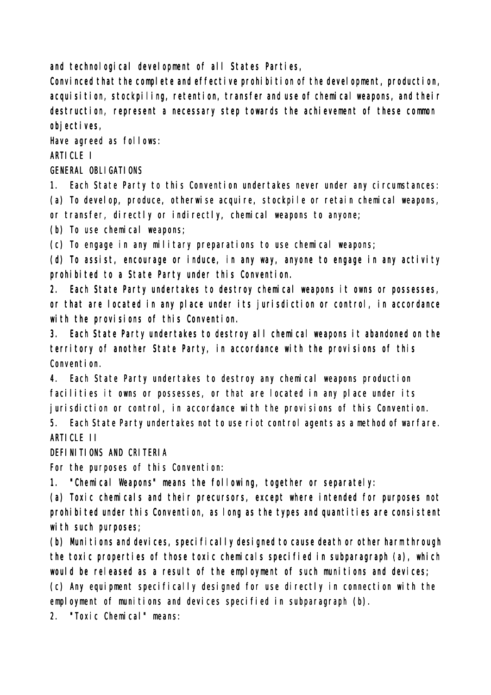and technological development of all States Parties,

Convinced that the complete and effective prohibition of the development, production, acquisition, stockpiling, retention, transfer and use of chemical weapons, and their destruction, represent a necessary step towards the achievement of these common objectives,

Have agreed as follows:

# ARTICLE I

#### GENERAL OBLIGATIONS

1. Each State Party to this Convention undertakes never under any circumstances: (a) To develop, produce, otherwise acquire, stockpile or retain chemical weapons, or transfer, directly or indirectly, chemical weapons to anyone;

(b) To use chemical weapons;

(c) To engage in any military preparations to use chemical weapons;

(d) To assist, encourage or induce, in any way, anyone to engage in any activity prohibited to a State Party under this Convention.

2. Each State Party undertakes to destroy chemical weapons it owns or possesses, or that are located in any place under its jurisdiction or control, in accordance with the provisions of this Convention.

3. Each State Party undertakes to destroy all chemical weapons it abandoned on the territory of another State Party, in accordance with the provisions of this Convention.

4. Each State Party undertakes to destroy any chemical weapons production facilities it owns or possesses, or that are located in any place under its jurisdiction or control, in accordance with the provisions of this Convention.

5. Each State Party undertakes not to use riot control agents as a method of warfare. ARTICLE II

# DEFINITIONS AND CRITERIA

For the purposes of this Convention:

1. "Chemical Weapons" means the following, together or separately:

(a) Toxic chemicals and their precursors, except where intended for purposes not prohibited under this Convention, as long as the types and quantities are consistent with such purposes;

(b) Munitions and devices, specifically designed to cause death or other harm through the toxic properties of those toxic chemicals specified in subparagraph (a), which would be released as a result of the employment of such munitions and devices;

 $(c)$  Any equipment specifically designed for use directly in connection with the employment of munitions and devices specified in subparagraph (b).

2. "Toxic Chemical" means: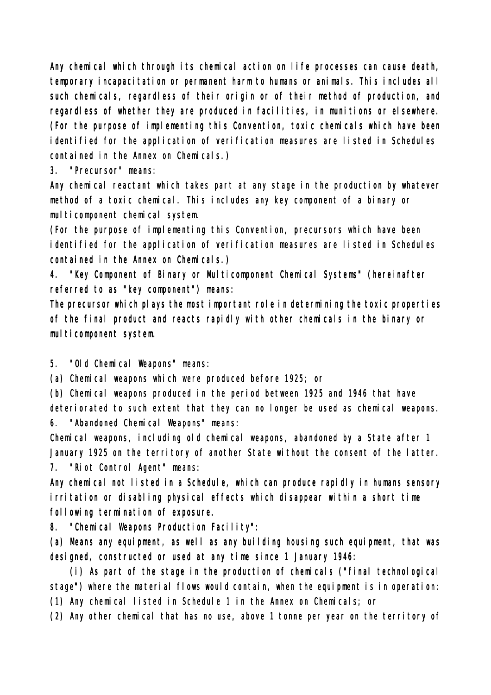Any chemical which through its chemical action on life processes can cause death, temporary incapacitation or permanent harm to humans or animals. This includes all such chemicals, regardless of their origin or of their method of production, and regardless of whether they are produced in facilities, in munitions or elsewhere. (For the purpose of implementing this Convention, toxic chemicals which have been identified for the application of verification measures are listed in Schedules contained in the Annex on Chemicals.)

3. "Precursor" means: 3.

Any chemical reactant which takes part at any stage in the production by whatever method of a toxic chemical. This includes any key component of a binary or multicomponent chemical system.

(For the purpose of implementing this Convention, precursors which have been identified for the application of verification measures are listed in Schedules contained in the Annex on Chemicals.)

4. "Key Component of Binary or Multicomponent Chemical Systems" (hereinafter 4. referred to as "key component") means:

The precursor which plays the most important role in determining the toxic properties of the final product and reacts rapidly with other chemicals in the binary or multicomponent system.

5. "Old Chemical Weapons" means:

(a) Chemical weapons which were produced before 1925; or

(b) Chemical weapons produced in the period between 1925 and 1946 that have deteriorated to such extent that they can no longer be used as chemical weapons. 6. "Abandoned Chemical Weapons" means:

Chemical weapons, including old chemical weapons, abandoned by a State after 1 January 1925 on the territory of another State without the consent of the latter. 7. "Riot Control Agent" means:

Any chemical not listed in a Schedule, which can produce rapidly in humans sensory irritation or disabling physical effects which disappear within a short time following termination of exposure.

8. "Chemical Weapons Production Facility":

(a) Means any equipment, as well as any building housing such equipment, that was designed, constructed or used at any time since 1 January 1946:

 $(i)$  As part of the stage in the production of chemicals ("final technological stage") where the material flows would contain, when the equipment is in operation: (1) Any chemical listed in Schedule 1 in the Annex on Chemicals; or

(2) Any other chemical that has no use, above 1 tonne per year on the territory of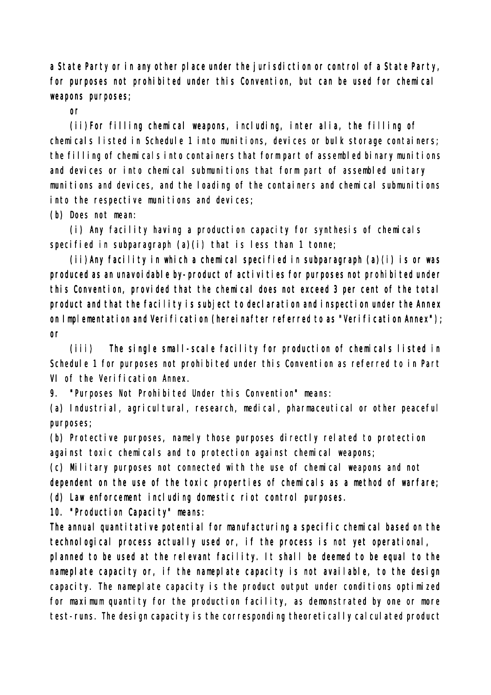a State Party or in any other place under the jurisdiction or control of a State Party, for purposes not prohibited under this Convention, but can be used for chemical weapons purposes;

or

 $(i)$  For filling chemical weapons, including, inter alia, the filling of chemicals listed in Schedule 1 into munitions, devices or bulk storage containers; the filling of chemicals into containers that form part of assembled binary munitions and devices or into chemical submunitions that form part of assembled unitary munitions and devices, and the loading of the containers and chemical submunitions into the respective munitions and devices;

(b) Does not mean:

(i) Any facility having a production capacity for synthesis of chemicals specified in subparagraph (a)(i) that is less than 1 tonne;

(ii) Any facility in which a chemical specified in subparagraph  $(a)(i)$  is or was produced as an unavoidable by-product of activities for purposes not prohibited under this Convention, provided that the chemical does not exceed 3 per cent of the total product and that the facility is subject to declaration and inspection under the Annex on Implementation and Verification (hereinafter referred to as "Verification Annex"); or

(iii) The single small-scale facility for production of chemicals listed in Schedule 1 for purposes not prohibited under this Convention as referred to in Part VI of the Verification Annex.

9. "Purposes Not Prohibited Under this Convention" means:

(a) Industrial, agricultural, research, medical, pharmaceutical or other peaceful purposes;

(b) Protective purposes, namely those purposes directly related to protection against toxic chemicals and to protection against chemical weapons;

(c) Military purposes not connected with the use of chemical weapons and not (c) Military purposes not connected with use of chemical weapons and dependent on the use of the toxic properties of chemicals as a method of warfare; (d) Law enforcement including domestic riot control purposes.

10. "Production Capacity" means:

The annual quantitative potential for manufacturing a specific chemical based on the technological process actually used or, if the process is not yet operational,

planned to be used at the relevant facility. It shall be deemed to be equal to the nameplate capacity or, if the nameplate capacity is not available, to the design capacity. The nameplate capacity is the product output under conditions optimized for maximum quantity for the production facility, as demonstrated by one or more test-runs. The design capacity is the corresponding theoretically calculated product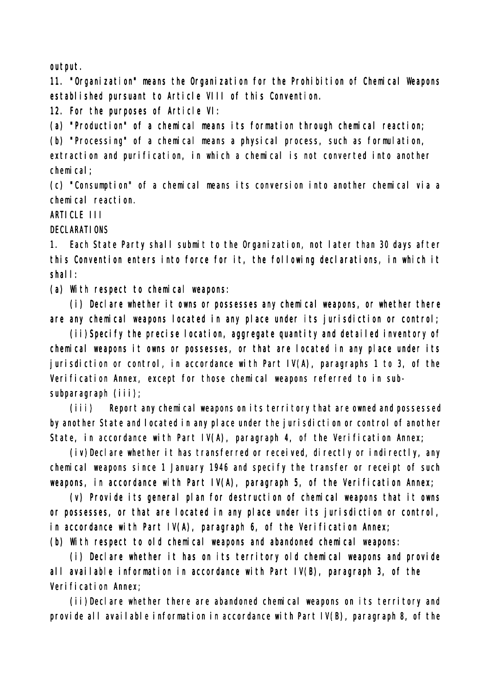output.

11. "Organization" means the Organization for the Prohibition of Chemical Weapons established pursuant to Article VIII of this Convention.

12. For the purposes of Article VI:

(a) "Production" of a chemical means its formation through chemical reaction;

(b) "Processing" of a chemical means a physical process, such as formulation, extraction and purification, in which a chemical is not converted into another chemical;

(c) "Consumption" of a chemical means its conversion into another chemical via a chemical reaction.

ARTICLE III

#### DECLARATIONS

1. Each State Party shall submit to the Organization, not later than 30 days after this Convention enters into force for it, the following declarations, in which it shall:

(a) With respect to chemical weapons: (a) weapons:

(i) Declare whether it owns or possesses any chemical weapons, or whether there are any chemical weapons located in any place under its jurisdiction or control;

(ii) Specify the precise location, aggregate quantity and detailed inventory of chemical weapons it owns or possesses, or that are located in any place under its jurisdiction or control, in accordance with Part IV(A), paragraphs 1 to 3, of the Verification Annex, except for those chemical weapons referred to in subsubparagraph (iii);

 $(iii)$  Report any chemical weapons on its territory that are owned and possessed by another State and located in any place under the jurisdiction or control of another State, in accordance with Part IV(A), paragraph 4, of the Verification Annex;

(iv)Declare whether it has transferred or received, directly or indirectly, any chemical weapons since 1 January 1946 and specify the transfer or receipt of such weapons, in accordance with Part IV(A), paragraph 5, of the Verification Annex;

(v) Provide its general plan for destruction of chemical weapons that it owns or possesses, or that are located in any place under its jurisdiction or control, in accordance with Part IV(A), paragraph 6, of the Verification Annex; (b) With respect to old chemical weapons and abandoned chemical weapons:

(i) Declare whether it has on its territory old chemical weapons and provide all available information in accordance with Part IV(B), paragraph 3, of the Veri fication Annex:

(ii)Declare whether there are abandoned chemical weapons on its territory and provide all available information in accordance with Part IV(B), paragraph 8, of the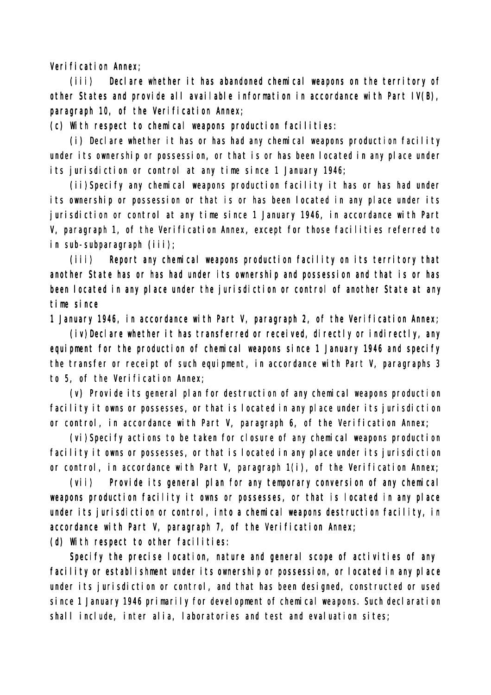Verification Annex;

(iii) Declare whether it has abandoned chemical weapons on the territory of other States and provide all available information in accordance with Part IV(B), paragraph 10, of the Verification Annex;

(c) With respect to chemical weapons production facilities:

(i) Declare whether it has or has had any chemical weapons production facility under its ownership or possession, or that is or has been located in any place under its jurisdiction or control at any time since 1 January 1946;

(ii)Specify any chemical weapons production facility it has or has had under its ownership or possession or that is or has been located in any place under its jurisdiction or control at any time since 1 January 1946, in accordance with Part V, paragraph 1, of the Verification Annex, except for those facilities referred to in sub-subparagraph (iii);

(iii) Report any chemical weapons production facility on its territory that another State has or has had under its ownership and possession and that is or has been located in any place under the jurisdiction or control of another State at any time since

1 January 1946, in accordance with Part V, paragraph 2, of the Verification Annex;

 $(iv)$  Declare whether it has transferred or received, directly or indirectly, any equipment for the production of chemical weapons since 1 January 1946 and specify the transfer or receipt of such equipment, in accordance with Part V, paragraphs 3 to 5, of the Verification Annex;

(v) Provide its general plan for destruction of any chemical weapons production facility it owns or possesses, or that is located in any place under its jurisdiction or control, in accordance with Part V, paragraph 6, of the Verification Annex;

(vi)Specify actions to be taken for closure of any chemical weapons production facility it owns or possesses, or that is located in any place under its jurisdiction or control, in accordance with Part V, paragraph 1(i), of the Verification Annex;

(vii) Provide its general plan for any temporary conversion of any chemical weapons production facility it owns or possesses, or that is located in any place under its jurisdiction or control, into a chemical weapons destruction facility, in accordance with Part V, paragraph 7, of the Verification Annex;

(d) Whith respect to other facilities:

Specify the precise location, nature and general scope of activities of any facility or establishment under its ownership or possession, or located in any place under its jurisdiction or control, and that has been designed, constructed or used since 1 January 1946 primarily for development of chemical weapons. Such declaration shall include, inter alia, laboratories and test and evaluation sites;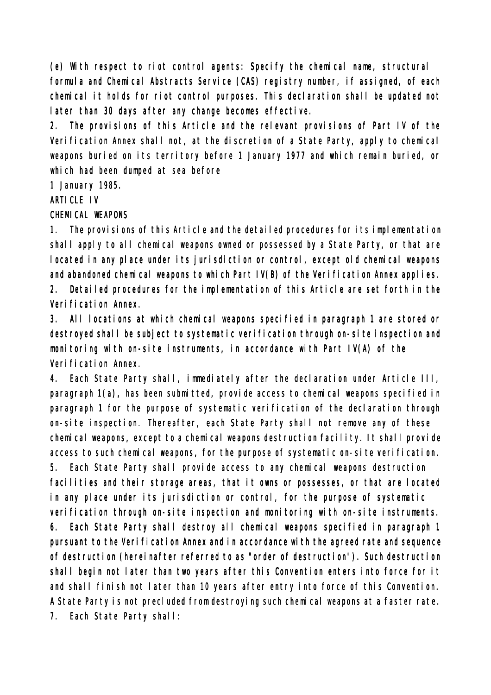(e) With respect to riot control agents: Specify the chemical name, structural formula and Chemical Abstracts Service (CAS) registry number, if assigned, of each chemical it holds for riot control purposes. This declaration shall be updated not later than 30 days after any change becomes effective.

2. The provisions of this Article and the relevant provisions of Part IV of the Verification Annex shall not, at the discretion of a State Party, apply to chemical weapons buried on its territory before 1 January 1977 and which remain buried, or which had been dumped at sea before

1 January 1985.

ARTICLE IV

#### CHEMICAL WEAPONS

1. The provisions of this Article and the detailed procedures for its implementation shall apply to all chemical weapons owned or possessed by a State Party, or that are located in any place under its jurisdiction or control, except old chemical weapons and abandoned chemical weapons to which Part IV(B) of the Verification Annex applies.

2. Detailed procedures for the implementation of this Article are set forth in the Veri fication Annex.

3. All locations at which chemical weapons specified in paragraph 1 are stored or destroyed shall be subject to systematic verification through on-site inspection and monitoring with on-site instruments, in accordance with Part IV(A) of the Verification Annex.

4. Each State Party shall, immediately after the declaration under Article III, paragraph 1(a), has been submitted, provide access to chemical weapons specified in paragraph 1 for the purpose of systematic verification of the declaration through on-site inspection. Thereafter, each State Party shall not remove any of these chemical weapons, except to a chemical weapons destruction facility. It shall provide access to such chemical weapons, for the purpose of systematic on-site verification. 5. Each State Party shall provide access to any chemical weapons destruction facilities and their storage areas, that it owns or possesses, or that are located in any place under its jurisdiction or control, for the purpose of systematic verification through on-site inspection and monitoring with on-site instruments. 6. Each State Party shall destroy all chemical weapons specified in paragraph 1 pursuant to the Verification Annex and in accordance with the agreed rate and sequence of destruction (hereinafter referred to as "order of destruction"). Such destruction shall begin not later than two years after this Convention enters into force for it and shall finish not later than 10 years after entry into force of this Convention. A State Party is not precluded from destroying such chemical weapons at a faster rate. 7. Each State Party shall: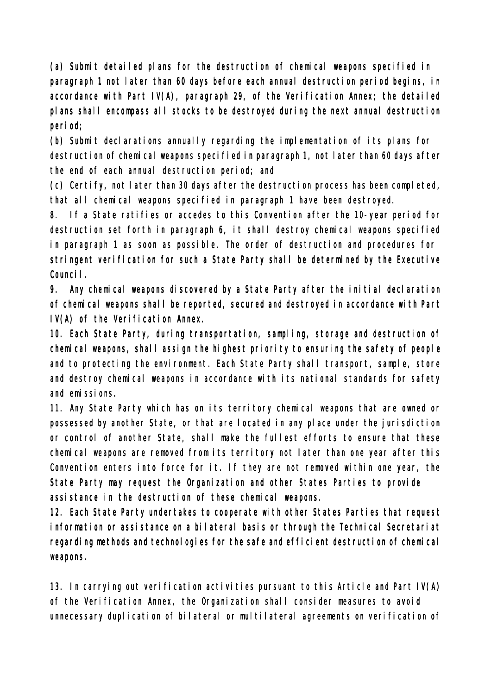(a) Submit detailed plans for the destruction of chemical weapons specified in paragraph 1 not later than 60 days before each annual destruction period begins, in accordance with Part IV(A), paragraph 29, of the Verification Annex; the detailed plans shall encompass all stocks to be destroyed during the next annual destruction period;

(b) Submit declarations annually regarding the implementation of its plans for destruction of chemical weapons specified in paragraph 1, not later than 60 days after the end of each annual destruction period; and

(c) Certify, not later than 30 days after the destruction process has been completed, that all chemical weapons specified in paragraph 1 have been destroyed.

8. If a State ratifies or accedes to this Convention after the 10-year period for destruction set forth in paragraph 6, it shall destroy chemical weapons specified in paragraph 1 as soon as possible. The order of destruction and procedures for stringent verification for such a State Party shall be determined by the Executive Council.

9. Any chemical weapons discovered by a State Party after the initial declaration of chemical weapons shall be reported, secured and destroyed in accordance with Part IV(A) of the Verification Annex.

10. Each State Party, during transportation, sampling, storage and destruction of chemical weapons, shall assign the highest priority to ensuring the safety of people and to protecting the environment. Each State Party shall transport, sample, store and destroy chemical weapons in accordance with its national standards for safety and emissions.

11. Any State Party which has on its territory chemical weapons that are owned or possessed by another State, or that are located in any place under the jurisdiction or control of another State, shall make the fullest efforts to ensure that these chemical weapons are removed from its territory not later than one year after this Convention enters into force for it. If they are not removed within one year, the State Party may request the Organization and other States Parties to provide assistance in the destruction of these chemical weapons.

12. Each State Party undertakes to cooperate with other States Parties that request information or assistance on a bilateral basis or through the Technical Secretariat regarding methods and technologies for the safe and efficient destruction of chemical weapons.

13. In carrying out verification activities pursuant to this Article and Part  $IV(A)$ of the Verification Annex, the Organization shall consider measures to avoid unnecessary duplication of bilateral or multilateral agreements on verification of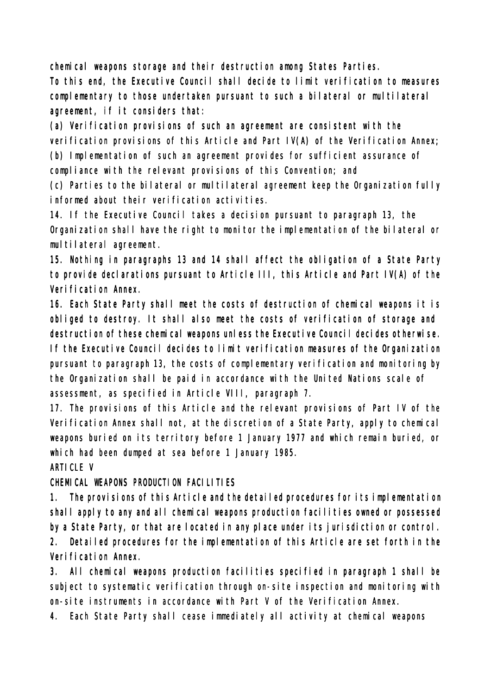chemical weapons storage and their destruction among States Parties. To this end, the Executive Council shall decide to limit verification to measures complementary to those undertaken pursuant to such a bilateral or multilateral agreement, if it considers that:

(a) Verification provisions of such an agreement are consistent with the verification provisions of this Article and Part IV(A) of the Verification Annex; (b) Implementation of such an agreement provides for sufficient assurance of compliance with the relevant provisions of this Convention; and

(c) Parties to the bilateral or multilateral agreement keep the Organization fully informed about their verification activities.

14. If the Executive Council takes a decision pursuant to paragraph 13, the Organization shall have the right to monitor the implementation of the bilateral or multilateral agreement.

15. Nothing in paragraphs 13 and 14 shall affect the obligation of a State Party to provide declarations pursuant to Article III, this Article and Part IV(A) of the Veri fication Annex.

16. Each State Party shall meet the costs of destruction of chemical weapons it is obliged to destroy. It shall also meet the costs of verification of storage and destruction of these chemical weapons unless the Executive Council decides otherwise. If the Executive Council decides to limit verification measures of the Organization pursuant to paragraph 13, the costs of complementary verification and monitoring by the Organization shall be paid in accordance with the United Nations scale of assessment, as specified in Article VIII, paragraph 7.

17. The provisions of this Article and the relevant provisions of Part IV of the Verification Annex shall not, at the discretion of a State Party, apply to chemical weapons buried on its territory before 1 January 1977 and which remain buried, or which had been dumped at sea before 1 January 1985.

#### ARTICLE V

#### CHEMICAL WEAPONS PRODUCTION FACILITIES

1. The provisions of this Article and the detailed procedures for its implementation shall apply to any and all chemical weapons production facilities owned or possessed by a State Party, or that are located in any place under its jurisdiction or control.

2. Detailed procedures for the implementation of this Article are set forth in the Verification Annex.

3. All chemical weapons production facilities specified in paragraph 1 shall be subject to systematic verification through on-site inspection and monitoring with on-site instruments in accordance with Part V of the Verification Annex.

4. Each State Party shall cease immediately all activity at chemical weapons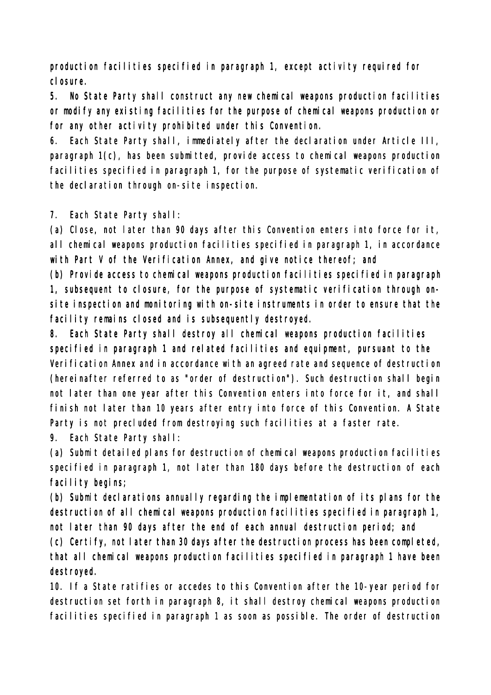production facilities specified in paragraph 1, except activity required for closure.

5. No State Party shall construct any new chemical weapons production facilities or modify any existing facilities for the purpose of chemical weapons production or for any other activity prohibited under this Convention.

6. Each State Party shall, immediately after the declaration under Article III, paragraph 1(c), has been submitted, provide access to chemical weapons production facilities specified in paragraph 1, for the purpose of systematic verification of the declaration through on-site inspection.

7. Each State Party shall:

(a) Close, not later than 90 days after this Convention enters into force for it, all chemical weapons production facilities specified in paragraph 1, in accordance with Part V of the Verification Annex, and give notice thereof; and

(b) Provide access to chemical weapons production facilities specified in paragraph 1, subsequent to closure, for the purpose of systematic verification through onsite inspection and monitoring with on-site instruments in order to ensure that the facility remains closed and is subsequently destroyed.

8. Each State Party shall destroy all chemical weapons production facilities specified in paragraph 1 and related facilities and equipment, pursuant to the Verification Annex and in accordance with an agreed rate and sequence of destruction (hereinafter referred to as "order of destruction"). Such destruction shall begin not later than one year after this Convention enters into force for it, and shall finish not later than 10 years after entry into force of this Convention. A State Party is not precluded from destroying such facilities at a faster rate.

9. Each State Party shall:

(a) Submit detailed plans for destruction of chemical weapons production facilities specified in paragraph 1, not later than 180 days before the destruction of each facility begins;

(b) Submit declarations annually regarding the implementation of its plans for the destruction of all chemical weapons production facilities specified in paragraph 1, not later than 90 days after the end of each annual destruction period; and

(c) Certify, not later than 30 days after the destruction process has been completed, that all chemical weapons production facilities specified in paragraph 1 have been destroyed.

10. If a State ratifies or accedes to this Convention after the 10-year period for destruction set forth in paragraph 8, it shall destroy chemical weapons production facilities specified in paragraph 1 as soon as possible. The order of destruction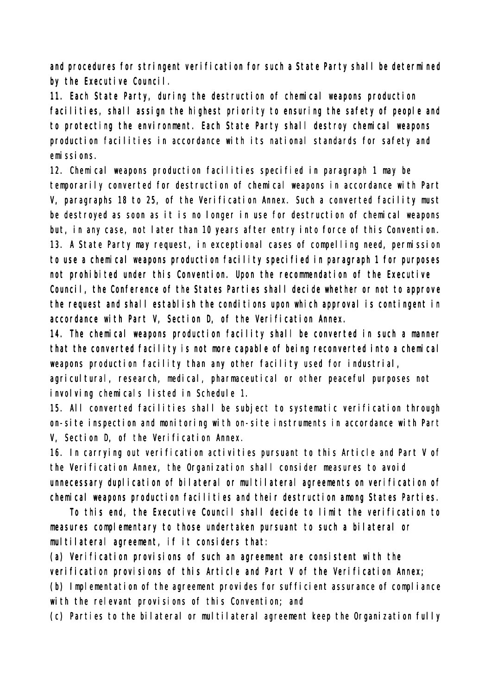and procedures for stringent verification for such a State Party shall be determined by the Executive Council.

11. Each State Party, during the destruction of chemical weapons production facilities, shall assign the highest priority to ensuring the safety of people and to protecting the environment. Each State Party shall destroy chemical weapons production facilities in accordance with its national standards for safety and emissions.

12. Chemical weapons production facilities specified in paragraph 1 may be temporarily converted for destruction of chemical weapons in accordance with Part V, paragraphs 18 to 25, of the Verification Annex. Such a converted facility must be destroyed as soon as it is no longer in use for destruction of chemical weapons but, in any case, not later than 10 years after entry into force of this Convention. 13. A State Party may request, in exceptional cases of compelling need, permission to use a chemical weapons production facility specified in paragraph 1 for purposes not prohibited under this Convention. Upon the recommendation of the Executive Council, the Conference of the States Parties shall decide whether or not to approve the request and shall establish the conditions upon which approval is contingent in accordance with Part V, Section D, of the Verification Annex.

14. The chemical weapons production facility shall be converted in such a manner that the converted facility is not more capable of being reconverted into a chemical weapons production facility than any other facility used for industrial,

agricultural, research, medical, pharmaceutical or other peaceful purposes not involving chemicals listed in Schedule 1.

15. All converted facilities shall be subject to systematic verification through on-site inspection and monitoring with on-site instruments in accordance with Part V, Section D, of the Verification Annex.

16. In carrying out verification activities pursuant to this Article and Part V of the Verification Annex, the Organization shall consider measures to avoid unnecessary duplication of bilateral or multilateral agreements on verification of chemical weapons production facilities and their destruction among States Parties.

To this end, the Executive Council shall decide to limit the verification to measures complementary to those undertaken pursuant to such a bilateral or multilateral agreement, if it considers that:

(a) Verification provisions of such an agreement are consistent with the verification provisions of this Article and Part V of the Verification Annex; (b) Implementation of the agreement provides for sufficient assurance of compliance with the relevant provisions of this Convention; and

(c) Parties to the bilateral or multilateral agreement keep the Organization fully (c) Parties bilateral keep the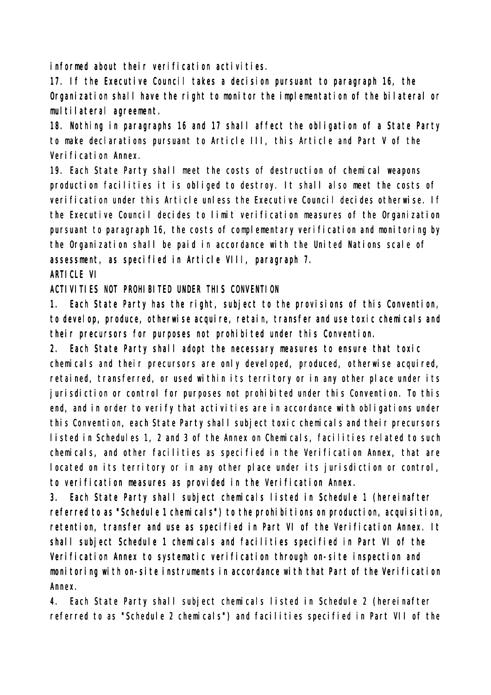informed about their verification activities.

17. If the Executive Council takes a decision pursuant to paragraph 16, the Organization shall have the right to monitor the implementation of the bilateral or multilateral agreement.

18. Nothing in paragraphs 16 and 17 shall affect the obligation of a State Party to make declarations pursuant to Article III, this Article and Part V of the Verification Annex.

19. Each State Party shall meet the costs of destruction of chemical weapons production facilities it is obliged to destroy. It shall also meet the costs of verification under this Article unless the Executive Council decides otherwise. If the Executive Council decides to limit verification measures of the Organization pursuant to paragraph 16, the costs of complementary verification and monitoring by the Organization shall be paid in accordance with the United Nations scale of assessment, as specified in Article VIII, paragraph 7.

#### ARTICLE VI

ACTIVITIES NOT PROHIBITED UNDER THIS CONVENTION

1. Each State Party has the right, subject to the provisions of this Convention, to develop, produce, otherwise acquire, retain, transfer and use toxic chemicals and their precursors for purposes not prohibited under this Convention.

2. Each State Party shall adopt the necessary measures to ensure that toxic chemicals and their precursors are only developed, produced, otherwise acquired, retained, transferred, or used within its territory or in any other place under its jurisdiction or control for purposes not prohibited under this Convention. To this end, and in order to verify that activities are in accordance with obligations under this Convention, each State Party shall subject toxic chemicals and their precursors listed in Schedules 1, 2 and 3 of the Annex on Chemicals, facilities related to such chemicals, and other facilities as specified in the Verification Annex, that are located on its territory or in any other place under its jurisdiction or control, to verification measures as provided in the Verification Annex.

3. Each State Party shall subject chemicals listed in Schedule 1 (hereinafter referred to as "Schedule 1 chemicals") to the prohibitions on production, acquisition, retention, transfer and use as specified in Part VI of the Verification Annex. It shall subject Schedule 1 chemicals and facilities specified in Part VI of the Verification Annex to systematic verification through on-site inspection and monitoring with on-site instruments in accordance with that Part of the Verification Annex.

4. Each State Party shall subject chemicals listed in Schedule 2 (hereinafter referred to as "Schedule 2 chemicals") and facilities specified in Part VII of the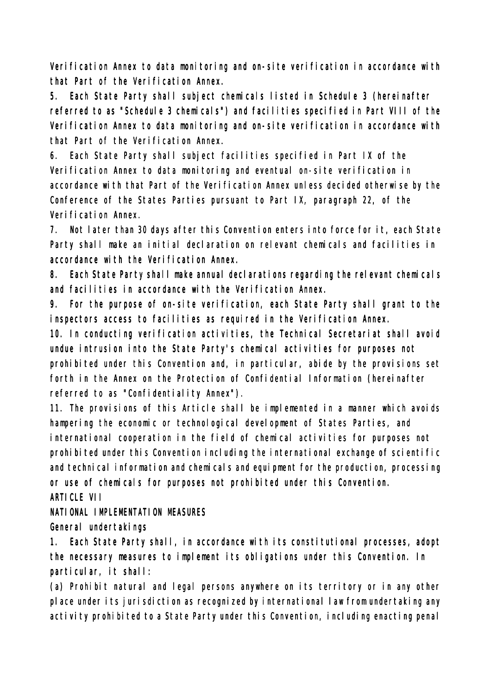Verification Annex to data monitoring and on-site verification in accordance with that Part of the Verification Annex.

5. Each State Party shall subject chemicals listed in Schedule 3 (hereinafter referred to as "Schedule 3 chemicals") and facilities specified in Part VIII of the Verification Annex to data monitoring and on-site verification in accordance with that Part of the Verification Annex.

6. Each State Party shall subject facilities specified in Part IX of the Verification Annex to data monitoring and eventual on-site verification in accordance with that Part of the Verification Annex unless decided otherwise by the Conference of the States Parties pursuant to Part IX, paragraph 22, of the Verification Annex.

7. Not later than 30 days after this Convention enters into force for it, each State Party shall make an initial declaration on relevant chemicals and facilities in accordance with the Verification Annex.

8. Each State Party shall make annual declarations regarding the relevant chemicals and facilities in accordance with the Verification Annex.

9. For the purpose of on-site verification, each State Party shall grant to the inspectors access to facilities as required in the Verification Annex.

10. In conducting verification activities, the Technical Secretariat shall avoid undue intrusion into the State Party's chemical activities for purposes not prohibited under this Convention and, in particular, abide by the provisions set forth in the Annex on the Protection of Confidential Information (hereinafter referred to as "Confidentiality Annex").

11. The provisions of this Article shall be implemented in a manner which avoids hampering the economic or technological development of States Parties, and international cooperation in the field of chemical activities for purposes not prohibited under this Convention including the international exchange of scientific and technical information and chemicals and equipment for the production, processing or use of chemicals for purposes not prohibited under this Convention. ARTICLE VII

#### NATIONAL IMPLEMENTATION MEASURES

General undertakings

1. Each State Party shall, in accordance with its constitutional processes, adopt the necessary measures to implement its obligations under this Convention. In particular, it shall:

(a) Prohibit natural and legal persons anywhere on its territory or in any other place under its jurisdiction as recognized by international law from undertaking any activity prohibited to a State Party under this Convention, including enacting penal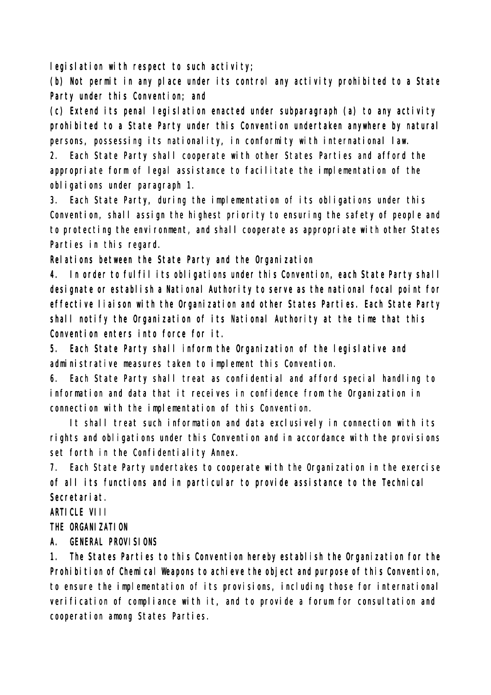legislation with respect to such activity;

(b) Not permit in any place under its control any activity prohibited to a State Party under this Convention; and

(c) Extend its penal legislation enacted under subparagraph (a) to any activity prohibited to a State Party under this Convention undertaken anywhere by natural persons, possessing its nationality, in conformity with international law.

2. Each State Party shall cooperate with other States Parties and afford the appropriate form of legal assistance to facilitate the implementation of the obligations under paragraph 1.

3. Each State Party, during the implementation of its obligations under this Convention, shall assign the highest priority to ensuring the safety of people and to protecting the environment, and shall cooperate as appropriate with other States Parties in this regard.

Relations between the State Party and the Organization

4. In order to fulfil its obligations under this Convention, each State Party shall designate or establish a National Authority to serve as the national focal point for effective liaison with the Organization and other States Parties. Each State Party shall notify the Organization of its National Authority at the time that this Convention enters into force for it.

5. Each State Party shall inform the Organization of the legislative and administrative measures taken to implement this Convention.

6. Each State Party shall treat as confidential and afford special handling to information and data that it receives in confidence from the Organization in connection with the implementation of this Convention.

It shall treat such information and data exclusively in connection with its rights and obligations under this Convention and in accordance with the provisions set forth in the Confidentiality Annex.

7. Each State Party undertakes to cooperate with the Organization in the exercise of all its functions and in particular to provide assistance to the Technical Secretariat.

#### ARTICLE VIII

#### THE ORGANIZATION

A. GENERAL PROVISIONS

1. The States Parties to this Convention hereby establish the Organization for the Prohibition of Chemical Weapons to achieve the object and purpose of this Convention, to ensure the implementation of its provisions, including those for international verification of compliance with it, and to provide a forum for consultation and cooperation among States Parties.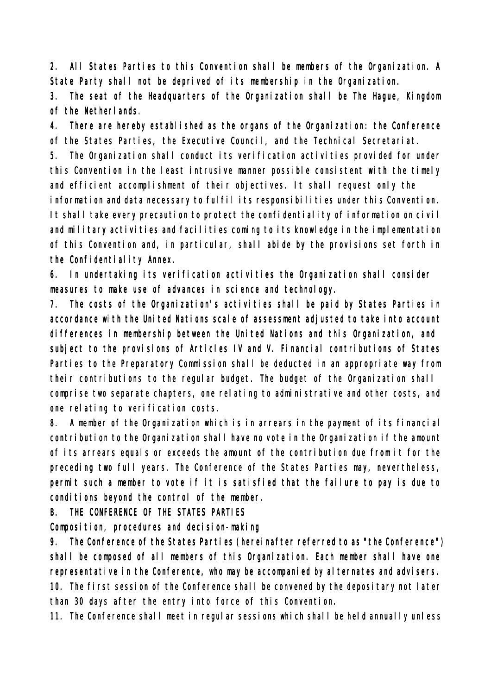2. All States Parties to this Convention shall be members of the Organization. A State Party shall not be deprived of its membership in the Organization.

3. The seat of the Headquarters of the Organization shall be The Hague, Kingdom of the Netherlands.

4. There are hereby established as the organs of the Organization: the Conference of the States Parties, the Executive Council, and the Technical Secretariat.

5. The Organization shall conduct its verification activities provided for under this Convention in the least intrusive manner possible consistent with the timely and efficient accomplishment of their objectives. It shall request only the information and data necessary to fulfil its responsibilities under this Convention. It shall take every precaution to protect the confidentiality of information on civil and military activities and facilities coming to its knowledge in the implementation of this Convention and, in particular, shall abide by the provisions set forth in the Confidentiality Annex.

6. In undertaking its verification activities the Organization shall consider measures to make use of advances in science and technology.

7. The costs of the Organization's activities shall be paid by States Parties in accordance with the United Nations scale of assessment adjusted to take into account differences in membership between the United Nations and this Organization, and subject to the provisions of Articles IV and V. Financial contributions of States Parties to the Preparatory Commission shall be deducted in an appropriate way from their contributions to the regular budget. The budget of the Organization shall comprise two separate chapters, one relating to administrative and other costs, and one relating to verification costs.

8. A member of the Organization which is in arrears in the payment of its financial contribution to the Organization shall have no vote in the Organization if the amount of its arrears equals or exceeds the amount of the contribution due from it for the preceding two full years. The Conference of the States Parties may, nevertheless, permit such a member to vote if it is satisfied that the failure to pay is due to conditions beyond the control of the member.

B. THE CONFERENCE OF THE STATES PARTIES

Composition, procedures and decision-making

9. The Conference of the States Parties (hereinafter referred to as "the Conference") shall be composed of all members of this Organization. Each member shall have one representative in the Conference, who may be accompanied by alternates and advisers. 10. The first session of the Conference shall be convened by the depositary not later

than 30 days after the entry into force of this Convention.

11. The Conference shall meet in regular sessions which shall be held annually unless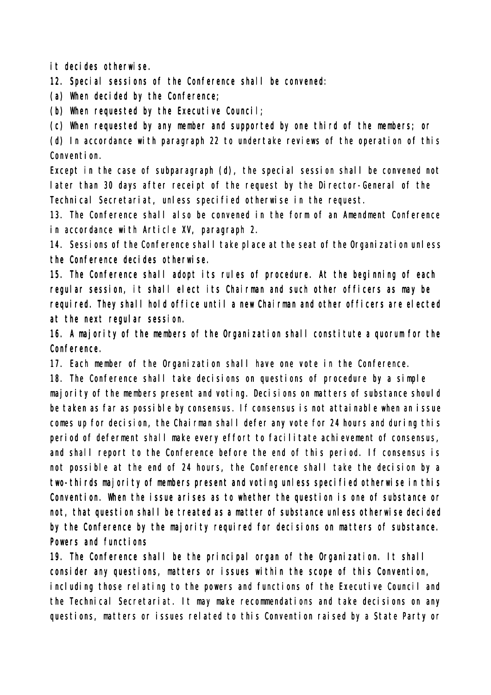it decides otherwise.

12. Special sessions of the Conference shall be convened:

(a) When decided by the Conference;

(b) When requested by the Executive Council;

(c) When requested by any member and supported by one third of the members; or

(d) In accordance with paragraph 22 to undertake reviews of the operation of this Convention.

Except in the case of subparagraph (d), the special session shall be convened not later than 30 days after receipt of the request by the Director-General of the Technical Secretariat, unless specified otherwise in the request.

13. The Conference shall also be convened in the form of an Amendment Conference in accordance with Article XV, paragraph 2.

14. Sessions of the Conference shall take place at the seat of the Organization unless the Conference decides otherwise.

15. The Conference shall adopt its rules of procedure. At the beginning of each regular session, it shall elect its Chairman and such other officers as may be required. They shall hold office until a new Chairman and other officers are elected at the next regular session.

16. A majority of the members of the Organization shall constitute a quorum for the Conference.

17. Each member of the Organization shall have one vote in the Conference.

18. The Conference shall take decisions on questions of procedure by a simple majority of the members present and voting. Decisions on matters of substance should be taken as far as possible by consensus. If consensus is not attainable when an issue comes up for decision, the Chairman shall defer any vote for 24 hours and during this period of deferment shall make every effort to facilitate achievement of consensus, and shall report to the Conference before the end of this period. If consensus is not possible at the end of 24 hours, the Conference shall take the decision by a two-thirds majority of members present and voting unless specified otherwise in this Convention. When the issue arises as to whether the question is one of substance or not, that question shall be treated as a matter of substance unless otherwise decided

by the Conference by the majority required for decisions on matters of substance. Powers and functions

19. The Conference shall be the principal organ of the Organization. It shall consider any questions, matters or issues within the scope of this Convention, including those relating to the powers and functions of the Executive Council and the Technical Secretariat. It may make recommendations and take decisions on any questions, matters or issues related to this Convention raised by a State Party or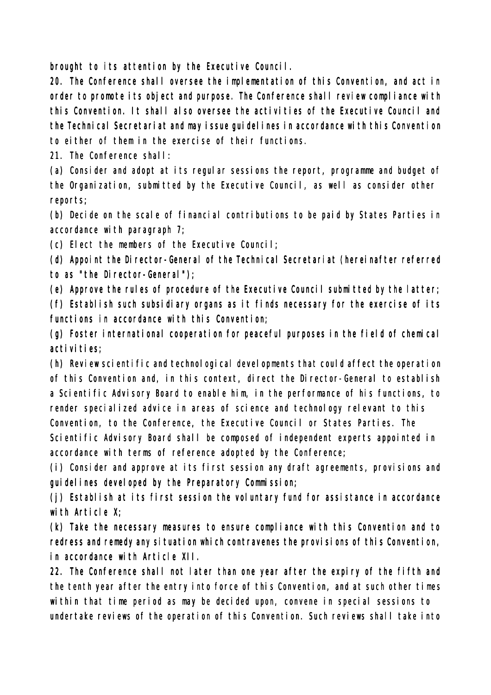brought to its attention by the Executive Council.

20. The Conference shall oversee the implementation of this Convention, and act in order to promote its object and purpose. The Conference shall review compliance with this Convention. It shall also oversee the activities of the Executive Council and the Technical Secretariat and may issue guidelines in accordance with this Convention to either of them in the exercise of their functions.

21. The Conference shall: 21.

(a) Consider and adopt at its regular sessions the report, programme and budget of the Organization, submitted by the Executive Council, as well as consider other reports;

(b) Decide on the scale of financial contributions to be paid by States Parties in accordance with paragraph 7;

(c) Elect the members of the Executive Council;

(d) Appoint the Director-General of the Technical Secretariat (hereinafter referred to as "the Director-General");

(e) Approve the rules of procedure of the Executive Council submitted by the latter;

(f) Establish such subsidiary organs as it finds necessary for the exercise of its functions in accordance with this Convention;

(g) Foster international cooperation for peaceful purposes in the field of chemical activities;

(h) Review scientific and technological developments that could affect the operation of this Convention and, in this context, direct the Director-General to establish a Scientific Advisory Board to enable him, in the performance of his functions, to render specialized advice in areas of science and technology relevant to this Convention, to the Conference, the Executive Council or States Parties. The Scientific Advisory Board shall be composed of independent experts appointed in accordance with terms of reference adopted by the Conference;

(i) Consider and approve at its first session any draft agreements, provisions and guidelines developed by the Preparatory Commission;

(i) Establish at its first session the voluntary fund for assistance in accordance with Article X;

 $(k)$  Take the necessary measures to ensure compliance with this Convention and to redress and remedy any situation which contravenes the provisions of this Convention, in accordance with Article XII.

22. The Conference shall not later than one year after the expiry of the fifth and the tenth year after the entry into force of this Convention, and at such other times within that time period as may be decided upon, convene in special sessions to undertake reviews of the operation of this Convention. Such reviews shall take into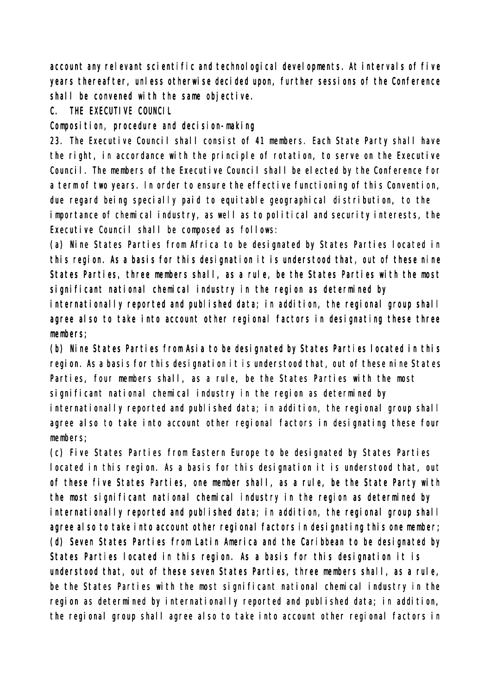account any relevant scientific and technological developments. At intervals of five years thereafter, unless otherwise decided upon, further sessions of the Conference shall be convened with the same objective.

C. THE EXECUTIVE COUNCIL

Composition, procedure and decision-making

23. The Executive Council shall consist of 41 members. Each State Party shall have the right, in accordance with the principle of rotation, to serve on the Executive Council. The members of the Executive Council shall be elected by the Conference for a term of two years. In order to ensure the effective functioning of this Convention, due regard being specially paid to equitable geographical distribution, to the importance of chemical industry, as well as to political and security interests, the Executive Council shall be composed as follows:

(a) Nine States Parties from Africa to be designated by States Parties located in this region. As a basis for this designation it is understood that, out of these nine States Parties, three members shall, as a rule, be the States Parties with the most significant national chemical industry in the region as determined by internationally reported and published data; in addition, the regional group shall agree also to take into account other regional factors in designating these three members;

(b) Nine States Parties from Asia to be designated by States Parties located in this region. As a basis for this designation it is understood that, out of these nine States Parties, four members shall, as a rule, be the States Parties with the most significant national chemical industry in the region as determined by internationally reported and published data; in addition, the regional group shall agree also to take into account other regional factors in designating these four members;

(c) Five States Parties from Eastern Europe to be designated by States Parties located in this region. As a basis for this designation it is understood that, out of these five States Parties, one member shall, as a rule, be the State Party with the most significant national chemical industry in the region as determined by internationally reported and published data; in addition, the regional group shall agree also to take into account other regional factors in designating this one member; (d) Seven States Parties from Latin America and the Caribbean to be designated by States Parties located in this region. As a basis for this designation it is understood that, out of these seven States Parties, three members shall, as a rule, be the States Parties with the most significant national chemical industry in the region as determined by internationally reported and published data; in addition, the regional group shall agree also to take into account other regional factors in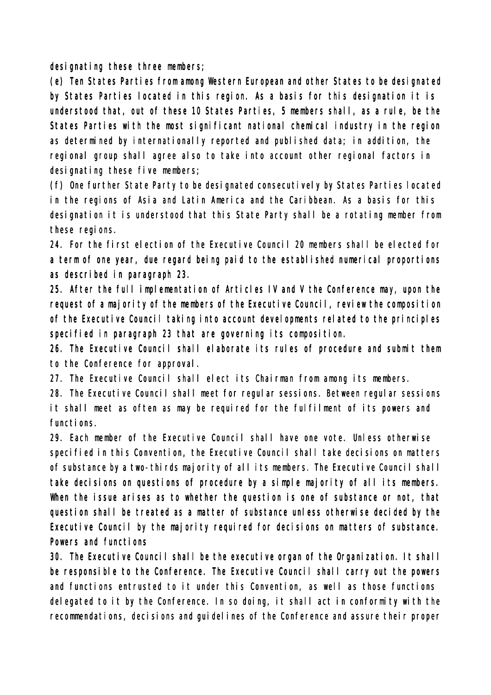designating these three members;

(e) Ten States Parties from among Western European and other States to be designated by States Parties located in this region. As a basis for this designation it is understood that, out of these 10 States Parties, 5 members shall, as a rule, be the States Parties with the most significant national chemical industry in the region as determined by internationally reported and published data; in addition, the regional group shall agree also to take into account other regional factors in designating these five members;

(f) One further State Party to be designated consecutively by States Parties located in the regions of Asia and Latin America and the Caribbean. As a basis for this designation it is understood that this State Party shall be a rotating member from these regions.

24. For the first election of the Executive Council 20 members shall be elected for a term of one year, due regard being paid to the established numerical proportions as described in paragraph 23.

25. After the full implementation of Articles IV and V the Conference may, upon the request of a majority of the members of the Executive Council, review the composition of the Executive Council taking into account developments related to the principles specified in paragraph 23 that are governing its composition.

26. The Executive Council shall elaborate its rules of procedure and submit them to the Conference for approval.

27. The Executive Council shall elect its Chairman from among its members.

28. The Executive Council shall meet for regular sessions. Between regular sessions it shall meet as often as may be required for the fulfilment of its powers and functions.

29. Each member of the Executive Council shall have one vote. Unless otherwise specified in this Convention, the Executive Council shall take decisions on matters of substance by a two-thirds majority of all its members. The Executive Council shall take decisions on questions of procedure by a simple majority of all its members. When the issue arises as to whether the question is one of substance or not, that question shall be treated as a matter of substance unless otherwise decided by the Executive Council by the majority required for decisions on matters of substance. Powers and functions

30. The Executive Council shall be the executive organ of the Organization. It shall be responsible to the Conference. The Executive Council shall carry out the powers and functions entrusted to it under this Convention, as well as those functions delegated to it by the Conference. In so doing, it shall act in conformity with the recommendations, decisions and guidelines of the Conference and assure their proper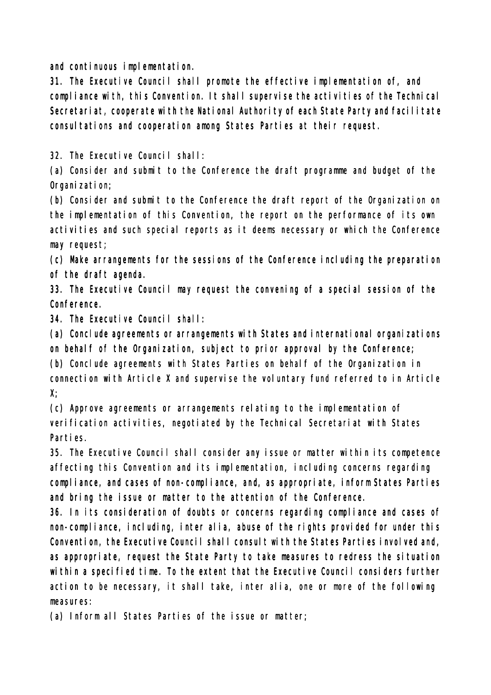and continuous implementation.

31. The Executive Council shall promote the effective implementation of, and compliance with, this Convention. It shall supervise the activities of the Technical Secretariat, cooperate with the National Authority of each State Party and facilitate consultations and cooperation among States Parties at their request.

32. The Executive Council shall:

(a) Consider and submit to the Conference the draft programme and budget of the Organization;

(b) Consider and submit to the Conference the draft report of the Organization on the implementation of this Convention, the report on the performance of its own activities and such special reports as it deems necessary or which the Conference may request;

(c) Make arrangements for the sessions of the Conference including the preparation of the draft agenda.

33. The Executive Council may request the convening of a special session of the Conference.

34. The Executive Council shall:

(a) Conclude agreements or arrangements with States and international organizations on behalf of the Organization, subject to prior approval by the Conference; (b) Conclude agreements with States Parties on behalf of the Organization in connection with Article X and supervise the voluntary fund referred to in Article

X;

(c) Approve agreements or arrangements relating to the implementation of (c) Approve agreements or arrangements to of verification activities, negotiated by the Technical Secretariat with States Parties.

35. The Executive Council shall consider any issue or matter within its competence affecting this Convention and its implementation, including concerns regarding compliance, and cases of non-compliance, and, as appropriate, inform States Parties and bring the issue or matter to the attention of the Conference.

36. In its consideration of doubts or concerns regarding compliance and cases of non-compliance, including, inter alia, abuse of the rights provided for under this Convention, the Executive Council shall consult with the States Parties involved and, as appropriate, request the State Party to take measures to redress the situation within a specified time. To the extent that the Executive Council considers further action to be necessary, it shall take, inter alia, one or more of the following measures:

(a) Inform all States Parties of the issue or matter;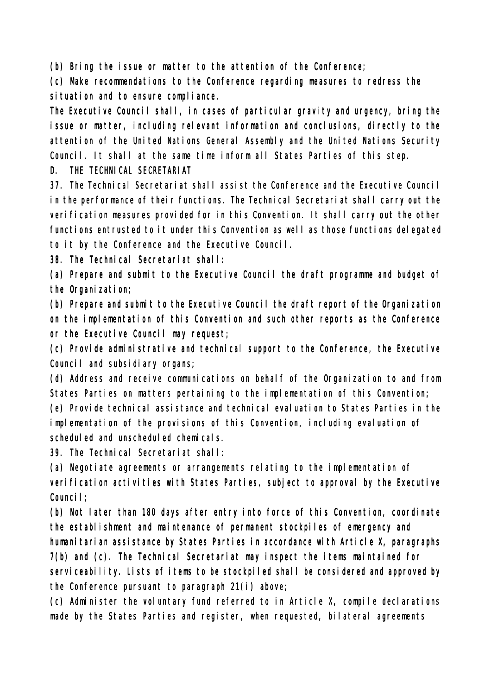(b) Bring the issue or matter to the attention of the Conference;

(c) Make recommendations to the Conference regarding measures to redress the situation and to ensure compliance.

The Executive Council shall, in cases of particular gravity and urgency, bring the issue or matter, including relevant information and conclusions, directly to the attention of the United Nations General Assembly and the United Nations Security Council. It shall at the same time inform all States Parties of this step.

D. THE TECHNICAL SECRETARIAT

37. The Technical Secretariat shall assist the Conference and the Executive Council in the performance of their functions. The Technical Secretariat shall carry out the verification measures provided for in this Convention. It shall carry out the other functions entrusted to it under this Convention as well as those functions delegated to it by the Conference and the Executive Council.

 $38.$  The Technical Secretariat shall:

(a) Prepare and submit to the Executive Council the draft programme and budget of the Organization;

(b) Prepare and submit to the Executive Council the draft report of the Organization on the implementation of this Convention and such other reports as the Conference or the Executive Council may request;

(c) Provide administrative and technical support to the Conference, the Executive (c) Provide Council and subsidiary organs;

(d) Address and receive communications on behalf of the Organization to and from States Parties on matters pertaining to the implementation of this Convention;

(e) Provide technical assistance and technical evaluation to States Parties in the implementation of the provisions of this Convention, including evaluation of scheduled and unscheduled chemicals.

39. The Technical Secretariat shall:

(a) Negotiate agreements or arrangements relating to the implementation of verification activities with States Parties, subject to approval by the Executive Council;

(b) Not later than 180 days after entry into force of this Convention, coordinate the establishment and maintenance of permanent stockpiles of emergency and humanitarian assistance by States Parties in accordance with Article X, paragraphs 7(b) and (c). The Technical Secretariat may inspect the items maintained for serviceability. Lists of items to be stockpiled shall be considered and approved by the Conference pursuant to paragraph 21(i) above;

(c) Administer the voluntary fund referred to in Article X, compile declarations made by the States Parties and register, when requested, bilateral agreements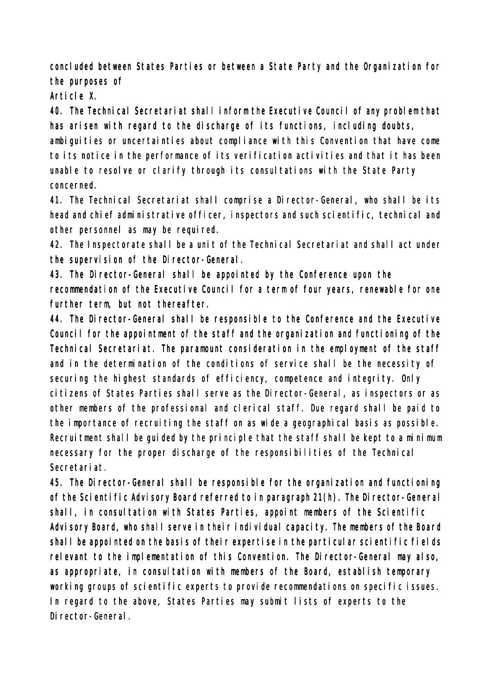concluded between States Parties or between a State Party and the Organization for the purposes of

Article X.

40. The Technical Secretariat shall inform the Executive Council of any problem that has arisen with regard to the discharge of its functions, including doubts,

ambiguities or uncertainties about compliance with this Convention that have come to its notice in the performance of its verification activities and that it has been unable to resolve or clarify through its consultations with the State Party concerned.

41. The Technical Secretariat shall comprise a Director-General, who shall be its head and chief administrative officer, inspectors and such scientific, technical and other personnel as may be required.

42. The Inspectorate shall be a unit of the Technical Secretariat and shall act under the supervision of the Director-General.

43. The Director-General shall be appointed by the Conference upon the recommendation of the Executive Council for a term of four years, renewable for one further term, but not thereafter.

44. The Director-General shall be responsible to the Conference and the Executive Council for the appointment of the staff and the organization and functioning of the Technical Secretariat. The paramount consideration in the employment of the staff and in the determination of the conditions of service shall be the necessity of securing the highest standards of efficiency, competence and integrity. Only citizens of States Parties shall serve as the Director-General, as inspectors or as other members of the professional and clerical staff. Due regard shall be paid to the importance of recruiting the staff on as wide a geographical basis as possible. Recruitment shall be guided by the principle that the staff shall be kept to a minimum necessary for the proper discharge of the responsibilities of the Technical Secretariat.

45. The Director-General shall be responsible for the organization and functioning of the Scientific Advisory Board referred to in paragraph 21(h). The Director-General shall, in consultation with States Parties, appoint members of the Scientific Advisory Board, who shall serve in their individual capacity. The members of the Board shall be appointed on the basis of their expertise in the particular scientific fields relevant to the implementation of this Convention. The Director-General may also, as appropriate, in consultation with members of the Board, establish temporary working groups of scientific experts to provide recommendations on specific issues. In regard to the above, States Parties may submit lists of experts to the Director-General.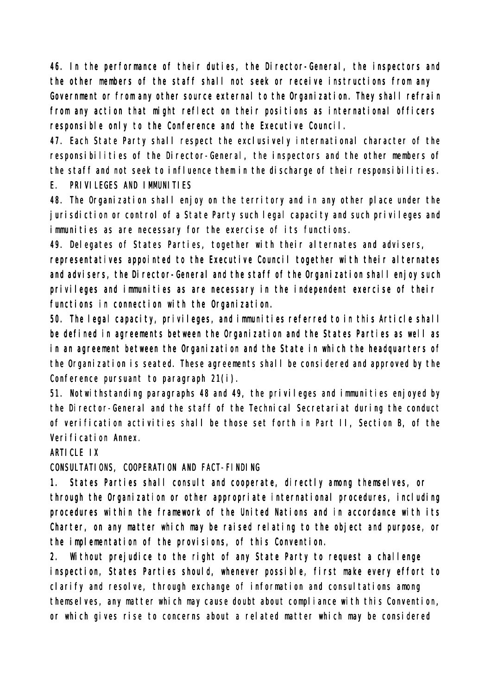46. In the performance of their duties, the Director-General, the inspectors and the other members of the staff shall not seek or receive instructions from any Government or from any other source external to the Organization. They shall refrain from any action that might reflect on their positions as international officers responsible only to the Conference and the Executive Council.

47. Each State Party shall respect the exclusively international character of the responsibilities of the Director-General, the inspectors and the other members of the staff and not seek to influence them in the discharge of their responsibilities.

# E. PRIVILEGES AND IMMUNITIES

48. The Organization shall enjoy on the territory and in any other place under the jurisdiction or control of a State Party such legal capacity and such privileges and immunities as are necessary for the exercise of its functions.

49. Delegates of States Parties, together with their alternates and advisers,

representatives appointed to the Executive Council together with their alternates and advisers, the Director-General and the staff of the Organization shall enjoy such privileges and immunities as are necessary in the independent exercise of their functions in connection with the Organization.

50. The legal capacity, privileges, and immunities referred to in this Article shall be defined in agreements between the Organization and the States Parties as well as in an agreement between the Organization and the State in which the headquarters of the Organization is seated. These agreements shall be considered and approved by the Conference pursuant to paragraph 21(i).

51. Notwithstanding paragraphs 48 and 49, the privileges and immunities enjoyed by the Director-General and the staff of the Technical Secretariat during the conduct of verification activities shall be those set forth in Part II, Section B, of the Verification Annex.

## ARTICLE IX

## CONSULTATIONS, COOPERATION AND FACT-FINDING

1. States Parties shall consult and cooperate, directly among themselves, or through the Organization or other appropriate international procedures, including procedures within the framework of the United Nations and in accordance with its Charter, on any matter which may be raised relating to the object and purpose, or the implementation of the provisions, of this Convention.

2. Without prejudice to the right of any State Party to request a challenge inspection, States Parties should, whenever possible, first make every effort to clarify and resolve, through exchange of information and consultations among themselves, any matter which may cause doubt about compliance with this Convention, or which gives rise to concerns about a related matter which may be considered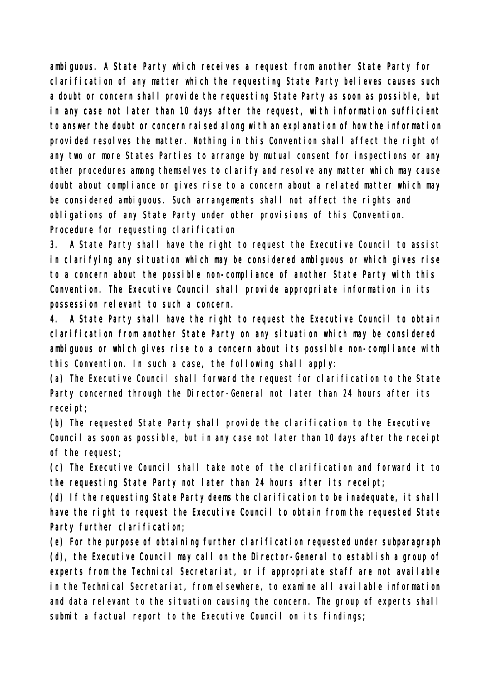ambiguous. A State Party which receives a request from another State Party for clarification of any matter which the requesting State Party believes causes such a doubt or concern shall provide the requesting State Party as soon as possible, but in any case not later than 10 days after the request, with information sufficient to answer the doubt or concern raised along with an explanation of how the information provided resolves the matter. Nothing in this Convention shall affect the right of any two or more States Parties to arrange by mutual consent for inspections or any other procedures among themselves to clarify and resolve any matter which may cause doubt about compliance or gives rise to a concern about a related matter which may be considered ambiguous. Such arrangements shall not affect the rights and obligations of any State Party under other provisions of this Convention. Procedure for requesting clarification

3. A State Party shall have the right to request the Executive Council to assist in clarifying any situation which may be considered ambiguous or which gives rise to a concern about the possible non-compliance of another State Party with this Convention. The Executive Council shall provide appropriate information in its possession relevant to such a concern.

4. A State Party shall have the right to request the Executive Council to obtain clarification from another State Party on any situation which may be considered ambiguous or which gives rise to a concern about its possible non-compliance with this Convention. In such a case, the following shall apply:

(a) The Executive Council shall forward the request for clarification to the State Party concerned through the Director-General not later than 24 hours after its receipt;

(b) The requested State Party shall provide the clarification to the Executive Council as soon as possible, but in any case not later than 10 days after the receipt of the request;

(c) The Executive Council shall take note of the clarification and forward it to the requesting State Party not later than 24 hours after its receipt;

(d) If the requesting State Party deems the clarification to be inadequate, it shall have the right to request the Executive Council to obtain from the requested State Party further clarification;

(e) For the purpose of obtaining further clarification requested under subparagraph (d), the Executive Council may call on the Director-General to establish a group of experts from the Technical Secretariat, or if appropriate staff are not available in the Technical Secretariat, from elsewhere, to examine all available information and data relevant to the situation causing the concern. The group of experts shall submit a factual report to the Executive Council on its findings;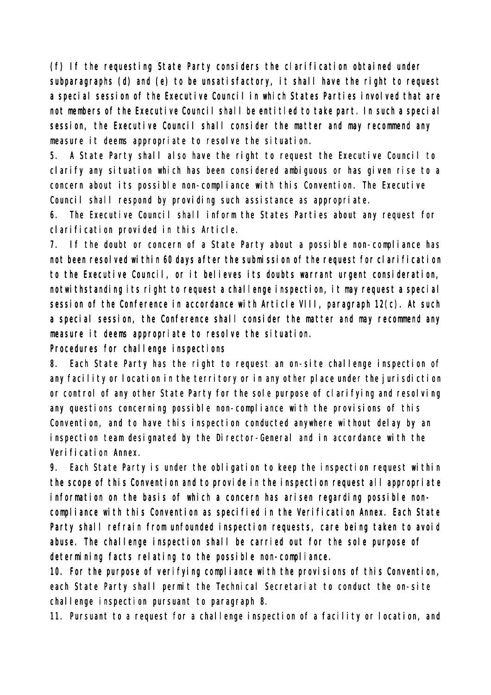(f) If the requesting State Party considers the clarification obtained under subparagraphs (d) and (e) to be unsatisfactory, it shall have the right to request a special session of the Executive Council in which States Parties involved that are not members of the Executive Council shall be entitled to take part. In such a special session, the Executive Council shall consider the matter and may recommend any measure it deems appropriate to resolve the situation.

5. A State Party shall also have the right to request the Executive Council to clarify any situation which has been considered ambiguous or has given rise to a concern about its possible non-compliance with this Convention. The Executive Council shall respond by providing such assistance as appropriate.

6. The Executive Council shall inform the States Parties about any request for clarification provided in this Article.

7. If the doubt or concern of a State Party about a possible non-compliance has not been resolved within 60 days after the submission of the request for clarification to the Executive Council, or it believes its doubts warrant urgent consideration, notwithstanding its right to request a challenge inspection, it may request a special session of the Conference in accordance with Article VIII, paragraph 12(c). At such a special session, the Conference shall consider the matter and may recommend any measure it deems appropriate to resolve the situation.

Procedures for challenge inspections

8. Each State Party has the right to request an on-site challenge inspection of any facility or location in the territory or in any other place under the jurisdiction or control of any other State Party for the sole purpose of clarifying and resolving any questions concerning possible non-compliance with the provisions of this Convention, and to have this inspection conducted anywhere without delay by an inspection team designated by the Director-General and in accordance with the Verification Annex.

9. Each State Party is under the obligation to keep the inspection request within the scope of this Convention and to provide in the inspection request all appropriate information on the basis of which a concern has arisen regarding possible noncompliance with this Convention as specified in the Verification Annex. Each State Party shall refrain from unfounded inspection requests, care being taken to avoid abuse. The challenge inspection shall be carried out for the sole purpose of determining facts relating to the possible non-compliance.

10. For the purpose of verifying compliance with the provisions of this Convention, each State Party shall permit the Technical Secretariat to conduct the on-site challenge inspection pursuant to paragraph 8.

11. Pursuant to a request for a challenge inspection of a facility or location, and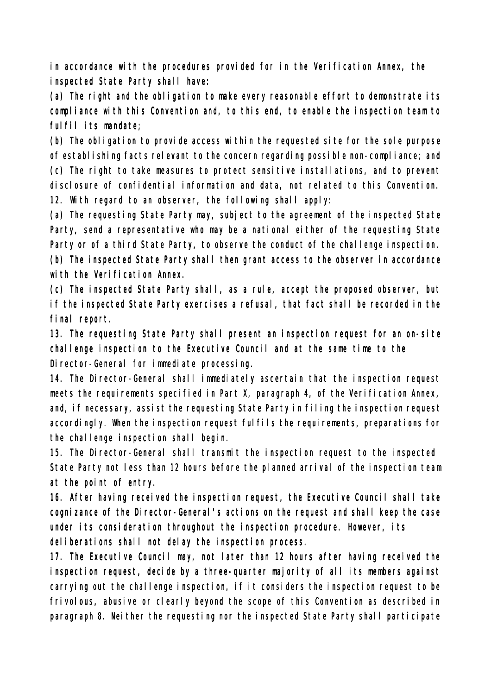in accordance with the procedures provided for in the Verification Annex, the inspected State Party shall have:

(a) The right and the obligation to make every reasonable effort to demonstrate its compliance with this Convention and, to this end, to enable the inspection team to fulfil its mandate;

(b) The obligation to provide access within the requested site for the sole purpose of establishing facts relevant to the concern regarding possible non-compliance; and (c) The right to take measures to protect sensitive installations, and to prevent disclosure of confidential information and data, not related to this Convention. 12. Whith regard to an observer, the following shall apply:

(a) The requesting State Party may, subject to the agreement of the inspected State Party, send a representative who may be a national either of the requesting State Party or of a third State Party, to observe the conduct of the challenge inspection.

(b) The inspected State Party shall then grant access to the observer in accordance with the Verification Annex.

(c) The inspected State Party shall, as a rule, accept the proposed observer, but if the inspected State Party exercises a refusal, that fact shall be recorded in the final report.

13. The requesting State Party shall present an inspection request for an on-site challenge inspection to the Executive Council and at the same time to the Director-General for immediate processing.

14. The Director-General shall immediately ascertain that the inspection request meets the requirements specified in Part X, paragraph 4, of the Verification Annex, and, if necessary, assist the requesting State Party in filing the inspection request accordingly. When the inspection request fulfils the requirements, preparations for the challenge inspection shall begin.

15. The Director-General shall transmit the inspection request to the inspected State Party not less than 12 hours before the planned arrival of the inspection team at the point of entry.

16. After having received the inspection request, the Executive Council shall take cognizance of the Director-General's actions on the request and shall keep the case under its consideration throughout the inspection procedure. However, its deliberations shall not delay the inspection process.

17. The Executive Council may, not later than 12 hours after having received the inspection request, decide by a three-quarter majority of all its members against carrying out the challenge inspection, if it considers the inspection request to be frivolous, abusive or clearly beyond the scope of this Convention as described in paragraph 8. Neither the requesting nor the inspected State Party shall participate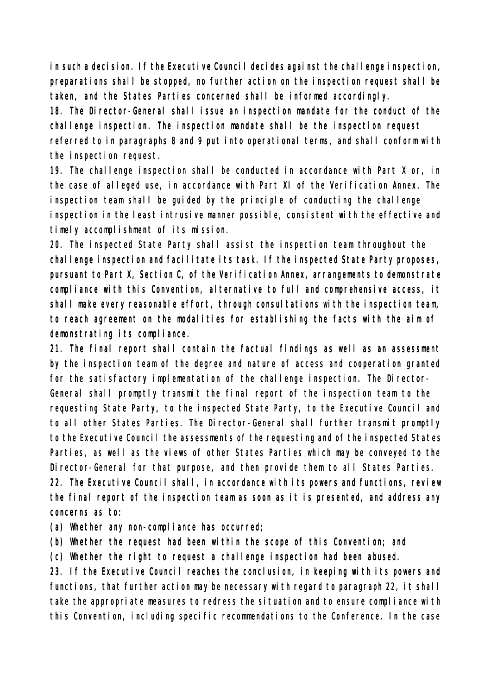in such a decision. If the Executive Council decides against the challenge inspection, preparations shall be stopped, no further action on the inspection request shall be taken, and the States Parties concerned shall be informed accordingly.

18. The Director-General shall issue an inspection mandate for the conduct of the challenge inspection. The inspection mandate shall be the inspection request referred to in paragraphs 8 and 9 put into operational terms, and shall conform with the inspection request.

19. The challenge inspection shall be conducted in accordance with Part X or, in the case of alleged use, in accordance with Part XI of the Verification Annex. The inspection team shall be guided by the principle of conducting the challenge inspection in the least intrusive manner possible, consistent with the effective and timely accomplishment of its mission.

20. The inspected State Party shall assist the inspection team throughout the challenge inspection and facilitate its task. If the inspected State Party proposes, pursuant to Part X, Section C, of the Verification Annex, arrangements to demonstrate compliance with this Convention, alternative to full and comprehensive access, it shall make every reasonable effort, through consultations with the inspection team, to reach agreement on the modalities for establishing the facts with the aim of demonstrating its compliance.

21. The final report shall contain the factual findings as well as an assessment by the inspection team of the degree and nature of access and cooperation granted for the satisfactory implementation of the challenge inspection. The Director-General shall promptly transmit the final report of the inspection team to the requesting State Party, to the inspected State Party, to the Executive Council and to all other States Parties. The Director-General shall further transmit promptly to the Executive Council the assessments of the requesting and of the inspected States Parties, as well as the views of other States Parties which may be conveyed to the Director-General for that purpose, and then provide them to all States Parties. 22. The Executive Council shall, in accordance with its powers and functions, review the final report of the inspection team as soon as it is presented, and address any concerns as to:

(a) Whether any non-compliance has occurred; (a) Whether any has occurred;

(b) Whether the request had been within the scope of this Convention; and

(c) Whether the right to request a challenge inspection had been abused.

23. If the Executive Council reaches the conclusion, in keeping with its powers and functions, that further action may be necessary with regard to paragraph 22, it shall take the appropriate measures to redress the situation and to ensure compliance with this Convention, including specific recommendations to the Conference. In the case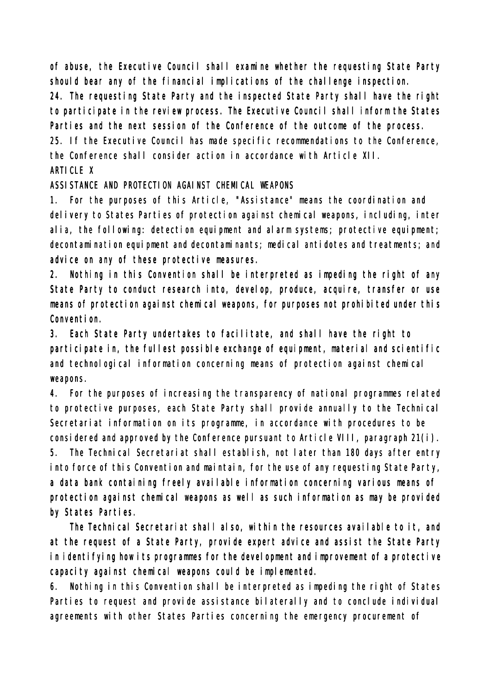of abuse, the Executive Council shall examine whether the requesting State Party should bear any of the financial implications of the challenge inspection.

24. The requesting State Party and the inspected State Party shall have the right to participate in the review process. The Executive Council shall inform the States Parties and the next session of the Conference of the outcome of the process.

25. If the Executive Council has made specific recommendations to the Conference, the Conference shall consider action in accordance with Article XII.

# ARTICLE X

## ASSISTANCE AND PROTECTION AGAINST CHEMICAL WEAPONS

1. For the purposes of this Article, "Assistance" means the coordination and delivery to States Parties of protection against chemical weapons, including, inter alia, the following: detection equipment and alarm systems; protective equipment; decontamination equipment and decontaminants; medical antidotes and treatments; and advice on any of these protective measures.

2. Nothing in this Convention shall be interpreted as impeding the right of any State Party to conduct research into, develop, produce, acquire, transfer or use means of protection against chemical weapons, for purposes not prohibited under this Convention.

3. Each State Party undertakes to facilitate, and shall have the right to participate in, the fullest possible exchange of equipment, material and scientific and technological information concerning means of protection against chemical weapons.

4. For the purposes of increasing the transparency of national programmes related to protective purposes, each State Party shall provide annually to the Technical Secretariat information on its programme, in accordance with procedures to be considered and approved by the Conference pursuant to Article VIII, paragraph 21(i).

5. The Technical Secretariat shall establish, not later than 180 days after entry into force of this Convention and maintain, for the use of any requesting State Party, a data bank containing freely available information concerning various means of protection against chemical weapons as well as such information as may be provided by States Parties.

The Technical Secretariat shall also, within the resources available to it, and at the request of a State Party, provide expert advice and assist the State Party in identifying how its programmes for the development and improvement of a protective capacity against chemical weapons could be implemented.

6. Nothing in this Convention shall be interpreted as impeding the right of States Parties to request and provide assistance bilaterally and to conclude individual agreements with other States Parties concerning the emergency procurement of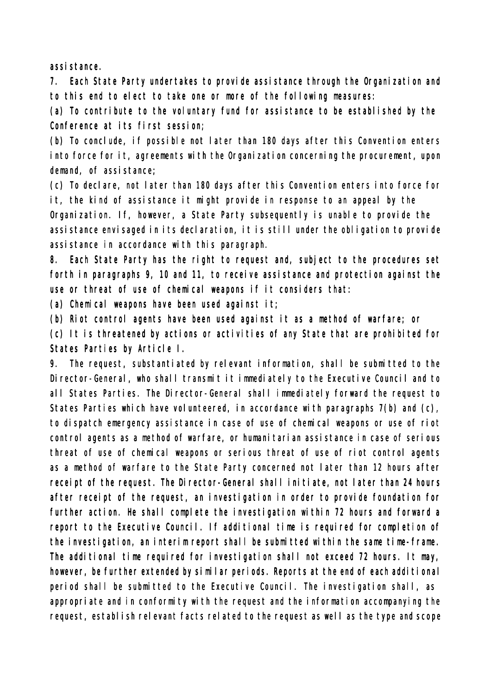assistance.

7. Each State Party undertakes to provide assistance through the Organization and to this end to elect to take one or more of the following measures:

(a) To contribute to the voluntary fund for assistance to be established by the Conference at its first session;

(b) To conclude, if possible not later than  $180$  days after this Convention enters into force for it, agreements with the Organization concerning the procurement, upon demand, of assistance;

(c) To declare, not later than 180 days after this Convention enters into force for it, the kind of assistance it might provide in response to an appeal by the Organization. If, however, a State Party subsequently is unable to provide the assistance envisaged in its declaration, it is still under the obligation to provide assistance in accordance with this paragraph.

8. Each State Party has the right to request and, subject to the procedures set forth in paragraphs 9, 10 and 11, to receive assistance and protection against the use or threat of use of chemical weapons if it considers that:

(a) Chemical weapons have been used against it;

(b) Riot control agents have been used against it as a method of warfare; or

(c) It is threatened by actions or activities of any State that are prohibited for States Parties by Article I.

9. The request, substantiated by relevant information, shall be submitted to the Director-General, who shall transmit it immediately to the Executive Council and to all States Parties. The Director-General shall immediately forward the request to States Parties which have volunteered, in accordance with paragraphs 7(b) and (c), to dispatch emergency assistance in case of use of chemical weapons or use of riot control agents as a method of warfare, or humanitarian assistance in case of serious threat of use of chemical weapons or serious threat of use of riot control agents as a method of warfare to the State Party concerned not later than 12 hours after receipt of the request. The Director-General shall initiate, not later than 24 hours after receipt of the request, an investigation in order to provide foundation for further action. He shall complete the investigation within 72 hours and forward a report to the Executive Council. If additional time is required for completion of the investigation, an interim report shall be submitted within the same time-frame. The additional time required for investigation shall not exceed 72 hours. It may, however, be further extended by similar periods. Reports at the end of each additional period shall be submitted to the Executive Council. The investigation shall, as appropriate and in conformity with the request and the information accompanying the request, establish relevant facts related to the request as well as the type and scope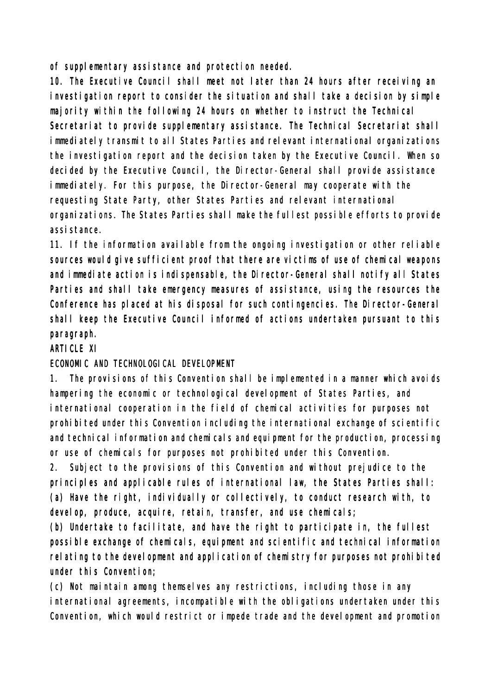of supplementary assistance and protection needed.

10. The Executive Council shall meet not later than 24 hours after receiving an investigation report to consider the situation and shall take a decision by simple majority within the following 24 hours on whether to instruct the Technical Secretariat to provide supplementary assistance. The Technical Secretariat shall immediately transmit to all States Parties and relevant international organizations the investigation report and the decision taken by the Executive Council. When so decided by the Executive Council, the Director-General shall provide assistance immediately. For this purpose, the Director-General may cooperate with the requesting State Party, other States Parties and relevant international organizations. The States Parties shall make the fullest possible efforts to provide assistance.

11. If the information available from the ongoing investigation or other reliable sources would give sufficient proof that there are victims of use of chemical weapons and immediate action is indispensable, the Director-General shall notify all States Parties and shall take emergency measures of assistance, using the resources the Conference has placed at his disposal for such contingencies. The Director-General shall keep the Executive Council informed of actions undertaken pursuant to this paragraph.

#### ARTICLE XI

#### ECONOMIC AND TECHNOLOGICAL DEVELOPMENT

1. The provisions of this Convention shall be implemented in a manner which avoids hampering the economic or technological development of States Parties, and international cooperation in the field of chemical activities for purposes not prohibited under this Convention including the international exchange of scientific and technical information and chemicals and equipment for the production, processing or use of chemicals for purposes not prohibited under this Convention.

2. Subject to the provisions of this Convention and without prejudice to the principles and applicable rules of international law, the States Parties shall: (a) Have the right, individually or collectively, to conduct research with, to develop, produce, acquire, retain, transfer, and use chemicals;

(b) Undertake to facilitate, and have the right to participate in, the fullest possible exchange of chemicals, equipment and scientific and technical information relating to the development and application of chemistry for purposes not prohibited under this Convention;

(c) Not maintain among themselves any restrictions, including those in any international agreements, incompatible with the obligations undertaken under this Convention, which would restrict or impede trade and the development and promotion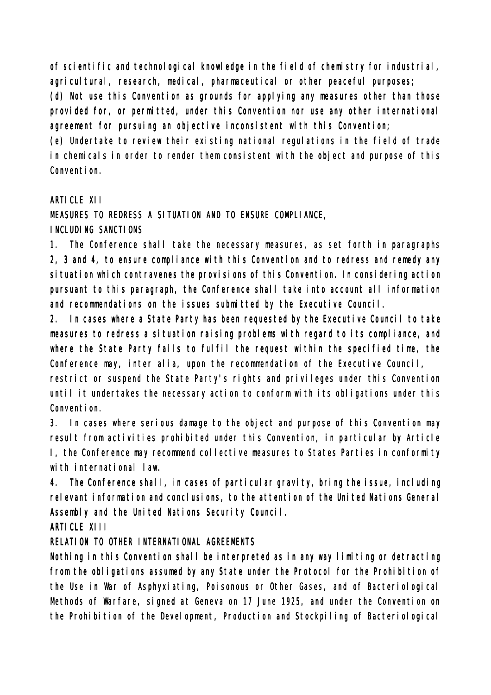of scientific and technological knowledge in the field of chemistry for industrial, agricultural, research, medical, pharmaceutical or other peaceful purposes;

(d) Not use this Convention as grounds for applying any measures other than those provided for, or permitted, under this Convention nor use any other international agreement for pursuing an objective inconsistent with this Convention;

(e) Undertake to review their existing national regulations in the field of trade in chemicals in order to render them consistent with the object and purpose of this Convention.

#### ARTICLE XII

MEASURES TO REDRESS A SITUATION AND TO ENSURE COMPLIANCE,

INCLUDING SANCTIONS

1. The Conference shall take the necessary measures, as set forth in paragraphs 2, 3 and 4, to ensure compliance with this Convention and to redress and remedy any situation which contravenes the provisions of this Convention. In considering action pursuant to this paragraph, the Conference shall take into account all information and recommendations on the issues submitted by the Executive Council.

2. In cases where a State Party has been requested by the Executive Council to take measures to redress a situation raising problems with regard to its compliance, and where the State Party fails to fulfil the request within the specified time, the Conference may, inter alia, upon the recommendation of the Executive Council,

restrict or suspend the State Party's rights and privileges under this Convention until it undertakes the necessary action to conform with its obligations under this Convention.

3. In cases where serious damage to the object and purpose of this Convention may result from activities prohibited under this Convention, in particular by Article I, the Conference may recommend collective measures to States Parties in conformity with international law.

4. The Conference shall, in cases of particular gravity, bring the issue, including relevant information and conclusions, to the attention of the United Nations General Assembly and the United Nations Security Council.

#### ARTICLE XIII

#### RELATION TO OTHER INTERNATIONAL AGREEMENTS

Nothing in this Convention shall be interpreted as in any way limiting or detracting from the obligations assumed by any State under the Protocol for the Prohibition of the Use in War of Asphyxiating, Poisonous or Other Gases, and of Bacteriological Methods of Warfare, signed at Geneva on 17 June 1925, and under the Convention on the Prohibition of the Development, Production and Stockpiling of Bacteriological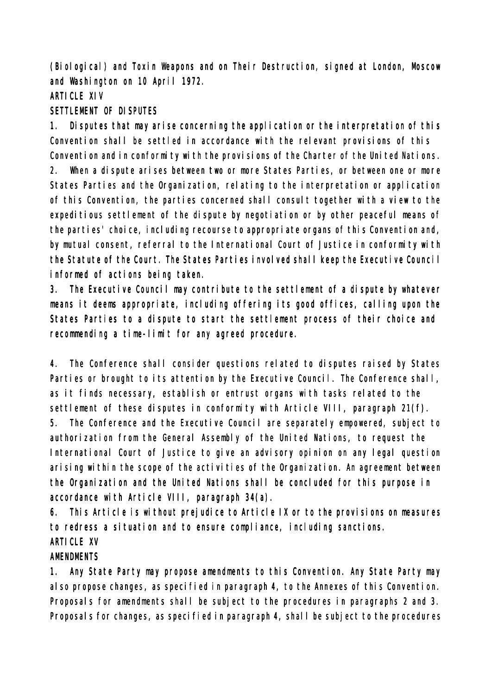(Biological) and Toxin Weapons and on Their Destruction, signed at London, Moscow and Washington on 10 April 1972.

## ARTICLE XIV

#### SETTLEMENT OF DISPUTES

1. Disputes that may arise concerning the application or the interpretation of this Convention shall be settled in accordance with the relevant provisions of this Convention and in conformity with the provisions of the Charter of the United Nations.

2. When a dispute arises between two or more States Parties, or between one or more States Parties and the Organization, relating to the interpretation or application of this Convention, the parties concerned shall consult together with a view to the expeditious settlement of the dispute by negotiation or by other peaceful means of the parties' choice, including recourse to appropriate organs of this Convention and, by mutual consent, referral to the International Court of Justice in conformity with the Statute of the Court. The States Parties involved shall keep the Executive Council informed of actions being taken.

3. The Executive Council may contribute to the settlement of a dispute by whatever means it deems appropriate, including offering its good offices, calling upon the States Parties to a dispute to start the settlement process of their choice and recommending a time-limit for any agreed procedure.

4. The Conference shall consider questions related to disputes raised by States Parties or brought to its attention by the Executive Council. The Conference shall, as it finds necessary, establish or entrust organs with tasks related to the settlement of these disputes in conformity with Article VIII, paragraph 21(f). 5. The Conference and the Executive Council are separately empowered, subject to authorization from the General Assembly of the United Nations, to request the International Court of Justice to give an advisory opinion on any legal question arising within the scope of the activities of the Organization. An agreement between the Organization and the United Nations shall be concluded for this purpose in accordance with Article VIII, paragraph 34(a).

6. This Article is without prejudice to Article IX or to the provisions on measures to redress a situation and to ensure compliance, including sanctions.

# ARTICLE XV

#### **AMENDMENTS**

1. Any State Party may propose amendments to this Convention. Any State Party may also propose changes, as specified in paragraph 4, to the Annexes of this Convention. Proposals for amendments shall be subject to the procedures in paragraphs 2 and 3. Proposals for changes, as specified in paragraph 4, shall be subject to the procedures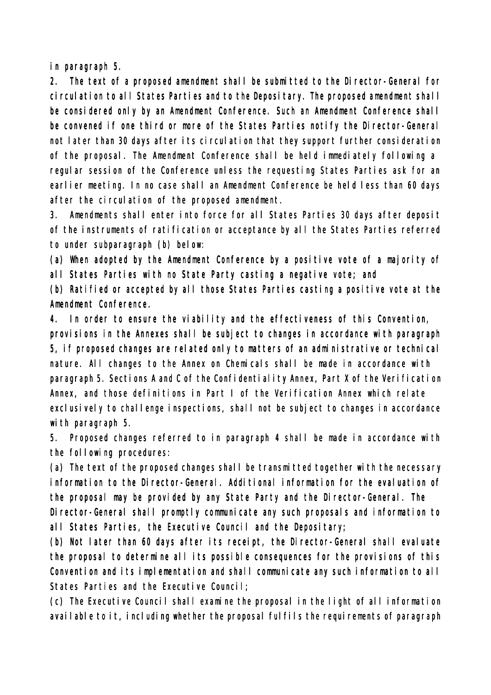in paragraph 5.

2. The text of a proposed amendment shall be submitted to the Director-General for circulation to all States Parties and to the Depositary. The proposed amendment shall be considered only by an Amendment Conference. Such an Amendment Conference shall be convened if one third or more of the States Parties notify the Director-General not later than 30 days after its circulation that they support further consideration of the proposal. The Amendment Conference shall be held immediately following a regular session of the Conference unless the requesting States Parties ask for an earlier meeting. In no case shall an Amendment Conference be held less than 60 days after the circulation of the proposed amendment.

3. Amendments shall enter into force for all States Parties 30 days after deposit of the instruments of ratification or acceptance by all the States Parties referred to under subparagraph (b) below:

(a) When adopted by the Amendment Conference by a positive vote of a majority of all States Parties with no State Party casting a negative vote; and

(b) Ratified or accepted by all those States Parties casting a positive vote at the Amendment Conference.

4. In order to ensure the viability and the effectiveness of this Convention, provisions in the Annexes shall be subject to changes in accordance with paragraph 5, if proposed changes are related only to matters of an administrative or technical nature. All changes to the Annex on Chemicals shall be made in accordance with paragraph 5. Sections A and C of the Confidentiality Annex, Part X of the Verification Annex, and those definitions in Part I of the Verification Annex which relate exclusively to challenge inspections, shall not be subject to changes in accordance with paragraph 5.

5. Proposed changes referred to in paragraph 4 shall be made in accordance with the following procedures:

(a) The text of the proposed changes shall be transmitted together with the necessary information to the Director-General. Additional information for the evaluation of the proposal may be provided by any State Party and the Director-General. The Director-General shall promptly communicate any such proposals and information to all States Parties, the Executive Council and the Depositary;

(b) Not later than 60 days after its receipt, the Director-General shall evaluate the proposal to determine all its possible consequences for the provisions of this Convention and its implementation and shall communicate any such information to all States Parties and the Executive Council;

(c) The Executive Council shall examine the proposal in the light of all information available to it, including whether the proposal fulfils the requirements of paragraph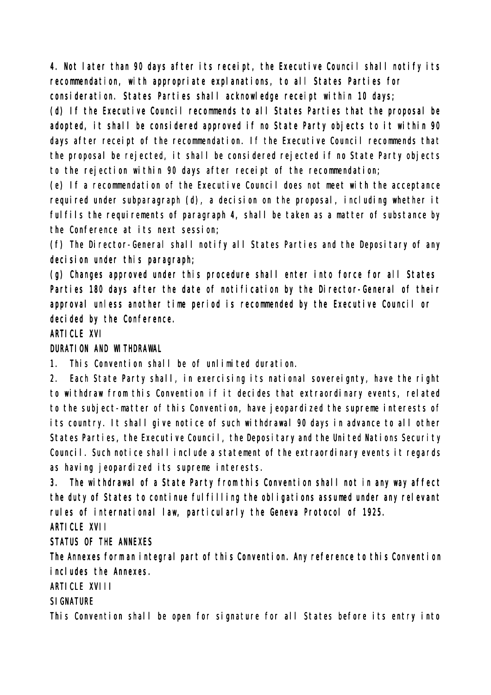4. Not later than 90 days after its receipt, the Executive Council shall notify its recommendation, with appropriate explanations, to all States Parties for consideration. States Parties shall acknowledge receipt within 10 days;

(d) If the Executive Council recommends to all States Parties that the proposal be adopted, it shall be considered approved if no State Party objects to it within 90 days after receipt of the recommendation. If the Executive Council recommends that the proposal be rejected, it shall be considered rejected if no State Party objects to the rejection within 90 days after receipt of the recommendation;

(e) If a recommendation of the Executive Council does not meet with the acceptance required under subparagraph (d), a decision on the proposal, including whether it fulfils the requirements of paragraph 4, shall be taken as a matter of substance by the Conference at its next session;

(f) The Director-General shall notify all States Parties and the Depositary of any decision under this paragraph;

 $(g)$  Changes approved under this procedure shall enter into force for all States Parties 180 days after the date of notification by the Director-General of their approval unless another time period is recommended by the Executive Council or decided by the Conference.

## ARTICLE XVI

#### DURATION AND WITHDRAWAL.

1. This Convention shall be of unlimited duration.

2. Each State Party shall, in exercising its national sovereignty, have the right to withdraw from this Convention if it decides that extraordinary events, related to the subject-matter of this Convention, have jeopardized the supreme interests of its country. It shall give notice of such withdrawal 90 days in advance to all other States Parties, the Executive Council, the Depositary and the United Nations Security Council. Such notice shall include a statement of the extraordinary events it regards as having jeopardized its supreme interests.

3. The withdrawal of a State Party from this Convention shall not in any way affect the duty of States to continue fulfilling the obligations assumed under any relevant rules of international law, particularly the Geneva Protocol of 1925.

#### ARTICLE XVII

#### STATUS OF THE ANNEXES

The Annexes form an integral part of this Convention. Any reference to this Convention includes the Annexes.

## ARTICLE XVIII

## SIGNATURE

This Convention shall be open for signature for all States before its entry into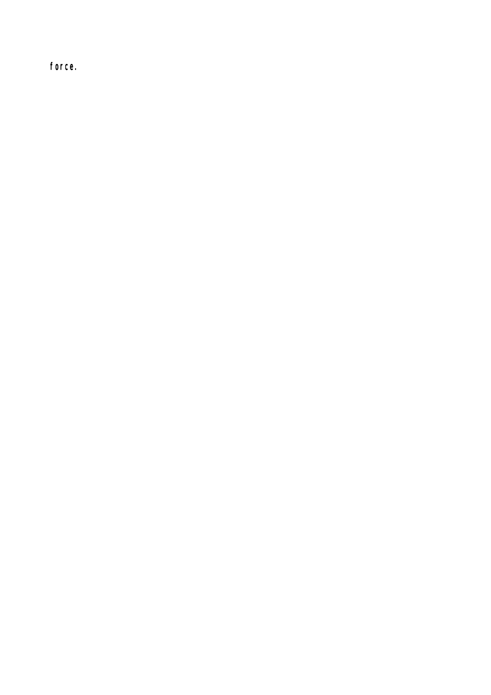force.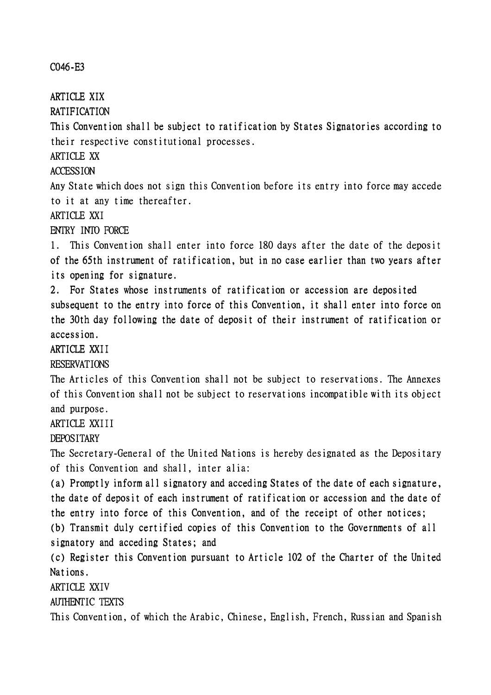## C046-E3

# ARTICLE XIX

# RATIFICATION

This Convention shall be subject to ratification by States Signatories according to their respective constitutional processes.

## ARTICLE XX

# ACCESSION

Any State which does not sign this Convention before its entry into force may accede to it at any time thereafter.

# ARTICLE XXI

## ENTRY INTO FORCE

1. This Convention shall enter into force 180 days after the date of the deposit of the 65th instrument of ratification, but in no case earlier than two years after its opening for signature.

2. For States whose instruments of ratification or accession are deposited subsequent to the entry into force of this Convention, it shall enter into force on the 30th day following the date of deposit of their instrument of ratification or accession.

# ARTICLE XXII

## RESERVATIONS

The Articles of this Convention shall not be subject to reservations. The Annexes of this Convention shall not be subject to reservations incompatible with its object and purpose.

## ARTICLE XXIII

## DEPOSITARY

The Secretary-General of the United Nations is hereby designated as the Depositary of this Convention and shall, inter alia:

(a) Promptly inform all signatory and acceding States of the date of each signature, the date of deposit of each instrument of ratification or accession and the date of the entry into force of this Convention, and of the receipt of other notices;

(b) Transmit duly certified copies of this Convention to the Governments of all signatory and acceding States; and

(c) Register this Convention pursuant to Article 102 of the Charter of the United Nations.

ARTICLE XXIV

AUTHENTIC TEXTS

This Convention, of which the Arabic, Chinese, English, French, Russian and Spanish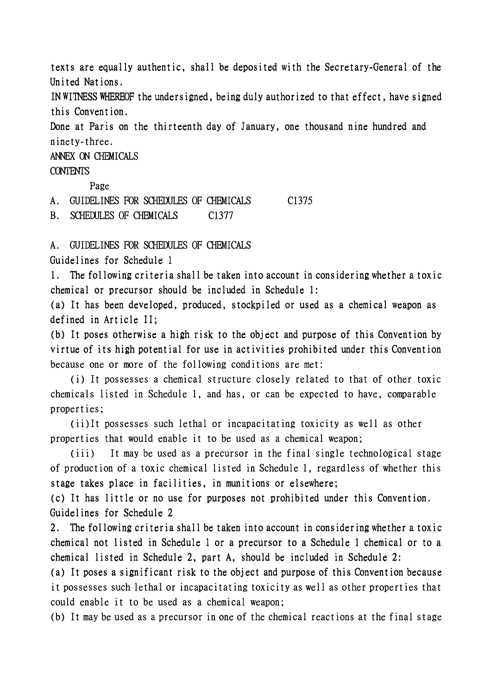texts are equally authentic, shall be deposited with the Secretary-General of the United Nations.

IN WITNESS WHEREOF the undersigned, being duly authorized to that effect, have signed this Convention.

Done at Paris on the thirteenth day of January, one thousand nine hundred and ninety-three.

ANNEX ON CHEMICALS

#### **CONTENTS**

Page

A. GUIDELINES FOR SCHEDULES OF CHEMICALS C1375

B. SCHEDULES OF CHEMICALS C1377

## A. GUIDELINES FOR SCHEDULES OF CHEMICALS

Guidelines for Schedule 1

1. The following criteria shall be taken into account in considering whether a toxic chemical or precursor should be included in Schedule 1:

(a) It has been developed, produced, stockpiled or used as a chemical weapon as defined in Article II;

(b) It poses otherwise a high risk to the object and purpose of this Convention by virtue of its high potential for use in activities prohibited under this Convention because one or more of the following conditions are met:

(i) It possesses a chemical structure closely related to that of other toxic chemicals listed in Schedule 1, and has, or can be expected to have, comparable properties;

 $(i)$ It possesses such lethal or incapacitating toxicity as well as other properties that would enable it to be used as a chemical weapon;

(iii) It may be used as a precursor in the final single technological stage of production of a toxic chemical listed in Schedule 1, regardless of whether this stage takes place in facilities, in munitions or elsewhere;

(c) It has little or no use for purposes not prohibited under this Convention. Guidelines for Schedule 2

2. The following criteria shall be taken into account in considering whether a toxic chemical not listed in Schedule 1 or a precursor to a Schedule 1 chemical or to a chemical listed in Schedule 2, part A, should be included in Schedule 2:

(a) It poses a significant risk to the object and purpose of this Convention because it possesses such lethal or incapacitating toxicity as well as other properties that could enable it to be used as a chemical weapon;

(b) It may be used as a precursor in one of the chemical reactions at the final stage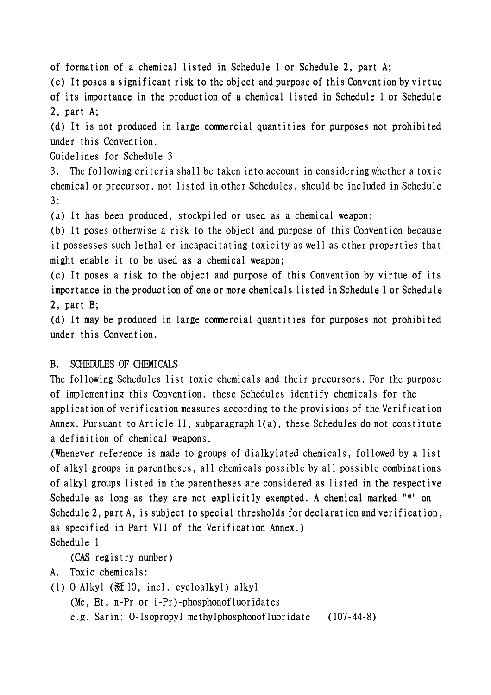of formation of a chemical listed in Schedule 1 or Schedule 2, part A;

(c) It poses a significant risk to the object and purpose of this Convention by virtue of its importance in the production of a chemical listed in Schedule 1 or Schedule 2, part A;

(d) It is not produced in large commercial quantities for purposes not prohibited under this Convention.

Guidelines for Schedule 3

3. The following criteria shall be taken into account in considering whether a toxic chemical or precursor, not listed in other Schedules, should be included in Schedule 3:

(a) It has been produced, stockpiled or used as a chemical weapon;

(b) It poses otherwise a risk to the object and purpose of this Convention because it possesses such lethal or incapacitating toxicity as well as other properties that might enable it to be used as a chemical weapon;

(c) It poses a risk to the object and purpose of this Convention by virtue of its importance in the production of one or more chemicals listed in Schedule 1 or Schedule 2, part B;

(d) It may be produced in large commercial quantities for purposes not prohibited under this Convention.

## B. SCHEDULES OF CHEMICALS

The following Schedules list toxic chemicals and their precursors. For the purpose of implementing this Convention, these Schedules identify chemicals for the application of verification measures according to the provisions of the Verification Annex. Pursuant to Article II, subparagraph 1(a), these Schedules do not constitute a definition of chemical weapons.

(Whenever reference is made to groups of dialkylated chemicals, followed by a list of alkyl groups in parentheses, all chemicals possible by all possible combinations of alkyl groups listed in the parentheses are considered as listed in the respective Schedule as long as they are not explicitly exempted. A chemical marked "\*" on Schedule 2, part A, is subject to special thresholds for declaration and verification, as specified in Part VII of the Verification Annex.) Schedule 1

(CAS registry number)

- A. Toxic chemicals:
- (1)  $0$ -Alkyl (涎 10, incl. cycloalkyl) alkyl
	- (Me, Et, n-Pr or i-Pr)-phosphonofluoridates

e.g. Sarin:  $0$ -Isopropyl methylphosphonofluoridate (107-44-8)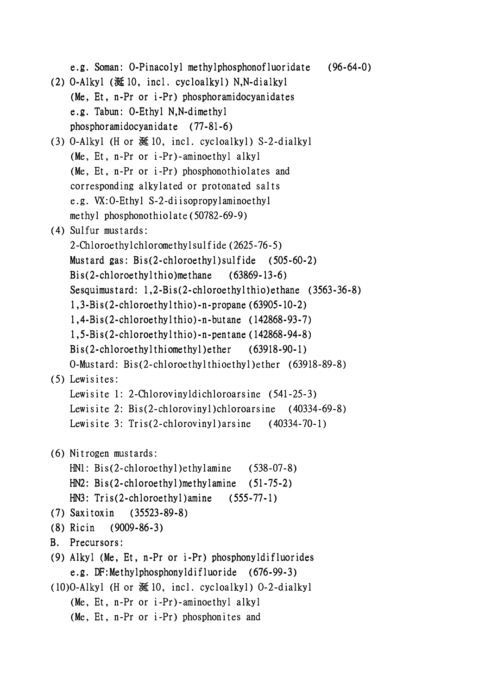e.g. Soman: O-Pinacolyl methylphosphonofluoridate  $(96-64-0)$ 

- (2)  $0$ -Alkyl (涎 10, incl. cycloalkyl) N,N-dialkyl (Me, Et, n-Pr or i-Pr) phosphoramidocyanidates e.g. Tabun: O-Ethyl N,N-dimethyl phosphoramidocyanidate  $(77-81-6)$
- (3) O-Alkyl (H or  $\mathfrak{H}$  10, incl. cycloalkyl) S-2-dialkyl (Me, Et, n-Pr or  $i$ -Pr)-aminoethyl alkyl (Me, Et, n-Pr or i-Pr) phosphonothiolates and corresponding alkylated or protonated salts e.g. VX:O-Ethyl S-2-diisopropylaminoethyl methyl phosphonothiolate  $(50782-69-9)$

#### $(4)$  Sulfur mustards:

2-Chloroethylchloromethylsulfide (2625-76-5) 2-Chloroethylchloromethylsulfide Mustard gas:  $Bis(2-chloroethyl)subfile$  (505-60-2) Bis(2-chloroethylthio)methane  $(63869-13-6)$ Sesquimustard:  $1,2-Bis(2-chloroethylthio)ethane$  (3563-36-8)  $1, 3-Bis(2-chloroethylthio) -n-propane (63905-10-2)$  $1,4-\text{Bis}(2-\text{chloroethylthio})$ -n-butane (142868-93-7) 1,5-Bis(2-chloroethylthio)-n-pentane (142868-94-8) 1,5-Bis(2-chloroethylthio)-n-pentane  $Bis(2-chloroethv1thiomethvl)ether (63918-90-1)$ O-Mustard: Bis(2-chloroethylthioethyl)ether (63918-89-8)

## (5) Lewisites: (5) Lewisites:

Lewisite 1: 2-Chlorovinyldichloroarsine (541-25-3) Lewisite 2: Bis(2-chlorovinyl)chloroarsine (40334-69-8) Lewisite 3: Tris(2-chlorovinyl)arsine (40334-70-1)

## (6) Nitrogen mustards: (6) Nitrogen mustards:

- HN1: Bis(2-chloroethyl)ethylamine (538-07-8) HN2:  $Bis(2-chloroethyl)$ methylamine (51-75-2) HN3:  $Tris(2-chloroethyl)$ amine (555-77-1)
- (7) Saxitoxin (35523-89-8)
- (8) Ricin (8) Ricin (9009-86-3)
- B. Precursors:
- (9) Alkyl (Me, Et, n-Pr or  $i$ -Pr) phosphonyldifluorides e.g. DF:Methylphosphonyldifluoride  $(676-99-3)$
- (10)O-Alkyl (H or 涎 10, incl. cycloalkyl) O-2-dialkyl (Me, Et, n-Pr or  $i$ -Pr)-aminoethyl alkyl (Me, Et, n-Pr or i-Pr) phosphonites and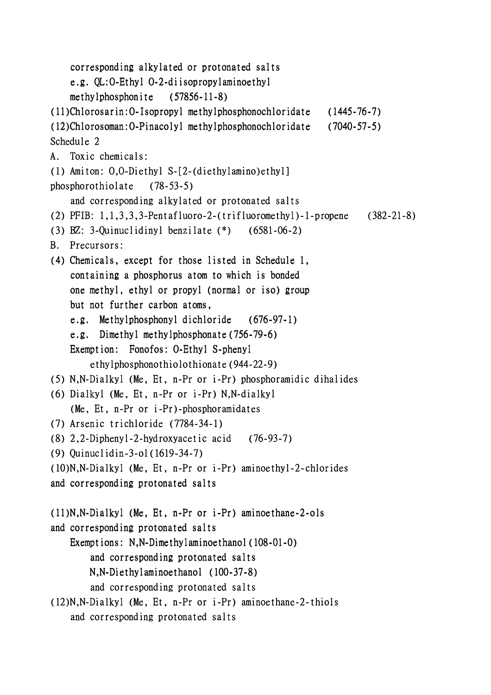```
corresponding alkylated or protonated salts
    e.g. QL:O-Ethyl O-2-diisopropylaminoethyl QL:O-Ethyl O-2-diisopropylaminoethyl
    methylphosphonite (57856-11-8)(11)Chlorosarin: O-Isopropyl methylphosphonochloridate (1445-76-7)(12)Chlorosoman: O-Pinacolyl methylphosphonochloridate (7040-57-5)Schedule 2
A. Toxic chemicals:
(1) Amiton: O,O-Diethyl S-[2-(diethylamino)ethyl] (1) Amiton: O,O-Diethyl S-[2-(diethylamino)ethyl]
phosphorothiolate (78-53-5)and corresponding alkylated or protonated salts
(2) PFIB: 1,1,3,3,3-Pentafluoro-2-(trifluoromethyl)-1-propene (382-21-8)
(3) BZ: 3-Quinuclidinyl benzilate (*) (6581-06-2)
B. Precursors:
(4) Chemicals, except for those listed in Schedule 1,
    containing a phosphorus atom to which is bonded
    one methyl, ethyl or propyl (normal or iso) group
    but not further carbon atoms,
    e.g. Methylphosphonyl dichloride (676-97-1)
    e.g. Dimethyl methylphosphonate (756-79-6)Exemption: Fonofos: O-Ethyl S-phenyl
        ethylphosphonothiolothionate (944-22-9)
(5) N,N-Dialkyl (Me, Et, n-Pr or i-Pr) phosphoramidic dihalides
(6) Dialkyl (Me, Et, n-Pr or i-Pr) N,N-dialkyl
    (Me, Et, n-Pr or i-Pr)-phosphoramidates
(7) Arsenic trichloride (7784-34-1)
(8) 2.2-Diphenyl-2-hydroxyacetic acid (76-93-7)
(9) Quinuclidin-3-ol (1619-34-7)
(10)N,N-Dialkyl (Me, Et, n-Pr or i-Pr) aminoethyl-2-chlorides
and corresponding protonated salts
(11)N,N-Dialkyl (Me, Et, n-Pr or i-Pr) aminoethane-2-ols
and corresponding protonated salts
    Exemptions: N,N-Dimethylaminoethanol (108-01-0)
        and corresponding protonated salts 
        N,N-Diethylaminoethanol (100-37-8) N,N-Diethylaminoethanol (100-37-8)
        and corresponding protonated salts
(12)N,N-Dialkyl (Me, Et, n-Pr or i-Pr) aminoethane-2-thiols
    and corresponding protonated salts
```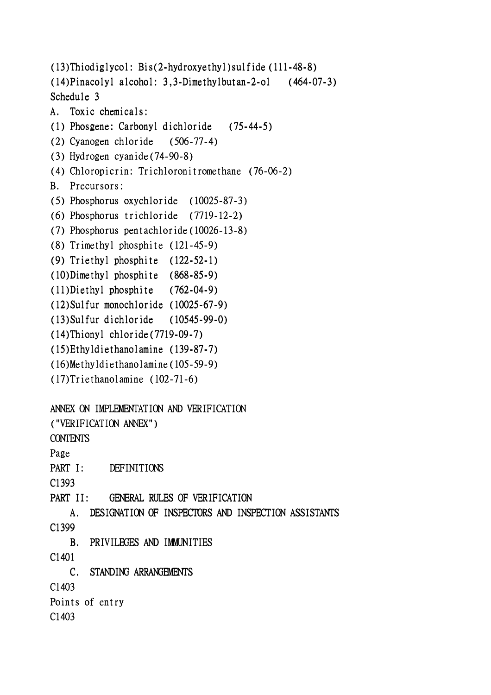```
(13)Thiodiglycol: Bis(2-hydroxyethyl)sulfide (111-48-8)
(14)Pinacolyl alcohol: 3,3-Dimethylbutan-2-ol (464-07-3)
Schedule 3
A. Toxic chemicals:
(1) Phosgene: Carbonyl dichloride (75-44-5)(2) Cyanogen chloride (506-77-4)(3) Hydrogen cyanide (3) Hydrogen cyanide cyanide (74-90-8) (74-90-8)
(4) Chloropicrin: Trichloronitromethane (76-06-2)B. Precursors:
(5) Phosphorus oxychloride (10025-87-3)(6) Phosphorus trichloride (7719-12-2)(7) Phosphorus pentachloride (10026-13-8)(8) Trimethyl phosphite (121-45-9)(9) Triethyl phosphite (122-52-1)(10)Dimethyl phosphite (868-85-9)(11)Diethyl phosphite (762-04-9)(12)Sulfur monochloride (10025-67-9)(13)Sulfur dichloride (10545-99-0)(14)Thionyl chloride (7719-09-7)(15)Ethyldiethanolamine (139-87-7)(16)Methyldiethanolamine (105-59-9)(17)Triethanolamine (102-71-6)ANNEX ON IMPLEMENTATION AND VERIFICATION
("VERIFICATION ANNEX")
CONTENTS
Page
PART I: DEFINITIONS
C1393
PART II: GENERAL RULES OF VERIFICATION
    A. DESIGNATION OF INSPECTORS AND INSPECTION ASSISTANTS
C1399
    B. PRIVILEGES AND IMMUNITIES
C1401
    C. STANDING ARRANGEMENTS
C1403
Points of entry
C1403
```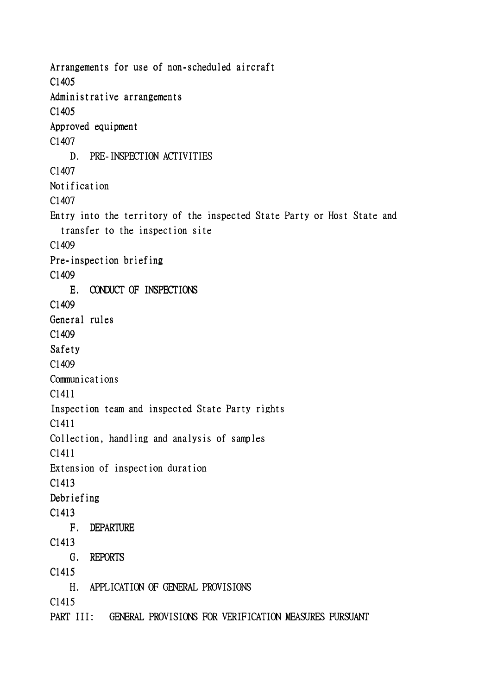Arrangements for use of non-scheduled aircraft C1405 Administrative arrangements C1405 Approved equipment C1407 D. PRE-INSPECTION ACTIVITIES C1407 Notification C1407 Entry into the territory of the inspected State Party or Host State and transfer to the inspection site C1409 Pre-inspection briefing C1409 E. CONDUCT OF INSPECTIONS E. CONDUCT OF INSPECTIONS C1409 General rules C1409 Safety C1409 Communications C1411 Inspection team and inspected State Party rights C1411 Collection, handling and analysis of samples C1411 Extension of inspection duration C1413 Debriefing C1413 F. DEPARTURE C1413 G. REPORTS G. C1415 H. APPLICATION OF GENERAL PROVISIONS C1415 PART III: GENERAL PROVISIONS FOR VERIFICATION MEASURES PURSUANT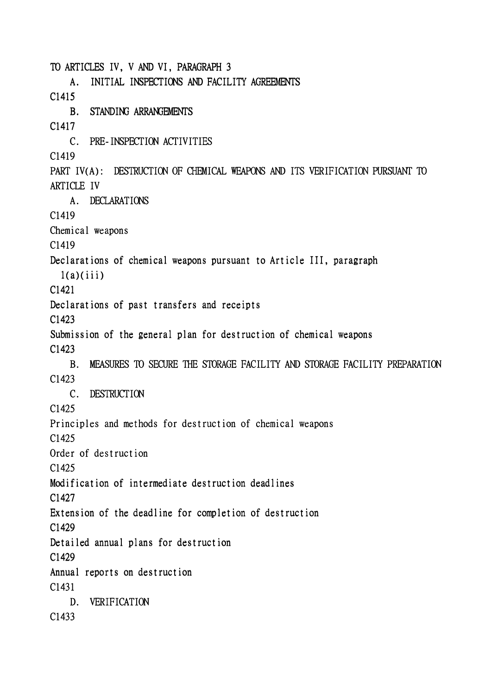TO ARTICLES IV, V AND VI, PARAGRAPH 3 A. INITIAL INSPECTIONS AND FACILITY AGREEMENTS C1415 B. STANDING ARRANGEMENTS C1417 C. PRE-INSPECTION ACTIVITIES C1419 PART IV(A): DESTRUCTION OF CHEMICAL WEAPONS AND ITS VERIFICATION PURSUANT TO ARTICLE IV A. DECLARATIONS C1419 Chemical weapons C1419 Declarations of chemical weapons pursuant to Article III, paragraph  $1(a)(iii)$ C1421 Declarations of past transfers and receipts C1423 Submission of the general plan for destruction of chemical weapons C1423 B. MEASURES TO SECURE THE STORAGE FACILITY AND STORAGE FACILITY PREPARATION C1423 C. DESTRUCTION C1425 Principles and methods for destruction of chemical weapons C1425 Order of destruction C1425 Modification of intermediate destruction deadlines C1427 Extension of the deadline for completion of destruction C1429 Detailed annual plans for destruction C1429 Annual reports on destruction C1431 D. VERIFICATION C1433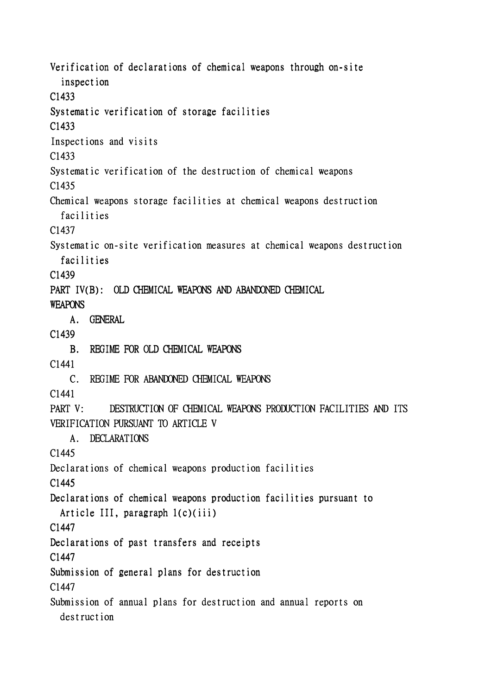Verification of declarations of chemical weapons through on-site inspection C1433 Systematic verification of storage facilities C1433 Inspections and visits C1433 Systematic verification of the destruction of chemical weapons C1435 Chemical weapons storage facilities at chemical weapons destruction facilities C1437 Systematic on-site verification measures at chemical weapons destruction facilities C1439 PART IV(B): OLD CHEMICAL WEAPONS AND ABANDONED CHEMICAL **WEAPONS** A. GENERAL C1439 B. REGIME FOR OLD CHEMICAL WEAPONS C1441 C. REGIME FOR ABANDONED CHEMICAL WEAPONS C1441 PART V: DESTRUCTION OF CHEMICAL WEAPONS PRODUCTION FACILITIES AND ITS VERIFICATION PURSUANT TO ARTICLE V A. DECLARATIONS C1445 Declarations of chemical weapons production facilities C1445 Declarations of chemical weapons production facilities pursuant to Article III, paragraph 1(c)(iii) C1447 Declarations of past transfers and receipts C1447 Submission of general plans for destruction C1447 Submission of annual plans for destruction and annual reports on destruction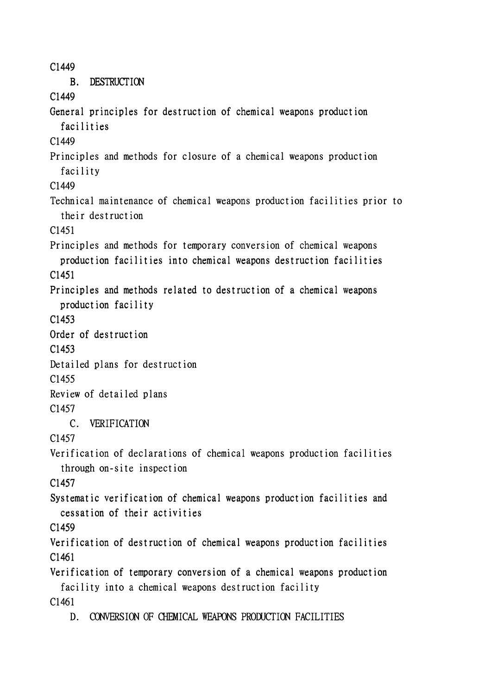C1449 B. DESTRUCTION C1449 General principles for destruction of chemical weapons production facilities C1449 Principles and methods for closure of a chemical weapons production facility C1449 Technical maintenance of chemical weapons production facilities prior to their destruction C1451 Principles and methods for temporary conversion of chemical weapons production facilities into chemical weapons destruction facilities C1451 Principles and methods related to destruction of a chemical weapons production facility C1453 Order of destruction C1453 Detailed plans for destruction C1455 Review of detailed plans C1457 C. VERIFICATION C1457 Verification of declarations of chemical weapons production facilities through on-site inspection C1457 Systematic verification of chemical weapons production facilities and cessation of their activities C1459 Verification of destruction of chemical weapons production facilities C1461 Verification of temporary conversion of a chemical weapons production facility into a chemical weapons destruction facility C1461 D. CONVERSION OF CHEMICAL WEAPONS PRODUCTION FACILITIES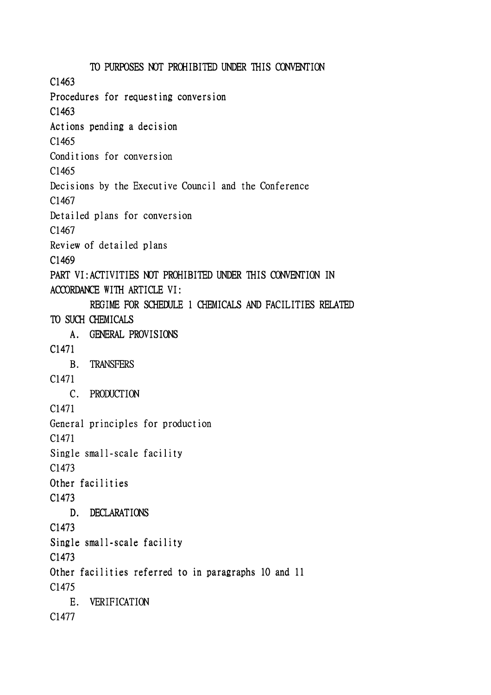TO PURPOSES NOT PROHIBITED UNDER THIS CONVENTION C1463 Procedures for requesting conversion C1463 Actions pending a decision C1465 Conditions for conversion C1465 Decisions by the Executive Council and the Conference C1467 Detailed plans for conversion C1467 Review of detailed plans C1469 PART VI: ACTIVITIES NOT PROHIBITED UNDER THIS CONVENTION IN ACCORDANCE WITH ARTICLE VI: REGIME FOR SCHEDULE 1 CHEMICALS AND FACILITIES RELATED TO SUCH CHEMICALS A. GENERAL PROVISIONS C1471 B. TRANSFERS C1471 C. PRODUCTION C1471 General principles for production C1471 Single small-scale facility C1473 Other facilities C1473 D. DECLARATIONS C1473 Single small-scale facility C1473 Other facilities referred to in paragraphs 10 and 11 C1475 E. VERIFICATION C1477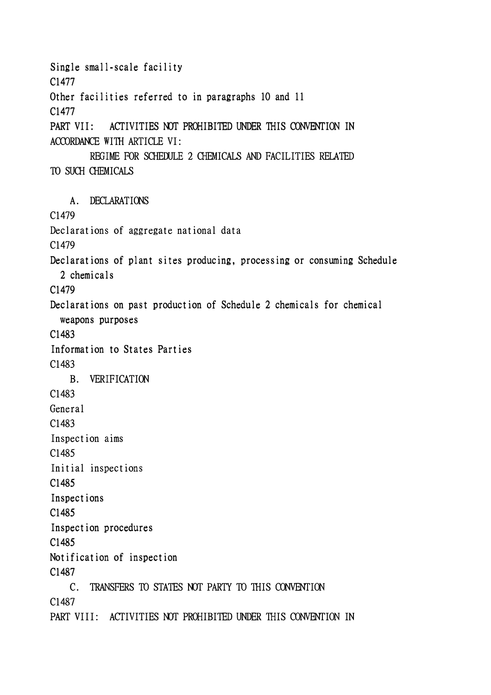Single small-scale facility C1477 Other facilities referred to in paragraphs 10 and 11 C1477 PART VII: ACTIVITIES NOT PROHIBITED UNDER THIS CONVENTION IN ACCORDANCE WITH ARTICLE VI: REGIME FOR SCHEDULE 2 CHEMICALS AND FACILITIES RELATED TO SUCH CHEMICALS A. DECLARATIONS C1479 Declarations of aggregate national data C1479 Declarations of plant sites producing, processing or consuming Schedule 2 chemicals C1479 Declarations on past production of Schedule 2 chemicals for chemical weapons purposes C1483 Information to States Parties C1483 B. VERIFICATION C1483 General C1483 Inspection aims C1485 Initial inspections C1485 Inspections C1485 Inspection procedures C1485 Notification of inspection C1487 C. TRANSFERS TO STATES NOT PARTY TO THIS CONVENTION C1487 PART VIII: ACTIVITIES NOT PROHIBITED UNDER THIS CONVENTION IN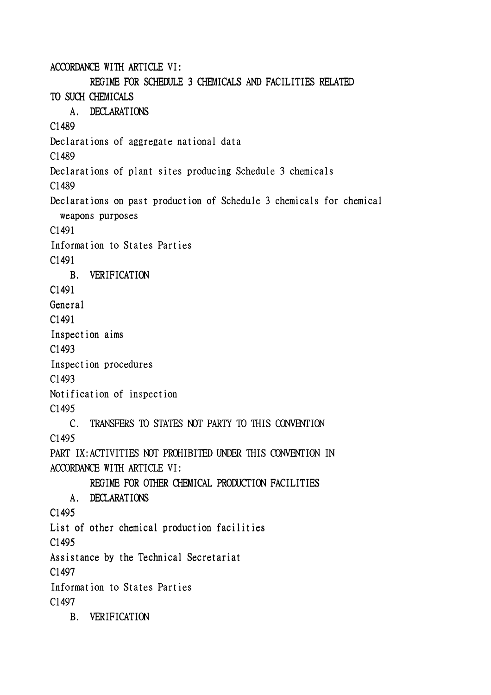ACCORDANCE WITH ARTICLE VI: REGIME FOR SCHEDULE 3 CHEMICALS AND FACILITIES RELATED TO SUCH CHEMICALS A. DECLARATIONS C1489 Declarations of aggregate national data C1489 Declarations of plant sites producing Schedule 3 chemicals C1489 Declarations on past production of Schedule 3 chemicals for chemical weapons purposes C1491 Information to States Parties C1491 B. VERIFICATION C1491 General C1491 Inspection aims C1493 Inspection procedures C1493 Notification of inspection C1495 C. TRANSFERS TO STATES NOT PARTY TO THIS CONVENTION C1495 PART IX: ACTIVITIES NOT PROHIBITED UNDER THIS CONVENTION IN ACCORDANCE WITH ARTICLE VI: REGIME FOR OTHER CHEMICAL PRODUCTION FACILITIES A. DECLARATIONS C1495 List of other chemical production facilities C1495 Assistance by the Technical Secretariat C1497 Information to States Parties C1497

B. VERIFICATION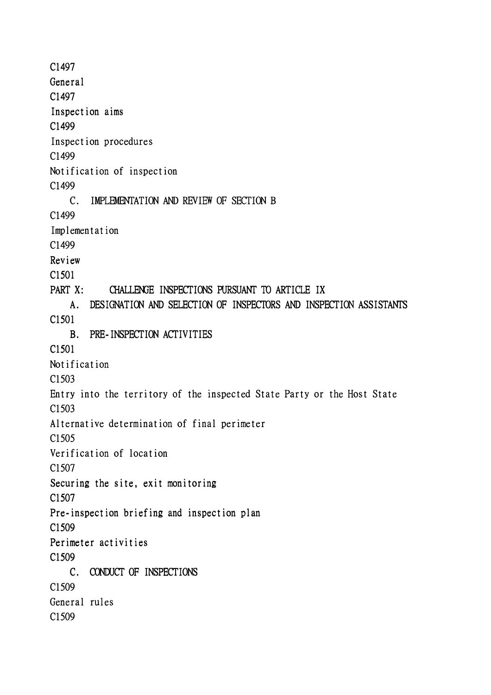C1497 General C1497 Inspection aims C1499 Inspection procedures C1499 Notification of inspection C1499 C. IMPLEMENTATION AND REVIEW OF SECTION B C1499 Implementation C1499 Review C1501 PART X: CHALLENGE INSPECTIONS PURSUANT TO ARTICLE IX A. DESIGNATION AND SELECTION OF INSPECTORS AND INSPECTION ASSISTANTS C1501 B. PRE-INSPECTION ACTIVITIES C1501 Notification C1503 Entry into the territory of the inspected State Party or the Host State C1503 Alternative determination of final perimeter C1505 Verification of location C1507 Securing the site, exit monitoring C1507 Pre-inspection briefing and inspection plan C1509 Perimeter activities C1509 C. CONDUCT OF INSPECTIONS C1509 General rules C1509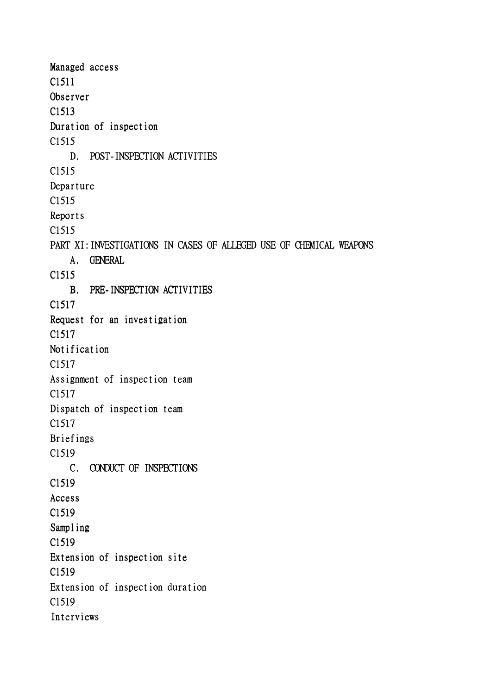Managed access C1511 Observer C1513 Duration of inspection C1515 D. POST-INSPECTION ACTIVITIES C1515 Departure C1515 Reports C1515 PART XI: INVESTIGATIONS IN CASES OF ALLEGED USE OF CHEMICAL WEAPONS A. GENERAL C1515 B. PRE-INSPECTION ACTIVITIES C1517 Request for an investigation C1517 Notification C1517 Assignment of inspection team C1517 Dispatch of inspection team C1517 Briefings C1519 C. CONDUCT OF INSPECTIONS C1519 Access C1519 Sampling C1519 Extension of inspection site C1519 Extension of inspection duration C1519 Interviews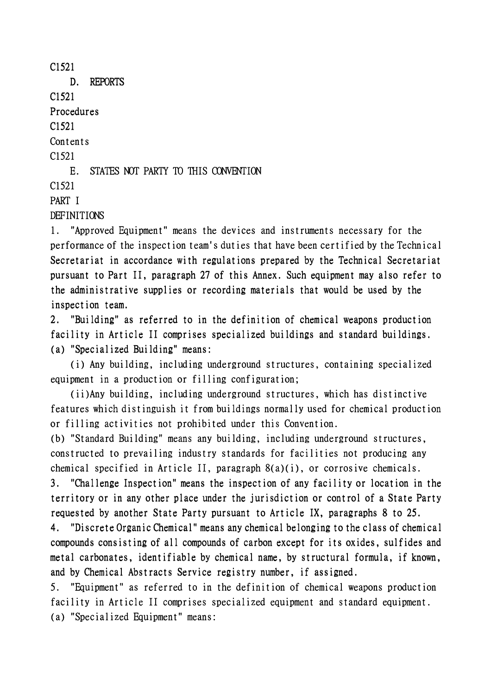C1521 D. REPORTS C1521 Procedures C1521 **Contents** C1521 E. STATES NOT PARTY TO THIS CONVENTION C1521 PART I DEFINITIONS

1. "Approved Equipment" means the devices and instruments necessary for the performance of the inspection team's duties that have been certified by the Technical Secretariat in accordance with regulations prepared by the Technical Secretariat pursuant to Part II, paragraph 27 of this Annex. Such equipment may also refer to the administrative supplies or recording materials that would be used by the inspection team.

2. "Building" as referred to in the definition of chemical weapons production facility in Article II comprises specialized buildings and standard buildings. (a) "Specialized Building" means:

(i) Any building, including underground structures, containing specialized (i) equipment in a production or filling configuration;

(ii)Any building, including underground structures, which has distinctive features which distinguish it from buildings normally used for chemical production or filling activities not prohibited under this Convention.

(b) "Standard Building" means any building, including underground structures, constructed to prevailing industry standards for facilities not producing any chemical specified in Article II, paragraph 8(a)(i), or corrosive chemicals.

3. "Challenge Inspection" means the inspection of any facility or location in the territory or in any other place under the jurisdiction or control of a State Party requested by another State Party pursuant to Article IX, paragraphs 8 to 25.

4. "Discrete Organic Chemical" means any chemical belonging to the class of chemical compounds consisting of all compounds of carbon except for its oxides, sulfides and metal carbonates, identifiable by chemical name, by structural formula, if known, and by Chemical Abstracts Service registry number, if assigned.

5. "Equipment" as referred to in the definition of chemical weapons production facility in Article II comprises specialized equipment and standard equipment. (a) "Specialized Equipment" means: (a)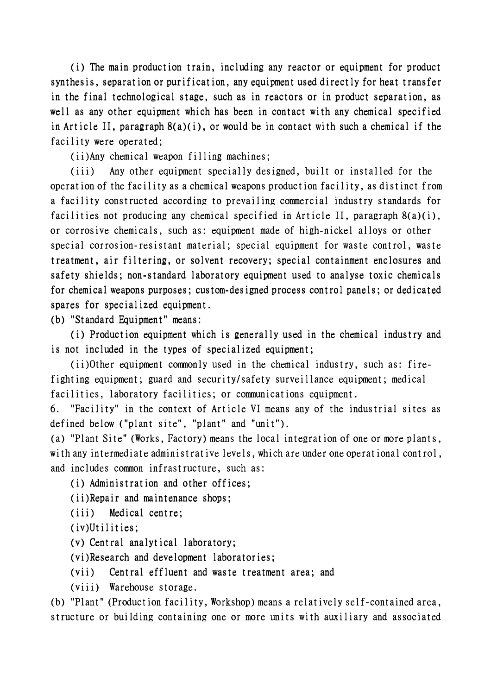(i) The main production train, including any reactor or equipment for product synthesis, separation or purification, any equipment used directly for heat transfer in the final technological stage, such as in reactors or in product separation, as well as any other equipment which has been in contact with any chemical specified in Article II, paragraph 8(a)(i), or would be in contact with such a chemical if the facility were operated;

 $(i)$ Any chemical weapon filling machines;

(iii) Any other equipment specially designed, built or installed for the operation of the facility as a chemical weapons production facility, as distinct from a facility constructed according to prevailing commercial industry standards for facilities not producing any chemical specified in Article II, paragraph 8(a)(i), or corrosive chemicals, such as: equipment made of high-nickel alloys or other special corrosion-resistant material; special equipment for waste control, waste treatment, air filtering, or solvent recovery; special containment enclosures and safety shields; non-standard laboratory equipment used to analyse toxic chemicals for chemical weapons purposes; custom-designed process control panels; or dedicated spares for specialized equipment.

(b) "Standard Equipment" means:

(i) Production equipment which is generally used in the chemical industry and is not included in the types of specialized equipment;

 $(i)$ Other equipment commonly used in the chemical industry, such as: firefighting equipment; guard and security/safety surveillance equipment; medical facilities, laboratory facilities; or communications equipment.

6. "Facility" in the context of Article VI means any of the industrial sites as defined below ("plant site", "plant" and "unit").

(a) "Plant Site" (Works, Factory) means the local integration of one or more plants, with any intermediate administrative levels, which are under one operational control, and includes common infrastructure, such as:

(i) Administration and other offices;

 $(i)$ Repair and maintenance shops;

(iii) Medical centre; (iii) Medical centre;

(iv)Utilities; (iv)Utilities;

(v) Central analytical laboratory; (v) Central analytical laboratory;

(vi)Research and development laboratories; (vi)Research and

(vii) Central effluent and waste treatment area; and

 $(viii)$  Warehouse storage.

(b) "Plant" (Production facility, Workshop) means a relatively self-contained area, structure or building containing one or more units with auxiliary and associated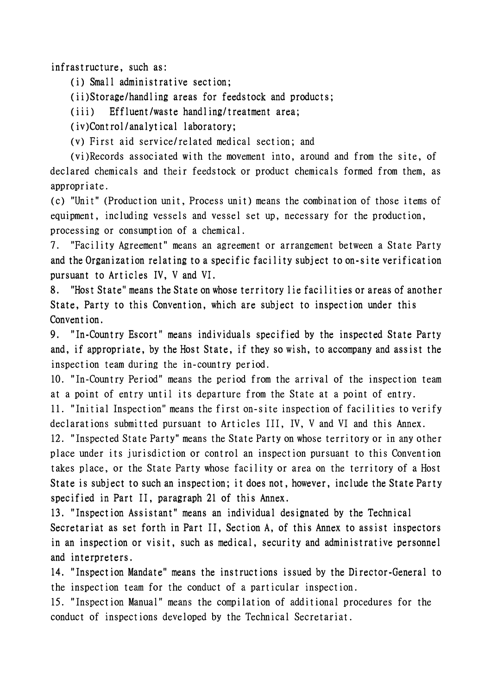infrastructure, such as:

 $(i)$  Small administrative section;

 $(i)$ Storage/handling areas for feedstock and products;

 $(iii)$  Effluent/waste handling/treatment area;

(iv)Control/analytical laboratory;

(v) First aid service/related medical section; and

(vi)Records associated with the movement into, around and from the site, of declared chemicals and their feedstock or product chemicals formed from them, as appropriate.

(c) "Unit" (Production unit, Process unit) means the combination of those items of equipment, including vessels and vessel set up, necessary for the production, processing or consumption of a chemical.

7. "Facility Agreement" means an agreement or arrangement between a State Party and the Organization relating to a specific facility subject to on-site verification pursuant to Articles IV, V and VI.

8. "Host State" means the State on whose territory lie facilities or areas of another State, Party to this Convention, which are subject to inspection under this Convention.

9. "In-Country Escort" means individuals specified by the inspected State Party and, if appropriate, by the Host State, if they so wish, to accompany and assist the inspection team during the in-country period.

10. "In-Country Period" means the period from the arrival of the inspection team at a point of entry until its departure from the State at a point of entry.

11. "Initial Inspection" means the first on-site inspection of facilities to verify declarations submitted pursuant to Articles III, IV, V and VI and this Annex.

12. "Inspected State Party" means the State Party on whose territory or in any other place under its jurisdiction or control an inspection pursuant to this Convention takes place, or the State Party whose facility or area on the territory of a Host State is subject to such an inspection; it does not, however, include the State Party specified in Part II, paragraph 21 of this Annex.

13. "Inspection Assistant" means an individual designated by the Technical Secretariat as set forth in Part II, Section A, of this Annex to assist inspectors in an inspection or visit, such as medical, security and administrative personnel and interpreters.

14. "Inspection Mandate" means the instructions issued by the Director-General to the inspection team for the conduct of a particular inspection.

15. "Inspection Manual" means the compilation of additional procedures for the conduct of inspections developed by the Technical Secretariat.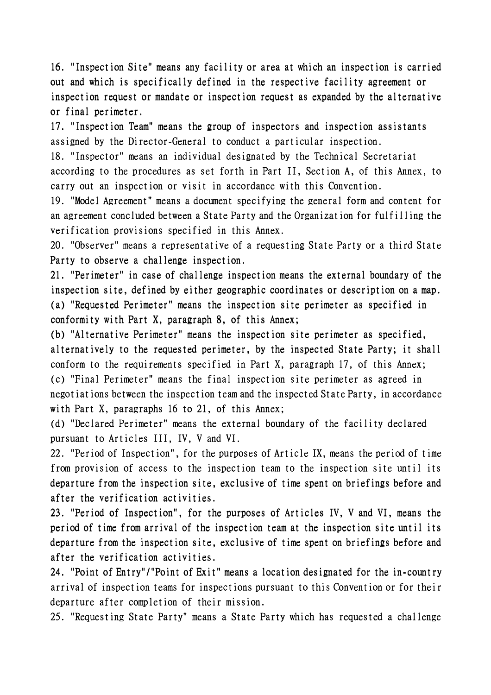16. "Inspection Site" means any facility or area at which an inspection is carried out and which is specifically defined in the respective facility agreement or inspection request or mandate or inspection request as expanded by the alternative or final perimeter.

17. "Inspection Team" means the group of inspectors and inspection assistants 17. assigned by the Director-General to conduct a particular inspection.

18. "Inspector" means an individual designated by the Technical Secretariat according to the procedures as set forth in Part II, Section A, of this Annex, to carry out an inspection or visit in accordance with this Convention.

19. "Model Agreement" means a document specifying the general form and content for an agreement concluded between a State Party and the Organization for fulfilling the verification provisions specified in this Annex.

20. "Observer" means a representative of a requesting State Party or a third State Party to observe a challenge inspection.

21. "Perimeter" in case of challenge inspection means the external boundary of the inspection site, defined by either geographic coordinates or description on a map. (a) "Requested Perimeter" means the inspection site perimeter as specified in conformity with Part X, paragraph 8, of this Annex;

(b) "Alternative Perimeter" means the inspection site perimeter as specified, alternatively to the requested perimeter, by the inspected State Party; it shall conform to the requirements specified in Part X, paragraph 17, of this Annex; (c) "Final Perimeter" means the final inspection site perimeter as agreed in negotiations between the inspection team and the inspected State Party, in accordance with Part X, paragraphs 16 to 21, of this Annex;

(d) "Declared Perimeter" means the external boundary of the facility declared pursuant to Articles III, IV, V and VI.

22. "Period of Inspection", for the purposes of Article IX, means the period of time from provision of access to the inspection team to the inspection site until its departure from the inspection site, exclusive of time spent on briefings before and after the verification activities.

23. "Period of Inspection", for the purposes of Articles IV, V and VI, means the period of time from arrival of the inspection team at the inspection site until its departure from the inspection site, exclusive of time spent on briefings before and after the verification activities.

24. "Point of Entry"/"Point of Exit" means a location designated for the in-country arrival of inspection teams for inspections pursuant to this Convention or for their departure after completion of their mission.

25. "Requesting State Party" means a State Party which has requested a challenge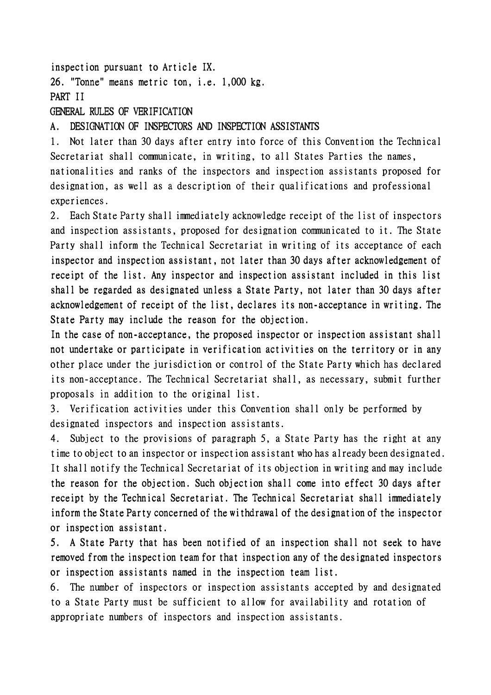inspection pursuant to Article IX.

26. "Tonne" means metric ton, i.e.  $1,000$  kg.

PART II

## GENERAL RULES OF VERIFICATION

# A. DESIGNATION OF INSPECTORS AND INSPECTION ASSISTANTS

1. Not later than 30 days after entry into force of this Convention the Technical Secretariat shall communicate, in writing, to all States Parties the names, nationalities and ranks of the inspectors and inspection assistants proposed for designation, as well as a description of their qualifications and professional experiences.

2. Each State Party shall immediately acknowledge receipt of the list of inspectors and inspection assistants, proposed for designation communicated to it. The State Party shall inform the Technical Secretariat in writing of its acceptance of each inspector and inspection assistant, not later than 30 days after acknowledgement of receipt of the list. Any inspector and inspection assistant included in this list shall be regarded as designated unless a State Party, not later than 30 days after acknowledgement of receipt of the list, declares its non-acceptance in writing. The State Party may include the reason for the objection.

In the case of non-acceptance, the proposed inspector or inspection assistant shall not undertake or participate in verification activities on the territory or in any other place under the jurisdiction or control of the State Party which has declared its non-acceptance. The Technical Secretariat shall, as necessary, submit further proposals in addition to the original list.

3. Verification activities under this Convention shall only be performed by designated inspectors and inspection assistants.

4. Subject to the provisions of paragraph 5, a State Party has the right at any time to object to an inspector or inspection assistant who has already been designated. It shall notify the Technical Secretariat of its objection in writing and may include the reason for the objection. Such objection shall come into effect 30 days after receipt by the Technical Secretariat. The Technical Secretariat shall immediately inform the State Party concerned of the withdrawal of the designation of the inspector or inspection assistant.

5. A State Party that has been notified of an inspection shall not seek to have removed from the inspection team for that inspection any of the designated inspectors or inspection assistants named in the inspection team list.

6. The number of inspectors or inspection assistants accepted by and designated to a State Party must be sufficient to allow for availability and rotation of appropriate numbers of inspectors and inspection assistants.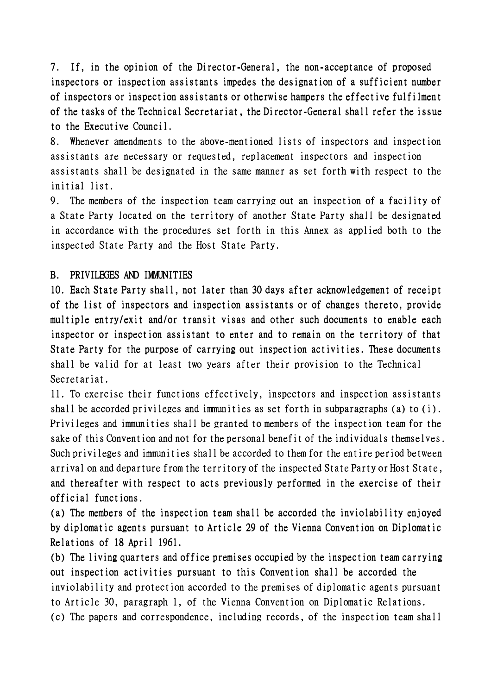7. If, in the opinion of the Director-General, the non-acceptance of proposed inspectors or inspection assistants impedes the designation of a sufficient number of inspectors or inspection assistants or otherwise hampers the effective fulfilment of the tasks of the Technical Secretariat, the Director-General shall refer the issue to the Executive Council.

8. Whenever amendments to the above-mentioned lists of inspectors and inspection assistants are necessary or requested, replacement inspectors and inspection assistants shall be designated in the same manner as set forth with respect to the initial list.

9. The members of the inspection team carrying out an inspection of a facility of a State Party located on the territory of another State Party shall be designated in accordance with the procedures set forth in this Annex as applied both to the inspected State Party and the Host State Party.

## B. PRIVILEGES AND IMMUNITIES

10. Each State Party shall, not later than 30 days after acknowledgement of receipt of the list of inspectors and inspection assistants or of changes thereto, provide multiple entry/exit and/or transit visas and other such documents to enable each inspector or inspection assistant to enter and to remain on the territory of that State Party for the purpose of carrying out inspection activities. These documents shall be valid for at least two years after their provision to the Technical Secretariat.

11. To exercise their functions effectively, inspectors and inspection assistants shall be accorded privileges and immunities as set forth in subparagraphs (a) to (i). Privileges and immunities shall be granted to members of the inspection team for the sake of this Convention and not for the personal benefit of the individuals themselves. Such privileges and immunities shall be accorded to them for the entire period between arrival on and departure from the territory of the inspected State Party or Host State, and thereafter with respect to acts previously performed in the exercise of their official functions.

(a) The members of the inspection team shall be accorded the inviolability enjoyed by diplomatic agents pursuant to Article 29 of the Vienna Convention on Diplomatic Relations of 18 April 1961.

(b) The living quarters and office premises occupied by the inspection team carrying out inspection activities pursuant to this Convention shall be accorded the inviolability and protection accorded to the premises of diplomatic agents pursuant to Article 30, paragraph 1, of the Vienna Convention on Diplomatic Relations. (c) The papers and correspondence, including records, of the inspection team shall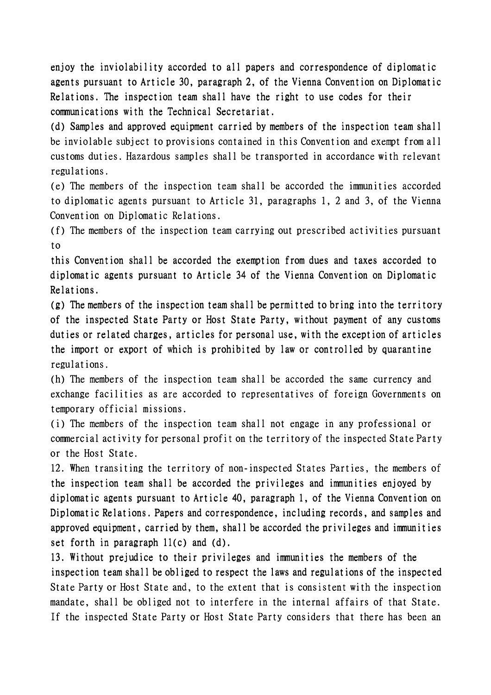enjoy the inviolability accorded to all papers and correspondence of diplomatic agents pursuant to Article 30, paragraph 2, of the Vienna Convention on Diplomatic Relations. The inspection team shall have the right to use codes for their communications with the Technical Secretariat.

(d) Samples and approved equipment carried by members of the inspection team shall be inviolable subject to provisions contained in this Convention and exempt from all customs duties. Hazardous samples shall be transported in accordance with relevant regulations.

 $(e)$  The members of the inspection team shall be accorded the immunities accorded to diplomatic agents pursuant to Article 31, paragraphs 1, 2 and 3, of the Vienna Convention on Diplomatic Relations.

(f) The members of the inspection team carrying out prescribed activities pursuant to

this Convention shall be accorded the exemption from dues and taxes accorded to diplomatic agents pursuant to Article 34 of the Vienna Convention on Diplomatic Relations.

 $(g)$  The members of the inspection team shall be permitted to bring into the territory of the inspected State Party or Host State Party, without payment of any customs duties or related charges, articles for personal use, with the exception of articles the import or export of which is prohibited by law or controlled by quarantine regulations.

(h) The members of the inspection team shall be accorded the same currency and exchange facilities as are accorded to representatives of foreign Governments on temporary official missions.

(i) The members of the inspection team shall not engage in any professional or commercial activity for personal profit on the territory of the inspected State Party or the Host State.

12. When transiting the territory of non-inspected States Parties, the members of the inspection team shall be accorded the privileges and immunities enjoyed by diplomatic agents pursuant to Article 40, paragraph 1, of the Vienna Convention on Diplomatic Relations. Papers and correspondence, including records, and samples and approved equipment, carried by them, shall be accorded the privileges and immunities set forth in paragraph  $11(c)$  and  $(d)$ .

13. Without prejudice to their privileges and immunities the members of the inspection team shall be obliged to respect the laws and regulations of the inspected State Party or Host State and, to the extent that is consistent with the inspection mandate, shall be obliged not to interfere in the internal affairs of that State. If the inspected State Party or Host State Party considers that there has been an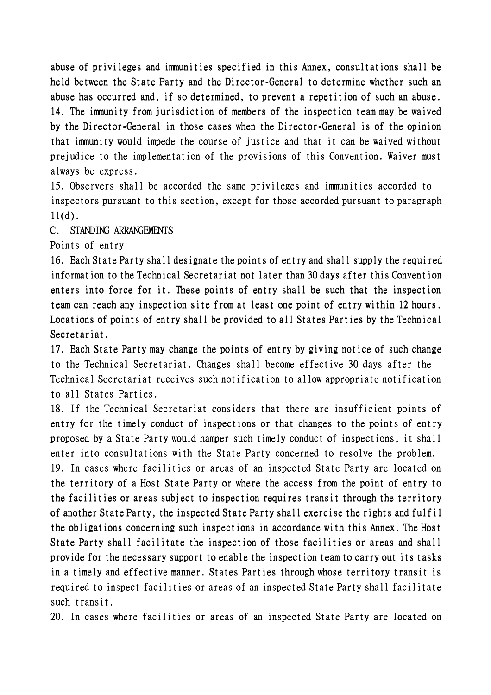abuse of privileges and immunities specified in this Annex, consultations shall be held between the State Party and the Director-General to determine whether such an abuse has occurred and, if so determined, to prevent a repetition of such an abuse. 14. The immunity from jurisdiction of members of the inspection team may be waived by the Director-General in those cases when the Director-General is of the opinion that immunity would impede the course of justice and that it can be waived without prejudice to the implementation of the provisions of this Convention. Waiver must always be express.

15. Observers shall be accorded the same privileges and immunities accorded to inspectors pursuant to this section, except for those accorded pursuant to paragraph 11(d).

## C. STANDING ARRANGEMENTS

Points of entry

16. Each State Party shall designate the points of entry and shall supply the required information to the Technical Secretariat not later than 30 days after this Convention enters into force for it. These points of entry shall be such that the inspection team can reach any inspection site from at least one point of entry within 12 hours. Locations of points of entry shall be provided to all States Parties by the Technical Secretariat.

17. Each State Party may change the points of entry by giving notice of such change to the Technical Secretariat. Changes shall become effective 30 days after the Technical Secretariat receives such notification to allow appropriate notification to all States Parties.

18. If the Technical Secretariat considers that there are insufficient points of entry for the timely conduct of inspections or that changes to the points of entry proposed by a State Party would hamper such timely conduct of inspections, it shall enter into consultations with the State Party concerned to resolve the problem.

19. In cases where facilities or areas of an inspected State Party are located on the territory of a Host State Party or where the access from the point of entry to the facilities or areas subject to inspection requires transit through the territory of another State Party, the inspected State Party shall exercise the rights and fulfil the obligations concerning such inspections in accordance with this Annex. The Host State Party shall facilitate the inspection of those facilities or areas and shall provide for the necessary support to enable the inspection team to carry out its tasks in a timely and effective manner. States Parties through whose territory transit is required to inspect facilities or areas of an inspected State Party shall facilitate such transit.

20. In cases where facilities or areas of an inspected State Party are located on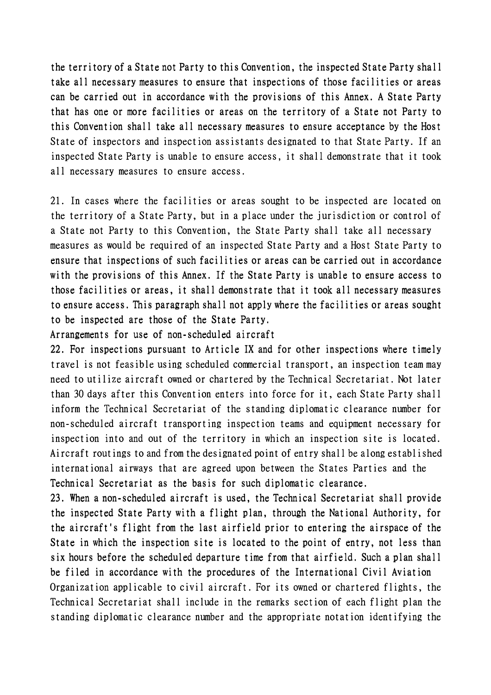the territory of a State not Party to this Convention, the inspected State Party shall take all necessary measures to ensure that inspections of those facilities or areas can be carried out in accordance with the provisions of this Annex. A State Party that has one or more facilities or areas on the territory of a State not Party to this Convention shall take all necessary measures to ensure acceptance by the Host State of inspectors and inspection assistants designated to that State Party. If an inspected State Party is unable to ensure access, it shall demonstrate that it took all necessary measures to ensure access.

21. In cases where the facilities or areas sought to be inspected are located on the territory of a State Party, but in a place under the jurisdiction or control of a State not Party to this Convention, the State Party shall take all necessary measures as would be required of an inspected State Party and a Host State Party to ensure that inspections of such facilities or areas can be carried out in accordance with the provisions of this Annex. If the State Party is unable to ensure access to those facilities or areas, it shall demonstrate that it took all necessary measures to ensure access. This paragraph shall not apply where the facilities or areas sought to be inspected are those of the State Party.

Arrangements for use of non-scheduled aircraft

22. For inspections pursuant to Article IX and for other inspections where timely travel is not feasible using scheduled commercial transport, an inspection team may need to utilize aircraft owned or chartered by the Technical Secretariat. Not later than 30 days after this Convention enters into force for it, each State Party shall inform the Technical Secretariat of the standing diplomatic clearance number for non-scheduled aircraft transporting inspection teams and equipment necessary for inspection into and out of the territory in which an inspection site is located. Aircraft routings to and from the designated point of entry shall be along established international airways that are agreed upon between the States Parties and the Technical Secretariat as the basis for such diplomatic clearance.

23. When a non-scheduled aircraft is used, the Technical Secretariat shall provide the inspected State Party with a flight plan, through the National Authority, for the aircraft's flight from the last airfield prior to entering the airspace of the State in which the inspection site is located to the point of entry, not less than six hours before the scheduled departure time from that airfield. Such a plan shall be filed in accordance with the procedures of the International Civil Aviation Organization applicable to civil aircraft. For its owned or chartered flights, the Technical Secretariat shall include in the remarks section of each flight plan the standing diplomatic clearance number and the appropriate notation identifying the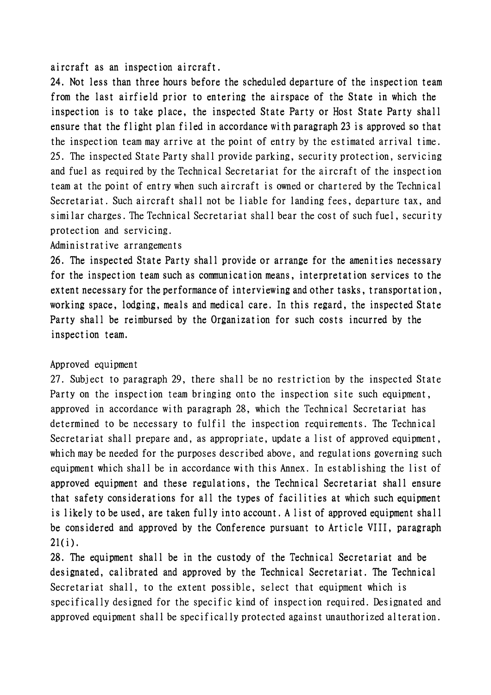aircraft as an inspection aircraft.

24. Not less than three hours before the scheduled departure of the inspection team from the last airfield prior to entering the airspace of the State in which the inspection is to take place, the inspected State Party or Host State Party shall ensure that the flight plan filed in accordance with paragraph 23 is approved so that the inspection team may arrive at the point of entry by the estimated arrival time. 25. The inspected State Party shall provide parking, security protection, servicing and fuel as required by the Technical Secretariat for the aircraft of the inspection team at the point of entry when such aircraft is owned or chartered by the Technical Secretariat. Such aircraft shall not be liable for landing fees, departure tax, and similar charges. The Technical Secretariat shall bear the cost of such fuel, security protection and servicing.

#### Administrative arrangements

26. The inspected State Party shall provide or arrange for the amenities necessary for the inspection team such as communication means, interpretation services to the extent necessary for the performance of interviewing and other tasks, transportation, working space, lodging, meals and medical care. In this regard, the inspected State Party shall be reimbursed by the Organization for such costs incurred by the inspection team.

#### Approved equipment

27. Subject to paragraph 29, there shall be no restriction by the inspected State Party on the inspection team bringing onto the inspection site such equipment, approved in accordance with paragraph 28, which the Technical Secretariat has determined to be necessary to fulfil the inspection requirements. The Technical Secretariat shall prepare and, as appropriate, update a list of approved equipment, which may be needed for the purposes described above, and regulations governing such equipment which shall be in accordance with this Annex. In establishing the list of approved equipment and these regulations, the Technical Secretariat shall ensure that safety considerations for all the types of facilities at which such equipment is likely to be used, are taken fully into account. A list of approved equipment shall be considered and approved by the Conference pursuant to Article VIII, paragraph 21(i).

28. The equipment shall be in the custody of the Technical Secretariat and be designated, calibrated and approved by the Technical Secretariat. The Technical Secretariat shall, to the extent possible, select that equipment which is specifically designed for the specific kind of inspection required. Designated and approved equipment shall be specifically protected against unauthorized alteration.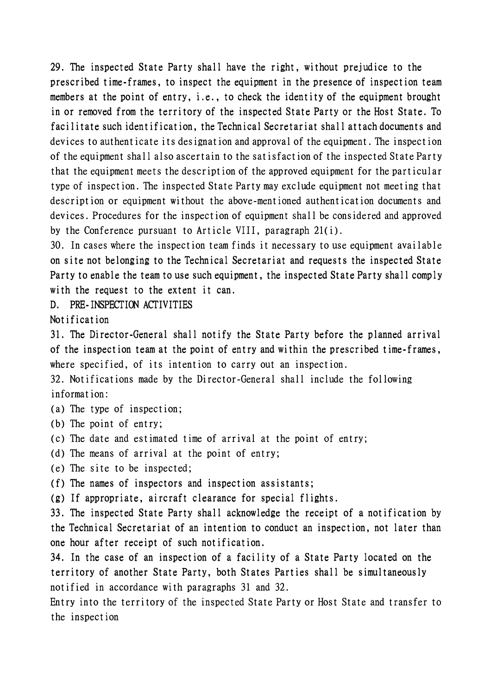29. The inspected State Party shall have the right, without prejudice to the prescribed time-frames, to inspect the equipment in the presence of inspection team members at the point of entry, i.e., to check the identity of the equipment brought in or removed from the territory of the inspected State Party or the Host State. To facilitate such identification, the Technical Secretariat shall attach documents and devices to authenticate its designation and approval of the equipment. The inspection of the equipment shall also ascertain to the satisfaction of the inspected State Party that the equipment meets the description of the approved equipment for the particular type of inspection. The inspected State Party may exclude equipment not meeting that description or equipment without the above-mentioned authentication documents and devices. Procedures for the inspection of equipment shall be considered and approved by the Conference pursuant to Article VIII, paragraph 21(i).

30. In cases where the inspection team finds it necessary to use equipment available on site not belonging to the Technical Secretariat and requests the inspected State Party to enable the team to use such equipment, the inspected State Party shall comply with the request to the extent it can.

### D. PRE-INSPECTION ACTIVITIES

#### Notification

31. The Director-General shall notify the State Party before the planned arrival of the inspection team at the point of entry and within the prescribed time-frames, where specified, of its intention to carry out an inspection.

32. Notifications made by the Director-General shall include the following information:

 $(a)$  The type of inspection;

- (b) The point of entry;
- (c) The date and estimated time of arrival at the point of entry;

(d) The means of arrival at the point of entry;

- $(e)$  The site to be inspected;
- $(f)$  The names of inspectors and inspection assistants;

 $(g)$  If appropriate, aircraft clearance for special flights.

33. The inspected State Party shall acknowledge the receipt of a notification by the Technical Secretariat of an intention to conduct an inspection, not later than one hour after receipt of such notification.

34. In the case of an inspection of a facility of a State Party located on the territory of another State Party, both States Parties shall be simultaneously notified in accordance with paragraphs 31 and 32.

Entry into the territory of the inspected State Party or Host State and transfer to the inspection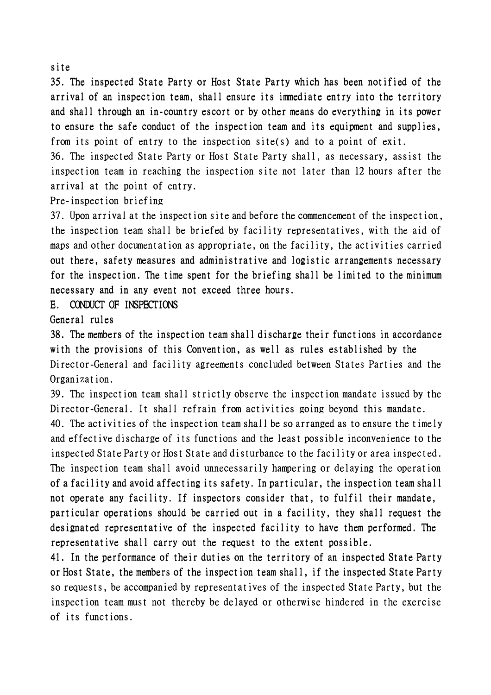35. The inspected State Party or Host State Party which has been notified of the arrival of an inspection team, shall ensure its immediate entry into the territory and shall through an in-country escort or by other means do everything in its power to ensure the safe conduct of the inspection team and its equipment and supplies, from its point of entry to the inspection site(s) and to a point of exit.

36. The inspected State Party or Host State Party shall, as necessary, assist the inspection team in reaching the inspection site not later than 12 hours after the arrival at the point of entry.

Pre-inspection briefing

37. Upon arrival at the inspection site and before the commencement of the inspection, the inspection team shall be briefed by facility representatives, with the aid of maps and other documentation as appropriate, on the facility, the activities carried out there, safety measures and administrative and logistic arrangements necessary for the inspection. The time spent for the briefing shall be limited to the minimum necessary and in any event not exceed three hours.

### E. CONDUCT OF INSPECTIONS E. CONDUCT OF INSPECTIONS

#### General rules

38. The members of the inspection team shall discharge their functions in accordance with the provisions of this Convention, as well as rules established by the Director-General and facility agreements concluded between States Parties and the Organization.

39. The inspection team shall strictly observe the inspection mandate issued by the Director-General. It shall refrain from activities going beyond this mandate.

40. The activities of the inspection team shall be so arranged as to ensure the timely and effective discharge of its functions and the least possible inconvenience to the inspected State Party or Host State and disturbance to the facility or area inspected. The inspection team shall avoid unnecessarily hampering or delaying the operation of a facility and avoid affecting its safety. In particular, the inspection team shall not operate any facility. If inspectors consider that, to fulfil their mandate, particular operations should be carried out in a facility, they shall request the designated representative of the inspected facility to have them performed. The representative shall carry out the request to the extent possible.

41. In the performance of their duties on the territory of an inspected State Party or Host State, the members of the inspection team shall, if the inspected State Party so requests, be accompanied by representatives of the inspected State Party, but the inspection team must not thereby be delayed or otherwise hindered in the exercise of its functions.

#### site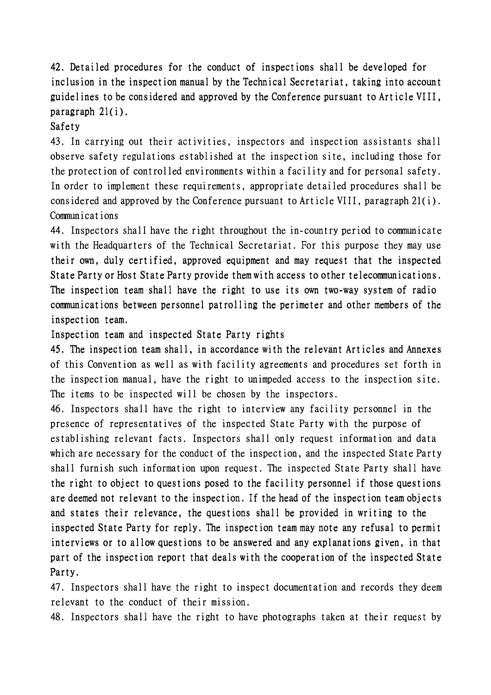42. Detailed procedures for the conduct of inspections shall be developed for inclusion in the inspection manual by the Technical Secretariat, taking into account guidelines to be considered and approved by the Conference pursuant to Article VIII, paragraph 21(i).

## Safety

43. In carrying out their activities, inspectors and inspection assistants shall observe safety regulations established at the inspection site, including those for the protection of controlled environments within a facility and for personal safety. In order to implement these requirements, appropriate detailed procedures shall be considered and approved by the Conference pursuant to Article VIII, paragraph 21(i). Communications

44. Inspectors shall have the right throughout the in-country period to communicate with the Headquarters of the Technical Secretariat. For this purpose they may use their own, duly certified, approved equipment and may request that the inspected State Party or Host State Party provide them with access to other telecommunications. The inspection team shall have the right to use its own two-way system of radio communications between personnel patrolling the perimeter and other members of the inspection team.

Inspection team and inspected State Party rights

45. The inspection team shall, in accordance with the relevant Articles and Annexes of this Convention as well as with facility agreements and procedures set forth in the inspection manual, have the right to unimpeded access to the inspection site. The items to be inspected will be chosen by the inspectors.

46. Inspectors shall have the right to interview any facility personnel in the presence of representatives of the inspected State Party with the purpose of establishing relevant facts. Inspectors shall only request information and data which are necessary for the conduct of the inspection, and the inspected State Party shall furnish such information upon request. The inspected State Party shall have the right to object to questions posed to the facility personnel if those questions are deemed not relevant to the inspection. If the head of the inspection team objects and states their relevance, the questions shall be provided in writing to the inspected State Party for reply. The inspection team may note any refusal to permit interviews or to allow questions to be answered and any explanations given, in that part of the inspection report that deals with the cooperation of the inspected State Party.

47. Inspectors shall have the right to inspect documentation and records they deem relevant to the conduct of their mission.

48. Inspectors shall have the right to have photographs taken at their request by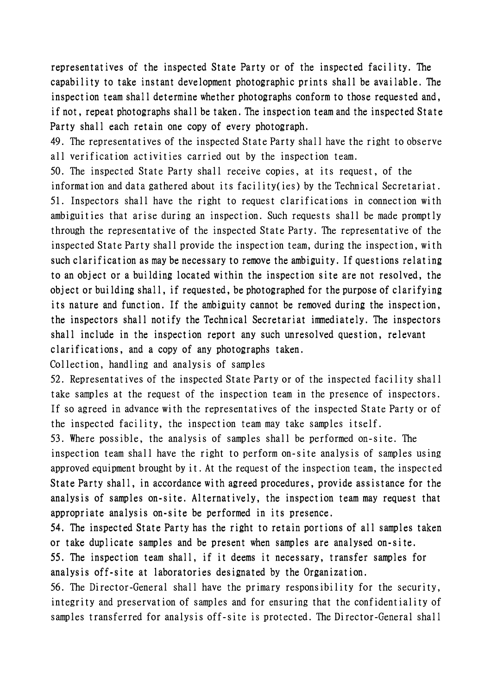representatives of the inspected State Party or of the inspected facility. The capability to take instant development photographic prints shall be available. The inspection team shall determine whether photographs conform to those requested and, if not, repeat photographs shall be taken. The inspection team and the inspected State Party shall each retain one copy of every photograph.

49. The representatives of the inspected State Party shall have the right to observe all verification activities carried out by the inspection team.

50. The inspected State Party shall receive copies, at its request, of the

information and data gathered about its facility(ies) by the Technical Secretariat. 51. Inspectors shall have the right to request clarifications in connection with ambiguities that arise during an inspection. Such requests shall be made promptly through the representative of the inspected State Party. The representative of the inspected State Party shall provide the inspection team, during the inspection, with such clarification as may be necessary to remove the ambiguity. If questions relating to an object or a building located within the inspection site are not resolved, the object or building shall, if requested, be photographed for the purpose of clarifying its nature and function. If the ambiguity cannot be removed during the inspection, the inspectors shall notify the Technical Secretariat immediately. The inspectors shall include in the inspection report any such unresolved question, relevant clarifications, and a copy of any photographs taken.

Collection, handling and analysis of samples

52. Representatives of the inspected State Party or of the inspected facility shall take samples at the request of the inspection team in the presence of inspectors. If so agreed in advance with the representatives of the inspected State Party or of the inspected facility, the inspection team may take samples itself.

53. Where possible, the analysis of samples shall be performed on-site. The inspection team shall have the right to perform on-site analysis of samples using approved equipment brought by it. At the request of the inspection team, the inspected State Party shall, in accordance with agreed procedures, provide assistance for the analysis of samples on-site. Alternatively, the inspection team may request that appropriate analysis on-site be performed in its presence.

54. The inspected State Party has the right to retain portions of all samples taken or take duplicate samples and be present when samples are analysed on-site.

55. The inspection team shall, if it deems it necessary, transfer samples for analysis off-site at laboratories designated by the Organization.

56. The Director-General shall have the primary responsibility for the security, integrity and preservation of samples and for ensuring that the confidentiality of samples transferred for analysis off-site is protected. The Director-General shall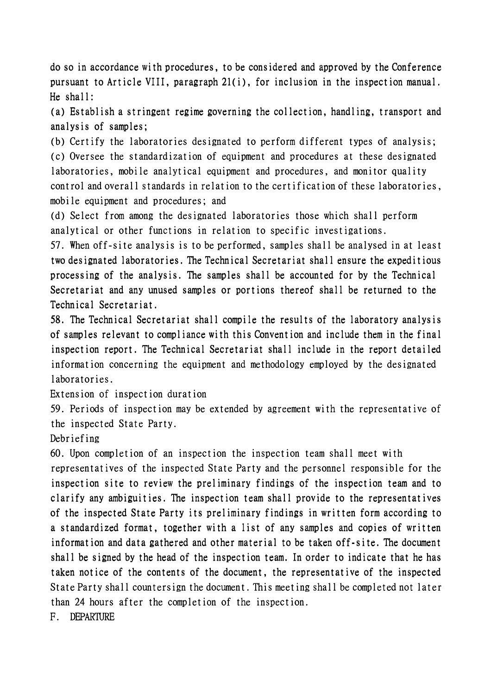do so in accordance with procedures, to be considered and approved by the Conference pursuant to Article VIII, paragraph 21(i), for inclusion in the inspection manual. He shall:

(a) Establish a stringent regime governing the collection, handling, transport and analysis of samples;

(b) Certify the laboratories designated to perform different types of analysis; (c) Oversee the standardization of equipment and procedures at these designated laboratories, mobile analytical equipment and procedures, and monitor quality control and overall standards in relation to the certification of these laboratories, mobile equipment and procedures; and

(d) Select from among the designated laboratories those which shall perform analytical or other functions in relation to specific investigations.

57. When off-site analysis is to be performed, samples shall be analysed in at least two designated laboratories. The Technical Secretariat shall ensure the expeditious processing of the analysis. The samples shall be accounted for by the Technical Secretariat and any unused samples or portions thereof shall be returned to the Technical Secretariat.

58. The Technical Secretariat shall compile the results of the laboratory analysis of samples relevant to compliance with this Convention and include them in the final inspection report. The Technical Secretariat shall include in the report detailed information concerning the equipment and methodology employed by the designated laboratories.

Extension of inspection duration

59. Periods of inspection may be extended by agreement with the representative of the inspected State Party.

Debriefing

60. Upon completion of an inspection the inspection team shall meet with representatives of the inspected State Party and the personnel responsible for the inspection site to review the preliminary findings of the inspection team and to clarify any ambiguities. The inspection team shall provide to the representatives of the inspected State Party its preliminary findings in written form according to a standardized format, together with a list of any samples and copies of written information and data gathered and other material to be taken off-site. The document shall be signed by the head of the inspection team. In order to indicate that he has taken notice of the contents of the document, the representative of the inspected State Party shall countersign the document. This meeting shall be completed not later than 24 hours after the completion of the inspection.

F. DEPARTURE F. DEPARTURE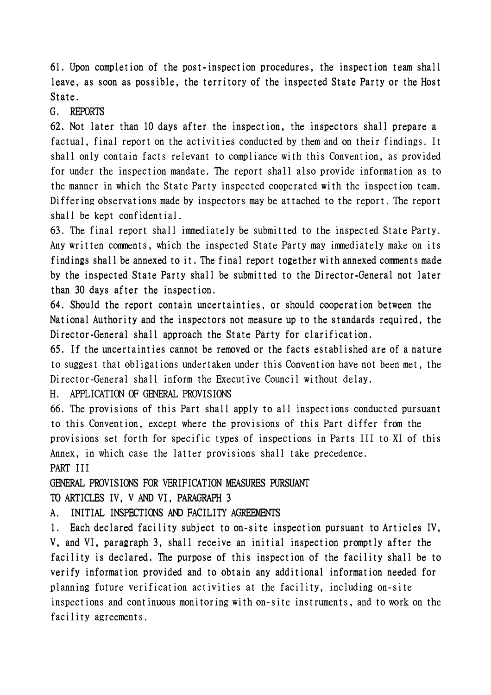61. Upon completion of the post-inspection procedures, the inspection team shall leave, as soon as possible, the territory of the inspected State Party or the Host State.

# G. REPORTS

62. Not later than 10 days after the inspection, the inspectors shall prepare a factual, final report on the activities conducted by them and on their findings. It shall only contain facts relevant to compliance with this Convention, as provided for under the inspection mandate. The report shall also provide information as to the manner in which the State Party inspected cooperated with the inspection team. Differing observations made by inspectors may be attached to the report. The report shall be kept confidential.

63. The final report shall immediately be submitted to the inspected State Party. Any written comments, which the inspected State Party may immediately make on its findings shall be annexed to it. The final report together with annexed comments made by the inspected State Party shall be submitted to the Director-General not later than 30 days after the inspection.

64. Should the report contain uncertainties, or should cooperation between the National Authority and the inspectors not measure up to the standards required, the Director-General shall approach the State Party for clarification.

65. If the uncertainties cannot be removed or the facts established are of a nature to suggest that obligations undertaken under this Convention have not been met, the Director-General shall inform the Executive Council without delay.

# H. APPLICATION OF GENERAL PROVISIONS

66. The provisions of this Part shall apply to all inspections conducted pursuant to this Convention, except where the provisions of this Part differ from the provisions set forth for specific types of inspections in Parts III to XI of this Annex, in which case the latter provisions shall take precedence. PART III

# GENERAL PROVISIONS FOR VERIFICATION MEASURES PURSUANT

# TO ARTICLES IV, V AND VI, PARAGRAPH 3

# A. INITIAL INSPECTIONS AND FACILITY AGREEMENTS

1. Each declared facility subject to on-site inspection pursuant to Articles IV, V, and VI, paragraph 3, shall receive an initial inspection promptly after the facility is declared. The purpose of this inspection of the facility shall be to verify information provided and to obtain any additional information needed for planning future verification activities at the facility, including on-site inspections and continuous monitoring with on-site instruments, and to work on the facility agreements.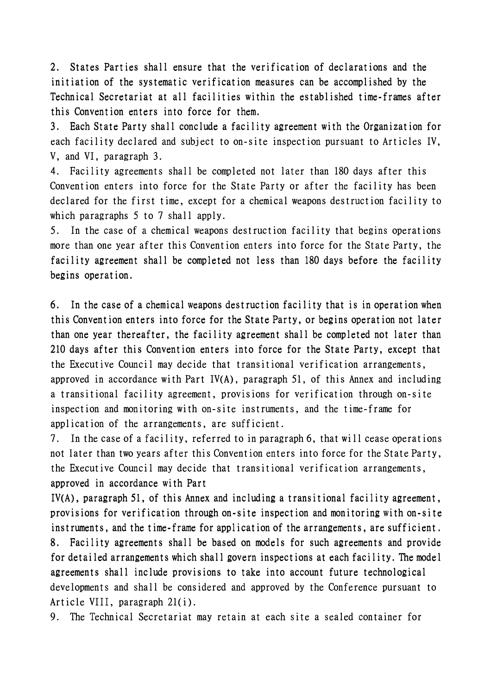2. States Parties shall ensure that the verification of declarations and the initiation of the systematic verification measures can be accomplished by the Technical Secretariat at all facilities within the established time-frames after this Convention enters into force for them.

3. Each State Party shall conclude a facility agreement with the Organization for each facility declared and subject to on-site inspection pursuant to Articles IV, V, and VI, paragraph 3.

4. Facility agreements shall be completed not later than 180 days after this Convention enters into force for the State Party or after the facility has been declared for the first time, except for a chemical weapons destruction facility to which paragraphs 5 to 7 shall apply.

5. In the case of a chemical weapons destruction facility that begins operations more than one year after this Convention enters into force for the State Party, the facility agreement shall be completed not less than 180 days before the facility begins operation.

6. In the case of a chemical weapons destruction facility that is in operation when this Convention enters into force for the State Party, or begins operation not later than one year thereafter, the facility agreement shall be completed not later than 210 days after this Convention enters into force for the State Party, except that the Executive Council may decide that transitional verification arrangements, approved in accordance with Part IV(A), paragraph 51, of this Annex and including a transitional facility agreement, provisions for verification through on-site inspection and monitoring with on-site instruments, and the time-frame for application of the arrangements, are sufficient.

7. In the case of a facility, referred to in paragraph 6, that will cease operations not later than two years after this Convention enters into force for the State Party, the Executive Council may decide that transitional verification arrangements, approved in accordance with Part

IV(A), paragraph 51, of this Annex and including a transitional facility agreement, provisions for verification through on-site inspection and monitoring with on-site instruments, and the time-frame for application of the arrangements, are sufficient. 8. Facility agreements shall be based on models for such agreements and provide for detailed arrangements which shall govern inspections at each facility. The model agreements shall include provisions to take into account future technological developments and shall be considered and approved by the Conference pursuant to Article VIII, paragraph 21(i).

9. The Technical Secretariat may retain at each site a sealed container for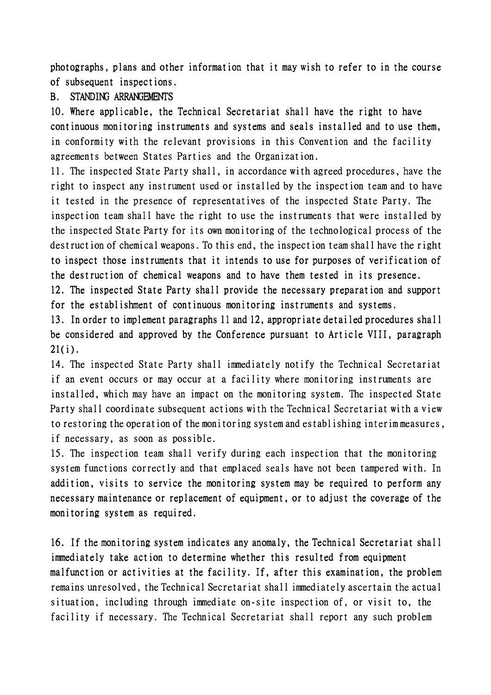photographs, plans and other information that it may wish to refer to in the course of subsequent inspections.

## B. STANDING ARRANGEMENTS

10. Where applicable, the Technical Secretariat shall have the right to have continuous monitoring instruments and systems and seals installed and to use them, in conformity with the relevant provisions in this Convention and the facility agreements between States Parties and the Organization.

11. The inspected State Party shall, in accordance with agreed procedures, have the right to inspect any instrument used or installed by the inspection team and to have it tested in the presence of representatives of the inspected State Party. The inspection team shall have the right to use the instruments that were installed by the inspected State Party for its own monitoring of the technological process of the destruction of chemical weapons. To this end, the inspection team shall have the right to inspect those instruments that it intends to use for purposes of verification of the destruction of chemical weapons and to have them tested in its presence.

12. The inspected State Party shall provide the necessary preparation and support for the establishment of continuous monitoring instruments and systems.

13. In order to implement paragraphs 11 and 12, appropriate detailed procedures shall be considered and approved by the Conference pursuant to Article VIII, paragraph 21(i).

14. The inspected State Party shall immediately notify the Technical Secretariat if an event occurs or may occur at a facility where monitoring instruments are installed, which may have an impact on the monitoring system. The inspected State Party shall coordinate subsequent actions with the Technical Secretariat with a view to restoring the operation of the monitoring system and establishing interim measures, if necessary, as soon as possible.

15. The inspection team shall verify during each inspection that the monitoring system functions correctly and that emplaced seals have not been tampered with. In addition, visits to service the monitoring system may be required to perform any necessary maintenance or replacement of equipment, or to adjust the coverage of the monitoring system as required.

16. If the monitoring system indicates any anomaly, the Technical Secretariat shall immediately take action to determine whether this resulted from equipment malfunction or activities at the facility. If, after this examination, the problem remains unresolved, the Technical Secretariat shall immediately ascertain the actual situation, including through immediate on-site inspection of, or visit to, the facility if necessary. The Technical Secretariat shall report any such problem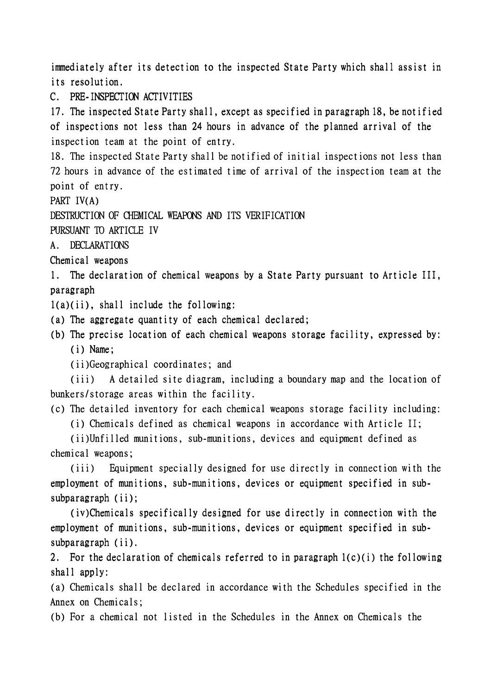immediately after its detection to the inspected State Party which shall assist in its resolution.

C. PRE-INSPECTION ACTIVITIES

17. The inspected State Party shall, except as specified in paragraph 18, be notified of inspections not less than 24 hours in advance of the planned arrival of the inspection team at the point of entry.

18. The inspected State Party shall be notified of initial inspections not less than 72 hours in advance of the estimated time of arrival of the inspection team at the point of entry.

PART IV(A)

DESTRUCTION OF CHEMICAL WEAPONS AND ITS VERIFICATION

PURSUANT TO ARTICLE IV

A. DECLARATIONS

Chemical weapons

1. The declaration of chemical weapons by a State Party pursuant to Article III, paragraph

1(a)(ii), shall include the following:

(a) The aggregate quantity of each chemical declared;

(b) The precise location of each chemical weapons storage facility, expressed by:  $(i)$  Name:

 $(i)$ Geographical coordinates; and

 $(iii)$  A detailed site diagram, including a boundary map and the location of bunkers/storage areas within the facility.

(c) The detailed inventory for each chemical weapons storage facility including:

(i) Chemicals defined as chemical weapons in accordance with Article II;

(ii)Unfilled munitions, sub-munitions, devices and equipment defined as (ii)Unfilled munitions, equipment defined as chemical weapons;

 $(iii)$  Equipment specially designed for use directly in connection with the employment of munitions, sub-munitions, devices or equipment specified in subsubparagraph (ii);

(iv)Chemicals specifically designed for use directly in connection with the (iv)Chemicals specifically designed for with the employment of munitions, sub-munitions, devices or equipment specified in subsubparagraph (ii).

2. For the declaration of chemicals referred to in paragraph  $l(c)(i)$  the following shall apply:

(a) Chemicals shall be declared in accordance with the Schedules specified in the Annex on Chemicals;

(b) For a chemical not listed in the Schedules in the Annex on Chemicals the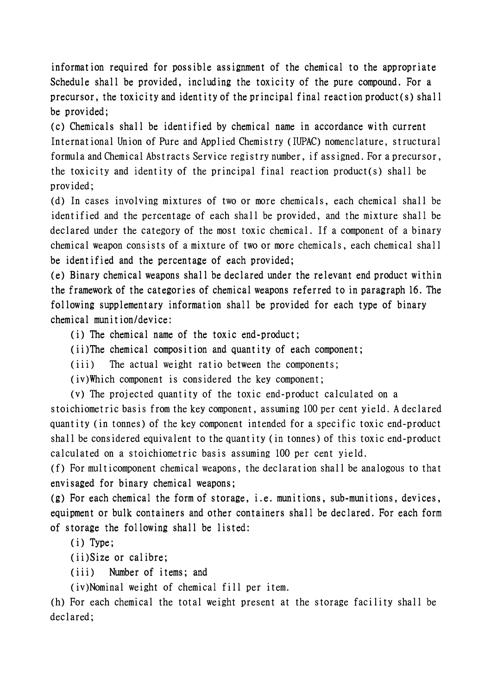information required for possible assignment of the chemical to the appropriate Schedule shall be provided, including the toxicity of the pure compound. For a precursor, the toxicity and identity of the principal final reaction product(s) shall be provided;

(c) Chemicals shall be identified by chemical name in accordance with current (c) Chemicals identified by current International Union of Pure and Applied Chemistry (IUPAC) nomenclature, structural formula and Chemical Abstracts Service registry number, if assigned. For a precursor, the toxicity and identity of the principal final reaction product(s) shall be provided;

(d) In cases involving mixtures of two or more chemicals, each chemical shall be identified and the percentage of each shall be provided, and the mixture shall be declared under the category of the most toxic chemical. If a component of a binary chemical weapon consists of a mixture of two or more chemicals, each chemical shall be identified and the percentage of each provided;

(e) Binary chemical weapons shall be declared under the relevant end product within the framework of the categories of chemical weapons referred to in paragraph 16. The following supplementary information shall be provided for each type of binary chemical munition/device:

(i) The chemical name of the toxic end-product;

 $(i)$ The chemical composition and quantity of each component;

 $(iii)$  The actual weight ratio between the components;

 $(iv)$ Which component is considered the key component;

(v) The projected quantity of the toxic end-product calculated on a stoichiometric basis from the key component, assuming 100 per cent yield. A declared quantity (in tonnes) of the key component intended for a specific toxic end-product shall be considered equivalent to the quantity (in tonnes) of this toxic end-product calculated on a stoichiometric basis assuming 100 per cent yield.

(f) For multicomponent chemical weapons, the declaration shall be analogous to that envisaged for binary chemical weapons;

(g) For each chemical the form of storage, i.e. munitions, sub-munitions, devices, equipment or bulk containers and other containers shall be declared. For each form of storage the following shall be listed:

 $(i)$  Type;

 $(i)$ Size or calibre;

(iii) Number of items; and

 $(iv)$ Nominal weight of chemical fill per item.

(h) For each chemical the total weight present at the storage facility shall be declared;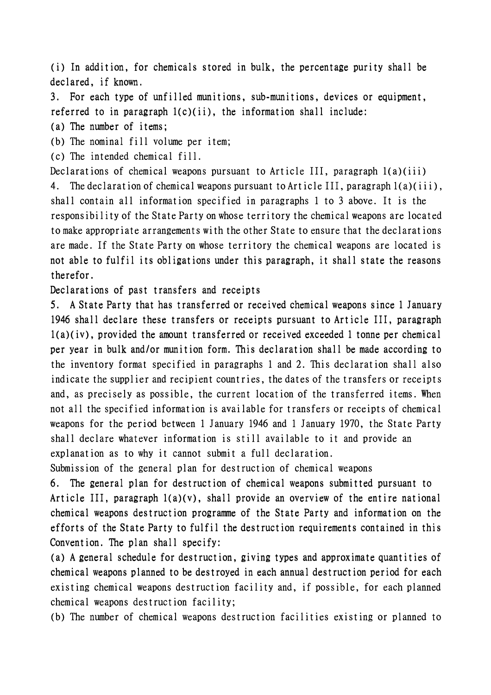(i) In addition, for chemicals stored in bulk, the percentage purity shall be declared, if known.

3. For each type of unfilled munitions, sub-munitions, devices or equipment, referred to in paragraph  $1(c)(ii)$ , the information shall include:

(a) The number of items;

(b) The nominal fill volume per item;

(c) The intended chemical fill.

Declarations of chemical weapons pursuant to Article III, paragraph 1(a)(iii)

4. The declaration of chemical weapons pursuant to Article III, paragraph  $l(a)(iii)$ , shall contain all information specified in paragraphs 1 to 3 above. It is the responsibility of the State Party on whose territory the chemical weapons are located to make appropriate arrangements with the other State to ensure that the declarations are made. If the State Party on whose territory the chemical weapons are located is not able to fulfil its obligations under this paragraph, it shall state the reasons therefor.

Declarations of past transfers and receipts

5. A State Party that has transferred or received chemical weapons since 1 January 1946 shall declare these transfers or receipts pursuant to Article III, paragraph 1(a)(iv), provided the amount transferred or received exceeded 1 tonne per chemical per year in bulk and/or munition form. This declaration shall be made according to the inventory format specified in paragraphs 1 and 2. This declaration shall also indicate the supplier and recipient countries, the dates of the transfers or receipts and, as precisely as possible, the current location of the transferred items. When not all the specified information is available for transfers or receipts of chemical weapons for the period between 1 January 1946 and 1 January 1970, the State Party shall declare whatever information is still available to it and provide an explanation as to why it cannot submit a full declaration.

Submission of the general plan for destruction of chemical weapons

6. The general plan for destruction of chemical weapons submitted pursuant to Article III, paragraph 1(a)(v), shall provide an overview of the entire national chemical weapons destruction programme of the State Party and information on the efforts of the State Party to fulfil the destruction requirements contained in this Convention. The plan shall specify:

(a) A general schedule for destruction, giving types and approximate quantities of chemical weapons planned to be destroyed in each annual destruction period for each existing chemical weapons destruction facility and, if possible, for each planned chemical weapons destruction facility;

(b) The number of chemical weapons destruction facilities existing or planned to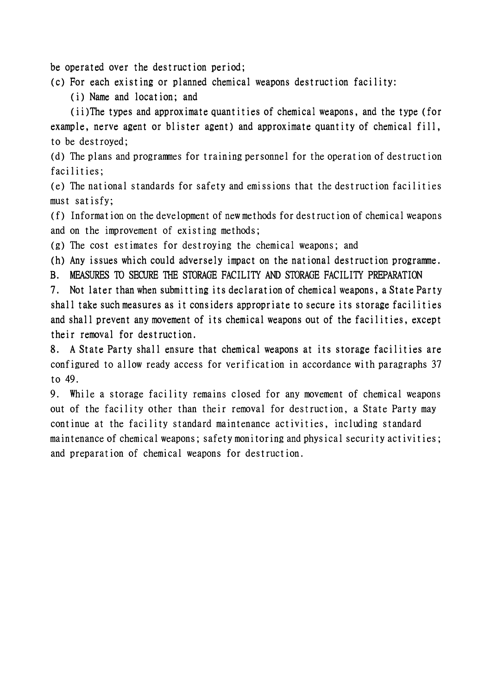be operated over the destruction period;

(c) For each existing or planned chemical weapons destruction facility:

(i) Name and location; and

(ii)The types and approximate quantities of chemical weapons, and the type (for example, nerve agent or blister agent) and approximate quantity of chemical fill, to be destroyed;

(d) The plans and programmes for training personnel for the operation of destruction facilities;

(e) The national standards for safety and emissions that the destruction facilities must satisfy;

(f) Information on the development of new methods for destruction of chemical weapons and on the improvement of existing methods;

 $(g)$  The cost estimates for destroying the chemical weapons; and

(h) Any issues which could adversely impact on the national destruction programme.

B. MEASURES TO SECURE THE STORAGE FACILITY AND STORAGE FACILITY PREPARATION

7. Not later than when submitting its declaration of chemical weapons, a State Party shall take such measures as it considers appropriate to secure its storage facilities and shall prevent any movement of its chemical weapons out of the facilities, except their removal for destruction.

8. A State Party shall ensure that chemical weapons at its storage facilities are configured to allow ready access for verification in accordance with paragraphs 37 to 49.

9. While a storage facility remains closed for any movement of chemical weapons out of the facility other than their removal for destruction, a State Party may continue at the facility standard maintenance activities, including standard maintenance of chemical weapons; safety monitoring and physical security activities; and preparation of chemical weapons for destruction.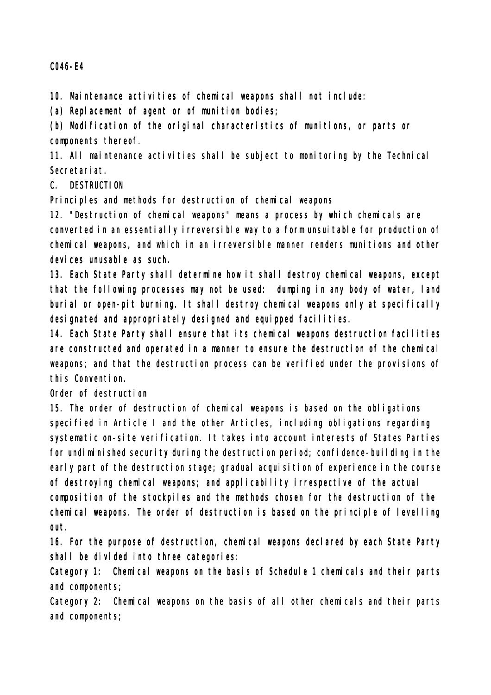C046-E4

10. Maintenance activities of chemical weapons shall not include:

(a) Replacement of agent or of munition bodies;

(b) Modification of the original characteristics of munitions, or parts or components thereof.

11. All maintenance activities shall be subject to monitoring by the Technical Secretariat.

C. DESTRUCTION

Principles and methods for destruction of chemical weapons

12. "Destruction of chemical weapons" means a process by which chemicals are converted in an essentially irreversible way to a form unsuitable for production of chemical weapons, and which in an irreversible manner renders munitions and other devices unusable as such.

13. Each State Party shall determine how it shall destroy chemical weapons, except that the following processes may not be used: dumping in any body of water, land burial or open-pit burning. It shall destroy chemical weapons only at specifically designated and appropriately designed and equipped facilities.

14. Each State Party shall ensure that its chemical weapons destruction facilities are constructed and operated in a manner to ensure the destruction of the chemical weapons; and that the destruction process can be verified under the provisions of this Convention.

Order of destruction

15. The order of destruction of chemical weapons is based on the obligations specified in Article I and the other Articles, including obligations regarding systematic on-site verification. It takes into account interests of States Parties for undiminished security during the destruction period; confidence-building in the early part of the destruction stage; gradual acquisition of experience in the course of destroying chemical weapons; and applicability irrespective of the actual composition of the stockpiles and the methods chosen for the destruction of the chemical weapons. The order of destruction is based on the principle of levelling out.

16. For the purpose of destruction, chemical weapons declared by each State Party shall be divided into three categories:

Category 1: Chemical weapons on the basis of Schedule 1 chemicals and their parts and components;

Category 2: Chemical weapons on the basis of all other chemicals and their parts and components;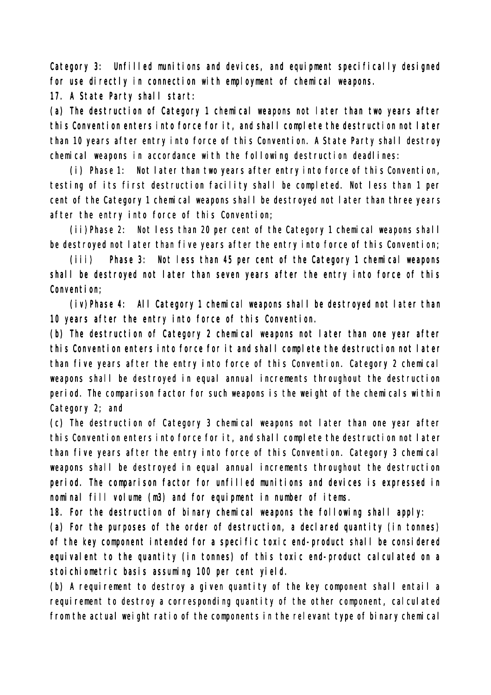Category 3: Unfilled munitions and devices, and equipment specifically designed for use directly in connection with employment of chemical weapons.

17. A State Party shall start:

(a) The destruction of Category 1 chemical weapons not later than two years after this Convention enters into force for it, and shall complete the destruction not later than 10 years after entry into force of this Convention. A State Party shall destroy chemical weapons in accordance with the following destruction deadlines:

(i) Phase 1: Not later than two years after entry into force of this Convention, testing of its first destruction facility shall be completed. Not less than 1 per cent of the Category 1 chemical weapons shall be destroyed not later than three years after the entry into force of this Convention;

(ii) Phase 2: Not less than 20 per cent of the Category 1 chemical weapons shall be destroyed not later than five years after the entry into force of this Convention;

(iii) Phase 3: Not less than 45 per cent of the Category 1 chemical weapons shall be destroyed not later than seven years after the entry into force of this Convention;

 $(iv)$ Phase 4: All Category 1 chemical weapons shall be destroyed not later than 10 years after the entry into force of this Convention.

(b) The destruction of Category 2 chemical weapons not later than one year after this Convention enters into force for it and shall complete the destruction not later than five years after the entry into force of this Convention. Category 2 chemical weapons shall be destroyed in equal annual increments throughout the destruction period. The comparison factor for such weapons is the weight of the chemicals within Category 2; and

(c) The destruction of Category 3 chemical weapons not later than one year after this Convention enters into force for it, and shall complete the destruction not later than five years after the entry into force of this Convention. Category 3 chemical weapons shall be destroyed in equal annual increments throughout the destruction period. The comparison factor for unfilled munitions and devices is expressed in nominal fill volume (m3) and for equipment in number of items.

18. For the destruction of binary chemical weapons the following shall apply:

(a) For the purposes of the order of destruction, a declared quantity (in tonnes) of the key component intended for a specific toxic end-product shall be considered equivalent to the quantity (in tonnes) of this toxic end-product calculated on a stoichiometric basis assuming 100 per cent yield.

(b) A requirement to destroy a given quantity of the key component shall entail a requirement to destroy a corresponding quantity of the other component, calculated from the actual weight ratio of the components in the relevant type of binary chemical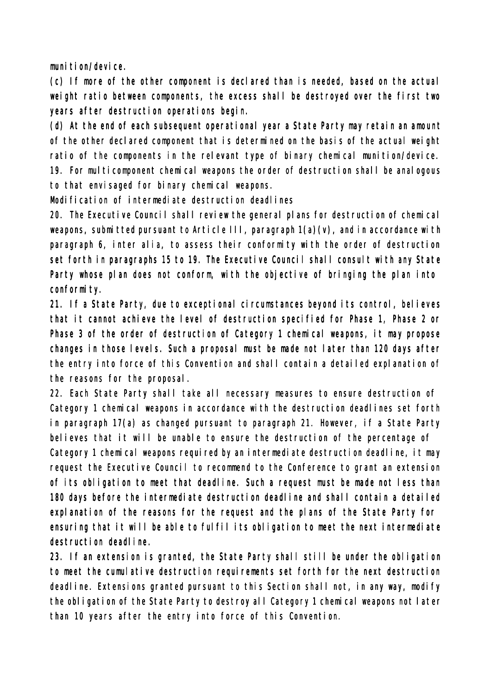munition/device.

(c) If more of the other component is declared than is needed, based on the actual weight ratio between components, the excess shall be destroyed over the first two years after destruction operations begin.

(d) At the end of each subsequent operational year a State Party may retain an amount of the other declared component that is determined on the basis of the actual weight ratio of the components in the relevant type of binary chemical munition/device. 19. For multicomponent chemical weapons the order of destruction shall be analogous to that envisaged for binary chemical weapons.

Modification of intermediate destruction deadlines

20. The Executive Council shall review the general plans for destruction of chemical weapons, submitted pursuant to Article III, paragraph  $1(a)(v)$ , and in accordance with paragraph 6, inter alia, to assess their conformity with the order of destruction set forth in paragraphs 15 to 19. The Executive Council shall consult with any State Party whose plan does not conform, with the objective of bringing the plan into conformity.

21. If a State Party, due to exceptional circumstances beyond its control, believes that it cannot achieve the level of destruction specified for Phase 1, Phase 2 or Phase 3 of the order of destruction of Category 1 chemical weapons, it may propose changes in those levels. Such a proposal must be made not later than 120 days after the entry into force of this Convention and shall contain a detailed explanation of the reasons for the proposal.

22. Each State Party shall take all necessary measures to ensure destruction of Category 1 chemical weapons in accordance with the destruction deadlines set forth in paragraph 17(a) as changed pursuant to paragraph 21. However, if a State Party believes that it will be unable to ensure the destruction of the percentage of Category 1 chemical weapons required by an intermediate destruction deadline, it may request the Executive Council to recommend to the Conference to grant an extension of its obligation to meet that deadline. Such a request must be made not less than 180 days before the intermediate destruction deadline and shall contain a detailed explanation of the reasons for the request and the plans of the State Party for ensuring that it will be able to fulfil its obligation to meet the next intermediate destruction deadline.

23. If an extension is granted, the State Party shall still be under the obligation to meet the cumulative destruction requirements set forth for the next destruction deadline. Extensions granted pursuant to this Section shall not, in any way, modify the obligation of the State Party to destroy all Category 1 chemical weapons not later than 10 years after the entry into force of this Convention.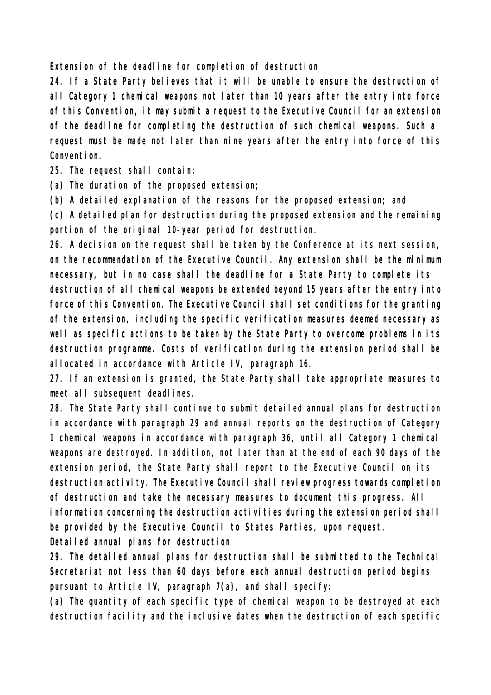Extension of the deadline for completion of destruction

24. If a State Party believes that it will be unable to ensure the destruction of all Category 1 chemical weapons not later than 10 years after the entry into force of this Convention, it may submit a request to the Executive Council for an extension of the deadline for completing the destruction of such chemical weapons. Such a request must be made not later than nine years after the entry into force of this Convention.

25. The request shall contain:

(a) The duration of the proposed extension;

(b) A detailed explanation of the reasons for the proposed extension; and

(c) A detailed plan for destruction during the proposed extension and the remaining portion of the original 10-year period for destruction.

26. A decision on the request shall be taken by the Conference at its next session, on the recommendation of the Executive Council. Any extension shall be the minimum necessary, but in no case shall the deadline for a State Party to complete its destruction of all chemical weapons be extended beyond 15 years after the entry into force of this Convention. The Executive Council shall set conditions for the granting of the extension, including the specific verification measures deemed necessary as well as specific actions to be taken by the State Party to overcome problems in its destruction programme. Costs of verification during the extension period shall be allocated in accordance with Article IV, paragraph 16.

27. If an extension is granted, the State Party shall take appropriate measures to meet all subsequent deadlines.

28. The State Party shall continue to submit detailed annual plans for destruction in accordance with paragraph 29 and annual reports on the destruction of Category 1 chemical weapons in accordance with paragraph 36, until all Category 1 chemical weapons are destroyed. In addition, not later than at the end of each 90 days of the extension period, the State Party shall report to the Executive Council on its destruction activity. The Executive Council shall review progress towards completion of destruction and take the necessary measures to document this progress. All information concerning the destruction activities during the extension period shall be provided by the Executive Council to States Parties, upon request. Detailed annual plans for destruction

29. The detailed annual plans for destruction shall be submitted to the Technical Secretariat not less than 60 days before each annual destruction period begins pursuant to Article IV, paragraph 7(a), and shall specify:

(a) The quantity of each specific type of chemical weapon to be destroyed at each destruction facility and the inclusive dates when the destruction of each specific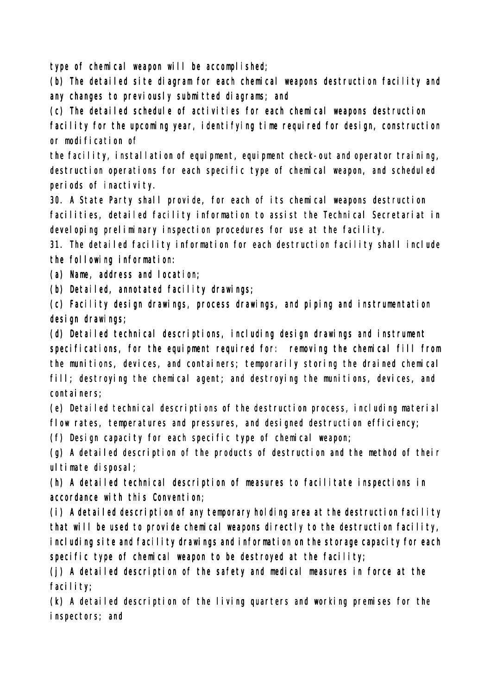type of chemical weapon will be accomplished;

(b) The detailed site diagram for each chemical weapons destruction facility and any changes to previously submitted diagrams; and

(c) The detailed schedule of activities for each chemical weapons destruction facility for the upcoming year, identifying time required for design, construction or modification of

the facility, installation of equipment, equipment check-out and operator training, destruction operations for each specific type of chemical weapon, and scheduled periods of inactivity.

30. A State Party shall provide, for each of its chemical weapons destruction facilities, detailed facility information to assist the Technical Secretariat in developing preliminary inspection procedures for use at the facility.

31. The detailed facility information for each destruction facility shall include the following information:

(a) Name, address and location;

(b) Detailed, annotated facility drawings;

(c) Facility design drawings, process drawings, and piping and instrumentation design drawings;

(d) Detailed technical descriptions, including design drawings and instrument (d) Detailed technical descriptions, specifications, for the equipment required for: removing the chemical fill from the munitions, devices, and containers; temporarily storing the drained chemical fill; destroying the chemical agent; and destroying the munitions, devices, and containers;

(e) Detailed technical descriptions of the destruction process, including material flow rates, temperatures and pressures, and designed destruction efficiency;

(f) Design capacity for each specific type of chemical weapon;

(g) A detailed description of the products of destruction and the method of their ultimate disposal;

(h) A detailed technical description of measures to facilitate inspections in accordance with this Convention;

(i) A detailed description of any temporary holding area at the destruction facility that will be used to provide chemical weapons directly to the destruction facility, including site and facility drawings and information on the storage capacity for each specific type of chemical weapon to be destroyed at the facility;

(j) A detailed description of the safety and medical measures in force at the facility;

 $(k)$  A detailed description of the living quarters and working premises for the inspectors; and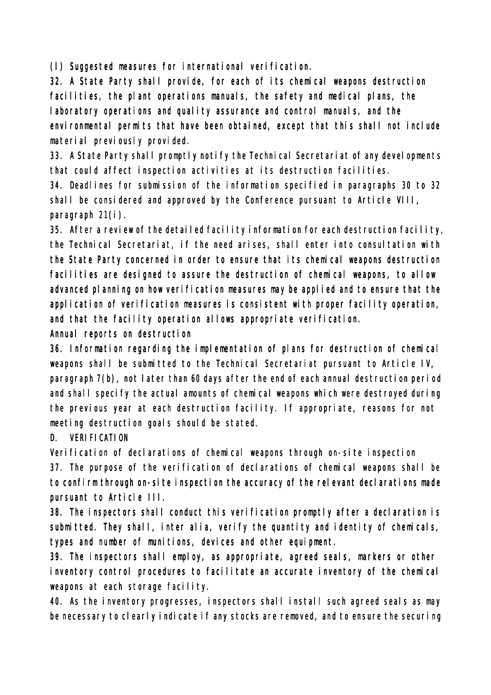(1) Suggested measures for international verification.

32. A State Party shall provide, for each of its chemical weapons destruction facilities, the plant operations manuals, the safety and medical plans, the laboratory operations and quality assurance and control manuals, and the environmental permits that have been obtained, except that this shall not include material previously provided.

33. A State Party shall promptly notify the Technical Secretariat of any developments that could affect inspection activities at its destruction facilities.

34. Deadlines for submission of the information specified in paragraphs 30 to 32 shall be considered and approved by the Conference pursuant to Article VIII, paragraph 21(i).

35. After a review of the detailed facility information for each destruction facility, the Technical Secretariat, if the need arises, shall enter into consultation with the State Party concerned in order to ensure that its chemical weapons destruction facilities are designed to assure the destruction of chemical weapons, to allow advanced planning on how verification measures may be applied and to ensure that the application of verification measures is consistent with proper facility operation, and that the facility operation allows appropriate verification.

Annual reports on destruction

36. Information regarding the implementation of plans for destruction of chemical weapons shall be submitted to the Technical Secretariat pursuant to Article IV, paragraph 7(b), not later than 60 days after the end of each annual destruction period and shall specify the actual amounts of chemical weapons which were destroyed during the previous year at each destruction facility. If appropriate, reasons for not meeting destruction goals should be stated.

## D. VERIFICATION

Verification of declarations of chemical weapons through on-site inspection 37. The purpose of the verification of declarations of chemical weapons shall be to confirm through on-site inspection the accuracy of the relevant declarations made pursuant to Article III.

38. The inspectors shall conduct this verification promptly after a declaration is submitted. They shall, inter alia, verify the quantity and identity of chemicals, types and number of munitions, devices and other equipment.

39. The inspectors shall employ, as appropriate, agreed seals, markers or other inventory control procedures to facilitate an accurate inventory of the chemical weapons at each storage facility.

40. As the inventory progresses, inspectors shall install such agreed seals as may be necessary to clearly indicate if any stocks are removed, and to ensure the securing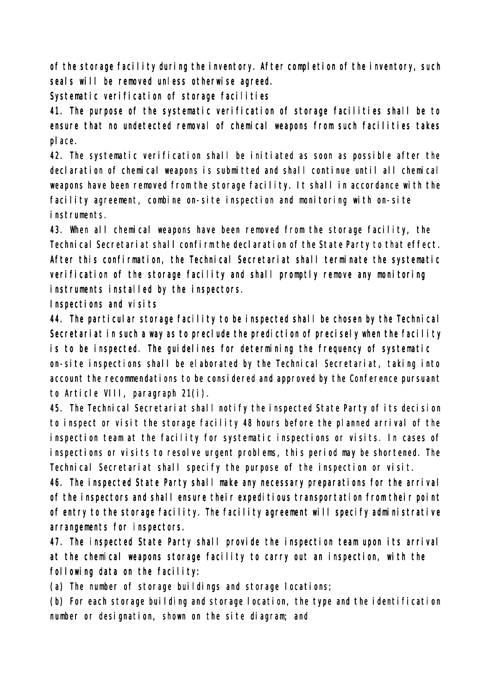of the storage facility during the inventory. After completion of the inventory, such seals will be removed unless otherwise agreed.

Systematic verification of storage facilities

41. The purpose of the systematic verification of storage facilities shall be to ensure that no undetected removal of chemical weapons from such facilities takes place.

42. The systematic verification shall be initiated as soon as possible after the declaration of chemical weapons is submitted and shall continue until all chemical weapons have been removed from the storage facility. It shall in accordance with the facility agreement, combine on-site inspection and monitoring with on-site instruments.

43. When all chemical weapons have been removed from the storage facility, the Technical Secretariat shall confirm the declaration of the State Party to that effect. After this confirmation, the Technical Secretariat shall terminate the systematic verification of the storage facility and shall promptly remove any monitoring instruments installed by the inspectors.

Inspections and visits

44. The particular storage facility to be inspected shall be chosen by the Technical Secretariat in such a way as to preclude the prediction of precisely when the facility is to be inspected. The guidelines for determining the frequency of systematic on-site inspections shall be elaborated by the Technical Secretariat, taking into account the recommendations to be considered and approved by the Conference pursuant to Article VIII, paragraph 21(i).

45. The Technical Secretariat shall notify the inspected State Party of its decision to inspect or visit the storage facility 48 hours before the planned arrival of the inspection team at the facility for systematic inspections or visits. In cases of inspections or visits to resolve urgent problems, this period may be shortened. The Technical Secretariat shall specify the purpose of the inspection or visit.

46. The inspected State Party shall make any necessary preparations for the arrival of the inspectors and shall ensure their expeditious transportation from their point of entry to the storage facility. The facility agreement will specify administrative arrangements for inspectors.

47. The inspected State Party shall provide the inspection team upon its arrival at the chemical weapons storage facility to carry out an inspection, with the following data on the facility:

(a) The number of storage buildings and storage locations;

(b) For each storage building and storage location, the type and the identification number or designation, shown on the site diagram; and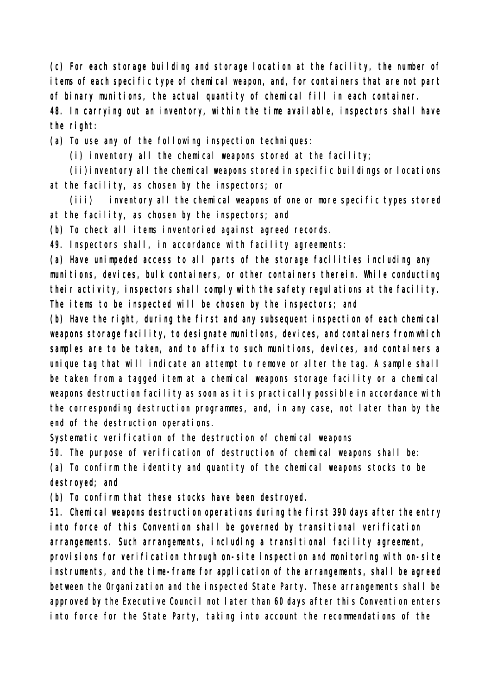(c) For each storage building and storage location at the facility, the number of items of each specific type of chemical weapon, and, for containers that are not part of binary munitions, the actual quantity of chemical fill in each container. 48. In carrying out an inventory, within the time available, inspectors shall have

the right:

(a) To use any of the following inspection techniques:

(i) inventory all the chemical weapons stored at the facility;

 $(i)$  inventory all the chemical weapons stored in specific buildings or locations at the facility, as chosen by the inspectors; or

(iii) inventory all the chemical weapons of one or more specific types stored at the facility, as chosen by the inspectors; and

(b) To check all items inventoried against agreed records.

49. Inspectors shall, in accordance with facility agreements:

(a) Have unimpeded access to all parts of the storage facilities including any munitions, devices, bulk containers, or other containers therein. While conducting their activity, inspectors shall comply with the safety regulations at the facility. The items to be inspected will be chosen by the inspectors; and

(b) Have the right, during the first and any subsequent inspection of each chemical weapons storage facility, to designate munitions, devices, and containers from which samples are to be taken, and to affix to such munitions, devices, and containers a unique tag that will indicate an attempt to remove or alter the tag. A sample shall be taken from a tagged item at a chemical weapons storage facility or a chemical weapons destruction facility as soon as it is practically possible in accordance with the corresponding destruction programmes, and, in any case, not later than by the end of the destruction operations.

Systematic verification of the destruction of chemical weapons

50. The purpose of verification of destruction of chemical weapons shall be:

(a) To confirm the identity and quantity of the chemical weapons stocks to be destroyed; and

(b) To confirm that these stocks have been destroyed.

51. Chemical weapons destruction operations during the first 390 days after the entry into force of this Convention shall be governed by transitional verification arrangements. Such arrangements, including a transitional facility agreement, provisions for verification through on-site inspection and monitoring with on-site instruments, and the time-frame for application of the arrangements, shall be agreed between the Organization and the inspected State Party. These arrangements shall be approved by the Executive Council not later than 60 days after this Convention enters into force for the State Party, taking into account the recommendations of the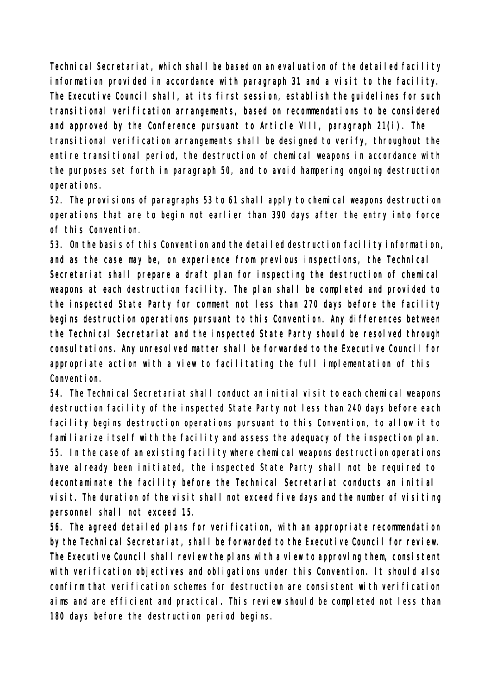Technical Secretariat, which shall be based on an evaluation of the detailed facility information provided in accordance with paragraph 31 and a visit to the facility. The Executive Council shall, at its first session, establish the guidelines for such transitional verification arrangements, based on recommendations to be considered and approved by the Conference pursuant to Article VIII, paragraph 21(i). The transitional verification arrangements shall be designed to verify, throughout the entire transitional period, the destruction of chemical weapons in accordance with the purposes set forth in paragraph 50, and to avoid hampering ongoing destruction operations.

52. The provisions of paragraphs 53 to 61 shall apply to chemical weapons destruction operations that are to begin not earlier than 390 days after the entry into force of this Convention.

53. On the basis of this Convention and the detailed destruction facility information, and as the case may be, on experience from previous inspections, the Technical Secretariat shall prepare a draft plan for inspecting the destruction of chemical weapons at each destruction facility. The plan shall be completed and provided to the inspected State Party for comment not less than 270 days before the facility begins destruction operations pursuant to this Convention. Any differences between the Technical Secretariat and the inspected State Party should be resolved through consultations. Any unresolved matter shall be forwarded to the Executive Council for appropriate action with a view to facilitating the full implementation of this Convention.

54. The Technical Secretariat shall conduct an initial visit to each chemical weapons destruction facility of the inspected State Party not less than 240 days before each facility begins destruction operations pursuant to this Convention, to allow it to familiarize itself with the facility and assess the adequacy of the inspection plan. 55. In the case of an existing facility where chemical weapons destruction operations have already been initiated, the inspected State Party shall not be required to decontaminate the facility before the Technical Secretariat conducts an initial visit. The duration of the visit shall not exceed five days and the number of visiting personnel shall not exceed 15.

56. The agreed detailed plans for verification, with an appropriate recommendation by the Technical Secretariat, shall be forwarded to the Executive Council for review. The Executive Council shall review the plans with a view to approving them, consistent with verification objectives and obligations under this Convention. It should also confirm that verification schemes for destruction are consistent with verification aims and are efficient and practical. This review should be completed not less than 180 days before the destruction period begins.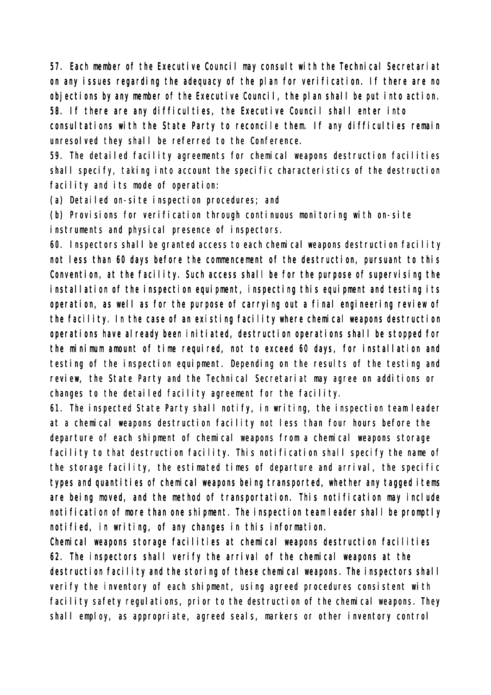57. Each member of the Executive Council may consult with the Technical Secretariat on any issues regarding the adequacy of the plan for verification. If there are no objections by any member of the Executive Council, the plan shall be put into action. 58. If there are any difficulties, the Executive Council shall enter into

consultations with the State Party to reconcile them. If any difficulties remain unresolved they shall be referred to the Conference.

59. The detailed facility agreements for chemical weapons destruction facilities shall specify, taking into account the specific characteristics of the destruction facility and its mode of operation:

(a) Detailed on-site inspection procedures; and

(b) Provisions for verification through continuous monitoring with on-site

instruments and physical presence of inspectors.

60. Inspectors shall be granted access to each chemical weapons destruction facility not less than 60 days before the commencement of the destruction, pursuant to this Convention, at the facility. Such access shall be for the purpose of supervising the installation of the inspection equipment, inspecting this equipment and testing its operation, as well as for the purpose of carrying out a final engineering review of the facility. In the case of an existing facility where chemical weapons destruction operations have already been initiated, destruction operations shall be stopped for the minimum amount of time required, not to exceed 60 days, for installation and testing of the inspection equipment. Depending on the results of the testing and review, the State Party and the Technical Secretariat may agree on additions or changes to the detailed facility agreement for the facility.

61. The inspected State Party shall notify, in writing, the inspection team leader at a chemical weapons destruction facility not less than four hours before the departure of each shipment of chemical weapons from a chemical weapons storage facility to that destruction facility. This notification shall specify the name of the storage facility, the estimated times of departure and arrival, the specific types and quantities of chemical weapons being transported, whether any tagged items are being moved, and the method of transportation. This notification may include notification of more than one shipment. The inspection team leader shall be promptly notified, in writing, of any changes in this information.

Chemical weapons storage facilities at chemical weapons destruction facilities 62. The inspectors shall verify the arrival of the chemical weapons at the destruction facility and the storing of these chemical weapons. The inspectors shall verify the inventory of each shipment, using agreed procedures consistent with facility safety regulations, prior to the destruction of the chemical weapons. They shall employ, as appropriate, agreed seals, markers or other inventory control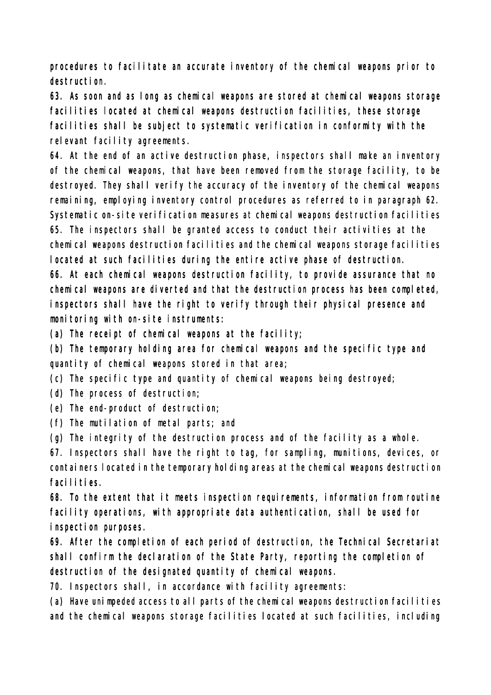procedures to facilitate an accurate inventory of the chemical weapons prior to destruction.

63. As soon and as long as chemical weapons are stored at chemical weapons storage facilities located at chemical weapons destruction facilities, these storage facilities shall be subject to systematic verification in conformity with the relevant facility agreements.

64. At the end of an active destruction phase, inspectors shall make an inventory of the chemical weapons, that have been removed from the storage facility, to be destroyed. They shall verify the accuracy of the inventory of the chemical weapons remaining, employing inventory control procedures as referred to in paragraph 62. Systematic on-site verification measures at chemical weapons destruction facilities 65. The inspectors shall be granted access to conduct their activities at the chemical weapons destruction facilities and the chemical weapons storage facilities located at such facilities during the entire active phase of destruction.

66. At each chemical weapons destruction facility, to provide assurance that no chemical weapons are diverted and that the destruction process has been completed, inspectors shall have the right to verify through their physical presence and monitoring with on-site instruments:

(a) The receipt of chemical weapons at the facility;

(b) The temporary holding area for chemical weapons and the specific type and quantity of chemical weapons stored in that area;

(c) The specific type and quantity of chemical weapons being destroyed;

- (d) The process of destruction;
- (e) The end-product of destruction;
- (f) The mutilation of metal parts; and

(g) The integrity of the destruction process and of the facility as a whole.

67. Inspectors shall have the right to tag, for sampling, munitions, devices, or containers located in the temporary holding areas at the chemical weapons destruction facilities.

68. To the extent that it meets inspection requirements, information from routine facility operations, with appropriate data authentication, shall be used for inspection purposes.

69. After the completion of each period of destruction, the Technical Secretariat shall confirm the declaration of the State Party, reporting the completion of destruction of the designated quantity of chemical weapons.

70. Inspectors shall, in accordance with facility agreements:

(a) Have unimpeded access to all parts of the chemical weapons destruction facilities and the chemical weapons storage facilities located at such facilities, including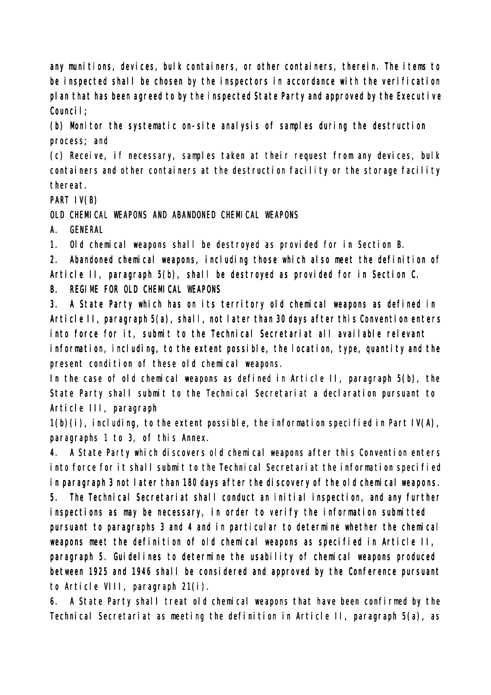any munitions, devices, bulk containers, or other containers, therein. The items to be inspected shall be chosen by the inspectors in accordance with the verification plan that has been agreed to by the inspected State Party and approved by the Executive Council;

 $(b)$  Monitor the systematic on-site analysis of samples during the destruction process; and

(c) Receive, if necessary, samples taken at their request from any devices, bulk containers and other containers at the destruction facility or the storage facility thereat.

PART IV(B)

## OLD CHEMICAL WEAPONS AND ABANDONED CHEMICAL WEAPONS

A. GENERAL

1. Old chemical weapons shall be destroyed as provided for in Section B.

2. Abandoned chemical weapons, including those which also meet the definition of Article II, paragraph 5(b), shall be destroyed as provided for in Section C.

B. REGIME FOR OLD CHEMICAL WEAPONS

3. A State Party which has on its territory old chemical weapons as defined in Article II, paragraph 5(a), shall, not later than 30 days after this Convention enters into force for it, submit to the Technical Secretariat all available relevant information, including, to the extent possible, the location, type, quantity and the present condition of these old chemical weapons.

In the case of old chemical weapons as defined in Article II, paragraph 5(b), the State Party shall submit to the Technical Secretariat a declaration pursuant to Article III, paragraph

 $1(b)(i)$ , including, to the extent possible, the information specified in Part IV(A), paragraphs 1 to 3, of this Annex.

4. A State Party which discovers old chemical weapons after this Convention enters into force for it shall submit to the Technical Secretariat the information specified in paragraph 3 not later than 180 days after the discovery of the old chemical weapons.

5. The Technical Secretariat shall conduct an initial inspection, and any further inspections as may be necessary, in order to verify the information submitted pursuant to paragraphs 3 and 4 and in particular to determine whether the chemical weapons meet the definition of old chemical weapons as specified in Article II, paragraph 5. Guidelines to determine the usability of chemical weapons produced between 1925 and 1946 shall be considered and approved by the Conference pursuant to Article VIII, paragraph 21(i).

6. A State Party shall treat old chemical weapons that have been confirmed by the Technical Secretariat as meeting the definition in Article II, paragraph 5(a), as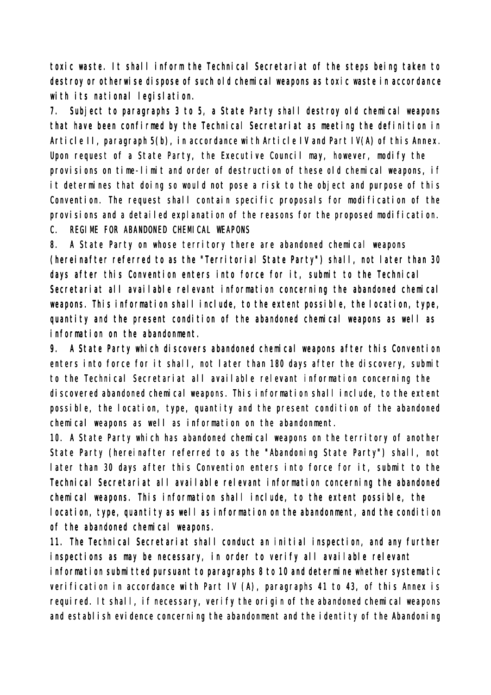toxic waste. It shall inform the Technical Secretariat of the steps being taken to destroy or otherwise dispose of such old chemical weapons as toxic waste in accordance with its national legislation.

7. Subject to paragraphs 3 to 5, a State Party shall destroy old chemical weapons that have been confirmed by the Technical Secretariat as meeting the definition in Article II, paragraph 5(b), in accordance with Article IV and Part IV(A) of this Annex. Upon request of a State Party, the Executive Council may, however, modify the provisions on time-limit and order of destruction of these old chemical weapons, if it determines that doing so would not pose a risk to the object and purpose of this Convention. The request shall contain specific proposals for modification of the provisions and a detailed explanation of the reasons for the proposed modification. C. REGIME FOR ABANDONED CHEMICAL WEAPONS

8. A State Party on whose territory there are abandoned chemical weapons (hereinafter referred to as the "Territorial State Party") shall, not later than 30 days after this Convention enters into force for it, submit to the Technical Secretariat all available relevant information concerning the abandoned chemical weapons. This information shall include, to the extent possible, the location, type, quantity and the present condition of the abandoned chemical weapons as well as information on the abandonment.

9. A State Party which discovers abandoned chemical weapons after this Convention enters into force for it shall, not later than 180 days after the discovery, submit to the Technical Secretariat all available relevant information concerning the discovered abandoned chemical weapons. This information shall include, to the extent possible, the location, type, quantity and the present condition of the abandoned chemical weapons as well as information on the abandonment.

10. A State Party which has abandoned chemical weapons on the territory of another State Party (hereinafter referred to as the "Abandoning State Party") shall, not later than 30 days after this Convention enters into force for it, submit to the Technical Secretariat all available relevant information concerning the abandoned chemical weapons. This information shall include, to the extent possible, the location, type, quantity as well as information on the abandonment, and the condition of the abandoned chemical weapons.

11. The Technical Secretariat shall conduct an initial inspection, and any further inspections as may be necessary, in order to verify all available relevant information submitted pursuant to paragraphs 8 to 10 and determine whether systematic

verification in accordance with Part IV (A), paragraphs 41 to 43, of this Annex is required. It shall, if necessary, verify the origin of the abandoned chemical weapons and establish evidence concerning the abandonment and the identity of the Abandoning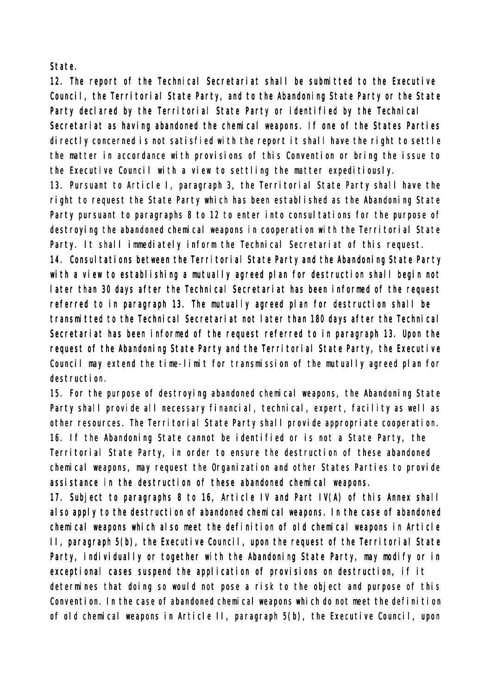State.

12. The report of the Technical Secretariat shall be submitted to the Executive Council, the Territorial State Party, and to the Abandoning State Party or the State Party declared by the Territorial State Party or identified by the Technical Secretariat as having abandoned the chemical weapons. If one of the States Parties directly concerned is not satisfied with the report it shall have the right to settle the matter in accordance with provisions of this Convention or bring the issue to the Executive Council with a view to settling the matter expeditiously.

13. Pursuant to Article I, paragraph 3, the Territorial State Party shall have the right to request the State Party which has been established as the Abandoning State Party pursuant to paragraphs 8 to 12 to enter into consultations for the purpose of destroying the abandoned chemical weapons in cooperation with the Territorial State Party. It shall immediately inform the Technical Secretariat of this request.

14. Consultations between the Territorial State Party and the Abandoning State Party with a view to establishing a mutually agreed plan for destruction shall begin not later than 30 days after the Technical Secretariat has been informed of the request referred to in paragraph 13. The mutually agreed plan for destruction shall be transmitted to the Technical Secretariat not later than 180 days after the Technical Secretariat has been informed of the request referred to in paragraph 13. Upon the request of the Abandoning State Party and the Territorial State Party, the Executive Council may extend the time-limit for transmission of the mutually agreed plan for destruction.

15. For the purpose of destroying abandoned chemical weapons, the Abandoning State Party shall provide all necessary financial, technical, expert, facility as well as other resources. The Territorial State Party shall provide appropriate cooperation. 16. If the Abandoning State cannot be identified or is not a State Party, the Territorial State Party, in order to ensure the destruction of these abandoned chemical weapons, may request the Organization and other States Parties to provide assistance in the destruction of these abandoned chemical weapons.

17. Subject to paragraphs 8 to 16, Article IV and Part IV(A) of this Annex shall also apply to the destruction of abandoned chemical weapons. In the case of abandoned chemical weapons which also meet the definition of old chemical weapons in Article II, paragraph 5(b), the Executive Council, upon the request of the Territorial State Party, individually or together with the Abandoning State Party, may modify or in exceptional cases suspend the application of provisions on destruction, if it determines that doing so would not pose a risk to the object and purpose of this Convention. In the case of abandoned chemical weapons which do not meet the definition of old chemical weapons in Article II, paragraph 5(b), the Executive Council, upon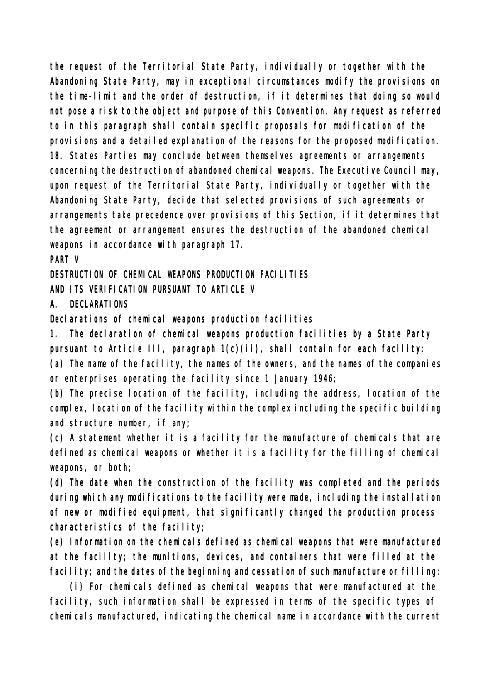the request of the Territorial State Party, individually or together with the Abandoning State Party, may in exceptional circumstances modify the provisions on the time-limit and the order of destruction, if it determines that doing so would not pose a risk to the object and purpose of this Convention. Any request as referred to in this paragraph shall contain specific proposals for modification of the provisions and a detailed explanation of the reasons for the proposed modification. 18. States Parties may conclude between themselves agreements or arrangements concerning the destruction of abandoned chemical weapons. The Executive Council may, upon request of the Territorial State Party, individually or together with the Abandoning State Party, decide that selected provisions of such agreements or arrangements take precedence over provisions of this Section, if it determines that the agreement or arrangement ensures the destruction of the abandoned chemical weapons in accordance with paragraph 17.

#### PART V

DESTRUCTION OF CHEMICAL WEAPONS PRODUCTION FACILITIES

AND ITS VERIFICATION PURSUANT TO ARTICLE V

#### A. DECLARATIONS A.

Declarations of chemical weapons production facilities

1. The declaration of chemical weapons production facilities by a State Party pursuant to Article III, paragraph 1(c)(ii), shall contain for each facility: (a) The name of the facility, the names of the owners, and the names of the companies or enterprises operating the facility since 1 January 1946;

(b) The precise location of the facility, including the address, location of the complex, location of the facility within the complex including the specific building and structure number, if any;

(c) A statement whether it is a facility for the manufacture of chemicals that are defined as chemical weapons or whether it is a facility for the filling of chemical weapons, or both;

(d) The date when the construction of the facility was completed and the periods during which any modifications to the facility were made, including the installation of new or modified equipment, that significantly changed the production process characteristics of the facility;

(e) Information on the chemicals defined as chemical weapons that were manufactured at the facility; the munitions, devices, and containers that were filled at the facility; and the dates of the beginning and cessation of such manufacture or filling:

(i) For chemicals defined as chemical weapons that were manufactured at the facility, such information shall be expressed in terms of the specific types of chemicals manufactured, indicating the chemical name in accordance with the current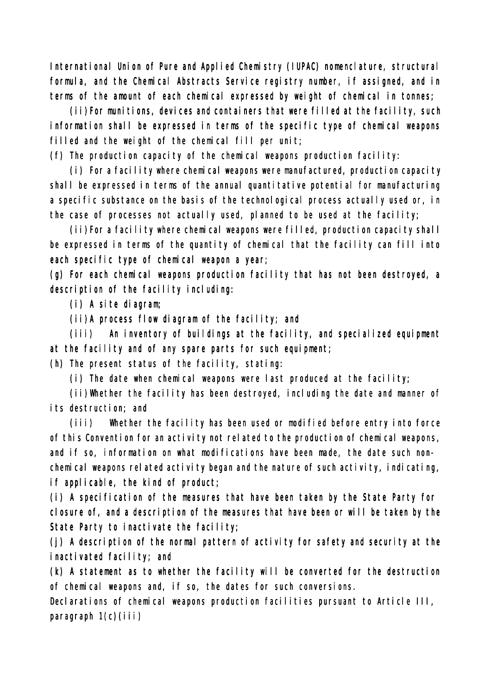International Union of Pure and Applied Chemistry (IUPAC) nomenclature, structural formula, and the Chemical Abstracts Service registry number, if assigned, and in terms of the amount of each chemical expressed by weight of chemical in tonnes;

 $(i)$  For munitions, devices and containers that were filled at the facility, such information shall be expressed in terms of the specific type of chemical weapons filled and the weight of the chemical fill per unit;

(f) The production capacity of the chemical weapons production facility:

(i) For a facility where chemical weapons were manufactured, production capacity shall be expressed in terms of the annual quantitative potential for manufacturing a specific substance on the basis of the technological process actually used or, in the case of processes not actually used, planned to be used at the facility;

 $(i)$  For a facility where chemical weapons were filled, production capacity shall be expressed in terms of the quantity of chemical that the facility can fill into each specific type of chemical weapon a year;

 $(g)$  For each chemical weapons production facility that has not been destroyed, a description of the facility including:

 $(i)$  A site diagram;

 $(ii)$ A process flow diagram of the facility; and

(iii) An inventory of buildings at the facility, and specialized equipment at the facility and of any spare parts for such equipment;

(h) The present status of the facility, stating:

(i) The date when chemical weapons were last produced at the facility;

(ii)Whether the facility has been destroyed, including the date and manner of its destruction; and

(iii) Whether the facility has been used or modified before entry into force of this Convention for an activity not related to the production of chemical weapons, and if so, information on what modifications have been made, the date such nonchemical weapons related activity began and the nature of such activity, indicating, if applicable, the kind of product;

(i) A specification of the measures that have been taken by the State Party for closure of, and a description of the measures that have been or will be taken by the State Party to inactivate the facility;

(i) A description of the normal pattern of activity for safety and security at the inactivated facility; and

(k) A statement as to whether the facility will be converted for the destruction of chemical weapons and, if so, the dates for such conversions.

Declarations of chemical weapons production facilities pursuant to Article III, paragraph  $1(c)$ (iii)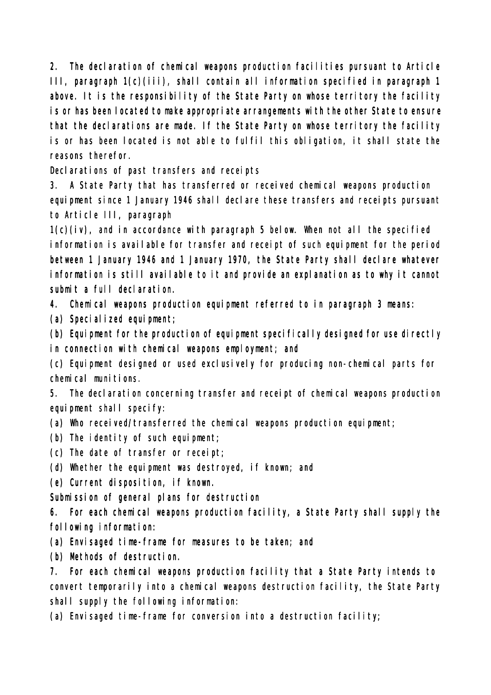2. The declaration of chemical weapons production facilities pursuant to Article III, paragraph 1(c)(iii), shall contain all information specified in paragraph 1 above. It is the responsibility of the State Party on whose territory the facility is or has been located to make appropriate arrangements with the other State to ensure that the declarations are made. If the State Party on whose territory the facility is or has been located is not able to fulfil this obligation, it shall state the reasons therefor.

Declarations of past transfers and receipts

3. A State Party that has transferred or received chemical weapons production equipment since 1 January 1946 shall declare these transfers and receipts pursuant to Article III, paragraph

 $1(c)(iv)$ , and in accordance with paragraph 5 below. When not all the specified information is available for transfer and receipt of such equipment for the period between 1 January 1946 and 1 January 1970, the State Party shall declare whatever information is still available to it and provide an explanation as to why it cannot submit a full declaration.

4. Chemical weapons production equipment referred to in paragraph 3 means:

(a) Specialized equipment;

(b) Equipment for the production of equipment specifically designed for use directly in connection with chemical weapons employment; and

(c) Equipment designed or used exclusively for producing non-chemical parts for chemical munitions.

5. The declaration concerning transfer and receipt of chemical weapons production equipment shall specify:

(a) Who received/transferred the chemical weapons production equipment;

- (b) The identity of such equipment;
- $(c)$  The date of transfer or receipt;
- (d) Whether the equipment was destroyed, if known; and
- (e) Current disposition, if known.

Submission of general plans for destruction

6. For each chemical weapons production facility, a State Party shall supply the following information:

(a) Envisaged time-frame for measures to be taken; and

(b) Methods of destruction. (b) Methods of destruction.

7. For each chemical weapons production facility that a State Party intends to convert temporarily into a chemical weapons destruction facility, the State Party shall supply the following information:

(a) Envisaged time-frame for conversion into a destruction facility;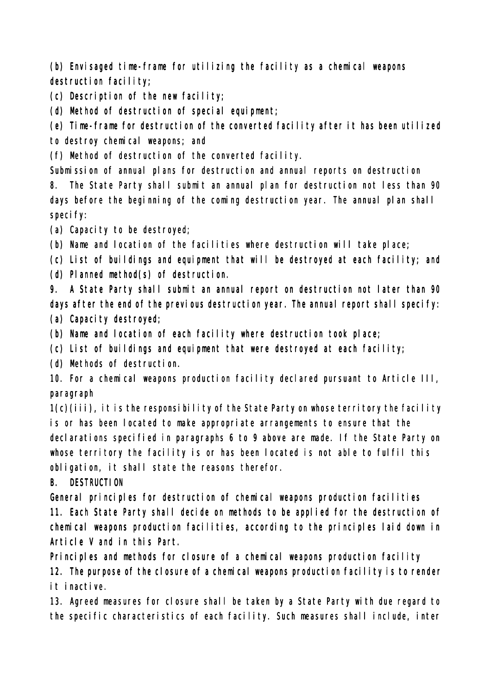(b) Envisaged time-frame for utilizing the facility as a chemical weapons destruction facility;

(c) Description of the new facility;

(d) Method of destruction of special equipment;

(e) Time-frame for destruction of the converted facility after it has been utilized to destroy chemical weapons; and

(f) Method of destruction of the converted facility.

Submission of annual plans for destruction and annual reports on destruction 8. The State Party shall submit an annual plan for destruction not less than 90 days before the beginning of the coming destruction year. The annual plan shall specify:

(a) Capacity to be destroyed;

(b) Name and location of the facilities where destruction will take place;

- (c) List of buildings and equipment that will be destroyed at each facility; and
- (d) Planned method(s) of destruction.

9. A State Party shall submit an annual report on destruction not later than 90 days after the end of the previous destruction year. The annual report shall specify:

(a) Capacity destroyed; (a) Capacity destroyed;

- (b) Name and location of each facility where destruction took place;
- $(c)$  List of buildings and equipment that were destroyed at each facility;

(d) Methods of destruction. (d) Methods of destruction.

10. For a chemical weapons production facility declared pursuant to Article III, paragraph

1(c)(iii), it is the responsibility of the State Party on whose territory the facility is or has been located to make appropriate arrangements to ensure that the declarations specified in paragraphs 6 to 9 above are made. If the State Party on whose territory the facility is or has been located is not able to fulfil this obligation, it shall state the reasons therefor.

B. DESTRUCTION

General principles for destruction of chemical weapons production facilities 11. Each State Party shall decide on methods to be applied for the destruction of chemical weapons production facilities, according to the principles laid down in Article V and in this Part.

Principles and methods for closure of a chemical weapons production facility

12. The purpose of the closure of a chemical weapons production facility is to render it inactive.

13. Agreed measures for closure shall be taken by a State Party with due regard to the specific characteristics of each facility. Such measures shall include, inter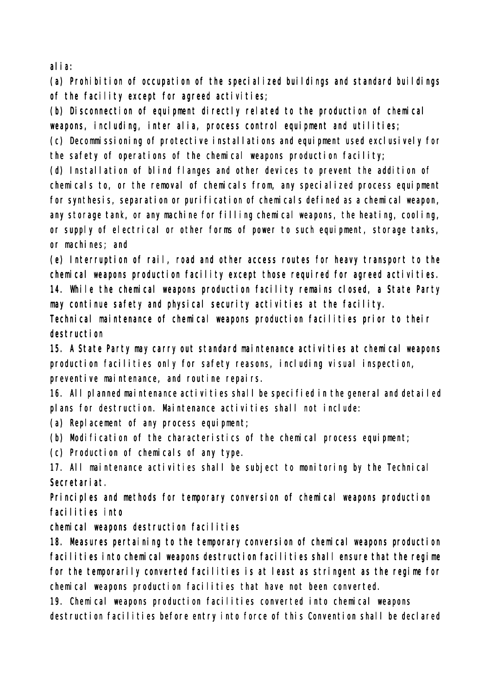alia:

(a) Prohibition of occupation of the specialized buildings and standard buildings of the facility except for agreed activities;

(b) Disconnection of equipment directly related to the production of chemical weapons, including, inter alia, process control equipment and utilities;

(c) Decommissioning of protective installations and equipment used exclusively for the safety of operations of the chemical weapons production facility;

(d) Installation of blind flanges and other devices to prevent the addition of chemicals to, or the removal of chemicals from, any specialized process equipment for synthesis, separation or purification of chemicals defined as a chemical weapon, any storage tank, or any machine for filling chemical weapons, the heating, cooling, or supply of electrical or other forms of power to such equipment, storage tanks, or machines; and

(e) Interruption of rail, road and other access routes for heavy transport to the chemical weapons production facility except those required for agreed activities.

14. While the chemical weapons production facility remains closed, a State Party may continue safety and physical security activities at the facility.

Technical maintenance of chemical weapons production facilities prior to their destruction

15. A State Party may carry out standard maintenance activities at chemical weapons production facilities only for safety reasons, including visual inspection, preventive maintenance, and routine repairs.

16. All planned maintenance activities shall be specified in the general and detailed plans for destruction. Maintenance activities shall not include:

(a) Replacement of any process equipment;

(b) Modification of the characteristics of the chemical process equipment;

 $(c)$  Production of chemicals of any type.

17. All maintenance activities shall be subject to monitoring by the Technical Secretariat.

Principles and methods for temporary conversion of chemical weapons production facilities into

chemical weapons destruction facilities

18. Measures pertaining to the temporary conversion of chemical weapons production facilities into chemical weapons destruction facilities shall ensure that the regime for the temporarily converted facilities is at least as stringent as the regime for chemical weapons production facilities that have not been converted.

19. Chemical weapons production facilities converted into chemical weapons 19. Chemical weapons destruction facilities before entry into force of this Convention shall be declared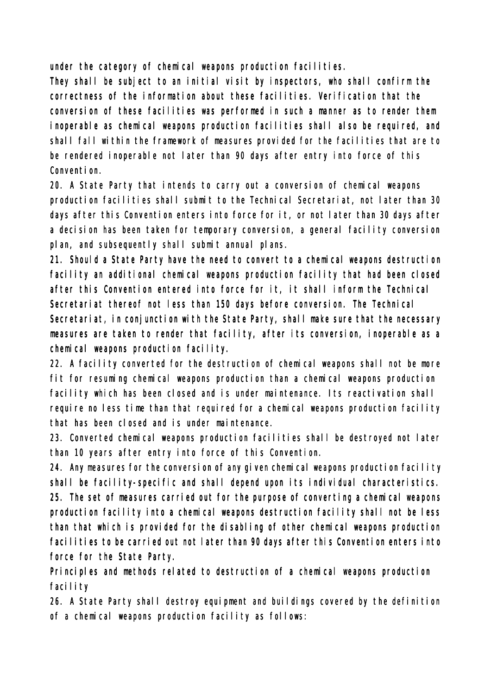under the category of chemical weapons production facilities.

They shall be subject to an initial visit by inspectors, who shall confirm the correctness of the information about these facilities. Verification that the conversion of these facilities was performed in such a manner as to render them inoperable as chemical weapons production facilities shall also be required, and shall fall within the framework of measures provided for the facilities that are to be rendered inoperable not later than 90 days after entry into force of this Convention.

20. A State Party that intends to carry out a conversion of chemical weapons production facilities shall submit to the Technical Secretariat, not later than 30 days after this Convention enters into force for it, or not later than 30 days after a decision has been taken for temporary conversion, a general facility conversion plan, and subsequently shall submit annual plans.

21. Should a State Party have the need to convert to a chemical weapons destruction facility an additional chemical weapons production facility that had been closed after this Convention entered into force for it, it shall inform the Technical Secretariat thereof not less than 150 days before conversion. The Technical Secretariat, in conjunction with the State Party, shall make sure that the necessary measures are taken to render that facility, after its conversion, inoperable as a chemical weapons production facility.

22. A facility converted for the destruction of chemical weapons shall not be more fit for resuming chemical weapons production than a chemical weapons production facility which has been closed and is under maintenance. Its reactivation shall require no less time than that required for a chemical weapons production facility that has been closed and is under maintenance.

23. Converted chemical weapons production facilities shall be destroyed not later than 10 years after entry into force of this Convention.

24. Any measures for the conversion of any given chemical weapons production facility shall be facility-specific and shall depend upon its individual characteristics. 25. The set of measures carried out for the purpose of converting a chemical weapons production facility into a chemical weapons destruction facility shall not be less than that which is provided for the disabling of other chemical weapons production facilities to be carried out not later than 90 days after this Convention enters into force for the State Party.

Principles and methods related to destruction of a chemical weapons production facility

26. A State Party shall destroy equipment and buildings covered by the definition of a chemical weapons production facility as follows: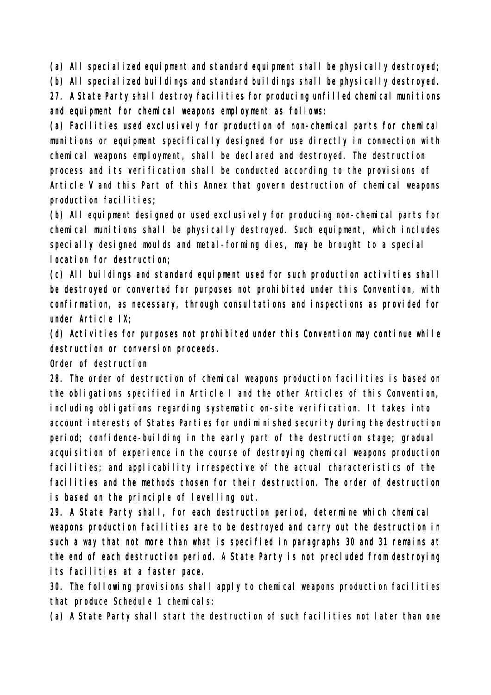(a) All specialized equipment and standard equipment shall be physically destroyed;

(b) All specialized buildings and standard buildings shall be physically destroyed. (b) be physically

27. A State Party shall destroy facilities for producing unfilled chemical munitions and equipment for chemical weapons employment as follows:

(a) Facilities used exclusively for production of non-chemical parts for chemical munitions or equipment specifically designed for use directly in connection with chemical weapons employment, shall be declared and destroyed. The destruction process and its verification shall be conducted according to the provisions of Article V and this Part of this Annex that govern destruction of chemical weapons production facilities;

(b) All equipment designed or used exclusively for producing non-chemical parts for chemical munitions shall be physically destroyed. Such equipment, which includes specially designed moulds and metal-forming dies, may be brought to a special location for destruction;

 $(c)$  All buildings and standard equipment used for such production activities shall be destroyed or converted for purposes not prohibited under this Convention, with confirmation, as necessary, through consultations and inspections as provided for under Article IX;

(d) Activities for purposes not prohibited under this Convention may continue while destruction or conversion proceeds.

Order of destruction

28. The order of destruction of chemical weapons production facilities is based on the obligations specified in Article I and the other Articles of this Convention, including obligations regarding systematic on-site verification. It takes into account interests of States Parties for undiminished security during the destruction period; confidence-building in the early part of the destruction stage; gradual acquisition of experience in the course of destroying chemical weapons production facilities; and applicability irrespective of the actual characteristics of the facilities and the methods chosen for their destruction. The order of destruction is based on the principle of levelling out.

29. A State Party shall, for each destruction period, determine which chemical weapons production facilities are to be destroyed and carry out the destruction in such a way that not more than what is specified in paragraphs 30 and 31 remains at the end of each destruction period. A State Party is not precluded from destroying its facilities at a faster pace.

30. The following provisions shall apply to chemical weapons production facilities that produce Schedule 1 chemicals:

(a) A State Party shall start the destruction of such facilities not later than one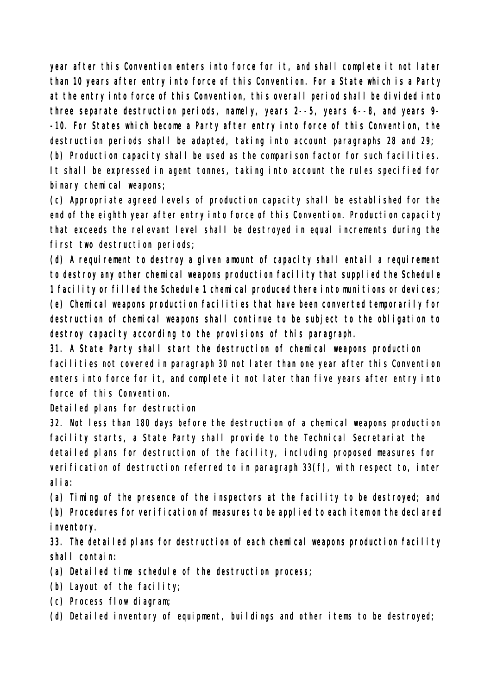year after this Convention enters into force for it, and shall complete it not later than 10 years after entry into force of this Convention. For a State which is a Party at the entry into force of this Convention, this overall period shall be divided into three separate destruction periods, namely, years 2--5, years 6--8, and years 9- -10. For States which become a Party after entry into force of this Convention, the destruction periods shall be adapted, taking into account paragraphs 28 and 29;

(b) Production capacity shall be used as the comparison factor for such facilities. It shall be expressed in agent tonnes, taking into account the rules specified for binary chemical weapons;

(c) Appropriate agreed levels of production capacity shall be established for the end of the eighth year after entry into force of this Convention. Production capacity that exceeds the relevant level shall be destroyed in equal increments during the first two destruction periods;

(d) A requirement to destroy a given amount of capacity shall entail a requirement to destroy any other chemical weapons production facility that supplied the Schedule 1 facility or filled the Schedule 1 chemical produced there into munitions or devices; (e) Chemical weapons production facilities that have been converted temporarily for destruction of chemical weapons shall continue to be subject to the obligation to destroy capacity according to the provisions of this paragraph.

31. A State Party shall start the destruction of chemical weapons production facilities not covered in paragraph 30 not later than one year after this Convention enters into force for it, and complete it not later than five years after entry into force of this Convention.

Detailed plans for destruction

32. Not less than 180 days before the destruction of a chemical weapons production facility starts, a State Party shall provide to the Technical Secretariat the detailed plans for destruction of the facility, including proposed measures for verification of destruction referred to in paragraph 33(f), with respect to, inter alia:

(a) Timing of the presence of the inspectors at the facility to be destroyed; and (b) Procedures for verification of measures to be applied to each item on the declared inventory.

33. The detailed plans for destruction of each chemical weapons production facility shall contain:

- (a) Detailed time schedule of the destruction process;
- (b) Layout of the facility;
- (c) Process flow diagram; (c) Process flow
- (d) Detailed inventory of equipment, buildings and other items to be destroyed; (d) Detailed inventory of equipment,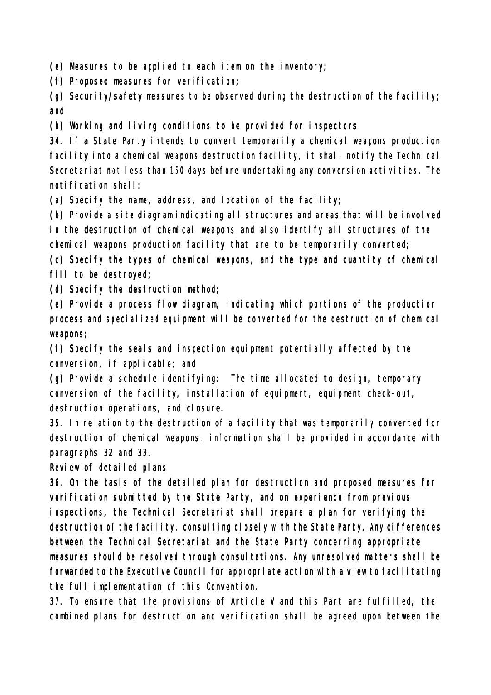(e) Measures to be applied to each item on the inventory;

(f) Proposed measures for verification; (f) Proposed measures for verification;

(g) Security/safety measures to be observed during the destruction of the facility; and

(h) Working and living conditions to be provided for inspectors.

34. If a State Party intends to convert temporarily a chemical weapons production facility into a chemical weapons destruction facility, it shall notify the Technical Secretariat not less than 150 days before undertaking any conversion activities. The notification shall:

(a) Specify the name, address, and location of the facility;

(b) Provide a site diagram indicating all structures and areas that will be involved in the destruction of chemical weapons and also identify all structures of the chemical weapons production facility that are to be temporarily converted;

(c) Specify the types of chemical weapons, and the type and quantity of chemical fill to be destroyed;

(d) Specify the destruction method; (d) Specify the method;

(e) Provide a process flow diagram, indicating which portions of the production process and specialized equipment will be converted for the destruction of chemical weapons;

(f) Specify the seals and inspection equipment potentially affected by the  $\overline{\phantom{a}}$ conversion, if applicable; and

(g) Provide a schedule identifying: The time allocated to design, temporary conversion of the facility, installation of equipment, equipment check-out, destruction operations, and closure.

35. In relation to the destruction of a facility that was temporarily converted for destruction of chemical weapons, information shall be provided in accordance with paragraphs 32 and 33.

Review of detailed plans

36. On the basis of the detailed plan for destruction and proposed measures for verification submitted by the State Party, and on experience from previous inspections, the Technical Secretariat shall prepare a plan for verifying the destruction of the facility, consulting closely with the State Party. Any differences between the Technical Secretariat and the State Party concerning appropriate measures should be resolved through consultations. Any unresolved matters shall be forwarded to the Executive Council for appropriate action with a view to facilitating the full implementation of this Convention.

37. To ensure that the provisions of Article V and this Part are fulfilled, the combined plans for destruction and verification shall be agreed upon between the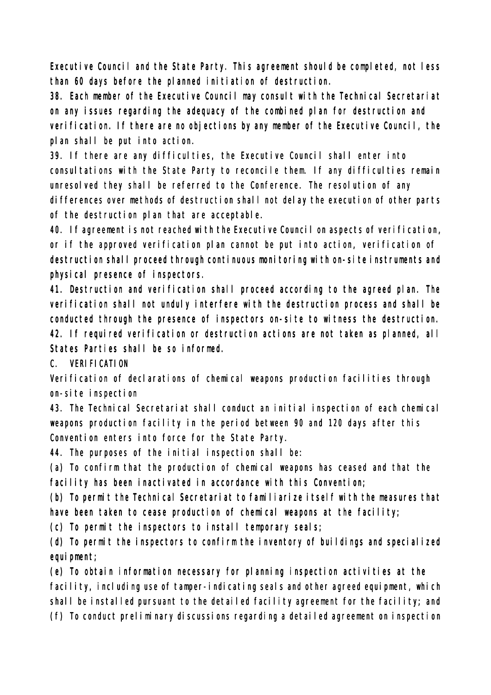Executive Council and the State Party. This agreement should be completed, not less than 60 days before the planned initiation of destruction.

38. Each member of the Executive Council may consult with the Technical Secretariat on any issues regarding the adequacy of the combined plan for destruction and verification. If there are no objections by any member of the Executive Council, the plan shall be put into action.

39. If there are any difficulties, the Executive Council shall enter into consultations with the State Party to reconcile them. If any difficulties remain unresolved they shall be referred to the Conference. The resolution of any differences over methods of destruction shall not delay the execution of other parts of the destruction plan that are acceptable.

40. If agreement is not reached with the Executive Council on aspects of verification, or if the approved verification plan cannot be put into action, verification of destruction shall proceed through continuous monitoring with on-site instruments and physical presence of inspectors.

41. Destruction and verification shall proceed according to the agreed plan. The verification shall not unduly interfere with the destruction process and shall be conducted through the presence of inspectors on-site to witness the destruction. 42. If required verification or destruction actions are not taken as planned, all States Parties shall be so informed.

## C. VERIFICATION

Verification of declarations of chemical weapons production facilities through on-site inspection

43. The Technical Secretariat shall conduct an initial inspection of each chemical weapons production facility in the period between 90 and 120 days after this Convention enters into force for the State Party.

44. The purposes of the initial inspection shall be:

(a) To confirm that the production of chemical weapons has ceased and that the facility has been inactivated in accordance with this Convention;

(b) To permit the Technical Secretariat to familiarize itself with the measures that have been taken to cease production of chemical weapons at the facility;

 $(c)$  To permit the inspectors to install temporary seals;

(d) To permit the inspectors to confirm the inventory of buildings and specialized equi pment;

(e) To obtain information necessary for planning inspection activities at the facility, including use of tamper-indicating seals and other agreed equipment, which shall be installed pursuant to the detailed facility agreement for the facility; and

(f) To conduct preliminary discussions regarding a detailed agreement on inspection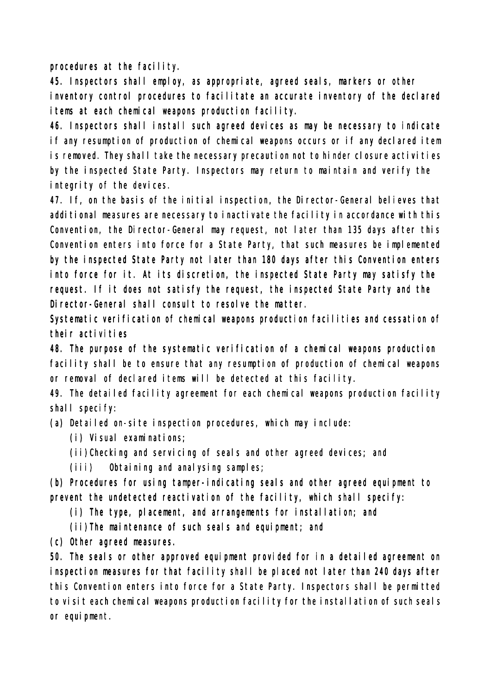procedures at the facility.

45. Inspectors shall employ, as appropriate, agreed seals, markers or other inventory control procedures to facilitate an accurate inventory of the declared items at each chemical weapons production facility.

46. Inspectors shall install such agreed devices as may be necessary to indicate if any resumption of production of chemical weapons occurs or if any declared item is removed. They shall take the necessary precaution not to hinder closure activities by the inspected State Party. Inspectors may return to maintain and verify the integrity of the devices.

47. If, on the basis of the initial inspection, the Director-General believes that additional measures are necessary to inactivate the facility in accordance with this Convention, the Director-General may request, not later than 135 days after this Convention enters into force for a State Party, that such measures be implemented by the inspected State Party not later than 180 days after this Convention enters into force for it. At its discretion, the inspected State Party may satisfy the request. If it does not satisfy the request, the inspected State Party and the Director-General shall consult to resolve the matter.

Systematic verification of chemical weapons production facilities and cessation of their activities

48. The purpose of the systematic verification of a chemical weapons production facility shall be to ensure that any resumption of production of chemical weapons or removal of declared items will be detected at this facility.

49. The detailed facility agreement for each chemical weapons production facility shall specify:

(a) Detailed on-site inspection procedures, which may include:

 $(i)$  Visual examinations:

- (ii)Checking and servicing of seals and other agreed devices; and
- (iii) Obtaining and analysing samples;

(b) Procedures for using tamper-indicating seals and other agreed equipment to prevent the undetected reactivation of the facility, which shall specify:

(i) The type, placement, and arrangements for installation; and

(ii)The maintenance of such seals and equipment; and

 $(c)$  Other agreed measures.

50. The seals or other approved equipment provided for in a detailed agreement on inspection measures for that facility shall be placed not later than 240 days after this Convention enters into force for a State Party. Inspectors shall be permitted to visit each chemical weapons production facility for the installation of such seals or equipment.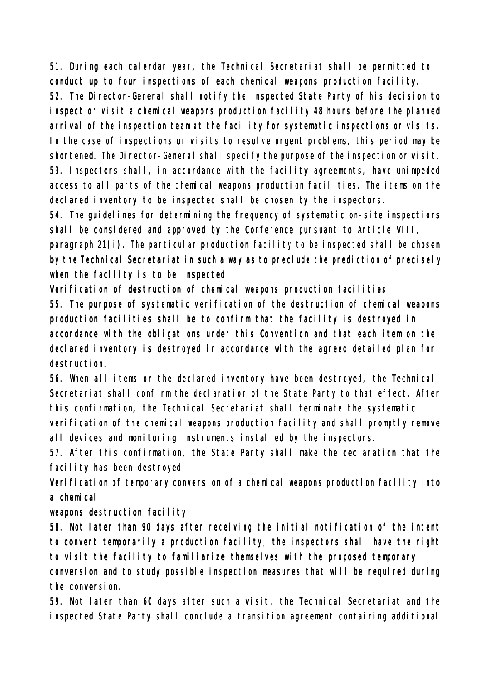51. During each calendar year, the Technical Secretariat shall be permitted to conduct up to four inspections of each chemical weapons production facility. 52. The Director-General shall notify the inspected State Party of his decision to inspect or visit a chemical weapons production facility 48 hours before the planned arrival of the inspection team at the facility for systematic inspections or visits. In the case of inspections or visits to resolve urgent problems, this period may be shortened. The Director-General shall specify the purpose of the inspection or visit. 53. Inspectors shall, in accordance with the facility agreements, have unimpeded access to all parts of the chemical weapons production facilities. The items on the declared inventory to be inspected shall be chosen by the inspectors.

54. The guidelines for determining the frequency of systematic on-site inspections shall be considered and approved by the Conference pursuant to Article VIII, paragraph 21(i). The particular production facility to be inspected shall be chosen

by the Technical Secretariat in such a way as to preclude the prediction of precisely when the facility is to be inspected.

Verification of destruction of chemical weapons production facilities 55. The purpose of systematic verification of the destruction of chemical weapons production facilities shall be to confirm that the facility is destroyed in accordance with the obligations under this Convention and that each item on the declared inventory is destroyed in accordance with the agreed detailed plan for destruction.

56. When all items on the declared inventory have been destroyed, the Technical Secretariat shall confirm the declaration of the State Party to that effect. After this confirmation, the Technical Secretariat shall terminate the systematic verification of the chemical weapons production facility and shall promptly remove all devices and monitoring instruments installed by the inspectors.

57. After this confirmation, the State Party shall make the declaration that the facility has been destroyed.

Verification of temporary conversion of a chemical weapons production facility into a chemical

weapons destruction facility

58. Not later than 90 days after receiving the initial notification of the intent to convert temporarily a production facility, the inspectors shall have the right to visit the facility to familiarize themselves with the proposed temporary conversion and to study possible inspection measures that will be required during the conversion.

59. Not later than 60 days after such a visit, the Technical Secretariat and the inspected State Party shall conclude a transition agreement containing additional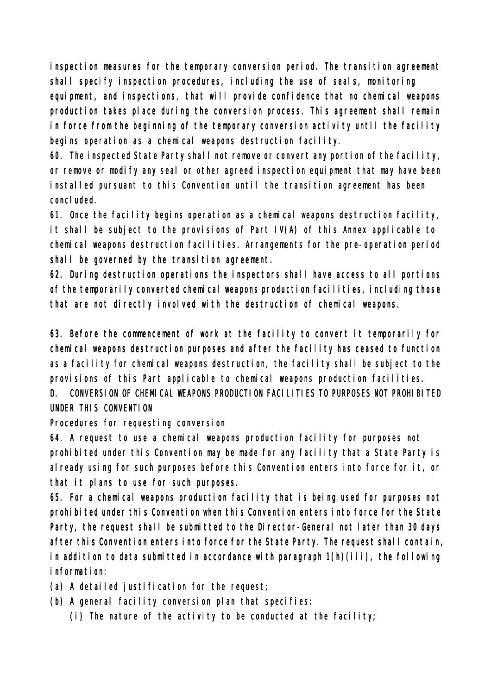inspection measures for the temporary conversion period. The transition agreement shall specify inspection procedures, including the use of seals, monitoring equipment, and inspections, that will provide confidence that no chemical weapons production takes place during the conversion process. This agreement shall remain in force from the beginning of the temporary conversion activity until the facility begins operation as a chemical weapons destruction facility.

60. The inspected State Party shall not remove or convert any portion of the facility, or remove or modify any seal or other agreed inspection equipment that may have been installed pursuant to this Convention until the transition agreement has been concluded.

61. Once the facility begins operation as a chemical weapons destruction facility, it shall be subject to the provisions of Part IV(A) of this Annex applicable to chemical weapons destruction facilities. Arrangements for the pre-operation period shall be governed by the transition agreement.

62. During destruction operations the inspectors shall have access to all portions of the temporarily converted chemical weapons production facilities, including those that are not directly involved with the destruction of chemical weapons.

63. Before the commencement of work at the facility to convert it temporarily for chemical weapons destruction purposes and after the facility has ceased to function as a facility for chemical weapons destruction, the facility shall be subject to the provisions of this Part applicable to chemical weapons production facilities.

D. CONVERSION OF CHEMICAL WEAPONS PRODUCTION FACILITIES TO PURPOSES NOT PROHIBITED UNDER THIS CONVENTION

Procedures for requesting conversion

64. A request to use a chemical weapons production facility for purposes not prohibited under this Convention may be made for any facility that a State Party is already using for such purposes before this Convention enters into force for it, or that it plans to use for such purposes.

65. For a chemical weapons production facility that is being used for purposes not prohibited under this Convention when this Convention enters into force for the State Party, the request shall be submitted to the Director-General not later than 30 days after this Convention enters into force for the State Party. The request shall contain, in addition to data submitted in accordance with paragraph 1(h)(iii), the following information:

(a) A detailed justification for the request;

- (b) A general facility conversion plan that specifies:
	- (i) The nature of the activity to be conducted at the facility;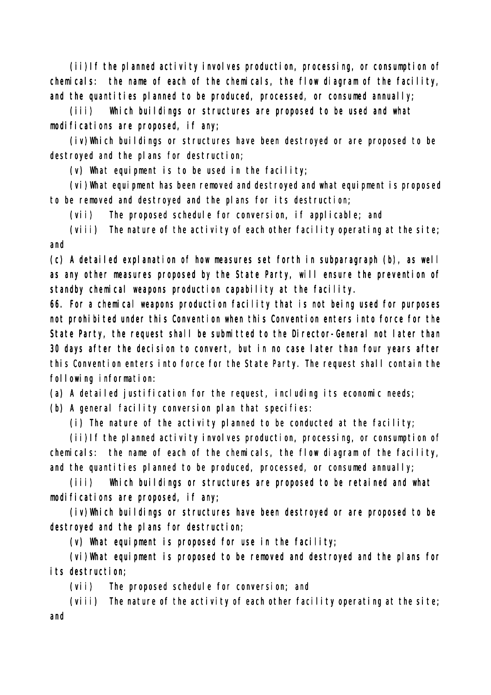$(i)$ If the planned activity involves production, processing, or consumption of chemicals: the name of each of the chemicals, the flow diagram of the facility, and the quantities planned to be produced, processed, or consumed annually;

(iii) Which buildings or structures are proposed to be used and what modifications are proposed, if any;

(iv) Which buildings or structures have been destroyed or are proposed to be destroyed and the plans for destruction;

(v) What equipment is to be used in the facility;

(vi) What equipment has been removed and destroyed and what equipment is proposed to be removed and destroyed and the plans for its destruction;

(vii) The proposed schedule for conversion, if applicable; and

(viii) The nature of the activity of each other facility operating at the site; and

(c) A detailed explanation of how measures set forth in subparagraph (b), as well as any other measures proposed by the State Party, will ensure the prevention of standby chemical weapons production capability at the facility.

66. For a chemical weapons production facility that is not being used for purposes not prohibited under this Convention when this Convention enters into force for the State Party, the request shall be submitted to the Director-General not later than 30 days after the decision to convert, but in no case later than four years after this Convention enters into force for the State Party. The request shall contain the following information:

(a) A detailed justification for the request, including its economic needs:

(b) A general facility conversion plan that specifies:

(i) The nature of the activity planned to be conducted at the facility;

 $(i)$ If the planned activity involves production, processing, or consumption of chemicals: the name of each of the chemicals, the flow diagram of the facility, and the quantities planned to be produced, processed, or consumed annually;

 $(iii)$  Which buildings or structures are proposed to be retained and what modifications are proposed, if any;

(iv) Which buildings or structures have been destroyed or are proposed to be destroyed and the plans for destruction;

(v) What equipment is proposed for use in the facility;

(vi)What equipment is proposed to be removed and destroyed and the plans for its destruction;

 $(vii)$  The proposed schedule for conversion; and

(viii) The nature of the activity of each other facility operating at the site; and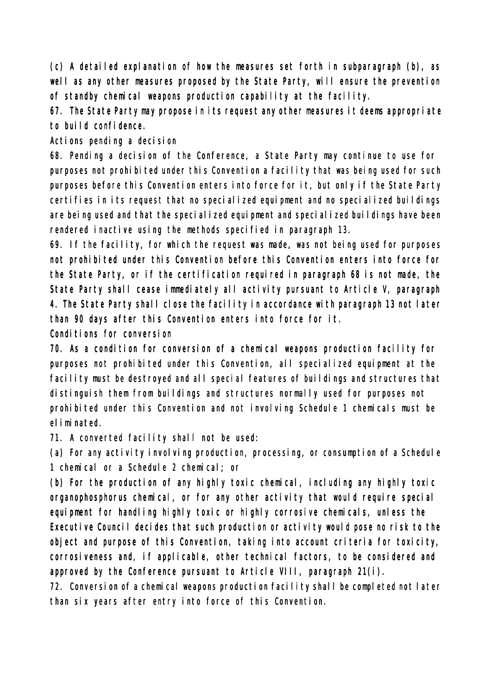(c) A detailed explanation of how the measures set forth in subparagraph (b), as well as any other measures proposed by the State Party, will ensure the prevention of standby chemical weapons production capability at the facility.

67. The State Party may propose in its request any other measures it deems appropriate to build confidence.

Actions pending a decision

68. Pending a decision of the Conference, a State Party may continue to use for purposes not prohibited under this Convention a facility that was being used for such purposes before this Convention enters into force for it, but only if the State Party certifies in its request that no specialized equipment and no specialized buildings are being used and that the specialized equipment and specialized buildings have been rendered inactive using the methods specified in paragraph 13.

69. If the facility, for which the request was made, was not being used for purposes not prohibited under this Convention before this Convention enters into force for the State Party, or if the certification required in paragraph 68 is not made, the State Party shall cease immediately all activity pursuant to Article V, paragraph 4. The State Party shall close the facility in accordance with paragraph 13 not later than 90 days after this Convention enters into force for it.

Conditions for conversion

70. As a condition for conversion of a chemical weapons production facility for purposes not prohibited under this Convention, all specialized equipment at the facility must be destroyed and all special features of buildings and structures that distinguish them from buildings and structures normally used for purposes not prohibited under this Convention and not involving Schedule 1 chemicals must be eliminated.

71. A converted facility shall not be used:

(a) For any activity involving production, processing, or consumption of a Schedule 1 chemical or a Schedule 2 chemical; or

(b) For the production of any highly toxic chemical, including any highly toxic organophosphorus chemical, or for any other activity that would require special equipment for handling highly toxic or highly corrosive chemicals, unless the Executive Council decides that such production or activity would pose no risk to the object and purpose of this Convention, taking into account criteria for toxicity, corrosiveness and, if applicable, other technical factors, to be considered and approved by the Conference pursuant to Article VIII, paragraph 21(i).

72. Conversion of a chemical weapons production facility shall be completed not later than six years after entry into force of this Convention.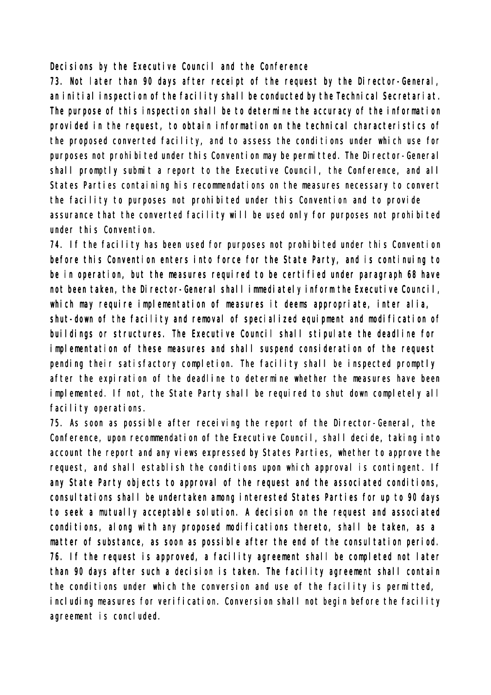Decisions by the Executive Council and the Conference

73. Not later than 90 days after receipt of the request by the Director-General, an initial inspection of the facility shall be conducted by the Technical Secretariat. The purpose of this inspection shall be to determine the accuracy of the information provided in the request, to obtain information on the technical characteristics of the proposed converted facility, and to assess the conditions under which use for purposes not prohibited under this Convention may be permitted. The Director-General shall promptly submit a report to the Executive Council, the Conference, and all States Parties containing his recommendations on the measures necessary to convert the facility to purposes not prohibited under this Convention and to provide assurance that the converted facility will be used only for purposes not prohibited under this Convention.

74. If the facility has been used for purposes not prohibited under this Convention before this Convention enters into force for the State Party, and is continuing to be in operation, but the measures required to be certified under paragraph 68 have not been taken, the Director-General shall immediately inform the Executive Council, which may require implementation of measures it deems appropriate, inter alia, shut-down of the facility and removal of specialized equipment and modification of buildings or structures. The Executive Council shall stipulate the deadline for implementation of these measures and shall suspend consideration of the request pending their satisfactory completion. The facility shall be inspected promptly after the expiration of the deadline to determine whether the measures have been implemented. If not, the State Party shall be required to shut down completely all facility operations.

75. As soon as possible after receiving the report of the Director-General, the Conference, upon recommendation of the Executive Council, shall decide, taking into account the report and any views expressed by States Parties, whether to approve the request, and shall establish the conditions upon which approval is contingent. If any State Party objects to approval of the request and the associated conditions, consultations shall be undertaken among interested States Parties for up to 90 days to seek a mutually acceptable solution. A decision on the request and associated conditions, along with any proposed modifications thereto, shall be taken, as a matter of substance, as soon as possible after the end of the consultation period. 76. If the request is approved, a facility agreement shall be completed not later than 90 days after such a decision is taken. The facility agreement shall contain the conditions under which the conversion and use of the facility is permitted, including measures for verification. Conversion shall not begin before the facility agreement is concluded.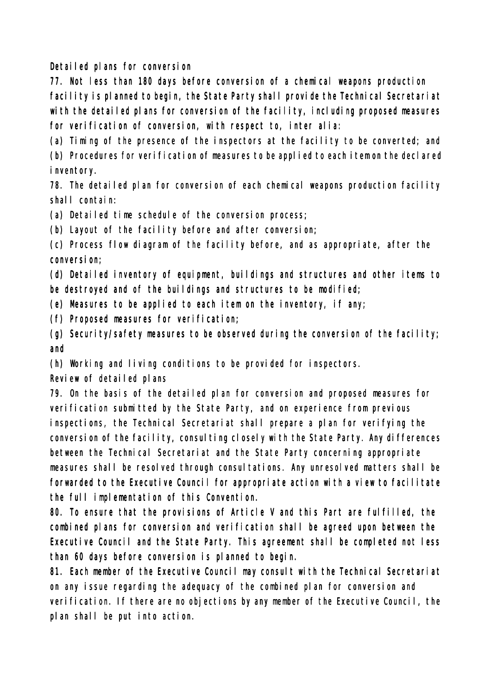Detailed plans for conversion

77. Not less than 180 days before conversion of a chemical weapons production facility is planned to begin, the State Party shall provide the Technical Secretariat with the detailed plans for conversion of the facility, including proposed measures for verification of conversion, with respect to, inter alia:

(a) Timing of the presence of the inspectors at the facility to be converted; and (b) Procedures for verification of measures to be applied to each item on the declared inventory.

78. The detailed plan for conversion of each chemical weapons production facility shall contain:

(a) Detailed time schedule of the conversion process;

(b) Layout of the facility before and after conversion;

(c) Process flow diagram of the facility before, and as appropriate, after the conversion;

(d) Detailed inventory of equipment, buildings and structures and other items to be destroyed and of the buildings and structures to be modified;

(e) Measures to be applied to each item on the inventory, if any;

(f) Proposed measures for verification; (f) Proposed measures for verification;

(g) Security/safety measures to be observed during the conversion of the facility; and

(h) Working and living conditions to be provided for inspectors.

Review of detailed plans

79. On the basis of the detailed plan for conversion and proposed measures for verification submitted by the State Party, and on experience from previous inspections, the Technical Secretariat shall prepare a plan for verifying the conversion of the facility, consulting closely with the State Party. Any differences between the Technical Secretariat and the State Party concerning appropriate measures shall be resolved through consultations. Any unresolved matters shall be forwarded to the Executive Council for appropriate action with a view to facilitate the full implementation of this Convention.

80. To ensure that the provisions of Article V and this Part are fulfilled, the combined plans for conversion and verification shall be agreed upon between the Executive Council and the State Party. This agreement shall be completed not less than 60 days before conversion is planned to begin.

81. Each member of the Executive Council may consult with the Technical Secretariat on any issue regarding the adequacy of the combined plan for conversion and verification. If there are no objections by any member of the Executive Council, the plan shall be put into action.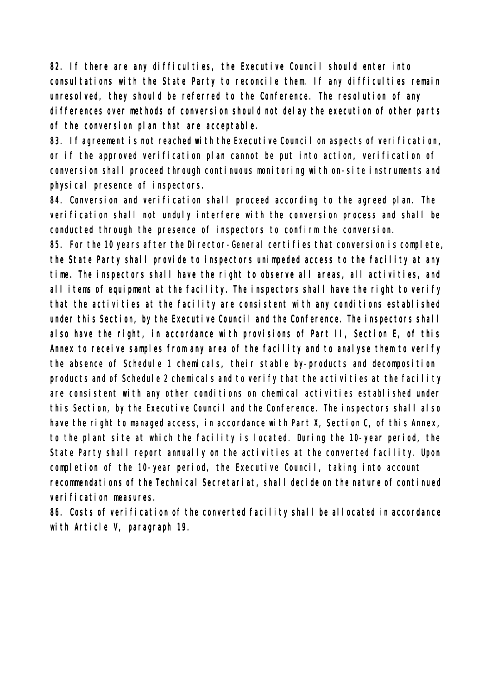82. If there are any difficulties, the Executive Council should enter into consultations with the State Party to reconcile them. If any difficulties remain unresolved, they should be referred to the Conference. The resolution of any differences over methods of conversion should not delay the execution of other parts of the conversion plan that are acceptable.

83. If agreement is not reached with the Executive Council on aspects of verification, or if the approved verification plan cannot be put into action, verification of conversion shall proceed through continuous monitoring with on-site instruments and physical presence of inspectors.

84. Conversion and verification shall proceed according to the agreed plan. The verification shall not unduly interfere with the conversion process and shall be conducted through the presence of inspectors to confirm the conversion.

85. For the 10 years after the Director-General certifies that conversion is complete, the State Party shall provide to inspectors unimpeded access to the facility at any time. The inspectors shall have the right to observe all areas, all activities, and all items of equipment at the facility. The inspectors shall have the right to verify that the activities at the facility are consistent with any conditions established under this Section, by the Executive Council and the Conference. The inspectors shall also have the right, in accordance with provisions of Part II, Section E, of this Annex to receive samples from any area of the facility and to analyse them to verify the absence of Schedule 1 chemicals, their stable by-products and decomposition products and of Schedule 2 chemicals and to verify that the activities at the facility are consistent with any other conditions on chemical activities established under this Section, by the Executive Council and the Conference. The inspectors shall also have the right to managed access, in accordance with Part X, Section C, of this Annex, to the plant site at which the facility is located. During the 10-year period, the State Party shall report annually on the activities at the converted facility. Upon completion of the 10-year period, the Executive Council, taking into account recommendations of the Technical Secretariat, shall decide on the nature of continued verification measures.

86. Costs of verification of the converted facility shall be allocated in accordance with Article V, paragraph 19.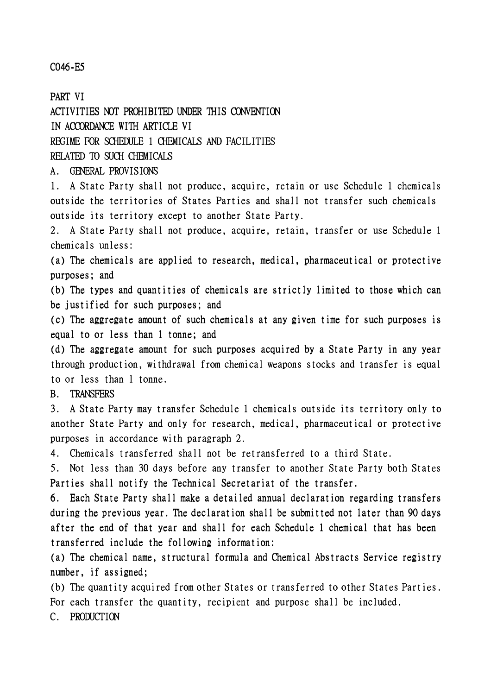C046-E5

PART VI ACTIVITIES NOT PROHIBITED UNDER THIS CONVENTION IN ACCORDANCE WITH ARTICLE VI REGIME FOR SCHEDULE 1 CHEMICALS AND FACILITIES RELATED TO SUCH CHEMICALS

A. GENERAL PROVISIONS A. GENERAL PROVISIONS

1. A State Party shall not produce, acquire, retain or use Schedule 1 chemicals outside the territories of States Parties and shall not transfer such chemicals outside its territory except to another State Party.

2. A State Party shall not produce, acquire, retain, transfer or use Schedule 1. chemicals unless:

(a) The chemicals are applied to research, medical, pharmaceutical or protective purposes; and

(b) The types and quantities of chemicals are strictly limited to those which can be justified for such purposes; and

(c) The aggregate amount of such chemicals at any given time for such purposes is equal to or less than 1 tonne; and

(d) The aggregate amount for such purposes acquired by a State Party in any year through production, withdrawal from chemical weapons stocks and transfer is equal to or less than 1 tonne.

**B. TRANSFERS** 

3. A State Party may transfer Schedule 1 chemicals outside its territory only to another State Party and only for research, medical, pharmaceutical or protective purposes in accordance with paragraph 2.

4. Chemicals transferred shall not be retransferred to a third State.

5. Not less than 30 days before any transfer to another State Party both States Parties shall notify the Technical Secretariat of the transfer.

6. Each State Party shall make a detailed annual declaration regarding transfers during the previous year. The declaration shall be submitted not later than 90 days after the end of that year and shall for each Schedule 1 chemical that has been transferred include the following information:

(a) The chemical name, structural formula and Chemical Abstracts Service registry number, if assigned;

(b) The quantity acquired from other States or transferred to other States Parties. For each transfer the quantity, recipient and purpose shall be included.

C. PRODUCTION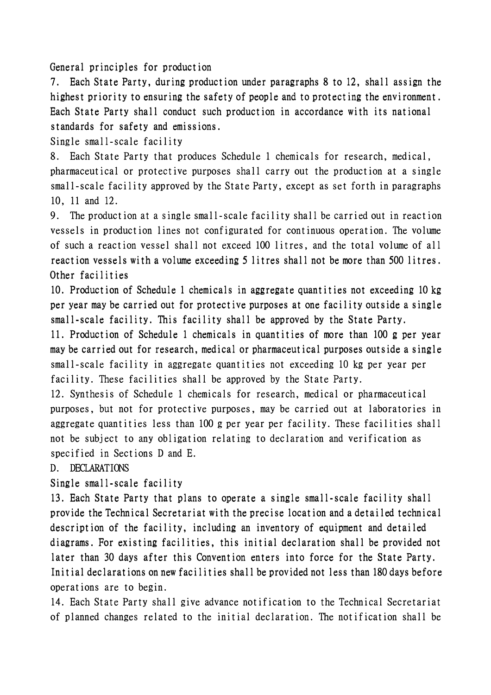General principles for production

7. Each State Party, during production under paragraphs 8 to 12, shall assign the highest priority to ensuring the safety of people and to protecting the environment. Each State Party shall conduct such production in accordance with its national standards for safety and emissions.

Single small-scale facility

8. Each State Party that produces Schedule 1 chemicals for research, medical, pharmaceutical or protective purposes shall carry out the production at a single small-scale facility approved by the State Party, except as set forth in paragraphs 10, 11 and 12.

9. The production at a single small-scale facility shall be carried out in reaction vessels in production lines not configurated for continuous operation. The volume of such a reaction vessel shall not exceed 100 litres, and the total volume of all reaction vessels with a volume exceeding 5 litres shall not be more than 500 litres. Other facilities

10. Production of Schedule 1 chemicals in aggregate quantities not exceeding 10 kg per year may be carried out for protective purposes at one facility outside a single small-scale facility. This facility shall be approved by the State Party.

11. Production of Schedule 1 chemicals in quantities of more than 100 g per year may be carried out for research, medical or pharmaceutical purposes outside a single small-scale facility in aggregate quantities not exceeding 10 kg per year per facility. These facilities shall be approved by the State Party.

12. Synthesis of Schedule 1 chemicals for research, medical or pharmaceutical purposes, but not for protective purposes, may be carried out at laboratories in aggregate quantities less than 100 g per year per facility. These facilities shall not be subject to any obligation relating to declaration and verification as specified in Sections D and E.

## D. DECLARATIONS

Single small-scale facility

13. Each State Party that plans to operate a single small-scale facility shall provide the Technical Secretariat with the precise location and a detailed technical description of the facility, including an inventory of equipment and detailed diagrams. For existing facilities, this initial declaration shall be provided not later than 30 days after this Convention enters into force for the State Party. Initial declarations on new facilities shall be provided not less than 180 days before operations are to begin.

14. Each State Party shall give advance notification to the Technical Secretariat of planned changes related to the initial declaration. The notification shall be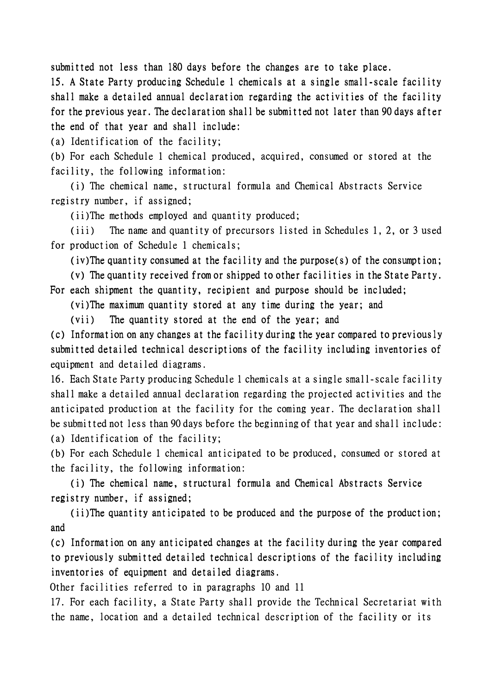submitted not less than 180 days before the changes are to take place.

15. A State Party producing Schedule 1 chemicals at a single small-scale facility shall make a detailed annual declaration regarding the activities of the facility for the previous year. The declaration shall be submitted not later than 90 days after the end of that year and shall include:

(a) Identification of the facility;

(b) For each Schedule 1 chemical produced, acquired, consumed or stored at the facility, the following information:

(i) The chemical name, structural formula and Chemical Abstracts Service registry number, if assigned;

(ii)The methods employed and quantity produced;

(iii) The name and quantity of precursors listed in Schedules 1, 2, or 3 used for production of Schedule 1 chemicals;

 $(iv)$ The quantity consumed at the facility and the purpose(s) of the consumption;

(v) The quantity received from or shipped to other facilities in the State Party. For each shipment the quantity, recipient and purpose should be included;

(vi)The maximum quantity stored at any time during the year; and

(vii) The quantity stored at the end of the year; and

(c) Information on any changes at the facility during the year compared to previously submitted detailed technical descriptions of the facility including inventories of equipment and detailed diagrams.

16. Each State Party producing Schedule 1 chemicals at a single small-scale facility shall make a detailed annual declaration regarding the projected activities and the anticipated production at the facility for the coming year. The declaration shall be submitted not less than 90 days before the beginning of that year and shall include: (a) Identification of the facility;

(b) For each Schedule 1 chemical anticipated to be produced, consumed or stored at the facility, the following information:

(i) The chemical name, structural formula and Chemical Abstracts Service registry number, if assigned;

 $(i)$ The quantity anticipated to be produced and the purpose of the production; and

(c) Information on any anticipated changes at the facility during the year compared to previously submitted detailed technical descriptions of the facility including inventories of equipment and detailed diagrams.

Other facilities referred to in paragraphs 10 and 11

17. For each facility, a State Party shall provide the Technical Secretariat with the name, location and a detailed technical description of the facility or its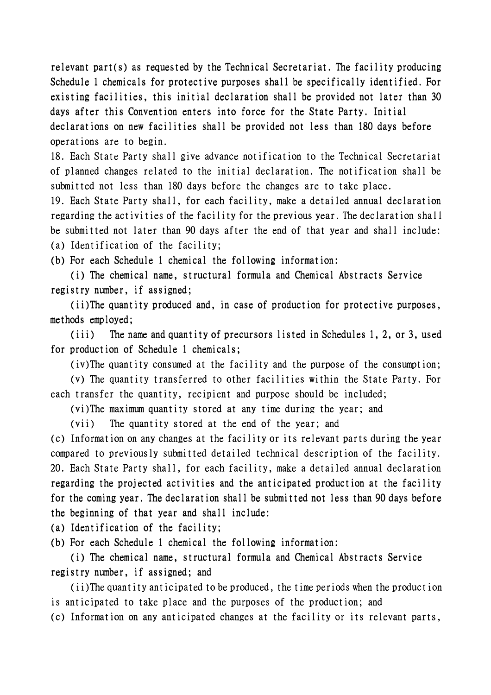relevant part(s) as requested by the Technical Secretariat. The facility producing Schedule 1 chemicals for protective purposes shall be specifically identified. For existing facilities, this initial declaration shall be provided not later than 30 days after this Convention enters into force for the State Party. Initial declarations on new facilities shall be provided not less than 180 days before operations are to begin.

18. Each State Party shall give advance notification to the Technical Secretariat of planned changes related to the initial declaration. The notification shall be submitted not less than 180 days before the changes are to take place.

19. Each State Party shall, for each facility, make a detailed annual declaration regarding the activities of the facility for the previous year. The declaration shall be submitted not later than 90 days after the end of that year and shall include: (a) Identification of the facility;

(b) For each Schedule 1 chemical the following information:

(i) The chemical name, structural formula and Chemical Abstracts Service registry number, if assigned;

 $(i)$ The quantity produced and, in case of production for protective purposes, methods employed;

(iii) The name and quantity of precursors listed in Schedules 1, 2, or 3, used for production of Schedule 1 chemicals;

 $(iv)$ The quantity consumed at the facility and the purpose of the consumption;

(v) The quantity transferred to other facilities within the State Party. For each transfer the quantity, recipient and purpose should be included;

(vi)The maximum quantity stored at any time during the year; and

(vii) The quantity stored at the end of the year; and

(c) Information on any changes at the facility or its relevant parts during the year compared to previously submitted detailed technical description of the facility. 20. Each State Party shall, for each facility, make a detailed annual declaration regarding the projected activities and the anticipated production at the facility for the coming year. The declaration shall be submitted not less than 90 days before the beginning of that year and shall include:

(a) Identification of the facility;

(b) For each Schedule 1 chemical the following information:

(i) The chemical name, structural formula and Chemical Abstracts Service registry number, if assigned; and

 $(i)$ The quantity anticipated to be produced, the time periods when the production is anticipated to take place and the purposes of the production; and (c) Information on any anticipated changes at the facility or its relevant parts,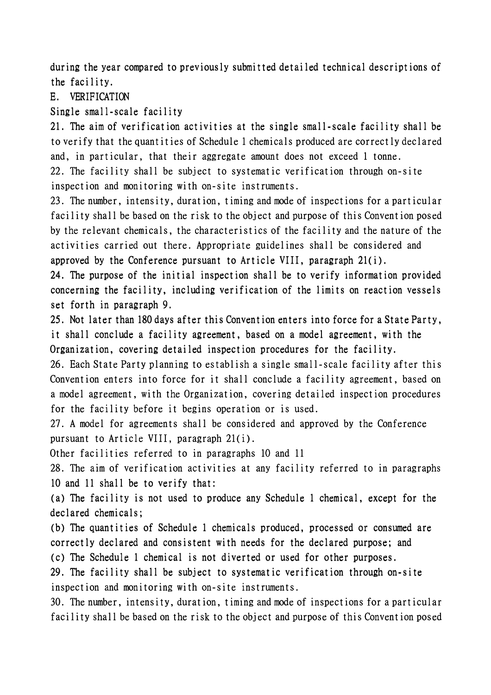during the year compared to previously submitted detailed technical descriptions of the facility.

# E. VERIFICATION

Single small-scale facility

21. The aim of verification activities at the single small-scale facility shall be to verify that the quantities of Schedule 1 chemicals produced are correctly declared and, in particular, that their aggregate amount does not exceed 1 tonne. 22. The facility shall be subject to systematic verification through on-site

inspection and monitoring with on-site instruments.

23. The number, intensity, duration, timing and mode of inspections for a particular facility shall be based on the risk to the object and purpose of this Convention posed by the relevant chemicals, the characteristics of the facility and the nature of the activities carried out there. Appropriate guidelines shall be considered and approved by the Conference pursuant to Article VIII, paragraph 21(i).

24. The purpose of the initial inspection shall be to verify information provided concerning the facility, including verification of the limits on reaction vessels set forth in paragraph 9.

25. Not later than 180 days after this Convention enters into force for a State Party, it shall conclude a facility agreement, based on a model agreement, with the Organization, covering detailed inspection procedures for the facility.

26. Each State Party planning to establish a single small-scale facility after this Convention enters into force for it shall conclude a facility agreement, based on a model agreement, with the Organization, covering detailed inspection procedures for the facility before it begins operation or is used.

27. A model for agreements shall be considered and approved by the Conference pursuant to Article VIII, paragraph 21(i).

Other facilities referred to in paragraphs 10 and 11

28. The aim of verification activities at any facility referred to in paragraphs 10 and 11 shall be to verify that:

(a) The facility is not used to produce any Schedule 1 chemical, except for the declared chemicals;

(b) The quantities of Schedule 1 chemicals produced, processed or consumed are correctly declared and consistent with needs for the declared purpose; and

(c) The Schedule 1 chemical is not diverted or used for other purposes.

29. The facility shall be subject to systematic verification through on-site inspection and monitoring with on-site instruments.

30. The number, intensity, duration, timing and mode of inspections for a particular facility shall be based on the risk to the object and purpose of this Convention posed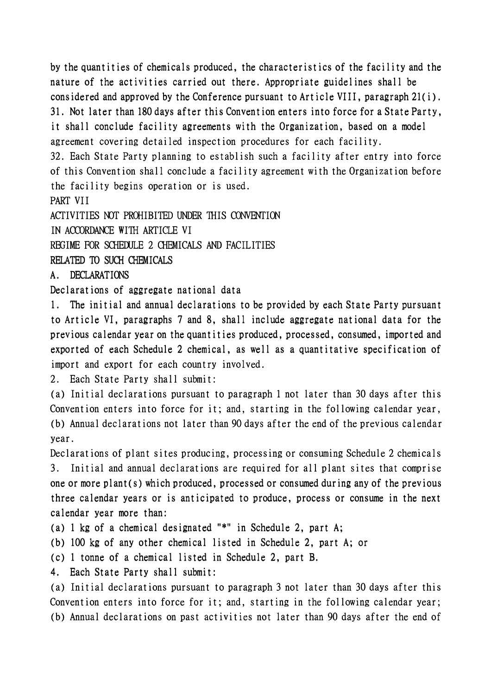by the quantities of chemicals produced, the characteristics of the facility and the nature of the activities carried out there. Appropriate guidelines shall be considered and approved by the Conference pursuant to Article VIII, paragraph 21(i). 31. Not later than 180 days after this Convention enters into force for a State Party, it shall conclude facility agreements with the Organization, based on a model agreement covering detailed inspection procedures for each facility.

32. Each State Party planning to establish such a facility after entry into force of this Convention shall conclude a facility agreement with the Organization before the facility begins operation or is used.

PART VII

ACTIVITIES NOT PROHIBITED UNDER THIS CONVENTION

IN ACCORDANCE WITH ARTICLE VI

REGIME FOR SCHEDULE 2 CHEMICALS AND FACILITIES

RELATED TO SUCH CHEMICALS

# A. DECLARATIONS

Declarations of aggregate national data

1. The initial and annual declarations to be provided by each State Party pursuant to Article VI, paragraphs 7 and 8, shall include aggregate national data for the previous calendar year on the quantities produced, processed, consumed, imported and exported of each Schedule 2 chemical, as well as a quantitative specification of import and export for each country involved.

2. Each State Party shall submit:

(a) Initial declarations pursuant to paragraph 1 not later than 30 days after this Convention enters into force for it; and, starting in the following calendar year, (b) Annual declarations not later than 90 days after the end of the previous calendar year.

Declarations of plant sites producing, processing or consuming Schedule 2 chemicals 3. Initial and annual declarations are required for all plant sites that comprise one or more plant(s) which produced, processed or consumed during any of the previous three calendar years or is anticipated to produce, process or consume in the next calendar year more than:

(a) 1 kg of a chemical designated "\*" in Schedule 2, part A;

(b) 100 kg of any other chemical listed in Schedule 2, part A; or

 $(c)$  1 tonne of a chemical listed in Schedule 2, part B.

4. Each State Party shall submit:

(a) Initial declarations pursuant to paragraph 3 not later than 30 days after this Convention enters into force for it; and, starting in the following calendar year; (b) Annual declarations on past activities not later than 90 days after the end of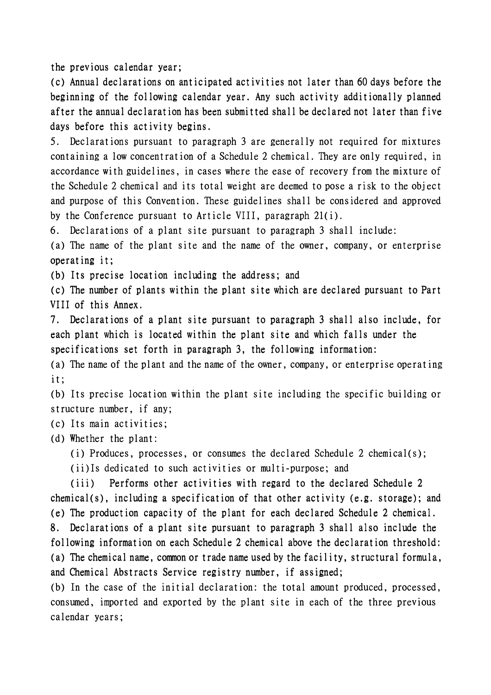the previous calendar year;

(c) Annual declarations on anticipated activities not later than 60 days before the beginning of the following calendar year. Any such activity additionally planned after the annual declaration has been submitted shall be declared not later than five days before this activity begins.

5. Declarations pursuant to paragraph 3 are generally not required for mixtures containing a low concentration of a Schedule 2 chemical. They are only required, in accordance with guidelines, in cases where the ease of recovery from the mixture of the Schedule 2 chemical and its total weight are deemed to pose a risk to the object and purpose of this Convention. These guidelines shall be considered and approved by the Conference pursuant to Article VIII, paragraph 21(i).

6. Declarations of a plant site pursuant to paragraph 3 shall include:

(a) The name of the plant site and the name of the owner, company, or enterprise operating it;

(b) Its precise location including the address; and

(c) The number of plants within the plant site which are declared pursuant to Part VIII of this Annex.

7. Declarations of a plant site pursuant to paragraph 3 shall also include, for each plant which is located within the plant site and which falls under the specifications set forth in paragraph 3, the following information:

(a) The name of the plant and the name of the owner, company, or enterprise operating it;

(b) Its precise location within the plant site including the specific building or structure number, if any;

(c) Its main activities;

(d) Whether the plant:

(i) Produces, processes, or consumes the declared Schedule 2 chemical(s);

 $(i)$ Is dedicated to such activities or multi-purpose; and

(iii) Performs other activities with regard to the declared Schedule 2 chemical(s), including a specification of that other activity (e.g. storage); and (e) The production capacity of the plant for each declared Schedule 2 chemical. 8. Declarations of a plant site pursuant to paragraph 3 shall also include the following information on each Schedule 2 chemical above the declaration threshold: (a) The chemical name, common or trade name used by the facility, structural formula,

and Chemical Abstracts Service registry number, if assigned;

(b) In the case of the initial declaration: the total amount produced, processed, consumed, imported and exported by the plant site in each of the three previous calendar years;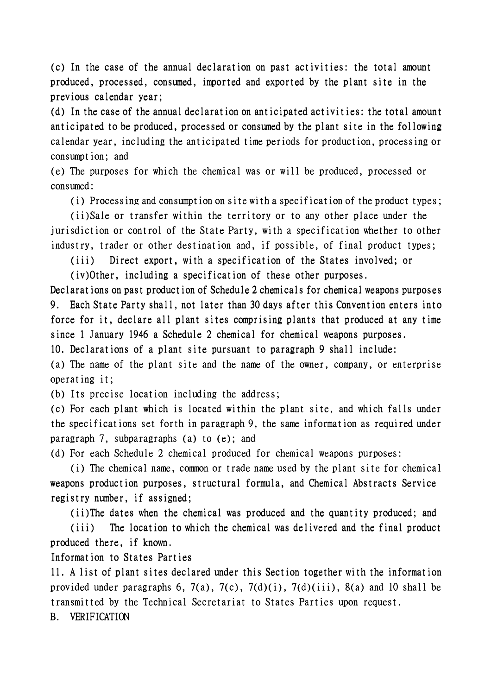$(c)$  In the case of the annual declaration on past activities: the total amount produced, processed, consumed, imported and exported by the plant site in the previous calendar year;

(d) In the case of the annual declaration on anticipated activities: the total amount anticipated to be produced, processed or consumed by the plant site in the following calendar year, including the anticipated time periods for production, processing or consumption; and

(e) The purposes for which the chemical was or will be produced, processed or consumed:

(i) Processing and consumption on site with a specification of the product types;

 $(i)$ Sale or transfer within the territory or to any other place under the jurisdiction or control of the State Party, with a specification whether to other industry, trader or other destination and, if possible, of final product types;

 $(iii)$  Direct export, with a specification of the States involved; or

 $(iv)$ Other, including a specification of these other purposes.

Declarations on past production of Schedule 2 chemicals for chemical weapons purposes 9. Each State Party shall, not later than 30 days after this Convention enters into force for it, declare all plant sites comprising plants that produced at any time since 1 January 1946 a Schedule 2 chemical for chemical weapons purposes.

10. Declarations of a plant site pursuant to paragraph 9 shall include:

(a) The name of the plant site and the name of the owner, company, or enterprise operating it;

(b) Its precise location including the address;

(c) For each plant which is located within the plant site, and which falls under the specifications set forth in paragraph 9, the same information as required under paragraph 7, subparagraphs (a) to (e); and

(d) For each Schedule 2 chemical produced for chemical weapons purposes:

 $(i)$  The chemical name, common or trade name used by the plant site for chemical weapons production purposes, structural formula, and Chemical Abstracts Service registry number, if assigned;

 $(i)$ The dates when the chemical was produced and the quantity produced; and

(iii) The location to which the chemical was delivered and the final product produced there, if known.

Information to States Parties

11. A list of plant sites declared under this Section together with the information provided under paragraphs 6,  $7(a)$ ,  $7(c)$ ,  $7(d)(i)$ ,  $7(d)(iii)$ ,  $8(a)$  and 10 shall be transmitted by the Technical Secretariat to States Parties upon request.

B. VERIFICATION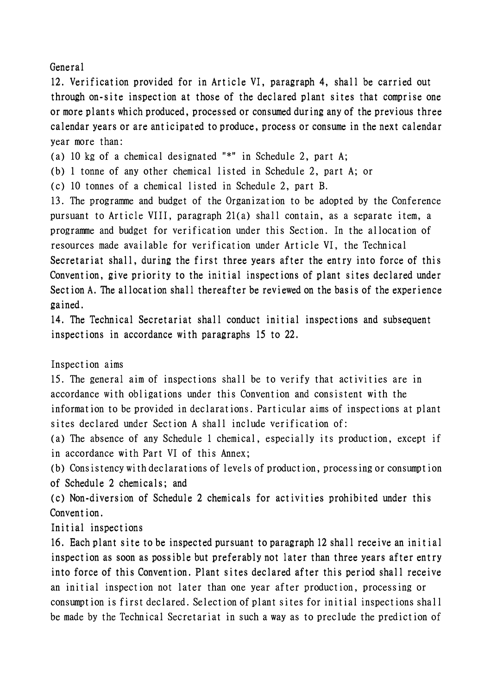General

12. Verification provided for in Article VI, paragraph 4, shall be carried out through on-site inspection at those of the declared plant sites that comprise one or more plants which produced, processed or consumed during any of the previous three calendar years or are anticipated to produce, process or consume in the next calendar year more than:

(a) 10 kg of a chemical designated "\*" in Schedule 2, part A;

(b) 1 tonne of any other chemical listed in Schedule 2, part A; or

(c) 10 tonnes of a chemical listed in Schedule 2, part B.

13. The programme and budget of the Organization to be adopted by the Conference pursuant to Article VIII, paragraph 21(a) shall contain, as a separate item, a programme and budget for verification under this Section. In the allocation of resources made available for verification under Article VI, the Technical Secretariat shall, during the first three years after the entry into force of this Convention, give priority to the initial inspections of plant sites declared under Section A. The allocation shall thereafter be reviewed on the basis of the experience gained.

14. The Technical Secretariat shall conduct initial inspections and subsequent inspections in accordance with paragraphs 15 to 22.

Inspection aims

15. The general aim of inspections shall be to verify that activities are in accordance with obligations under this Convention and consistent with the information to be provided in declarations. Particular aims of inspections at plant sites declared under Section A shall include verification of:

(a) The absence of any Schedule 1 chemical, especially its production, except if in accordance with Part VI of this Annex;

(b) Consistency with declarations of levels of production, processing or consumption of Schedule 2 chemicals; and

(c) Non-diversion of Schedule 2 chemicals for activities prohibited under this Convention.

Initial inspections

16. Each plant site to be inspected pursuant to paragraph 12 shall receive an initial inspection as soon as possible but preferably not later than three years after entry into force of this Convention. Plant sites declared after this period shall receive an initial inspection not later than one year after production, processing or consumption is first declared. Selection of plant sites for initial inspections shall be made by the Technical Secretariat in such a way as to preclude the prediction of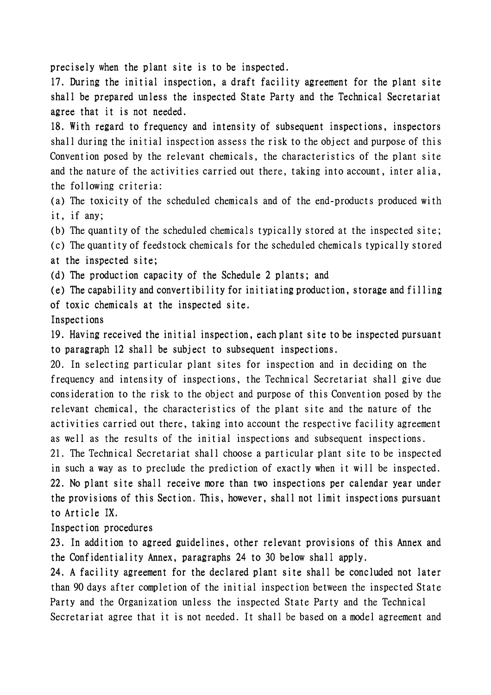precisely when the plant site is to be inspected.

17. During the initial inspection, a draft facility agreement for the plant site shall be prepared unless the inspected State Party and the Technical Secretariat agree that it is not needed.

18. With regard to frequency and intensity of subsequent inspections, inspectors shall during the initial inspection assess the risk to the object and purpose of this Convention posed by the relevant chemicals, the characteristics of the plant site and the nature of the activities carried out there, taking into account, inter alia, the following criteria:

(a) The toxicity of the scheduled chemicals and of the end-products produced with it, if any;

(b) The quantity of the scheduled chemicals typically stored at the inspected site;

(c) The quantity of feedstock chemicals for the scheduled chemicals typically stored (c) quantity feedstock chemicals typically stored at the inspected site;

(d) The production capacity of the Schedule 2 plants; and

(e) The capability and convertibility for initiating production, storage and filling of toxic chemicals at the inspected site.

Inspections

19. Having received the initial inspection, each plant site to be inspected pursuant to paragraph 12 shall be subject to subsequent inspections.

20. In selecting particular plant sites for inspection and in deciding on the frequency and intensity of inspections, the Technical Secretariat shall give due consideration to the risk to the object and purpose of this Convention posed by the relevant chemical, the characteristics of the plant site and the nature of the activities carried out there, taking into account the respective facility agreement as well as the results of the initial inspections and subsequent inspections.

21. The Technical Secretariat shall choose a particular plant site to be inspected in such a way as to preclude the prediction of exactly when it will be inspected. 22. No plant site shall receive more than two inspections per calendar year under the provisions of this Section. This, however, shall not limit inspections pursuant to Article IX.

Inspection procedures

23. In addition to agreed guidelines, other relevant provisions of this Annex and the Confidentiality Annex, paragraphs 24 to 30 below shall apply.

24. A facility agreement for the declared plant site shall be concluded not later than 90 days after completion of the initial inspection between the inspected State Party and the Organization unless the inspected State Party and the Technical Secretariat agree that it is not needed. It shall be based on a model agreement and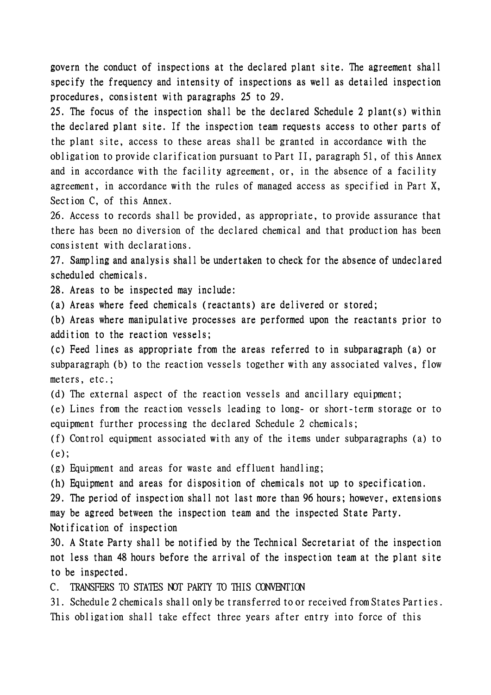govern the conduct of inspections at the declared plant site. The agreement shall specify the frequency and intensity of inspections as well as detailed inspection procedures, consistent with paragraphs 25 to 29.

25. The focus of the inspection shall be the declared Schedule 2 plant(s) within the declared plant site. If the inspection team requests access to other parts of the plant site, access to these areas shall be granted in accordance with the obligation to provide clarification pursuant to Part II, paragraph 51, of this Annex and in accordance with the facility agreement, or, in the absence of a facility

agreement, in accordance with the rules of managed access as specified in Part X, Section C, of this Annex.

26. Access to records shall be provided, as appropriate, to provide assurance that there has been no diversion of the declared chemical and that production has been consistent with declarations.

27. Sampling and analysis shall be undertaken to check for the absence of undeclared scheduled chemicals.

28. Areas to be inspected may include:

(a) Areas where feed chemicals (reactants) are delivered or stored;

(b) Areas where manipulative processes are performed upon the reactants prior to addition to the reaction vessels;

(c) Feed lines as appropriate from the areas referred to in subparagraph (a) or subparagraph (b) to the reaction vessels together with any associated valves, flow meters, etc.;

(d) The external aspect of the reaction vessels and ancillary equipment;

(e) Lines from the reaction vessels leading to long- or short-term storage or to equipment further processing the declared Schedule 2 chemicals;

(f) Control equipment associated with any of the items under subparagraphs (a) to (e);

 $(g)$  Equipment and areas for waste and effluent handling;

(h) Equipment and areas for disposition of chemicals not up to specification.

29. The period of inspection shall not last more than 96 hours; however, extensions may be agreed between the inspection team and the inspected State Party. Notification of inspection

30. A State Party shall be notified by the Technical Secretariat of the inspection not less than 48 hours before the arrival of the inspection team at the plant site to be inspected.

C. TRANSFERS TO STATES NOT PARTY TO THIS CONVENTION

31. Schedule 2 chemicals shall only be transferred to or received from States Parties. This obligation shall take effect three years after entry into force of this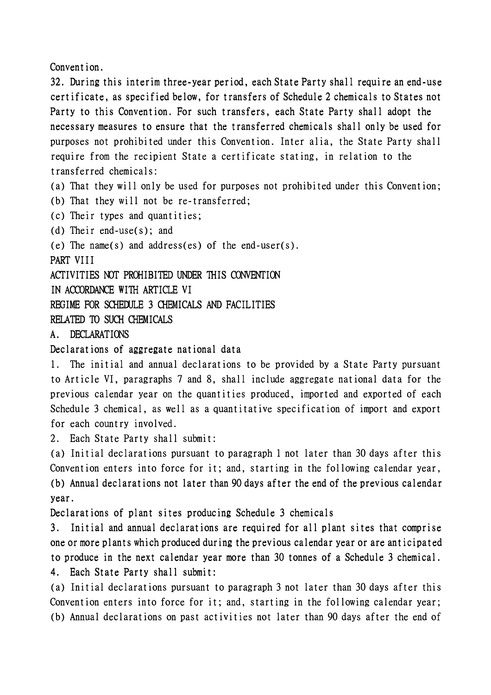Convention.

32. During this interim three-year period, each State Party shall require an end-use certificate, as specified below, for transfers of Schedule 2 chemicals to States not Party to this Convention. For such transfers, each State Party shall adopt the necessary measures to ensure that the transferred chemicals shall only be used for purposes not prohibited under this Convention. Inter alia, the State Party shall require from the recipient State a certificate stating, in relation to the transferred chemicals:

(a) That they will only be used for purposes not prohibited under this Convention;

(b) That they will not be re-transferred;

(c) Their types and quantities; (c)

(d) Their end-use $(s)$ ; and

(e) The name(s) and address(es) of the end-user(s).

PART VIII

ACTIVITIES NOT PROHIBITED UNDER THIS CONVENTION

IN ACCORDANCE WITH ARTICLE VI

REGIME FOR SCHEDULE 3 CHEMICALS AND FACILITIES

RELATED TO SUCH CHEMICALS

A. DECLARATIONS

Declarations of aggregate national data

1. The initial and annual declarations to be provided by a State Party pursuant to Article VI, paragraphs 7 and 8, shall include aggregate national data for the previous calendar year on the quantities produced, imported and exported of each Schedule 3 chemical, as well as a quantitative specification of import and export for each country involved.

2. Each State Party shall submit:

(a) Initial declarations pursuant to paragraph 1 not later than 30 days after this Convention enters into force for it; and, starting in the following calendar year, (b) Annual declarations not later than 90 days after the end of the previous calendar year.

Declarations of plant sites producing Schedule 3 chemicals

3. Initial and annual declarations are required for all plant sites that comprise one or more plants which produced during the previous calendar year or are anticipated to produce in the next calendar year more than 30 tonnes of a Schedule 3 chemical. 4. Each State Party shall submit:

(a) Initial declarations pursuant to paragraph 3 not later than 30 days after this Convention enters into force for it; and, starting in the following calendar year; (b) Annual declarations on past activities not later than 90 days after the end of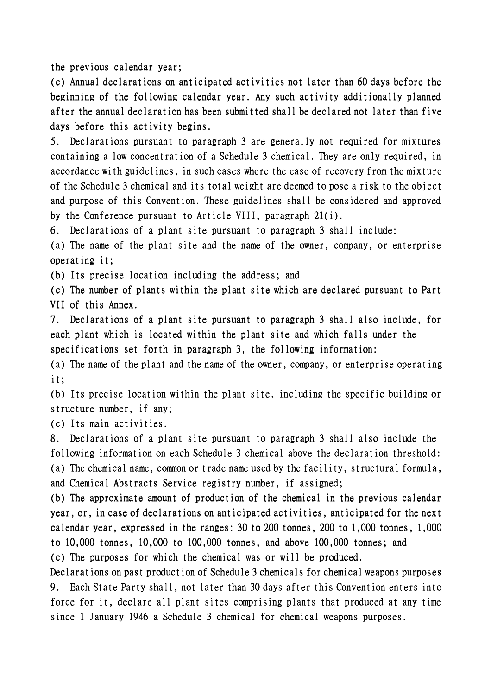the previous calendar year;

(c) Annual declarations on anticipated activities not later than 60 days before the beginning of the following calendar year. Any such activity additionally planned after the annual declaration has been submitted shall be declared not later than five days before this activity begins.

5. Declarations pursuant to paragraph 3 are generally not required for mixtures containing a low concentration of a Schedule 3 chemical. They are only required, in accordance with guidelines, in such cases where the ease of recovery from the mixture of the Schedule 3 chemical and its total weight are deemed to pose a risk to the object and purpose of this Convention. These guidelines shall be considered and approved by the Conference pursuant to Article VIII, paragraph 21(i).

6. Declarations of a plant site pursuant to paragraph 3 shall include:

(a) The name of the plant site and the name of the owner, company, or enterprise operating it;

(b) Its precise location including the address; and

(c) The number of plants within the plant site which are declared pursuant to Part VII of this Annex.

7. Declarations of a plant site pursuant to paragraph 3 shall also include, for each plant which is located within the plant site and which falls under the specifications set forth in paragraph 3, the following information:

(a) The name of the plant and the name of the owner, company, or enterprise operating it;

(b) Its precise location within the plant site, including the specific building or structure number, if any;

(c) Its main activities.

8. Declarations of a plant site pursuant to paragraph 3 shall also include the following information on each Schedule 3 chemical above the declaration threshold: (a) The chemical name, common or trade name used by the facility, structural formula, and Chemical Abstracts Service registry number, if assigned;

(b) The approximate amount of production of the chemical in the previous calendar year, or, in case of declarations on anticipated activities, anticipated for the next calendar year, expressed in the ranges: 30 to 200 tonnes, 200 to 1,000 tonnes, 1,000 to 10,000 tonnes, 10,000 to 100,000 tonnes, and above 100,000 tonnes; and

 $(c)$  The purposes for which the chemical was or will be produced.

Declarations on past production of Schedule 3 chemicals for chemical weapons purposes 9. Each State Party shall, not later than 30 days after this Convention enters into force for it, declare all plant sites comprising plants that produced at any time since 1 January 1946 a Schedule 3 chemical for chemical weapons purposes.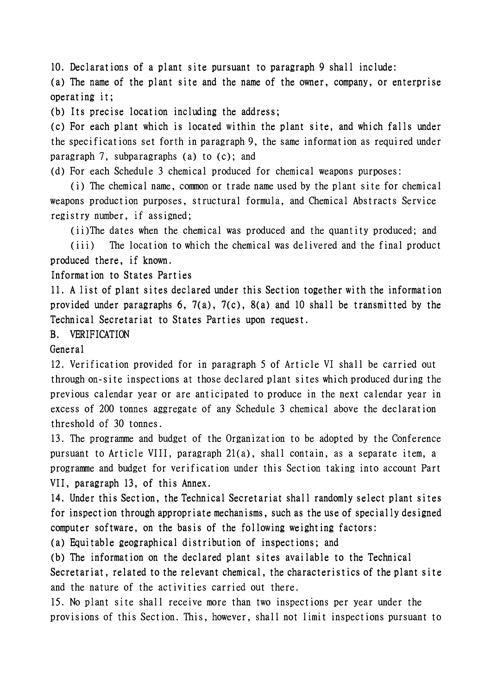10. Declarations of a plant site pursuant to paragraph 9 shall include:

(a) The name of the plant site and the name of the owner, company, or enterprise operating it;

(b) Its precise location including the address;

(c) For each plant which is located within the plant site, and which falls under the specifications set forth in paragraph 9, the same information as required under paragraph 7, subparagraphs (a) to (c); and

(d) For each Schedule 3 chemical produced for chemical weapons purposes:

(i) The chemical name, common or trade name used by the plant site for chemical weapons production purposes, structural formula, and Chemical Abstracts Service registry number, if assigned;

 $(i)$ The dates when the chemical was produced and the quantity produced; and

(iii) The location to which the chemical was delivered and the final product produced there, if known.

Information to States Parties

11. A list of plant sites declared under this Section together with the information provided under paragraphs 6, 7(a), 7(c), 8(a) and 10 shall be transmitted by the Technical Secretariat to States Parties upon request.

#### B. VERIFICATION

General

12. Verification provided for in paragraph 5 of Article VI shall be carried out through on-site inspections at those declared plant sites which produced during the previous calendar year or are anticipated to produce in the next calendar year in excess of 200 tonnes aggregate of any Schedule 3 chemical above the declaration threshold of 30 tonnes.

13. The programme and budget of the Organization to be adopted by the Conference pursuant to Article VIII, paragraph 21(a), shall contain, as a separate item, a programme and budget for verification under this Section taking into account Part VII, paragraph 13, of this Annex.

14. Under this Section, the Technical Secretariat shall randomly select plant sites for inspection through appropriate mechanisms, such as the use of specially designed computer software, on the basis of the following weighting factors:

(a) Equitable geographical distribution of inspections; and

(b) The information on the declared plant sites available to the Technical Secretariat, related to the relevant chemical, the characteristics of the plant site and the nature of the activities carried out there.

15. No plant site shall receive more than two inspections per year under the provisions of this Section. This, however, shall not limit inspections pursuant to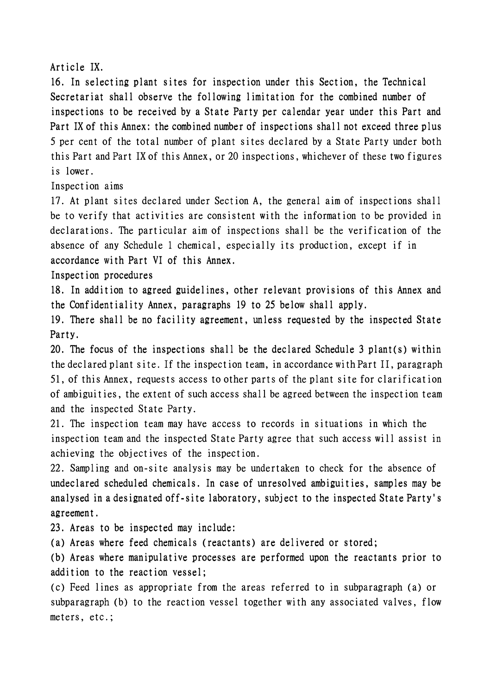Article IX.

16. In selecting plant sites for inspection under this Section, the Technical Secretariat shall observe the following limitation for the combined number of inspections to be received by a State Party per calendar year under this Part and Part IX of this Annex: the combined number of inspections shall not exceed three plus 5 per cent of the total number of plant sites declared by a State Party under both this Part and Part IX of this Annex, or 20 inspections, whichever of these two figures is lower.

Inspection aims

17. At plant sites declared under Section A, the general aim of inspections shall be to verify that activities are consistent with the information to be provided in declarations. The particular aim of inspections shall be the verification of the absence of any Schedule 1 chemical, especially its production, except if in accordance with Part VI of this Annex.

Inspection procedures

18. In addition to agreed guidelines, other relevant provisions of this Annex and the Confidentiality Annex, paragraphs 19 to 25 below shall apply.

19. There shall be no facility agreement, unless requested by the inspected State Party.

20. The focus of the inspections shall be the declared Schedule 3 plant(s) within the declared plant site. If the inspection team, in accordance with Part II, paragraph 51, of this Annex, requests access to other parts of the plant site for clarification of ambiguities, the extent of such access shall be agreed between the inspection team and the inspected State Party.

21. The inspection team may have access to records in situations in which the inspection team and the inspected State Party agree that such access will assist in achieving the objectives of the inspection.

22. Sampling and on-site analysis may be undertaken to check for the absence of undeclared scheduled chemicals. In case of unresolved ambiguities, samples may be analysed in a designated off-site laboratory, subject to the inspected State Party's agreement.

23. Areas to be inspected may include:

(a) Areas where feed chemicals (reactants) are delivered or stored;

(b) Areas where manipulative processes are performed upon the reactants prior to addition to the reaction vessel;

(c) Feed lines as appropriate from the areas referred to in subparagraph (a) or subparagraph (b) to the reaction vessel together with any associated valves, flow meters, etc.;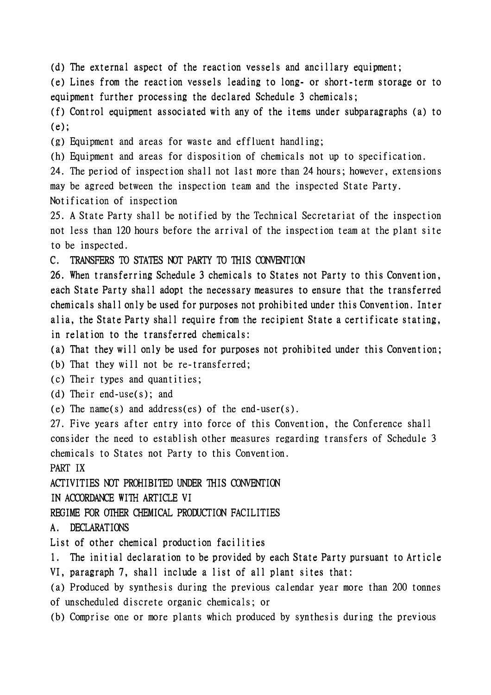(d) The external aspect of the reaction vessels and ancillary equipment;

(e) Lines from the reaction vessels leading to long- or short-term storage or to equipment further processing the declared Schedule 3 chemicals;

(f) Control equipment associated with any of the items under subparagraphs (a) to (e);

 $(g)$  Equipment and areas for waste and effluent handling;

(h) Equipment and areas for disposition of chemicals not up to specification.

24. The period of inspection shall not last more than 24 hours; however, extensions may be agreed between the inspection team and the inspected State Party. Notification of inspection

25. A State Party shall be notified by the Technical Secretariat of the inspection not less than 120 hours before the arrival of the inspection team at the plant site to be inspected.

C. TRANSFERS TO STATES NOT PARTY TO THIS CONVENTION

26. When transferring Schedule 3 chemicals to States not Party to this Convention, each State Party shall adopt the necessary measures to ensure that the transferred chemicals shall only be used for purposes not prohibited under this Convention. Inter alia, the State Party shall require from the recipient State a certificate stating, in relation to the transferred chemicals:

(a) That they will only be used for purposes not prohibited under this Convention; (b) That they will not be re-transferred;

(c) Their types and quantities; (c)

(d) Their end-use $(s)$ ; and

(e) The name(s) and address(es) of the end-user(s).

27. Five years after entry into force of this Convention, the Conference shall consider the need to establish other measures regarding transfers of Schedule 3 chemicals to States not Party to this Convention.

PART IX

ACTIVITIES NOT PROHIBITED UNDER THIS CONVENTION

IN ACCORDANCE WITH ARTICLE VI

REGIME FOR OTHER CHEMICAL PRODUCTION FACILITIES

## A. DECLARATIONS

List of other chemical production facilities

1. The initial declaration to be provided by each State Party pursuant to Article

VI, paragraph 7, shall include a list of all plant sites that:

(a) Produced by synthesis during the previous calendar year more than 200 tonnes of unscheduled discrete organic chemicals; or

(b) Comprise one or more plants which produced by synthesis during the previous (b) Comprise one plants by synthesis during the previous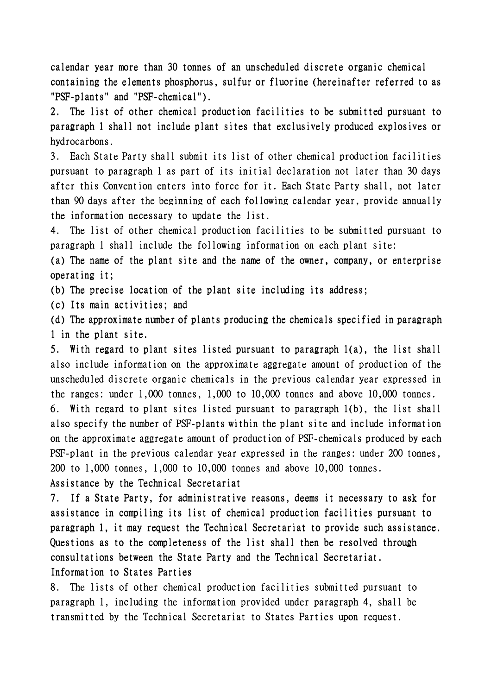calendar year more than 30 tonnes of an unscheduled discrete organic chemical containing the elements phosphorus, sulfur or fluorine (hereinafter referred to as "PSF-plants" and "PSF-chemical").

2. The list of other chemical production facilities to be submitted pursuant to paragraph 1 shall not include plant sites that exclusively produced explosives or hydrocarbons.

3. Each State Party shall submit its list of other chemical production facilities pursuant to paragraph 1 as part of its initial declaration not later than 30 days after this Convention enters into force for it. Each State Party shall, not later than 90 days after the beginning of each following calendar year, provide annually the information necessary to update the list.

4. The list of other chemical production facilities to be submitted pursuant to paragraph 1 shall include the following information on each plant site:

(a) The name of the plant site and the name of the owner, company, or enterprise operating it;

(b) The precise location of the plant site including its address;

(c) Its main activities; and

(d) The approximate number of plants producing the chemicals specified in paragraph 1 in the plant site.

5. With regard to plant sites listed pursuant to paragraph  $1(a)$ , the list shall also include information on the approximate aggregate amount of production of the unscheduled discrete organic chemicals in the previous calendar year expressed in the ranges: under 1,000 tonnes, 1,000 to 10,000 tonnes and above 10,000 tonnes.

6. With regard to plant sites listed pursuant to paragraph  $1(b)$ , the list shall also specify the number of PSF-plants within the plant site and include information on the approximate aggregate amount of production of PSF-chemicals produced by each PSF-plant in the previous calendar year expressed in the ranges: under 200 tonnes, 200 to 1,000 tonnes, 1,000 to 10,000 tonnes and above 10,000 tonnes.

Assistance by the Technical Secretariat

7. If a State Party, for administrative reasons, deems it necessary to ask for assistance in compiling its list of chemical production facilities pursuant to paragraph 1, it may request the Technical Secretariat to provide such assistance. Questions as to the completeness of the list shall then be resolved through consultations between the State Party and the Technical Secretariat. Information to States Parties

8. The lists of other chemical production facilities submitted pursuant to paragraph 1, including the information provided under paragraph 4, shall be transmitted by the Technical Secretariat to States Parties upon request.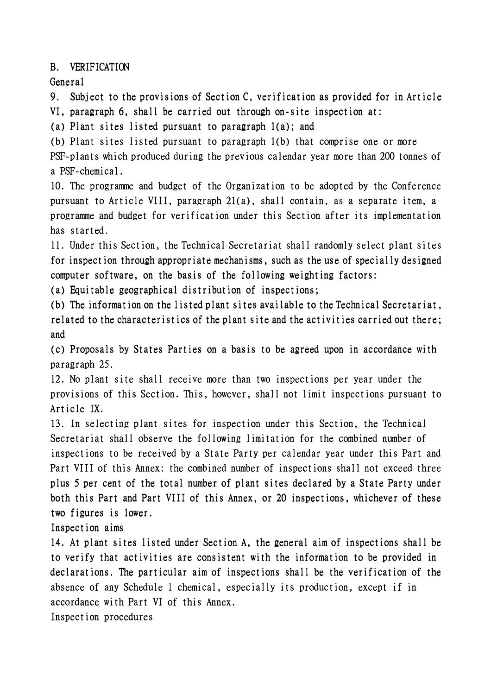B. VERIFICATION

General

9. Subject to the provisions of Section C, verification as provided for in Article

VI, paragraph 6, shall be carried out through on-site inspection at:

(a) Plant sites listed pursuant to paragraph  $l(a)$ ; and

(b) Plant sites listed pursuant to paragraph  $1(b)$  that comprise one or more

PSF-plants which produced during the previous calendar year more than 200 tonnes of a PSF-chemical.

10. The programme and budget of the Organization to be adopted by the Conference pursuant to Article VIII, paragraph 21(a), shall contain, as a separate item, a programme and budget for verification under this Section after its implementation has started.

11. Under this Section, the Technical Secretariat shall randomly select plant sites for inspection through appropriate mechanisms, such as the use of specially designed computer software, on the basis of the following weighting factors:

(a) Equitable geographical distribution of inspections;

(b) The information on the listed plant sites available to the Technical Secretariat, related to the characteristics of the plant site and the activities carried out there; and

(c) Proposals by States Parties on a basis to be agreed upon in accordance with paragraph 25.

12. No plant site shall receive more than two inspections per year under the provisions of this Section. This, however, shall not limit inspections pursuant to Article IX.

13. In selecting plant sites for inspection under this Section, the Technical Secretariat shall observe the following limitation for the combined number of inspections to be received by a State Party per calendar year under this Part and Part VIII of this Annex: the combined number of inspections shall not exceed three plus 5 per cent of the total number of plant sites declared by a State Party under both this Part and Part VIII of this Annex, or 20 inspections, whichever of these two figures is lower.

Inspection aims

14. At plant sites listed under Section A, the general aim of inspections shall be to verify that activities are consistent with the information to be provided in declarations. The particular aim of inspections shall be the verification of the absence of any Schedule 1 chemical, especially its production, except if in accordance with Part VI of this Annex.

Inspection procedures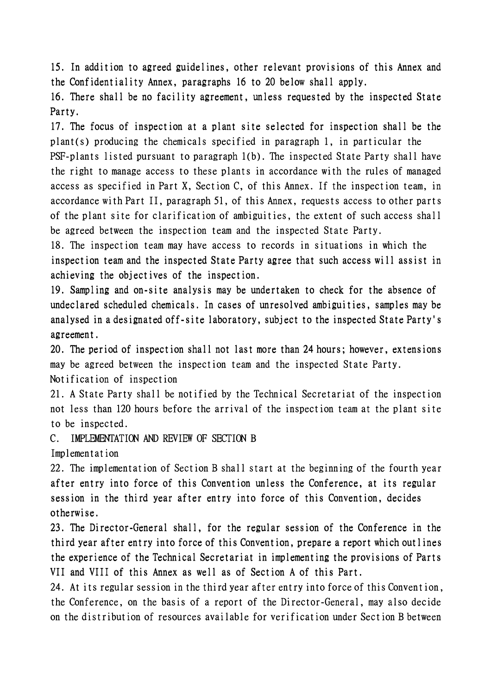15. In addition to agreed guidelines, other relevant provisions of this Annex and the Confidentiality Annex, paragraphs 16 to 20 below shall apply.

16. There shall be no facility agreement, unless requested by the inspected State Party.

17. The focus of inspection at a plant site selected for inspection shall be the plant(s) producing the chemicals specified in paragraph 1, in particular the

PSF-plants listed pursuant to paragraph 1(b). The inspected State Party shall have the right to manage access to these plants in accordance with the rules of managed access as specified in Part X, Section C, of this Annex. If the inspection team, in accordance with Part II, paragraph 51, of this Annex, requests access to other parts of the plant site for clarification of ambiguities, the extent of such access shall be agreed between the inspection team and the inspected State Party.

18. The inspection team may have access to records in situations in which the inspection team and the inspected State Party agree that such access will assist in achieving the objectives of the inspection.

19. Sampling and on-site analysis may be undertaken to check for the absence of undeclared scheduled chemicals. In cases of unresolved ambiguities, samples may be analysed in a designated off-site laboratory, subject to the inspected State Party's agreement.

20. The period of inspection shall not last more than 24 hours; however, extensions may be agreed between the inspection team and the inspected State Party. Notification of inspection

21. A State Party shall be notified by the Technical Secretariat of the inspection not less than 120 hours before the arrival of the inspection team at the plant site to be inspected.

# C. IMPLEMENTATION AND REVIEW OF SECTION B

Implementation

22. The implementation of Section B shall start at the beginning of the fourth year after entry into force of this Convention unless the Conference, at its regular session in the third year after entry into force of this Convention, decides otherwise.

23. The Director-General shall, for the regular session of the Conference in the third year after entry into force of this Convention, prepare a report which outlines the experience of the Technical Secretariat in implementing the provisions of Parts VII and VIII of this Annex as well as of Section A of this Part.

24. At its regular session in the third year after entry into force of this Convention, the Conference, on the basis of a report of the Director-General, may also decide on the distribution of resources available for verification under Section B between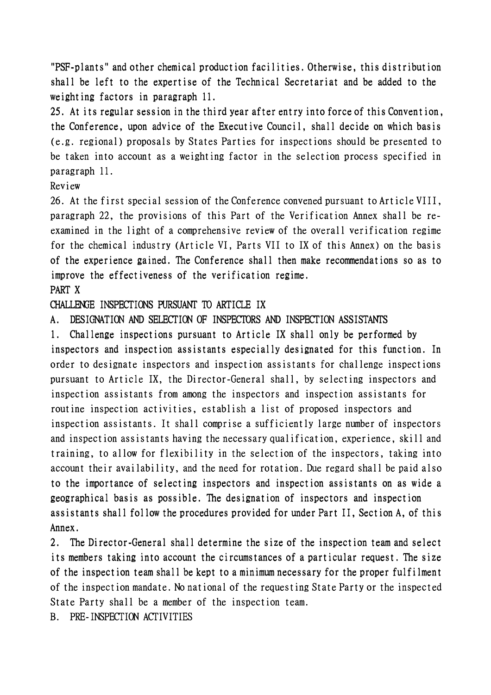"PSF-plants" and other chemical production facilities. Otherwise, this distribution shall be left to the expertise of the Technical Secretariat and be added to the weighting factors in paragraph 11.

25. At its regular session in the third year after entry into force of this Convention, the Conference, upon advice of the Executive Council, shall decide on which basis (e.g. regional) proposals by States Parties for inspections should be presented to be taken into account as a weighting factor in the selection process specified in paragraph 11.

Review

26. At the first special session of the Conference convened pursuant to Article VIII, paragraph 22, the provisions of this Part of the Verification Annex shall be reexamined in the light of a comprehensive review of the overall verification regime for the chemical industry (Article VI, Parts VII to IX of this Annex) on the basis of the experience gained. The Conference shall then make recommendations so as to improve the effectiveness of the verification regime.

## PART X

CHALLENGE INSPECTIONS PURSUANT TO ARTICLE IX

A. DESIGNATION AND SELECTION OF INSPECTORS AND INSPECTION ASSISTANTS

1. Challenge inspections pursuant to Article IX shall only be performed by inspectors and inspection assistants especially designated for this function. In order to designate inspectors and inspection assistants for challenge inspections pursuant to Article IX, the Director-General shall, by selecting inspectors and inspection assistants from among the inspectors and inspection assistants for routine inspection activities, establish a list of proposed inspectors and inspection assistants. It shall comprise a sufficiently large number of inspectors and inspection assistants having the necessary qualification, experience, skill and training, to allow for flexibility in the selection of the inspectors, taking into account their availability, and the need for rotation. Due regard shall be paid also to the importance of selecting inspectors and inspection assistants on as wide a geographical basis as possible. The designation of inspectors and inspection assistants shall follow the procedures provided for under Part II, Section A, of this Annex.

2. The Director-General shall determine the size of the inspection team and select its members taking into account the circumstances of a particular request. The size of the inspection team shall be kept to a minimum necessary for the proper fulfilment of the inspection mandate. No national of the requesting State Party or the inspected State Party shall be a member of the inspection team.

B. PRE-INSPECTION ACTIVITIES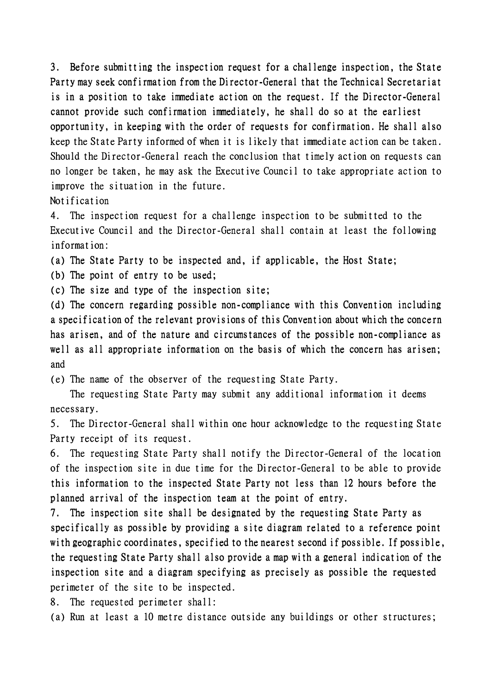3. Before submitting the inspection request for a challenge inspection, the State Party may seek confirmation from the Director-General that the Technical Secretariat is in a position to take immediate action on the request. If the Director-General cannot provide such confirmation immediately, he shall do so at the earliest opportunity, in keeping with the order of requests for confirmation. He shall also keep the State Party informed of when it is likely that immediate action can be taken. Should the Director-General reach the conclusion that timely action on requests can no longer be taken, he may ask the Executive Council to take appropriate action to improve the situation in the future.

Notification

4. The inspection request for a challenge inspection to be submitted to the Executive Council and the Director-General shall contain at least the following information:

(a) The State Party to be inspected and, if applicable, the Host State;

(b) The point of entry to be used;

(c) The size and type of the inspection site;

(d) The concern regarding possible non-compliance with this Convention including a specification of the relevant provisions of this Convention about which the concern has arisen, and of the nature and circumstances of the possible non-compliance as well as all appropriate information on the basis of which the concern has arisen; and

(e) The name of the observer of the requesting State Party.

The requesting State Party may submit any additional information it deems necessary.

5. The Director-General shall within one hour acknowledge to the requesting State Party receipt of its request.

6. The requesting State Party shall notify the Director-General of the location of the inspection site in due time for the Director-General to be able to provide this information to the inspected State Party not less than 12 hours before the planned arrival of the inspection team at the point of entry.

7. The inspection site shall be designated by the requesting State Party as specifically as possible by providing a site diagram related to a reference point with geographic coordinates, specified to the nearest second if possible. If possible, the requesting State Party shall also provide a map with a general indication of the inspection site and a diagram specifying as precisely as possible the requested perimeter of the site to be inspected.

8. The requested perimeter shall:

(a) Run at least a 10 metre distance outside any buildings or other structures;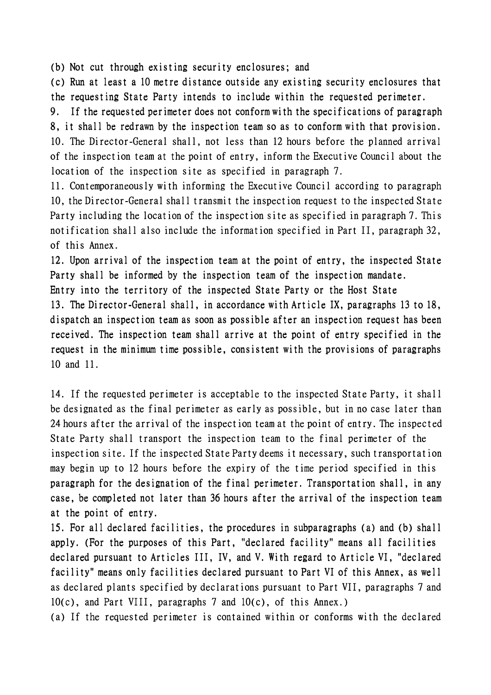(b) Not cut through existing security enclosures; and

(c) Run at least a 10 metre distance outside any existing security enclosures that the requesting State Party intends to include within the requested perimeter.

9. If the requested perimeter does not conform with the specifications of paragraph 8, it shall be redrawn by the inspection team so as to conform with that provision. 10. The Director-General shall, not less than 12 hours before the planned arrival of the inspection team at the point of entry, inform the Executive Council about the location of the inspection site as specified in paragraph 7.

11. Contemporaneously with informing the Executive Council according to paragraph 11. 10, the Director-General shall transmit the inspection request to the inspected State Party including the location of the inspection site as specified in paragraph 7. This notification shall also include the information specified in Part II, paragraph 32, of this Annex.

12. Upon arrival of the inspection team at the point of entry, the inspected State Party shall be informed by the inspection team of the inspection mandate.

Entry into the territory of the inspected State Party or the Host State

13. The Director-General shall, in accordance with Article IX, paragraphs 13 to 18, dispatch an inspection team as soon as possible after an inspection request has been received. The inspection team shall arrive at the point of entry specified in the request in the minimum time possible, consistent with the provisions of paragraphs 10 and 11.

14. If the requested perimeter is acceptable to the inspected State Party, it shall be designated as the final perimeter as early as possible, but in no case later than 24 hours after the arrival of the inspection team at the point of entry. The inspected State Party shall transport the inspection team to the final perimeter of the inspection site. If the inspected State Party deems it necessary, such transportation may begin up to 12 hours before the expiry of the time period specified in this paragraph for the designation of the final perimeter. Transportation shall, in any case, be completed not later than 36 hours after the arrival of the inspection team at the point of entry.

15. For all declared facilities, the procedures in subparagraphs (a) and (b) shall apply. (For the purposes of this Part, "declared facility" means all facilities declared pursuant to Articles III, IV, and V. With regard to Article VI, "declared facility" means only facilities declared pursuant to Part VI of this Annex, as well as declared plants specified by declarations pursuant to Part VII, paragraphs 7 and 10(c), and Part VIII, paragraphs 7 and 10(c), of this Annex.)

(a) If the requested perimeter is contained within or conforms with the declared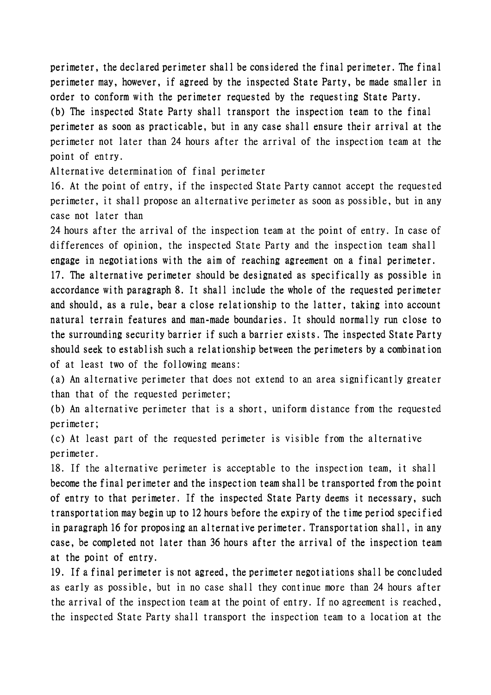perimeter, the declared perimeter shall be considered the final perimeter. The final perimeter may, however, if agreed by the inspected State Party, be made smaller in order to conform with the perimeter requested by the requesting State Party.

(b) The inspected State Party shall transport the inspection team to the final perimeter as soon as practicable, but in any case shall ensure their arrival at the perimeter not later than 24 hours after the arrival of the inspection team at the point of entry.

Alternative determination of final perimeter

16. At the point of entry, if the inspected State Party cannot accept the requested perimeter, it shall propose an alternative perimeter as soon as possible, but in any case not later than

24 hours after the arrival of the inspection team at the point of entry. In case of differences of opinion, the inspected State Party and the inspection team shall engage in negotiations with the aim of reaching agreement on a final perimeter.

17. The alternative perimeter should be designated as specifically as possible in accordance with paragraph 8. It shall include the whole of the requested perimeter and should, as a rule, bear a close relationship to the latter, taking into account natural terrain features and man-made boundaries. It should normally run close to the surrounding security barrier if such a barrier exists. The inspected State Party should seek to establish such a relationship between the perimeters by a combination of at least two of the following means:

(a) An alternative perimeter that does not extend to an area significantly greater than that of the requested perimeter;

(b) An alternative perimeter that is a short, uniform distance from the requested perimeter;

(c) At least part of the requested perimeter is visible from the alternative perimeter.

18. If the alternative perimeter is acceptable to the inspection team, it shall become the final perimeter and the inspection team shall be transported from the point of entry to that perimeter. If the inspected State Party deems it necessary, such transportation may begin up to 12 hours before the expiry of the time period specified in paragraph 16 for proposing an alternative perimeter. Transportation shall, in any case, be completed not later than 36 hours after the arrival of the inspection team at the point of entry.

19. If a final perimeter is not agreed, the perimeter negotiations shall be concluded as early as possible, but in no case shall they continue more than 24 hours after the arrival of the inspection team at the point of entry. If no agreement is reached, the inspected State Party shall transport the inspection team to a location at the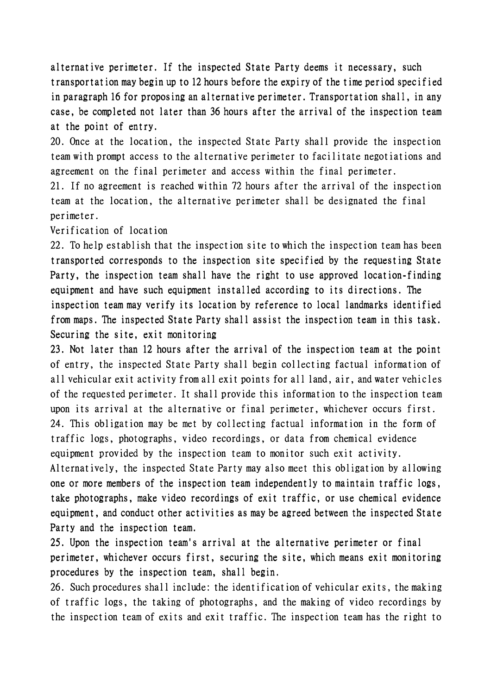alternative perimeter. If the inspected State Party deems it necessary, such transportation may begin up to 12 hours before the expiry of the time period specified in paragraph 16 for proposing an alternative perimeter. Transportation shall, in any case, be completed not later than 36 hours after the arrival of the inspection team at the point of entry.

20. Once at the location, the inspected State Party shall provide the inspection team with prompt access to the alternative perimeter to facilitate negotiations and agreement on the final perimeter and access within the final perimeter.

21. If no agreement is reached within 72 hours after the arrival of the inspection team at the location, the alternative perimeter shall be designated the final perimeter.

#### Verification of location

22. To help establish that the inspection site to which the inspection team has been transported corresponds to the inspection site specified by the requesting State Party, the inspection team shall have the right to use approved location-finding equipment and have such equipment installed according to its directions. The inspection team may verify its location by reference to local landmarks identified from maps. The inspected State Party shall assist the inspection team in this task. Securing the site, exit monitoring

23. Not later than 12 hours after the arrival of the inspection team at the point of entry, the inspected State Party shall begin collecting factual information of all vehicular exit activity from all exit points for all land, air, and water vehicles of the requested perimeter. It shall provide this information to the inspection team upon its arrival at the alternative or final perimeter, whichever occurs first. 24. This obligation may be met by collecting factual information in the form of traffic logs, photographs, video recordings, or data from chemical evidence equipment provided by the inspection team to monitor such exit activity.

Alternatively, the inspected State Party may also meet this obligation by allowing one or more members of the inspection team independently to maintain traffic logs, take photographs, make video recordings of exit traffic, or use chemical evidence equipment, and conduct other activities as may be agreed between the inspected State Party and the inspection team.

25. Upon the inspection team's arrival at the alternative perimeter or final perimeter, whichever occurs first, securing the site, which means exit monitoring procedures by the inspection team, shall begin.

26. Such procedures shall include: the identification of vehicular exits, the making of traffic logs, the taking of photographs, and the making of video recordings by the inspection team of exits and exit traffic. The inspection team has the right to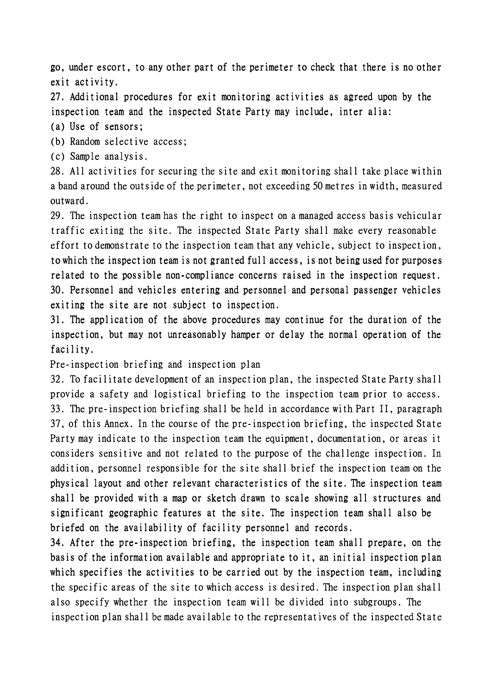go, under escort, to any other part of the perimeter to check that there is no other exit activity.

27. Additional procedures for exit monitoring activities as agreed upon by the inspection team and the inspected State Party may include, inter alia:

(a) Use of sensors;

 $(b)$  Random selective access;

(c) Sample analysis.

28. All activities for securing the site and exit monitoring shall take place within a band around the outside of the perimeter, not exceeding 50 metres in width, measured outward.

29. The inspection team has the right to inspect on a managed access basis vehicular traffic exiting the site. The inspected State Party shall make every reasonable effort to demonstrate to the inspection team that any vehicle, subject to inspection, to which the inspection team is not granted full access, is not being used for purposes related to the possible non-compliance concerns raised in the inspection request. 30. Personnel and vehicles entering and personnel and personal passenger vehicles exiting the site are not subject to inspection.

31. The application of the above procedures may continue for the duration of the inspection, but may not unreasonably hamper or delay the normal operation of the facility.

Pre-inspection briefing and inspection plan

32. To facilitate development of an inspection plan, the inspected State Party shall provide a safety and logistical briefing to the inspection team prior to access. 33. The pre-inspection briefing shall be held in accordance with Part II, paragraph 37, of this Annex. In the course of the pre-inspection briefing, the inspected State Party may indicate to the inspection team the equipment, documentation, or areas it considers sensitive and not related to the purpose of the challenge inspection. In addition, personnel responsible for the site shall brief the inspection team on the physical layout and other relevant characteristics of the site. The inspection team shall be provided with a map or sketch drawn to scale showing all structures and significant geographic features at the site. The inspection team shall also be briefed on the availability of facility personnel and records.

34. After the pre-inspection briefing, the inspection team shall prepare, on the basis of the information available and appropriate to it, an initial inspection plan which specifies the activities to be carried out by the inspection team, including the specific areas of the site to which access is desired. The inspection plan shall also specify whether the inspection team will be divided into subgroups. The inspection plan shall be made available to the representatives of the inspected State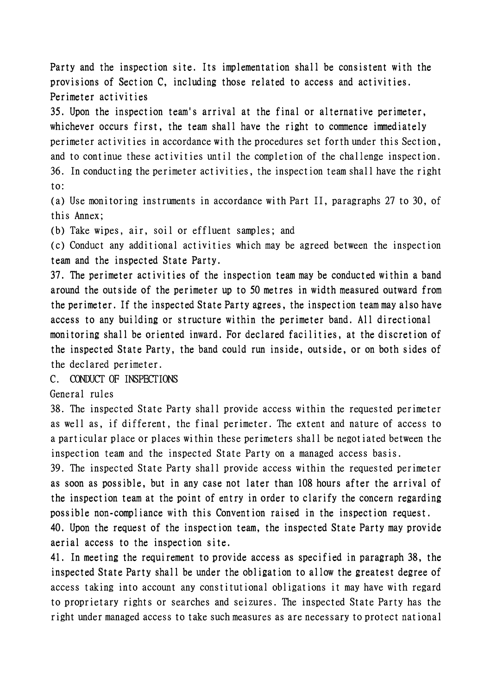Party and the inspection site. Its implementation shall be consistent with the provisions of Section C, including those related to access and activities. Perimeter activities

35. Upon the inspection team's arrival at the final or alternative perimeter, whichever occurs first, the team shall have the right to commence immediately perimeter activities in accordance with the procedures set forth under this Section, and to continue these activities until the completion of the challenge inspection. 36. In conducting the perimeter activities, the inspection team shall have the right to:

(a) Use monitoring instruments in accordance with Part II, paragraphs 27 to 30, of this Annex;

(b) Take wipes, air, soil or effluent samples; and

(c) Conduct any additional activities which may be agreed between the inspection team and the inspected State Party.

37. The perimeter activities of the inspection team may be conducted within a band around the outside of the perimeter up to 50 metres in width measured outward from the perimeter. If the inspected State Party agrees, the inspection team may also have access to any building or structure within the perimeter band. All directional monitoring shall be oriented inward. For declared facilities, at the discretion of the inspected State Party, the band could run inside, outside, or on both sides of the declared perimeter.

## C. CONDUCT OF INSPECTIONS

General rules

38. The inspected State Party shall provide access within the requested perimeter as well as, if different, the final perimeter. The extent and nature of access to a particular place or places within these perimeters shall be negotiated between the inspection team and the inspected State Party on a managed access basis.

39. The inspected State Party shall provide access within the requested perimeter as soon as possible, but in any case not later than 108 hours after the arrival of the inspection team at the point of entry in order to clarify the concern regarding possible non-compliance with this Convention raised in the inspection request.

40. Upon the request of the inspection team, the inspected State Party may provide aerial access to the inspection site.

41. In meeting the requirement to provide access as specified in paragraph 38, the inspected State Party shall be under the obligation to allow the greatest degree of access taking into account any constitutional obligations it may have with regard to proprietary rights or searches and seizures. The inspected State Party has the right under managed access to take such measures as are necessary to protect national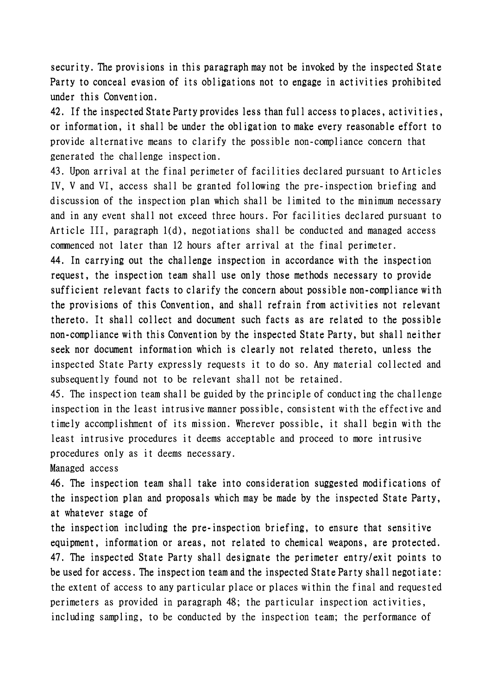security. The provisions in this paragraph may not be invoked by the inspected State Party to conceal evasion of its obligations not to engage in activities prohibited under this Convention.

42. If the inspected State Party provides less than full access to places, activities, or information, it shall be under the obligation to make every reasonable effort to provide alternative means to clarify the possible non-compliance concern that generated the challenge inspection.

43. Upon arrival at the final perimeter of facilities declared pursuant to Articles IV, V and VI, access shall be granted following the pre-inspection briefing and discussion of the inspection plan which shall be limited to the minimum necessary and in any event shall not exceed three hours. For facilities declared pursuant to Article III, paragraph 1(d), negotiations shall be conducted and managed access commenced not later than 12 hours after arrival at the final perimeter.

44. In carrying out the challenge inspection in accordance with the inspection request, the inspection team shall use only those methods necessary to provide sufficient relevant facts to clarify the concern about possible non-compliance with the provisions of this Convention, and shall refrain from activities not relevant thereto. It shall collect and document such facts as are related to the possible non-compliance with this Convention by the inspected State Party, but shall neither seek nor document information which is clearly not related thereto, unless the inspected State Party expressly requests it to do so. Any material collected and subsequently found not to be relevant shall not be retained.

45. The inspection team shall be guided by the principle of conducting the challenge inspection in the least intrusive manner possible, consistent with the effective and timely accomplishment of its mission. Wherever possible, it shall begin with the least intrusive procedures it deems acceptable and proceed to more intrusive procedures only as it deems necessary.

Managed access

46. The inspection team shall take into consideration suggested modifications of the inspection plan and proposals which may be made by the inspected State Party, at whatever stage of

the inspection including the pre-inspection briefing, to ensure that sensitive equipment, information or areas, not related to chemical weapons, are protected. 47. The inspected State Party shall designate the perimeter entry/exit points to be used for access. The inspection team and the inspected State Party shall negotiate: the extent of access to any particular place or places within the final and requested perimeters as provided in paragraph 48; the particular inspection activities, including sampling, to be conducted by the inspection team; the performance of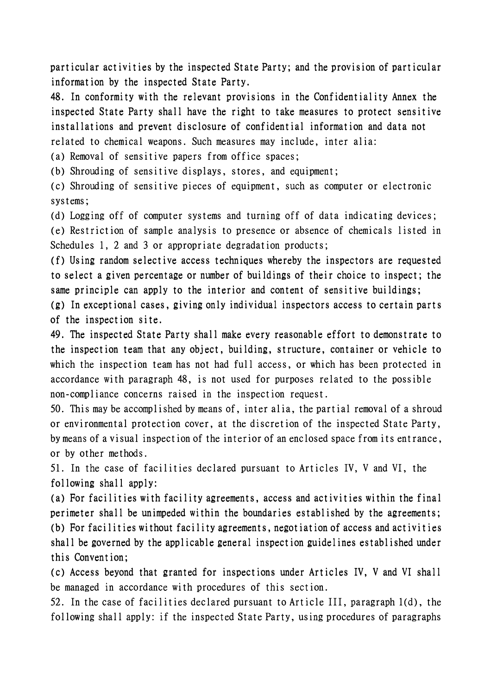particular activities by the inspected State Party; and the provision of particular information by the inspected State Party.

48. In conformity with the relevant provisions in the Confidentiality Annex the inspected State Party shall have the right to take measures to protect sensitive installations and prevent disclosure of confidential information and data not related to chemical weapons. Such measures may include, inter alia:

(a) Removal of sensitive papers from office spaces;

(b) Shrouding of sensitive displays, stores, and equipment;

(c) Shrouding of sensitive pieces of equipment, such as computer or electronic systems;

(d) Logging off of computer systems and turning off of data indicating devices; (e) Restriction of sample analysis to presence or absence of chemicals listed in Schedules 1, 2 and 3 or appropriate degradation products;

(f) Using random selective access techniques whereby the inspectors are requested to select a given percentage or number of buildings of their choice to inspect; the same principle can apply to the interior and content of sensitive buildings;

 $(g)$  In exceptional cases, giving only individual inspectors access to certain parts of the inspection site.

49. The inspected State Party shall make every reasonable effort to demonstrate to the inspection team that any object, building, structure, container or vehicle to which the inspection team has not had full access, or which has been protected in accordance with paragraph 48, is not used for purposes related to the possible non-compliance concerns raised in the inspection request.

50. This may be accomplished by means of, inter alia, the partial removal of a shroud or environmental protection cover, at the discretion of the inspected State Party, by means of a visual inspection of the interior of an enclosed space from its entrance, or by other methods.

51. In the case of facilities declared pursuant to Articles IV, V and VI, the following shall apply:

(a) For facilities with facility agreements, access and activities within the final perimeter shall be unimpeded within the boundaries established by the agreements; (b) For facilities without facility agreements, negotiation of access and activities shall be governed by the applicable general inspection guidelines established under this Convention;

(c) Access beyond that granted for inspections under Articles IV, V and VI shall be managed in accordance with procedures of this section.

52. In the case of facilities declared pursuant to Article III, paragraph 1(d), the following shall apply: if the inspected State Party, using procedures of paragraphs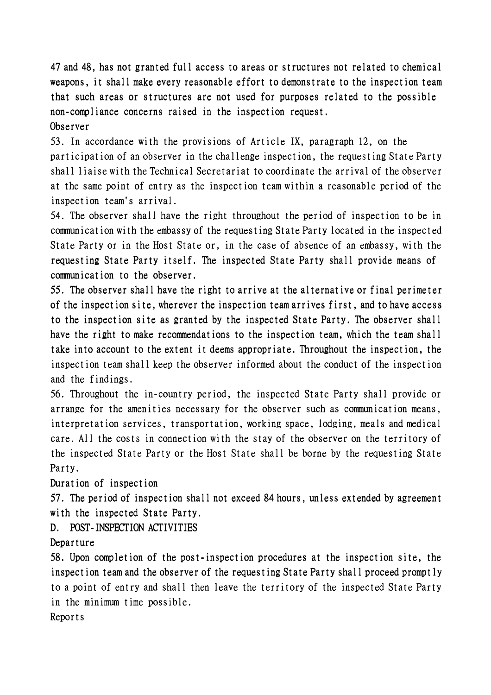47 and 48, has not granted full access to areas or structures not related to chemical weapons, it shall make every reasonable effort to demonstrate to the inspection team that such areas or structures are not used for purposes related to the possible non-compliance concerns raised in the inspection request. Observer

53. In accordance with the provisions of Article IX, paragraph 12, on the participation of an observer in the challenge inspection, the requesting State Party shall liaise with the Technical Secretariat to coordinate the arrival of the observer at the same point of entry as the inspection team within a reasonable period of the inspection team's arrival.

54. The observer shall have the right throughout the period of inspection to be in communication with the embassy of the requesting State Party located in the inspected State Party or in the Host State or, in the case of absence of an embassy, with the requesting State Party itself. The inspected State Party shall provide means of communication to the observer.

55. The observer shall have the right to arrive at the alternative or final perimeter of the inspection site, wherever the inspection team arrives first, and to have access to the inspection site as granted by the inspected State Party. The observer shall have the right to make recommendations to the inspection team, which the team shall take into account to the extent it deems appropriate. Throughout the inspection, the inspection team shall keep the observer informed about the conduct of the inspection and the findings.

56. Throughout the in-country period, the inspected State Party shall provide or arrange for the amenities necessary for the observer such as communication means, interpretation services, transportation, working space, lodging, meals and medical care. All the costs in connection with the stay of the observer on the territory of the inspected State Party or the Host State shall be borne by the requesting State Party.

Duration of inspection

57. The period of inspection shall not exceed 84 hours, unless extended by agreement with the inspected State Party.

D. POST-INSPECTION ACTIVITIES

Departure

58. Upon completion of the post-inspection procedures at the inspection site, the inspection team and the observer of the requesting State Party shall proceed promptly to a point of entry and shall then leave the territory of the inspected State Party in the minimum time possible.

Reports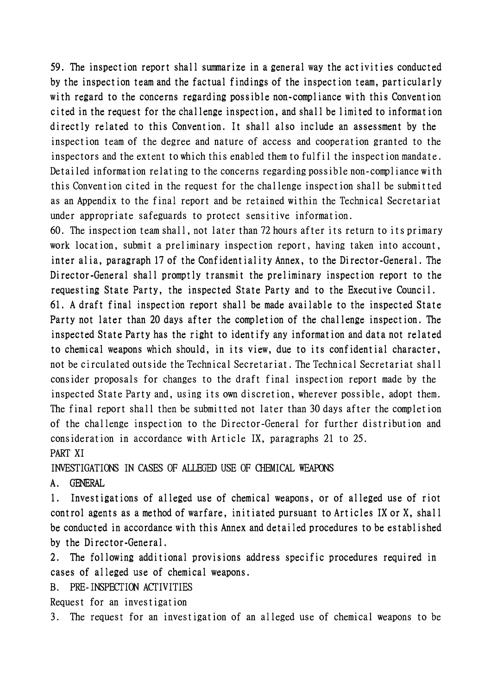59. The inspection report shall summarize in a general way the activities conducted by the inspection team and the factual findings of the inspection team, particularly with regard to the concerns regarding possible non-compliance with this Convention cited in the request for the challenge inspection, and shall be limited to information directly related to this Convention. It shall also include an assessment by the inspection team of the degree and nature of access and cooperation granted to the inspectors and the extent to which this enabled them to fulfil the inspection mandate. Detailed information relating to the concerns regarding possible non-compliance with this Convention cited in the request for the challenge inspection shall be submitted as an Appendix to the final report and be retained within the Technical Secretariat under appropriate safeguards to protect sensitive information.

60. The inspection team shall, not later than 72 hours after its return to its primary work location, submit a preliminary inspection report, having taken into account, inter alia, paragraph 17 of the Confidentiality Annex, to the Director-General. The Director-General shall promptly transmit the preliminary inspection report to the requesting State Party, the inspected State Party and to the Executive Council. 61. A draft final inspection report shall be made available to the inspected State Party not later than 20 days after the completion of the challenge inspection. The inspected State Party has the right to identify any information and data not related to chemical weapons which should, in its view, due to its confidential character, not be circulated outside the Technical Secretariat. The Technical Secretariat shall consider proposals for changes to the draft final inspection report made by the inspected State Party and, using its own discretion, wherever possible, adopt them. The final report shall then be submitted not later than 30 days after the completion of the challenge inspection to the Director-General for further distribution and consideration in accordance with Article IX, paragraphs 21 to 25. PART XI

INVESTIGATIONS IN CASES OF ALLEGED USE OF CHEMICAL WEAPONS

A. GENERAL

1. Investigations of alleged use of chemical weapons, or of alleged use of riot control agents as a method of warfare, initiated pursuant to Articles IX or X, shall be conducted in accordance with this Annex and detailed procedures to be established by the Director-General.

2. The following additional provisions address specific procedures required in cases of alleged use of chemical weapons.

B. PRE-INSPECTION ACTIVITIES

Request for an investigation

3. The request for an investigation of an alleged use of chemical weapons to be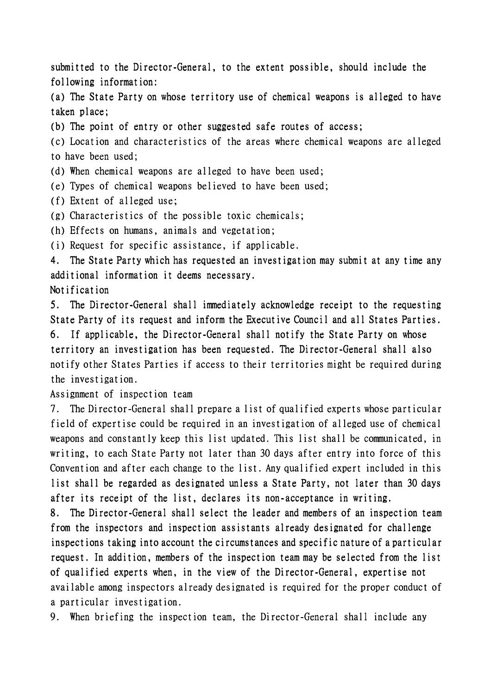submitted to the Director-General, to the extent possible, should include the following information:

(a) The State Party on whose territory use of chemical weapons is alleged to have taken place;

(b) The point of entry or other suggested safe routes of access;

(c) Location and characteristics of the areas where chemical weapons are alleged to have been used;

(d) When chemical weapons are alleged to have been used;

(e) Types of chemical weapons believed to have been used;

(f) Extent of alleged use;

(g) Characteristics of the possible toxic chemicals;

 $(h)$  Effects on humans, animals and vegetation;

(i) Request for specific assistance, if applicable.

4. The State Party which has requested an investigation may submit at any time any additional information it deems necessary.

Notification

5. The Director-General shall immediately acknowledge receipt to the requesting State Party of its request and inform the Executive Council and all States Parties.

6. If applicable, the Director-General shall notify the State Party on whose territory an investigation has been requested. The Director-General shall also notify other States Parties if access to their territories might be required during the investigation.

Assignment of inspection team

7. The Director-General shall prepare a list of qualified experts whose particular field of expertise could be required in an investigation of alleged use of chemical weapons and constantly keep this list updated. This list shall be communicated, in writing, to each State Party not later than 30 days after entry into force of this Convention and after each change to the list. Any qualified expert included in this list shall be regarded as designated unless a State Party, not later than 30 days after its receipt of the list, declares its non-acceptance in writing.

8. The Director-General shall select the leader and members of an inspection team from the inspectors and inspection assistants already designated for challenge inspections taking into account the circumstances and specific nature of a particular request. In addition, members of the inspection team may be selected from the list of qualified experts when, in the view of the Director-General, expertise not available among inspectors already designated is required for the proper conduct of a particular investigation.

9. When briefing the inspection team, the Director-General shall include any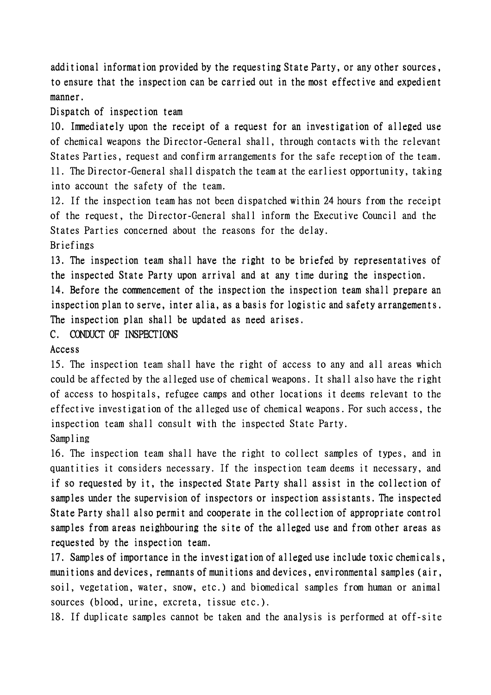additional information provided by the requesting State Party, or any other sources, to ensure that the inspection can be carried out in the most effective and expedient manner.

## Dispatch of inspection team

10. Immediately upon the receipt of a request for an investigation of alleged use of chemical weapons the Director-General shall, through contacts with the relevant States Parties, request and confirm arrangements for the safe reception of the team. 11. The Director-General shall dispatch the team at the earliest opportunity, taking into account the safety of the team.

12. If the inspection team has not been dispatched within 24 hours from the receipt of the request, the Director-General shall inform the Executive Council and the States Parties concerned about the reasons for the delay.

## Briefings

13. The inspection team shall have the right to be briefed by representatives of the inspected State Party upon arrival and at any time during the inspection.

14. Before the commencement of the inspection the inspection team shall prepare an inspection plan to serve, inter alia, as a basis for logistic and safety arrangements. The inspection plan shall be updated as need arises.

## C. CONDUCT OF INSPECTIONS

## Access

15. The inspection team shall have the right of access to any and all areas which could be affected by the alleged use of chemical weapons. It shall also have the right of access to hospitals, refugee camps and other locations it deems relevant to the effective investigation of the alleged use of chemical weapons. For such access, the inspection team shall consult with the inspected State Party.

## Sampling

16. The inspection team shall have the right to collect samples of types, and in quantities it considers necessary. If the inspection team deems it necessary, and if so requested by it, the inspected State Party shall assist in the collection of samples under the supervision of inspectors or inspection assistants. The inspected State Party shall also permit and cooperate in the collection of appropriate control samples from areas neighbouring the site of the alleged use and from other areas as requested by the inspection team.

17. Samples of importance in the investigation of alleged use include toxic chemicals, munitions and devices, remnants of munitions and devices, environmental samples (air, soil, vegetation, water, snow, etc.) and biomedical samples from human or animal sources (blood, urine, excreta, tissue etc.).

18. If duplicate samples cannot be taken and the analysis is performed at off-site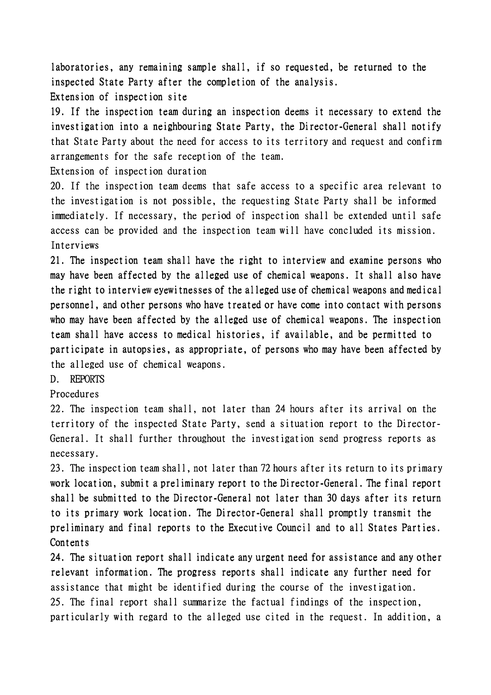laboratories, any remaining sample shall, if so requested, be returned to the inspected State Party after the completion of the analysis. Extension of inspection site

19. If the inspection team during an inspection deems it necessary to extend the investigation into a neighbouring State Party, the Director-General shall notify that State Party about the need for access to its territory and request and confirm arrangements for the safe reception of the team.

Extension of inspection duration

20. If the inspection team deems that safe access to a specific area relevant to the investigation is not possible, the requesting State Party shall be informed immediately. If necessary, the period of inspection shall be extended until safe access can be provided and the inspection team will have concluded its mission. Interviews

21. The inspection team shall have the right to interview and examine persons who may have been affected by the alleged use of chemical weapons. It shall also have the right to interview eyewitnesses of the alleged use of chemical weapons and medical personnel, and other persons who have treated or have come into contact with persons who may have been affected by the alleged use of chemical weapons. The inspection team shall have access to medical histories, if available, and be permitted to participate in autopsies, as appropriate, of persons who may have been affected by the alleged use of chemical weapons.

# D. REPORTS

## Procedures

22. The inspection team shall, not later than 24 hours after its arrival on the territory of the inspected State Party, send a situation report to the Director-General. It shall further throughout the investigation send progress reports as necessary.

23. The inspection team shall, not later than 72 hours after its return to its primary work location, submit a preliminary report to the Director-General. The final report shall be submitted to the Director-General not later than 30 days after its return to its primary work location. The Director-General shall promptly transmit the preliminary and final reports to the Executive Council and to all States Parties. Contents

24. The situation report shall indicate any urgent need for assistance and any other relevant information. The progress reports shall indicate any further need for assistance that might be identified during the course of the investigation. 25. The final report shall summarize the factual findings of the inspection, particularly with regard to the alleged use cited in the request. In addition, a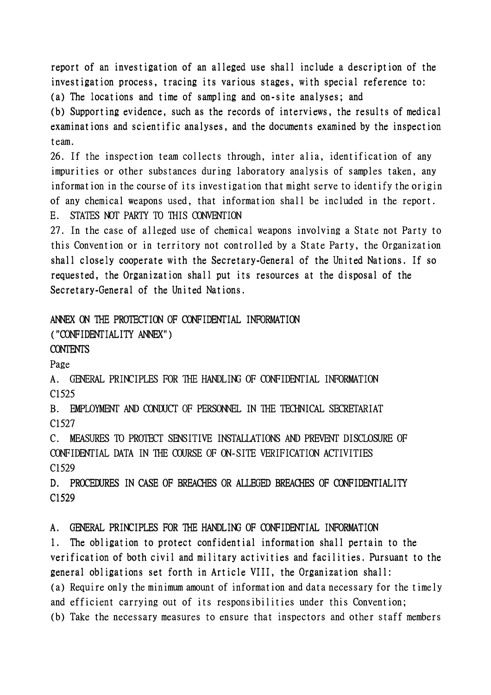report of an investigation of an alleged use shall include a description of the investigation process, tracing its various stages, with special reference to: (a) The locations and time of sampling and on-site analyses; and

(b) Supporting evidence, such as the records of interviews, the results of medical examinations and scientific analyses, and the documents examined by the inspection team.

26. If the inspection team collects through, inter alia, identification of any impurities or other substances during laboratory analysis of samples taken, any information in the course of its investigation that might serve to identify the origin of any chemical weapons used, that information shall be included in the report. E. STATES NOT PARTY TO THIS CONVENTION

27. In the case of alleged use of chemical weapons involving a State not Party to this Convention or in territory not controlled by a State Party, the Organization shall closely cooperate with the Secretary-General of the United Nations. If so requested, the Organization shall put its resources at the disposal of the Secretary-General of the United Nations.

## ANNEX ON THE PROTECTION OF CONFIDENTIAL INFORMATION

("CONFIDENTIALITY ANNEX")

CONTENTS

Page

A. GENERAL PRINCIPLES FOR THE HANDLING OF CONFIDENTIAL INFORMATION C1525

B. EMPLOYMENT AND CONDUCT OF PERSONNEL IN THE TECHNICAL SECRETARIAT C<sub>1527</sub>

C. MEASURES TO PROTECT SENSITIVE INSTALLATIONS AND PREVENT DISCLOSURE OF CONFIDENTIAL DATA IN THE COURSE OF ON-SITE VERIFICATION ACTIVITIES C<sub>1529</sub>

D. PROCEDURES IN CASE OF BREACHES OR ALLEGED BREACHES OF CONFIDENTIALITY C1529

A. GENERAL PRINCIPLES FOR THE HANDLING OF CONFIDENTIAL INFORMATION

1. The obligation to protect confidential information shall pertain to the verification of both civil and military activities and facilities. Pursuant to the general obligations set forth in Article VIII, the Organization shall: (a) Require only the minimum amount of information and data necessary for the timely and efficient carrying out of its responsibilities under this Convention; (b) Take the necessary measures to ensure that inspectors and other staff members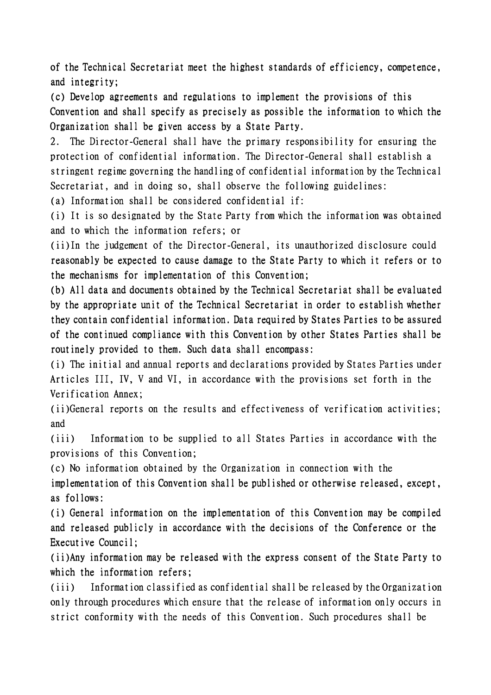of the Technical Secretariat meet the highest standards of efficiency, competence, and integrity;

(c) Develop agreements and regulations to implement the provisions of this (c) Develop agreements and this Convention and shall specify as precisely as possible the information to which the Organization shall be given access by a State Party.

2. The Director-General shall have the primary responsibility for ensuring the protection of confidential information. The Director-General shall establish a stringent regime governing the handling of confidential information by the Technical Secretariat, and in doing so, shall observe the following guidelines:

(a) Information shall be considered confidential if:

(i) It is so designated by the State Party from which the information was obtained and to which the information refers; or

 $(i)$ In the judgement of the Director-General, its unauthorized disclosure could reasonably be expected to cause damage to the State Party to which it refers or to the mechanisms for implementation of this Convention;

(b) All data and documents obtained by the Technical Secretariat shall be evaluated by the appropriate unit of the Technical Secretariat in order to establish whether they contain confidential information. Data required by States Parties to be assured of the continued compliance with this Convention by other States Parties shall be routinely provided to them. Such data shall encompass:

(i) The initial and annual reports and declarations provided by States Parties under Articles III, IV, V and VI, in accordance with the provisions set forth in the Verification Annex;

(ii)General reports on the results and effectiveness of verification activities; (ii)General reports the results and activities; and

 $(iii)$  Information to be supplied to all States Parties in accordance with the provisions of this Convention;

(c) No information obtained by the Organization in connection with the implementation of this Convention shall be published or otherwise released, except, as follows:

(i) General information on the implementation of this Convention may be compiled and released publicly in accordance with the decisions of the Conference or the Executive Council;

(ii)Any information may be released with the express consent of the State Party to which the information refers;

 $(iii)$  Information classified as confidential shall be released by the Organization only through procedures which ensure that the release of information only occurs in strict conformity with the needs of this Convention. Such procedures shall be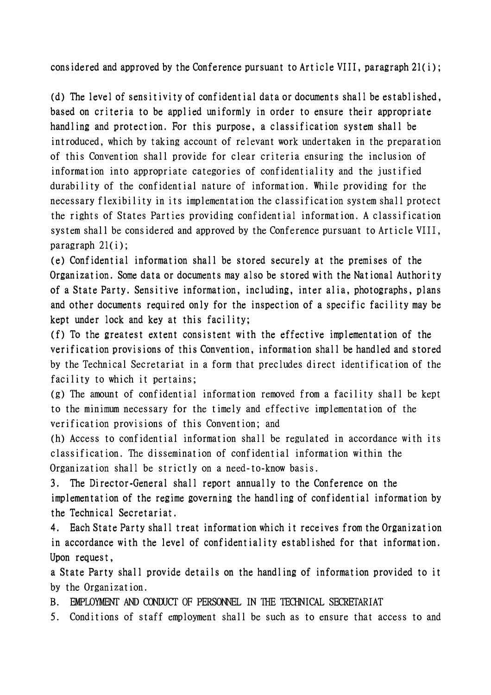considered and approved by the Conference pursuant to Article VIII, paragraph 21(i);

(d) The level of sensitivity of confidential data or documents shall be established, based on criteria to be applied uniformly in order to ensure their appropriate handling and protection. For this purpose, a classification system shall be introduced, which by taking account of relevant work undertaken in the preparation of this Convention shall provide for clear criteria ensuring the inclusion of information into appropriate categories of confidentiality and the justified durability of the confidential nature of information. While providing for the necessary flexibility in its implementation the classification system shall protect the rights of States Parties providing confidential information. A classification system shall be considered and approved by the Conference pursuant to Article VIII, paragraph 21(i);

(e) Confidential information shall be stored securely at the premises of the Organization. Some data or documents may also be stored with the National Authority of a State Party. Sensitive information, including, inter alia, photographs, plans and other documents required only for the inspection of a specific facility may be kept under lock and key at this facility;

(f) To the greatest extent consistent with the effective implementation of the verification provisions of this Convention, information shall be handled and stored by the Technical Secretariat in a form that precludes direct identification of the facility to which it pertains;

(g) The amount of confidential information removed from a facility shall be kept to the minimum necessary for the timely and effective implementation of the verification provisions of this Convention; and

(h) Access to confidential information shall be regulated in accordance with its classification. The dissemination of confidential information within the Organization shall be strictly on a need-to-know basis.

3. The Director-General shall report annually to the Conference on the implementation of the regime governing the handling of confidential information by the Technical Secretariat.

4. Each State Party shall treat information which it receives from the Organization in accordance with the level of confidentiality established for that information. Upon request,

a State Party shall provide details on the handling of information provided to it by the Organization.

B. EMPLOYMENT AND CONDUCT OF PERSONNEL IN THE TECHNICAL SECRETARIAT

5. Conditions of staff employment shall be such as to ensure that access to and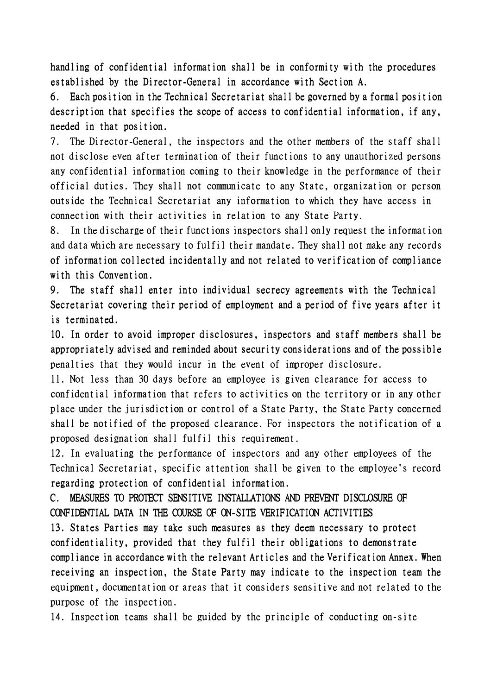handling of confidential information shall be in conformity with the procedures established by the Director-General in accordance with Section A.

6. Each position in the Technical Secretariat shall be governed by a formal position description that specifies the scope of access to confidential information, if any, needed in that position.

7. The Director-General, the inspectors and the other members of the staff shall not disclose even after termination of their functions to any unauthorized persons any confidential information coming to their knowledge in the performance of their official duties. They shall not communicate to any State, organization or person outside the Technical Secretariat any information to which they have access in connection with their activities in relation to any State Party.

8. In the discharge of their functions inspectors shall only request the information and data which are necessary to fulfil their mandate. They shall not make any records of information collected incidentally and not related to verification of compliance with this Convention.

9. The staff shall enter into individual secrecy agreements with the Technical Secretariat covering their period of employment and a period of five years after it is terminated.

10. In order to avoid improper disclosures, inspectors and staff members shall be appropriately advised and reminded about security considerations and of the possible penalties that they would incur in the event of improper disclosure.

11. Not less than 30 days before an employee is given clearance for access to confidential information that refers to activities on the territory or in any other place under the jurisdiction or control of a State Party, the State Party concerned shall be notified of the proposed clearance. For inspectors the notification of a proposed designation shall fulfil this requirement.

12. In evaluating the performance of inspectors and any other employees of the Technical Secretariat, specific attention shall be given to the employee's record regarding protection of confidential information.

C. MEASURES TO PROTECT SENSITIVE INSTALLATIONS AND PREVENT DISCLOSURE OF CONFIDENTIAL DATA IN THE COURSE OF ON-SITE VERIFICATION ACTIVITIES

13. States Parties may take such measures as they deem necessary to protect confidentiality, provided that they fulfil their obligations to demonstrate compliance in accordance with the relevant Articles and the Verification Annex. When receiving an inspection, the State Party may indicate to the inspection team the equipment, documentation or areas that it considers sensitive and not related to the purpose of the inspection.

14. Inspection teams shall be guided by the principle of conducting on-site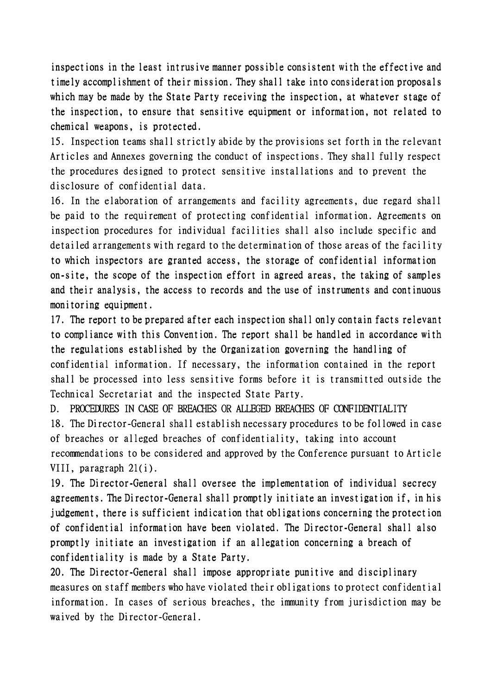inspections in the least intrusive manner possible consistent with the effective and timely accomplishment of their mission. They shall take into consideration proposals which may be made by the State Party receiving the inspection, at whatever stage of the inspection, to ensure that sensitive equipment or information, not related to chemical weapons, is protected.

15. Inspection teams shall strictly abide by the provisions set forth in the relevant Articles and Annexes governing the conduct of inspections. They shall fully respect the procedures designed to protect sensitive installations and to prevent the disclosure of confidential data.

16. In the elaboration of arrangements and facility agreements, due regard shall be paid to the requirement of protecting confidential information. Agreements on inspection procedures for individual facilities shall also include specific and detailed arrangements with regard to the determination of those areas of the facility to which inspectors are granted access, the storage of confidential information on-site, the scope of the inspection effort in agreed areas, the taking of samples and their analysis, the access to records and the use of instruments and continuous monitoring equipment.

17. The report to be prepared after each inspection shall only contain facts relevant to compliance with this Convention. The report shall be handled in accordance with the regulations established by the Organization governing the handling of confidential information. If necessary, the information contained in the report shall be processed into less sensitive forms before it is transmitted outside the Technical Secretariat and the inspected State Party.

D. PROCEDURES IN CASE OF BREACHES OR ALLEGED BREACHES OF CONFIDENTIALITY 18. The Director-General shall establish necessary procedures to be followed in case of breaches or alleged breaches of confidentiality, taking into account recommendations to be considered and approved by the Conference pursuant to Article VIII, paragraph 21(i).

19. The Director-General shall oversee the implementation of individual secrecy agreements. The Director-General shall promptly initiate an investigation if, in his judgement, there is sufficient indication that obligations concerning the protection of confidential information have been violated. The Director-General shall also promptly initiate an investigation if an allegation concerning a breach of confidentiality is made by a State Party.

20. The Director-General shall impose appropriate punitive and disciplinary measures on staff members who have violated their obligations to protect confidential information. In cases of serious breaches, the immunity from jurisdiction may be waived by the Director-General.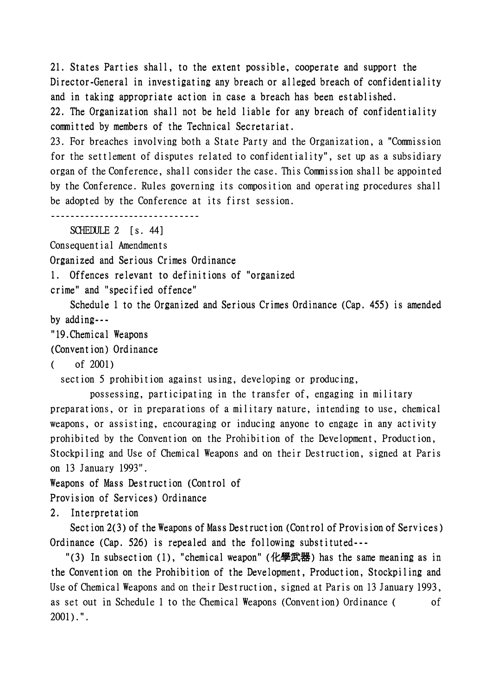21. States Parties shall, to the extent possible, cooperate and support the Director-General in investigating any breach or alleged breach of confidentiality and in taking appropriate action in case a breach has been established.

22. The Organization shall not be held liable for any breach of confidentiality committed by members of the Technical Secretariat.

23. For breaches involving both a State Party and the Organization, a "Commission for the settlement of disputes related to confidentiality", set up as a subsidiary organ of the Conference, shall consider the case. This Commission shall be appointed by the Conference. Rules governing its composition and operating procedures shall be adopted by the Conference at its first session.

SCHEDULE  $2 \times 44$ ]

Consequential Amendments

Organized and Serious Crimes Ordinance

------------------------------

1. Offences relevant to definitions of "organized

crime" and "specified offence"

Schedule 1 to the Organized and Serious Crimes Ordinance (Cap. 455) is amended by adding---

"19. Chemical Weapons"

(Convention) Ordinance

```
( of 2001)
```
section 5 prohibition against using, developing or producing,

possessing, participating in the transfer of, engaging in military preparations, or in preparations of a military nature, intending to use, chemical weapons, or assisting, encouraging or inducing anyone to engage in any activity prohibited by the Convention on the Prohibition of the Development, Production, Stockpiling and Use of Chemical Weapons and on their Destruction, signed at Paris on 13 January 1993".

Weapons of Mass Destruction (Control of

Provision of Services) Ordinance

2. Interpretation 2.

Section  $2(3)$  of the Weapons of Mass Destruction (Control of Provision of Services) Ordinance (Cap. 526) is repealed and the following substituted---

"(3) In subsection (1), "chemical weapon" (化學武器) has the same meaning as in the Convention on the Prohibition of the Development, Production, Stockpiling and Use of Chemical Weapons and on their Destruction, signed at Paris on 13 January 1993, as set out in Schedule 1 to the Chemical Weapons (Convention) Ordinance (  $\qquad \qquad$  of 2001).".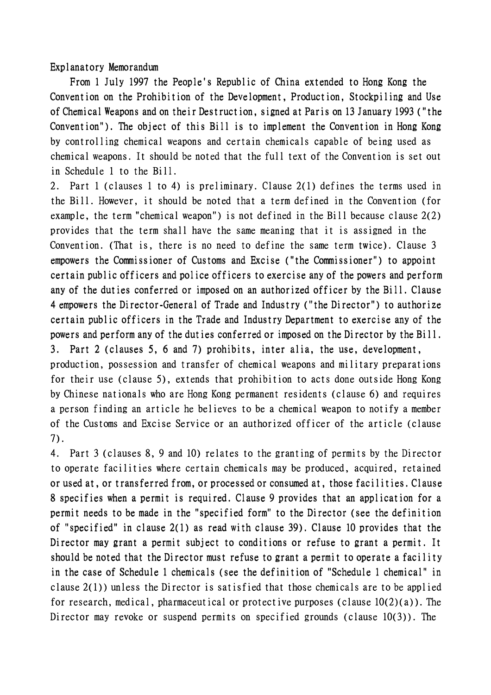#### Explanatory Memorandum

From 1 July 1997 the People's Republic of China extended to Hong Kong the Convention on the Prohibition of the Development, Production, Stockpiling and Use of Chemical Weapons and on their Destruction, signed at Paris on 13 January 1993 ("the Convention"). The object of this Bill is to implement the Convention in Hong Kong by controlling chemical weapons and certain chemicals capable of being used as chemical weapons. It should be noted that the full text of the Convention is set out in Schedule 1 to the Bill.

2. Part 1 (clauses 1 to 4) is preliminary. Clause 2(1) defines the terms used in the Bill. However, it should be noted that a term defined in the Convention (for example, the term "chemical weapon") is not defined in the Bill because clause 2(2) provides that the term shall have the same meaning that it is assigned in the Convention. (That is, there is no need to define the same term twice). Clause 3 empowers the Commissioner of Customs and Excise ("the Commissioner") to appoint certain public officers and police officers to exercise any of the powers and perform any of the duties conferred or imposed on an authorized officer by the Bill. Clause 4 empowers the Director-General of Trade and Industry ("the Director") to authorize certain public officers in the Trade and Industry Department to exercise any of the powers and perform any of the duties conferred or imposed on the Director by the Bill. 3. Part 2 (clauses 5, 6 and 7) prohibits, inter alia, the use, development,

production, possession and transfer of chemical weapons and military preparations for their use (clause 5), extends that prohibition to acts done outside Hong Kong by Chinese nationals who are Hong Kong permanent residents (clause 6) and requires a person finding an article he believes to be a chemical weapon to notify a member of the Customs and Excise Service or an authorized officer of the article (clause 7).

4. Part 3 (clauses 8, 9 and 10) relates to the granting of permits by the Director to operate facilities where certain chemicals may be produced, acquired, retained or used at, or transferred from, or processed or consumed at, those facilities. Clause 8 specifies when a permit is required. Clause 9 provides that an application for a permit needs to be made in the "specified form" to the Director (see the definition of "specified" in clause 2(1) as read with clause 39). Clause 10 provides that the Director may grant a permit subject to conditions or refuse to grant a permit. It should be noted that the Director must refuse to grant a permit to operate a facility in the case of Schedule 1 chemicals (see the definition of "Schedule 1 chemical" in clause 2(1)) unless the Director is satisfied that those chemicals are to be applied for research, medical, pharmaceutical or protective purposes (clause 10(2)(a)). The Director may revoke or suspend permits on specified grounds (clause 10(3)). The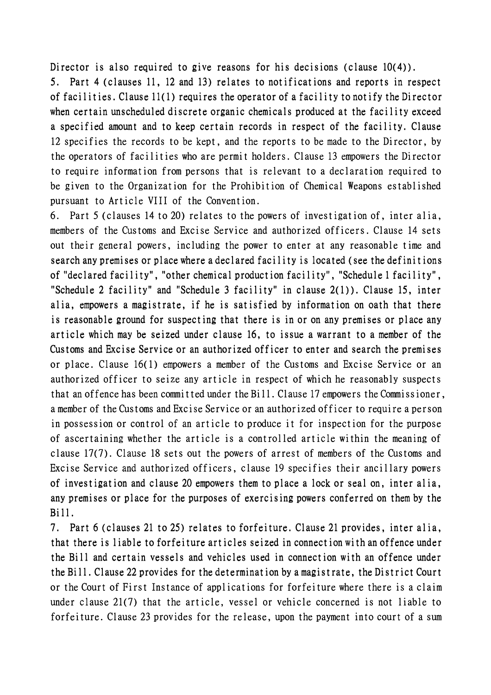Director is also required to give reasons for his decisions (clause 10(4)).

5. Part 4 (clauses 11, 12 and 13) relates to notifications and reports in respect of facilities. Clause 11(1) requires the operator of a facility to notify the Director when certain unscheduled discrete organic chemicals produced at the facility exceed a specified amount and to keep certain records in respect of the facility. Clause 12 specifies the records to be kept, and the reports to be made to the Director, by the operators of facilities who are permit holders. Clause 13 empowers the Director to require information from persons that is relevant to a declaration required to be given to the Organization for the Prohibition of Chemical Weapons established pursuant to Article VIII of the Convention.

6. Part 5 (clauses 14 to 20) relates to the powers of investigation of, inter alia, members of the Customs and Excise Service and authorized officers. Clause 14 sets out their general powers, including the power to enter at any reasonable time and search any premises or place where a declared facility is located (see the definitions of "declared facility", "other chemical production facility", "Schedule 1 facility", "Schedule 2 facility" and "Schedule 3 facility" in clause 2(1)). Clause 15, inter alia, empowers a magistrate, if he is satisfied by information on oath that there is reasonable ground for suspecting that there is in or on any premises or place any article which may be seized under clause 16, to issue a warrant to a member of the Customs and Excise Service or an authorized officer to enter and search the premises or place. Clause 16(1) empowers a member of the Customs and Excise Service or an authorized officer to seize any article in respect of which he reasonably suspects that an offence has been committed under the Bill. Clause 17 empowers the Commissioner, a member of the Customs and Excise Service or an authorized officer to require a person in possession or control of an article to produce it for inspection for the purpose of ascertaining whether the article is a controlled article within the meaning of clause 17(7). Clause 18 sets out the powers of arrest of members of the Customs and Excise Service and authorized officers, clause 19 specifies their ancillary powers of investigation and clause 20 empowers them to place a lock or seal on, inter alia, any premises or place for the purposes of exercising powers conferred on them by the Bill.

7. Part 6 (clauses 21 to 25) relates to forfeiture. Clause 21 provides, inter alia, that there is liable to forfeiture articles seized in connection with an offence under the Bill and certain vessels and vehicles used in connection with an offence under the Bill. Clause 22 provides for the determination by a magistrate, the District Court or the Court of First Instance of applications for forfeiture where there is a claim under clause 21(7) that the article, vessel or vehicle concerned is not liable to forfeiture. Clause 23 provides for the release, upon the payment into court of a sum